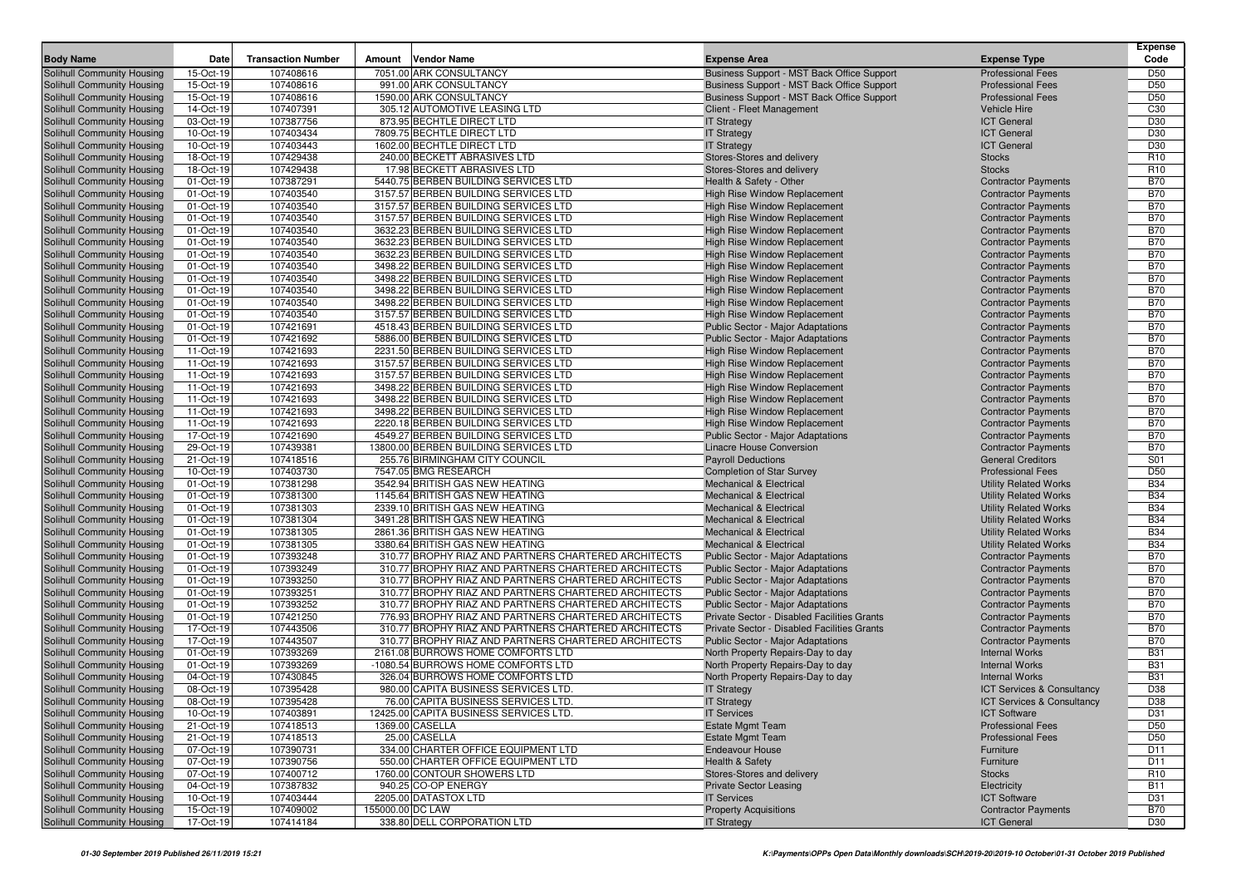| <b>Body Name</b>                                         | Date                   | <b>Transaction Number</b> | Amount | <b>Vendor Name</b>                                                           | <b>Expense Area</b>                                                 | <b>Expense Type</b>                                      | <b>Expense</b><br>Code   |
|----------------------------------------------------------|------------------------|---------------------------|--------|------------------------------------------------------------------------------|---------------------------------------------------------------------|----------------------------------------------------------|--------------------------|
| Solihull Community Housing                               | 15-Oct-19              | 107408616                 |        | 7051.00 ARK CONSULTANCY                                                      | Business Support - MST Back Office Support                          | <b>Professional Fees</b>                                 | D <sub>50</sub>          |
| Solihull Community Housing                               | 15-Oct-19              | 107408616                 |        | 991.00 ARK CONSULTANCY                                                       | Business Support - MST Back Office Support                          | <b>Professional Fees</b>                                 | D <sub>50</sub>          |
| Solihull Community Housing                               | 15-Oct-19              | 107408616                 |        | 1590.00 ARK CONSULTANCY                                                      | Business Support - MST Back Office Support                          | <b>Professional Fees</b>                                 | D <sub>50</sub>          |
| Solihull Community Housing                               | 14-Oct-19              | 107407391                 |        | 305.12 AUTOMOTIVE LEASING LTD                                                | Client - Fleet Management                                           | <b>Vehicle Hire</b>                                      | C <sub>30</sub>          |
| Solihull Community Housing                               | 03-Oct-19              | 107387756                 |        | 873.95 BECHTLE DIRECT LTD                                                    | <b>IT Strategy</b>                                                  | <b>ICT General</b>                                       | D30                      |
| Solihull Community Housing                               | 10-Oct-19              | 107403434                 |        | 7809.75 BECHTLE DIRECT LTD                                                   | <b>IT Strategy</b>                                                  | <b>ICT General</b>                                       | D30                      |
| Solihull Community Housing                               | 10-Oct-19              | 107403443                 |        | 1602.00 BECHTLE DIRECT LTD                                                   | <b>IT Strategy</b>                                                  | <b>ICT General</b>                                       | D30                      |
| Solihull Community Housing                               | 18-Oct-19              | 107429438                 |        | 240.00 BECKETT ABRASIVES LTD                                                 | Stores-Stores and delivery                                          | <b>Stocks</b>                                            | R <sub>10</sub>          |
| Solihull Community Housing                               | 18-Oct-19              | 107429438                 |        | 17.98 BECKETT ABRASIVES LTD                                                  | Stores-Stores and delivery                                          | <b>Stocks</b>                                            | R <sub>10</sub>          |
| Solihull Community Housing                               | 01-Oct-19              | 107387291                 |        | 5440.75 BERBEN BUILDING SERVICES LTD                                         | Health & Safety - Other                                             | <b>Contractor Payments</b>                               | <b>B70</b>               |
| Solihull Community Housing                               | 01-Oct-19              | 107403540                 |        | 3157.57 BERBEN BUILDING SERVICES LTD                                         | High Rise Window Replacement                                        | <b>Contractor Payments</b>                               | <b>B70</b>               |
| Solihull Community Housing                               | 01-Oct-19              | 107403540                 |        | 3157.57 BERBEN BUILDING SERVICES LTD                                         | High Rise Window Replacement                                        | <b>Contractor Payments</b>                               | <b>B70</b>               |
| Solihull Community Housing                               | 01-Oct-19              | 107403540                 |        | 3157.57 BERBEN BUILDING SERVICES LTD                                         | <b>High Rise Window Replacement</b>                                 | <b>Contractor Payments</b>                               | <b>B70</b>               |
| Solihull Community Housing                               | 01-Oct-19              | 107403540                 |        | 3632.23 BERBEN BUILDING SERVICES LTD                                         | <b>High Rise Window Replacement</b>                                 | <b>Contractor Payments</b>                               | <b>B70</b>               |
| Solihull Community Housing                               | 01-Oct-19              | 107403540                 |        | 3632.23 BERBEN BUILDING SERVICES LTD                                         | <b>High Rise Window Replacement</b>                                 | <b>Contractor Payments</b>                               | <b>B70</b>               |
| Solihull Community Housing                               | 01-Oct-19              | 107403540                 |        | 3632.23 BERBEN BUILDING SERVICES LTD                                         | <b>High Rise Window Replacement</b>                                 | <b>Contractor Payments</b>                               | <b>B70</b>               |
| Solihull Community Housing                               | 01-Oct-19              | 107403540                 |        | 3498.22 BERBEN BUILDING SERVICES LTD                                         | High Rise Window Replacement                                        | <b>Contractor Payments</b>                               | <b>B70</b>               |
| Solihull Community Housing                               | 01-Oct-19              | 107403540                 |        | 3498.22 BERBEN BUILDING SERVICES LTD                                         | <b>High Rise Window Replacement</b>                                 | <b>Contractor Payments</b>                               | <b>B70</b>               |
| Solihull Community Housing                               | 01-Oct-19              | 107403540                 |        | 3498.22 BERBEN BUILDING SERVICES LTD                                         | High Rise Window Replacement                                        | <b>Contractor Payments</b>                               | <b>B70</b>               |
| Solihull Community Housing                               | 01-Oct-19              | 107403540                 |        | 3498.22 BERBEN BUILDING SERVICES LTD                                         | <b>High Rise Window Replacement</b>                                 | <b>Contractor Payments</b>                               | <b>B70</b>               |
| Solihull Community Housing                               | 01-Oct-19              | 107403540                 |        | 3157.57 BERBEN BUILDING SERVICES LTD                                         | <b>High Rise Window Replacement</b>                                 | <b>Contractor Payments</b>                               | <b>B70</b>               |
| Solihull Community Housing                               | 01-Oct-19              | 107421691                 |        | 4518.43 BERBEN BUILDING SERVICES LTD                                         | <b>Public Sector - Major Adaptations</b>                            | <b>Contractor Payments</b>                               | <b>B70</b>               |
| Solihull Community Housing                               | 01-Oct-19              | 107421692                 |        | 5886.00 BERBEN BUILDING SERVICES LTD                                         | <b>Public Sector - Major Adaptations</b>                            | <b>Contractor Payments</b>                               | <b>B70</b>               |
| Solihull Community Housing                               | 11-Oct-19              | 107421693                 |        | 2231.50 BERBEN BUILDING SERVICES LTD                                         | <b>High Rise Window Replacement</b>                                 | <b>Contractor Payments</b>                               | <b>B70</b>               |
| Solihull Community Housing                               | 11-Oct-19              | 107421693                 |        | 3157.57 BERBEN BUILDING SERVICES LTD                                         | <b>High Rise Window Replacement</b>                                 | <b>Contractor Payments</b>                               | <b>B70</b>               |
| Solihull Community Housing                               | 11-Oct-19              | 107421693                 |        | 3157.57 BERBEN BUILDING SERVICES LTD                                         | <b>High Rise Window Replacement</b>                                 | <b>Contractor Payments</b>                               | <b>B70</b>               |
| Solihull Community Housing                               | 11-Oct-19              | 107421693                 |        | 3498.22 BERBEN BUILDING SERVICES LTD<br>3498.22 BERBEN BUILDING SERVICES LTD | <b>High Rise Window Replacement</b>                                 | <b>Contractor Payments</b>                               | <b>B70</b>               |
| Solihull Community Housing                               | 11-Oct-19              | 107421693<br>107421693    |        | 3498.22 BERBEN BUILDING SERVICES LTD                                         | High Rise Window Replacement<br><b>High Rise Window Replacement</b> | <b>Contractor Payments</b>                               | <b>B70</b><br><b>B70</b> |
| Solihull Community Housing<br>Solihull Community Housing | 11-Oct-19<br>11-Oct-19 | 107421693                 |        | 2220.18 BERBEN BUILDING SERVICES LTD                                         | High Rise Window Replacement                                        | <b>Contractor Payments</b><br><b>Contractor Payments</b> | <b>B70</b>               |
| Solihull Community Housing                               | 17-Oct-19              | 107421690                 |        | 4549.27 BERBEN BUILDING SERVICES LTD                                         | <b>Public Sector - Major Adaptations</b>                            | <b>Contractor Payments</b>                               | <b>B70</b>               |
| Solihull Community Housing                               | 29-Oct-19              | 107439381                 |        | 13800.00 BERBEN BUILDING SERVICES LTD                                        | Linacre House Conversion                                            | <b>Contractor Payments</b>                               | <b>B70</b>               |
| Solihull Community Housing                               | 21-Oct-19              | 107418516                 |        | 255.76 BIRMINGHAM CITY COUNCIL                                               | <b>Payroll Deductions</b>                                           | <b>General Creditors</b>                                 | S01                      |
| Solihull Community Housing                               | 10-Oct-19              | 107403730                 |        | 7547.05 BMG RESEARCH                                                         | <b>Completion of Star Survey</b>                                    | <b>Professional Fees</b>                                 | D <sub>50</sub>          |
| Solihull Community Housing                               | 01-Oct-19              | 107381298                 |        | 3542.94 BRITISH GAS NEW HEATING                                              | <b>Mechanical &amp; Electrical</b>                                  | <b>Utility Related Works</b>                             | <b>B34</b>               |
| Solihull Community Housing                               | 01-Oct-19              | 107381300                 |        | 1145.64 BRITISH GAS NEW HEATING                                              | <b>Mechanical &amp; Electrical</b>                                  | <b>Utility Related Works</b>                             | <b>B34</b>               |
| Solihull Community Housing                               | 01-Oct-19              | 107381303                 |        | 2339.10 BRITISH GAS NEW HEATING                                              | <b>Mechanical &amp; Electrical</b>                                  | <b>Utility Related Works</b>                             | <b>B34</b>               |
| Solihull Community Housing                               | 01-Oct-19              | 107381304                 |        | 3491.28 BRITISH GAS NEW HEATING                                              | <b>Mechanical &amp; Electrical</b>                                  | <b>Utility Related Works</b>                             | <b>B34</b>               |
| Solihull Community Housing                               | 01-Oct-19              | 107381305                 |        | 2861.36 BRITISH GAS NEW HEATING                                              | <b>Mechanical &amp; Electrical</b>                                  | <b>Utility Related Works</b>                             | <b>B34</b>               |
| Solihull Community Housing                               | 01-Oct-19              | 107381305                 |        | 3380.64 BRITISH GAS NEW HEATING                                              | <b>Mechanical &amp; Electrical</b>                                  | <b>Utility Related Works</b>                             | <b>B34</b>               |
| Solihull Community Housing                               | 01-Oct-19              | 107393248                 |        | 310.77 BROPHY RIAZ AND PARTNERS CHARTERED ARCHITECTS                         | Public Sector - Major Adaptations                                   | <b>Contractor Payments</b>                               | <b>B70</b>               |
| Solihull Community Housing                               | 01-Oct-19              | 107393249                 |        | 310.77 BROPHY RIAZ AND PARTNERS CHARTERED ARCHITECTS                         | <b>Public Sector - Major Adaptations</b>                            | <b>Contractor Payments</b>                               | <b>B70</b>               |
| Solihull Community Housing                               | 01-Oct-19              | 107393250                 |        | 310.77 BROPHY RIAZ AND PARTNERS CHARTERED ARCHITECTS                         | <b>Public Sector - Major Adaptations</b>                            | <b>Contractor Payments</b>                               | <b>B70</b>               |
| Solihull Community Housing                               | 01-Oct-19              | 107393251                 |        | 310.77 BROPHY RIAZ AND PARTNERS CHARTERED ARCHITECTS                         | Public Sector - Major Adaptations                                   | <b>Contractor Payments</b>                               | <b>B70</b>               |
| Solihull Community Housing                               | 01-Oct-19              | 107393252                 |        | 310.77 BROPHY RIAZ AND PARTNERS CHARTERED ARCHITECTS                         | <b>Public Sector - Major Adaptations</b>                            | <b>Contractor Payments</b>                               | <b>B70</b>               |
| Solihull Community Housing                               | 01-Oct-19              | 107421250                 |        | 776.93 BROPHY RIAZ AND PARTNERS CHARTERED ARCHITECTS                         | Private Sector - Disabled Facilities Grants                         | <b>Contractor Payments</b>                               | <b>B70</b>               |
| Solihull Community Housing                               | 17-Oct-19              | 107443506                 |        | 310.77 BROPHY RIAZ AND PARTNERS CHARTERED ARCHITECTS                         | Private Sector - Disabled Facilities Grants                         | <b>Contractor Payments</b>                               | <b>B70</b>               |
| Solihull Community Housing                               | 17-Oct-19              | 107443507                 |        | 310.77 BROPHY RIAZ AND PARTNERS CHARTERED ARCHITECTS                         | <b>Public Sector - Major Adaptations</b>                            | <b>Contractor Payments</b>                               | <b>B70</b>               |
| Solihull Community Housing                               | 01-Oct-19              | 107393269                 |        | 2161.08 BURROWS HOME COMFORTS LTD                                            | North Property Repairs-Day to day                                   | <b>Internal Works</b>                                    | <b>B31</b>               |
| Solihull Community Housing                               | 01-Oct-19              | 107393269                 |        | -1080.54 BURROWS HOME COMFORTS LTD                                           | North Property Repairs-Day to day                                   | <b>Internal Works</b>                                    | <b>B31</b>               |
| Solihull Community Housing                               | 04-Oct-19              | 107430845                 |        | 326.04 BURROWS HOME COMFORTS LTD                                             | North Property Repairs-Day to day                                   | <b>Internal Works</b>                                    | <b>B31</b>               |
| Solihull Community Housing                               | 08-Oct-19              | 107395428                 |        | 980.00 CAPITA BUSINESS SERVICES LTD.                                         | <b>IT Strategy</b>                                                  | ICT Services & Consultancy                               | D38                      |
| Solihull Community Housing                               | 08-Oct-19              | 107395428                 |        | 76.00 CAPITA BUSINESS SERVICES LTD                                           | <b>IT Strategy</b>                                                  | <b>ICT Services &amp; Consultancy</b>                    | D38                      |
| Solihull Community Housing                               | 10-Oct-19              | 107403891                 |        | 12425.00 CAPITA BUSINESS SERVICES LTD.                                       | <b>IT Services</b>                                                  | <b>ICT Software</b>                                      | D31                      |
| Solihull Community Housing                               | 21-Oct-19              | 107418513                 |        | 1369.00 CASELLA                                                              | <b>Estate Mgmt Team</b>                                             | <b>Professional Fees</b>                                 | D <sub>50</sub>          |
| Solihull Community Housing                               | 21-Oct-19              | 107418513                 |        | 25.00 CASELLA                                                                | <b>Estate Mgmt Team</b>                                             | <b>Professional Fees</b>                                 | D <sub>50</sub>          |
| Solihull Community Housing                               | 07-Oct-19              | 107390731                 |        | 334.00 CHARTER OFFICE EQUIPMENT LTD                                          | Endeavour House                                                     | Furniture                                                | D11                      |
| Solihull Community Housing                               | 07-Oct-19              | 107390756                 |        | 550.00 CHARTER OFFICE EQUIPMENT LTD                                          | <b>Health &amp; Safety</b>                                          | Furniture                                                | D11                      |
| Solihull Community Housing                               | 07-Oct-19              | 107400712                 |        | 1760.00 CONTOUR SHOWERS LTD                                                  | Stores-Stores and delivery                                          | <b>Stocks</b>                                            | R <sub>10</sub>          |
| Solihull Community Housing                               | 04-Oct-19              | 107387832                 |        | 940.25 CO-OP ENERGY                                                          | <b>Private Sector Leasing</b>                                       | Electricity                                              | <b>B11</b>               |
| Solihull Community Housing                               | 10-Oct-19              | 107403444                 |        | 2205.00 DATASTOX LTD                                                         | <b>IT Services</b>                                                  | <b>ICT Software</b>                                      | D31                      |
| Solihull Community Housing                               | 15-Oct-19              | 107409002                 |        | 155000.00 DC LAW                                                             | <b>Property Acquisitions</b>                                        | <b>Contractor Payments</b><br><b>ICT General</b>         | <b>B70</b>               |
| Solihull Community Housing                               | 17-Oct-19              | 107414184                 |        | 338.80 DELL CORPORATION LTD                                                  | <b>IT Strategy</b>                                                  |                                                          | D30                      |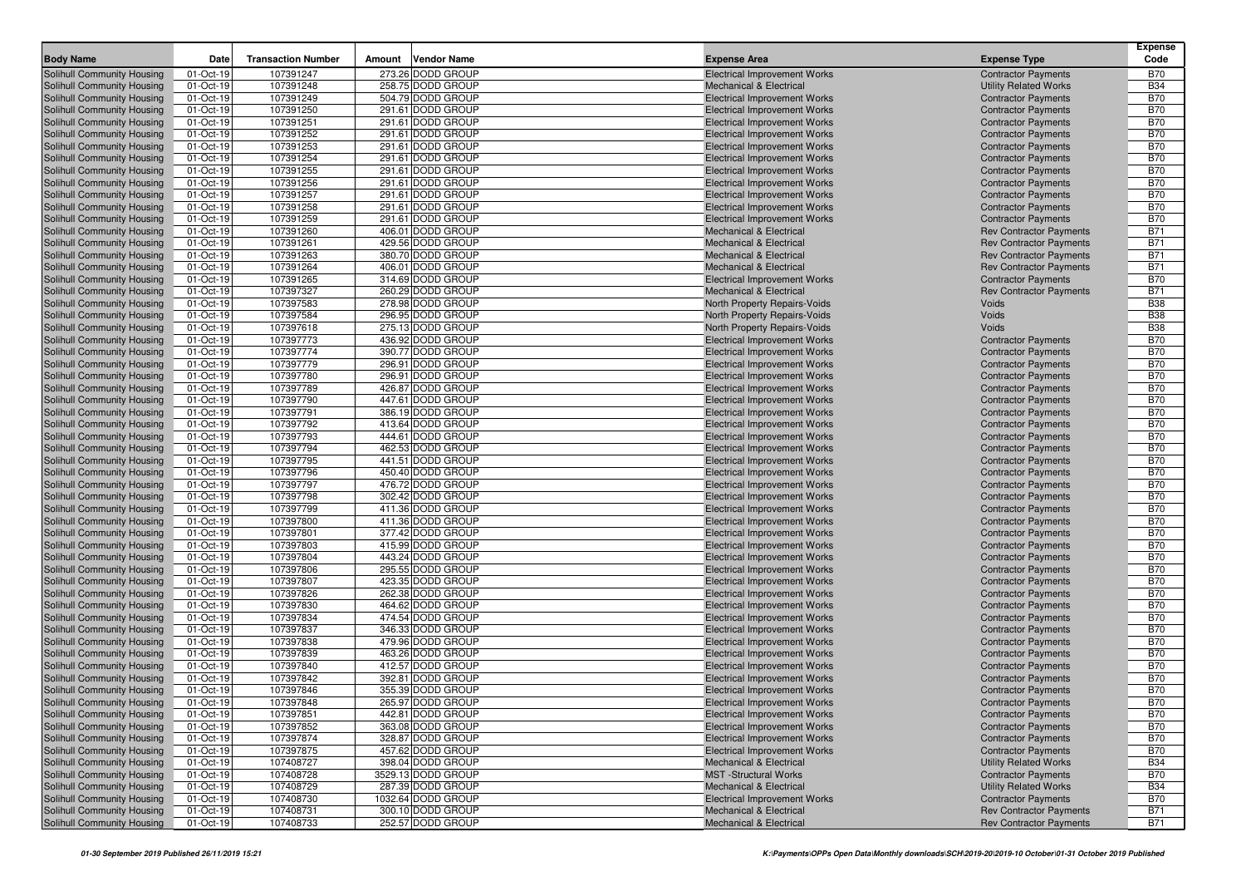| <b>Body Name</b>                                         | Date                   | <b>Transaction Number</b> | Amount | <b>Vendor Name</b>                     | <b>Expense Area</b>                                                        | <b>Expense Type</b>                                      | <b>Expense</b><br>Code   |
|----------------------------------------------------------|------------------------|---------------------------|--------|----------------------------------------|----------------------------------------------------------------------------|----------------------------------------------------------|--------------------------|
| Solihull Community Housing                               | 01-Oct-19              | 107391247                 |        | 273.26 DODD GROUP                      | <b>Electrical Improvement Works</b>                                        | <b>Contractor Payments</b>                               | <b>B70</b>               |
| Solihull Community Housing                               | 01-Oct-19              | 107391248                 |        | 258.75 DODD GROUP                      | <b>Mechanical &amp; Electrical</b>                                         | <b>Utility Related Works</b>                             | <b>B34</b>               |
| Solihull Community Housing                               | 01-Oct-19              | 107391249                 |        | 504.79 DODD GROUP                      | <b>Electrical Improvement Works</b>                                        | <b>Contractor Payments</b>                               | <b>B70</b>               |
| Solihull Community Housing                               | 01-Oct-19              | 107391250                 |        | 291.61 DODD GROUP                      | <b>Electrical Improvement Works</b>                                        | <b>Contractor Payments</b>                               | <b>B70</b>               |
| Solihull Community Housing                               | 01-Oct-19              | 107391251                 |        | 291.61 DODD GROUP                      | <b>Electrical Improvement Works</b>                                        | <b>Contractor Payments</b>                               | <b>B70</b>               |
| Solihull Community Housing                               | 01-Oct-19              | 107391252                 |        | 291.61 DODD GROUP                      | <b>Electrical Improvement Works</b>                                        | <b>Contractor Payments</b>                               | <b>B70</b>               |
| Solihull Community Housing                               | 01-Oct-19              | 107391253                 |        | 291.61 DODD GROUP                      | <b>Electrical Improvement Works</b>                                        | <b>Contractor Payments</b>                               | <b>B70</b>               |
| Solihull Community Housing                               | 01-Oct-19              | 107391254                 |        | 291.61 DODD GROUP                      | <b>Electrical Improvement Works</b>                                        | <b>Contractor Payments</b>                               | <b>B70</b>               |
| Solihull Community Housing                               | 01-Oct-19              | 107391255                 |        | 291.61 DODD GROUP                      | <b>Electrical Improvement Works</b>                                        | <b>Contractor Payments</b>                               | <b>B70</b>               |
| Solihull Community Housing                               | 01-Oct-19              | 107391256                 |        | 291.61 DODD GROUP                      | <b>Electrical Improvement Works</b>                                        | <b>Contractor Payments</b>                               | <b>B70</b>               |
| Solihull Community Housing                               | 01-Oct-19              | 107391257                 |        | 291.61 DODD GROUP                      | <b>Electrical Improvement Works</b>                                        | <b>Contractor Payments</b>                               | <b>B70</b>               |
| Solihull Community Housing                               | 01-Oct-19              | 107391258                 |        | 291.61 DODD GROUP                      | <b>Electrical Improvement Works</b>                                        | <b>Contractor Payments</b>                               | <b>B70</b>               |
| Solihull Community Housing                               | 01-Oct-19              | 107391259                 |        | 291.61 DODD GROUP                      | <b>Electrical Improvement Works</b>                                        | <b>Contractor Payments</b>                               | <b>B70</b>               |
| Solihull Community Housing                               | 01-Oct-19              | 107391260                 |        | 406.01 DODD GROUP                      | <b>Mechanical &amp; Electrical</b>                                         | <b>Rev Contractor Payments</b>                           | <b>B71</b>               |
| Solihull Community Housing                               | 01-Oct-19              | 107391261                 |        | 429.56 DODD GROUP                      | <b>Mechanical &amp; Electrical</b>                                         | <b>Rev Contractor Payments</b>                           | <b>B71</b>               |
| Solihull Community Housing                               | 01-Oct-19              | 107391263                 |        | 380.70 DODD GROUP                      | <b>Mechanical &amp; Electrical</b>                                         | <b>Rev Contractor Payments</b>                           | <b>B71</b>               |
| Solihull Community Housing                               | 01-Oct-19              | 107391264                 |        | 406.01 DODD GROUP                      | <b>Mechanical &amp; Electrical</b>                                         | <b>Rev Contractor Payments</b>                           | <b>B71</b>               |
| Solihull Community Housing                               | 01-Oct-19              | 107391265                 |        | 314.69 DODD GROUP                      | <b>Electrical Improvement Works</b>                                        | <b>Contractor Payments</b>                               | <b>B70</b>               |
| Solihull Community Housing                               | 01-Oct-19              | 107397327                 |        | 260.29 DODD GROUP                      | Mechanical & Electrical                                                    | <b>Rev Contractor Payments</b>                           | <b>B71</b>               |
| Solihull Community Housing                               | 01-Oct-19              | 107397583                 |        | 278.98 DODD GROUP                      | North Property Repairs-Voids                                               | Voids                                                    | <b>B38</b>               |
| Solihull Community Housing                               | 01-Oct-19              | 107397584                 |        | 296.95 DODD GROUP                      | North Property Repairs-Voids                                               | Voids                                                    | <b>B38</b>               |
| Solihull Community Housing                               | 01-Oct-19              | 107397618                 |        | 275.13 DODD GROUP<br>436.92 DODD GROUP | North Property Repairs-Voids                                               | Voids                                                    | <b>B38</b><br><b>B70</b> |
| Solihull Community Housing                               | 01-Oct-19              | 107397773                 |        | 390.77 DODD GROUP                      | <b>Electrical Improvement Works</b>                                        | <b>Contractor Payments</b>                               | <b>B70</b>               |
| Solihull Community Housing                               | 01-Oct-19<br>01-Oct-19 | 107397774<br>107397779    |        | 296.91 DODD GROUP                      | <b>Electrical Improvement Works</b><br><b>Electrical Improvement Works</b> | <b>Contractor Payments</b><br><b>Contractor Payments</b> | <b>B70</b>               |
| Solihull Community Housing<br>Solihull Community Housing | 01-Oct-19              | 107397780                 |        | 296.91 DODD GROUP                      | <b>Electrical Improvement Works</b>                                        | <b>Contractor Payments</b>                               | <b>B70</b>               |
| Solihull Community Housing                               | 01-Oct-19              | 107397789                 |        | 426.87 DODD GROUP                      | <b>Electrical Improvement Works</b>                                        | <b>Contractor Payments</b>                               | <b>B70</b>               |
| Solihull Community Housing                               | 01-Oct-19              | 107397790                 |        | 447.61 DODD GROUP                      | <b>Electrical Improvement Works</b>                                        | <b>Contractor Payments</b>                               | <b>B70</b>               |
| Solihull Community Housing                               | 01-Oct-19              | 107397791                 |        | 386.19 DODD GROUP                      | <b>Electrical Improvement Works</b>                                        | <b>Contractor Payments</b>                               | <b>B70</b>               |
| Solihull Community Housing                               | 01-Oct-19              | 107397792                 |        | 413.64 DODD GROUP                      | <b>Electrical Improvement Works</b>                                        | <b>Contractor Payments</b>                               | <b>B70</b>               |
| Solihull Community Housing                               | 01-Oct-19              | 107397793                 |        | 444.61 DODD GROUP                      | <b>Electrical Improvement Works</b>                                        | <b>Contractor Payments</b>                               | <b>B70</b>               |
| Solihull Community Housing                               | 01-Oct-19              | 107397794                 |        | 462.53 DODD GROUP                      | <b>Electrical Improvement Works</b>                                        | <b>Contractor Payments</b>                               | <b>B70</b>               |
| Solihull Community Housing                               | 01-Oct-19              | 107397795                 |        | 441.51 DODD GROUP                      | <b>Electrical Improvement Works</b>                                        | <b>Contractor Payments</b>                               | <b>B70</b>               |
| Solihull Community Housing                               | 01-Oct-19              | 107397796                 |        | 450.40 DODD GROUP                      | <b>Electrical Improvement Works</b>                                        | <b>Contractor Payments</b>                               | <b>B70</b>               |
| Solihull Community Housing                               | 01-Oct-19              | 107397797                 |        | 476.72 DODD GROUP                      | <b>Electrical Improvement Works</b>                                        | <b>Contractor Payments</b>                               | <b>B70</b>               |
| Solihull Community Housing                               | 01-Oct-19              | 107397798                 |        | 302.42 DODD GROUP                      | <b>Electrical Improvement Works</b>                                        | <b>Contractor Payments</b>                               | <b>B70</b>               |
| Solihull Community Housing                               | 01-Oct-19              | 107397799                 |        | 411.36 DODD GROUP                      | <b>Electrical Improvement Works</b>                                        | <b>Contractor Payments</b>                               | <b>B70</b>               |
| Solihull Community Housing                               | 01-Oct-19              | 107397800                 |        | 411.36 DODD GROUP                      | <b>Electrical Improvement Works</b>                                        | <b>Contractor Payments</b>                               | <b>B70</b>               |
| Solihull Community Housing                               | 01-Oct-19              | 107397801                 |        | 377.42 DODD GROUP                      | <b>Electrical Improvement Works</b>                                        | <b>Contractor Payments</b>                               | <b>B70</b>               |
| Solihull Community Housing                               | 01-Oct-19              | 107397803                 |        | 415.99 DODD GROUP                      | <b>Electrical Improvement Works</b>                                        | <b>Contractor Payments</b>                               | <b>B70</b>               |
| Solihull Community Housing                               | 01-Oct-19              | 107397804                 |        | 443.24 DODD GROUP                      | <b>Electrical Improvement Works</b>                                        | <b>Contractor Payments</b>                               | <b>B70</b>               |
| Solihull Community Housing                               | 01-Oct-19              | 107397806                 |        | 295.55 DODD GROUP                      | <b>Electrical Improvement Works</b>                                        | <b>Contractor Payments</b>                               | <b>B70</b>               |
| Solihull Community Housing                               | 01-Oct-19              | 107397807                 |        | 423.35 DODD GROUP                      | <b>Electrical Improvement Works</b>                                        | <b>Contractor Payments</b>                               | <b>B70</b>               |
| Solihull Community Housing                               | 01-Oct-19              | 107397826                 |        | 262.38 DODD GROUP                      | <b>Electrical Improvement Works</b>                                        | <b>Contractor Payments</b>                               | <b>B70</b>               |
| Solihull Community Housing<br>Solihull Community Housing | 01-Oct-19<br>01-Oct-19 | 107397830<br>107397834    |        | 464.62 DODD GROUP<br>474.54 DODD GROUP | <b>Electrical Improvement Works</b><br><b>Electrical Improvement Works</b> | <b>Contractor Payments</b>                               | <b>B70</b><br><b>B70</b> |
| Solihull Community Housing                               | 01-Oct-19              | 107397837                 |        | 346.33 DODD GROUP                      | <b>Electrical Improvement Works</b>                                        | <b>Contractor Payments</b><br><b>Contractor Payments</b> | <b>B70</b>               |
| Solihull Community Housing                               | 01-Oct-19              | 107397838                 |        | 479.96 DODD GROUP                      | <b>Electrical Improvement Works</b>                                        | <b>Contractor Payments</b>                               | <b>B70</b>               |
| Solihull Community Housing                               | 01-Oct-19              | 107397839                 |        | 463.26 DODD GROUP                      | <b>Electrical Improvement Works</b>                                        | <b>Contractor Payments</b>                               | <b>B70</b>               |
| Solihull Community Housing                               | 01-Oct-19              | 107397840                 |        | 412.57 DODD GROUP                      | <b>Electrical Improvement Works</b>                                        | <b>Contractor Payments</b>                               | <b>B70</b>               |
| Solihull Community Housing                               | 01-Oct-19              | 107397842                 |        | 392.81 DODD GROUP                      | <b>Electrical Improvement Works</b>                                        | <b>Contractor Payments</b>                               | <b>B70</b>               |
| Solihull Community Housing                               | 01-Oct-19              | 107397846                 |        | 355.39 DODD GROUP                      | <b>Electrical Improvement Works</b>                                        | <b>Contractor Payments</b>                               | <b>B70</b>               |
| Solihull Community Housing                               | 01-Oct-19              | 107397848                 |        | 265.97 DODD GROUP                      | <b>Electrical Improvement Works</b>                                        | <b>Contractor Payments</b>                               | <b>B70</b>               |
| Solihull Community Housing                               | 01-Oct-19              | 107397851                 |        | 442.81 DODD GROUP                      | <b>Electrical Improvement Works</b>                                        | <b>Contractor Payments</b>                               | <b>B70</b>               |
| Solihull Community Housing                               | 01-Oct-19              | 107397852                 |        | 363.08 DODD GROUP                      | <b>Electrical Improvement Works</b>                                        | <b>Contractor Payments</b>                               | <b>B70</b>               |
| Solihull Community Housing                               | 01-Oct-19              | 107397874                 |        | 328.87 DODD GROUP                      | <b>Electrical Improvement Works</b>                                        | <b>Contractor Payments</b>                               | <b>B70</b>               |
| Solihull Community Housing                               | 01-Oct-19              | 107397875                 |        | 457.62 DODD GROUP                      | <b>Electrical Improvement Works</b>                                        | <b>Contractor Payments</b>                               | <b>B70</b>               |
| Solihull Community Housing                               | 01-Oct-19              | 107408727                 |        | 398.04 DODD GROUP                      | <b>Mechanical &amp; Electrical</b>                                         | <b>Utility Related Works</b>                             | <b>B34</b>               |
| Solihull Community Housing                               | 01-Oct-19              | 107408728                 |        | 3529.13 DODD GROUP                     | <b>MST</b> -Structural Works                                               | <b>Contractor Payments</b>                               | <b>B70</b>               |
| Solihull Community Housing                               | 01-Oct-19              | 107408729                 |        | 287.39 DODD GROUP                      | <b>Mechanical &amp; Electrical</b>                                         | <b>Utility Related Works</b>                             | <b>B34</b>               |
| Solihull Community Housing                               | 01-Oct-19              | 107408730                 |        | 1032.64 DODD GROUP                     | <b>Electrical Improvement Works</b>                                        | <b>Contractor Payments</b>                               | <b>B70</b>               |
| Solihull Community Housing                               | 01-Oct-19              | 107408731                 |        | 300.10 DODD GROUP                      | <b>Mechanical &amp; Electrical</b>                                         | <b>Rev Contractor Payments</b>                           | <b>B71</b>               |
| Solihull Community Housing                               | 01-Oct-19              | 107408733                 |        | 252.57 DODD GROUP                      | <b>Mechanical &amp; Electrical</b>                                         | <b>Rev Contractor Payments</b>                           | <b>B71</b>               |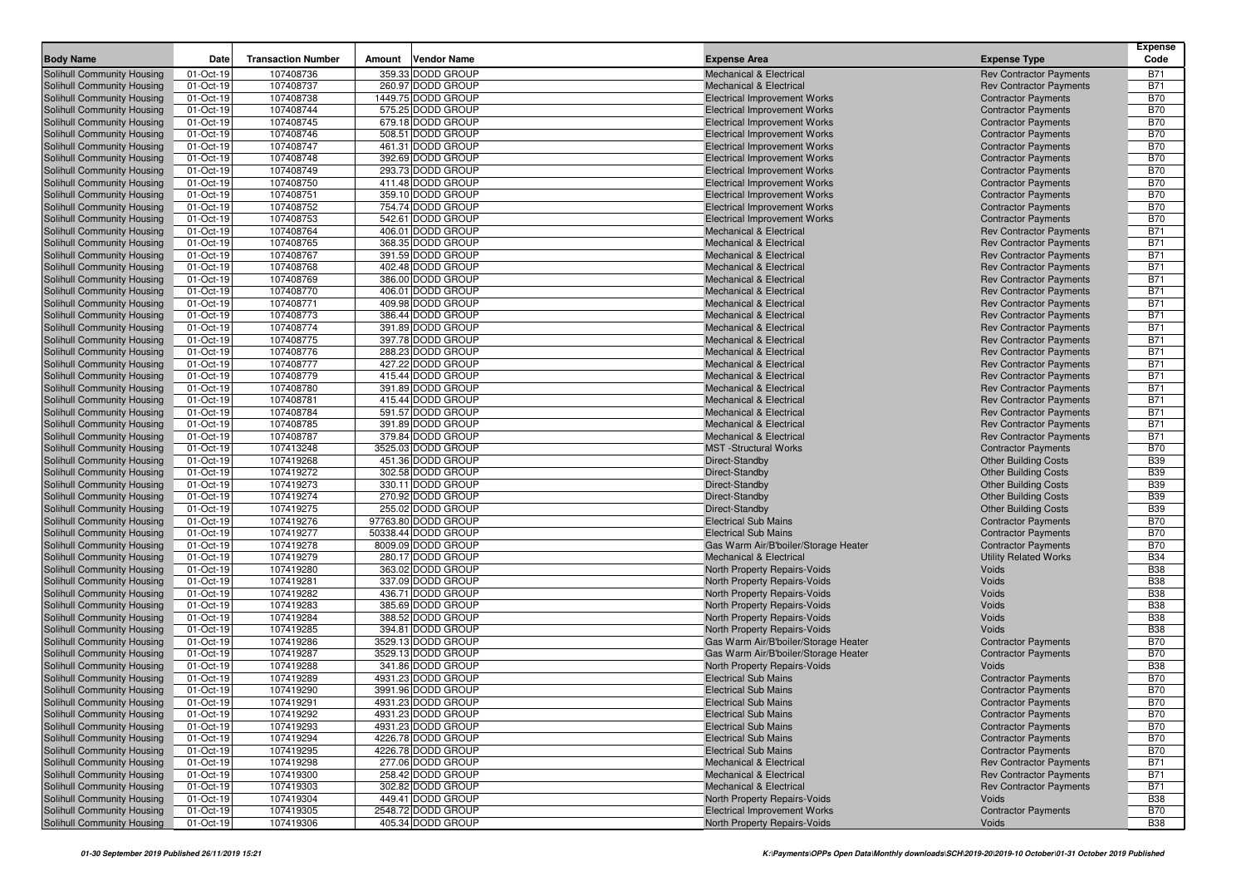| <b>Body Name</b>                                         | Date                   | <b>Transaction Number</b> | <b>Vendor Name</b><br>Amount            | <b>Expense Area</b>                  | <b>Expense Type</b>                                       | <b>Expense</b><br>Code   |
|----------------------------------------------------------|------------------------|---------------------------|-----------------------------------------|--------------------------------------|-----------------------------------------------------------|--------------------------|
| Solihull Community Housing                               | 01-Oct-19              | 107408736                 | 359.33 DODD GROUP                       | <b>Mechanical &amp; Electrical</b>   | <b>Rev Contractor Payments</b>                            | <b>B71</b>               |
| Solihull Community Housing                               | 01-Oct-19              | 107408737                 | 260.97 DODD GROUP                       | <b>Mechanical &amp; Electrical</b>   | <b>Rev Contractor Payments</b>                            | <b>B71</b>               |
| Solihull Community Housing                               | 01-Oct-19              | 107408738                 | 1449.75 DODD GROUP                      | <b>Electrical Improvement Works</b>  | <b>Contractor Payments</b>                                | <b>B70</b>               |
| Solihull Community Housing                               | 01-Oct-19              | 107408744                 | 575.25 DODD GROUP                       | <b>Electrical Improvement Works</b>  | <b>Contractor Payments</b>                                | <b>B70</b>               |
| Solihull Community Housing                               | 01-Oct-19              | 107408745                 | 679.18 DODD GROUP                       | <b>Electrical Improvement Works</b>  | <b>Contractor Payments</b>                                | <b>B70</b>               |
| Solihull Community Housing                               | 01-Oct-19              | 107408746                 | 508.51 DODD GROUP                       | <b>Electrical Improvement Works</b>  | <b>Contractor Payments</b>                                | <b>B70</b>               |
| Solihull Community Housing                               | 01-Oct-19              | 107408747                 | 461.31 DODD GROUP                       | <b>Electrical Improvement Works</b>  | <b>Contractor Payments</b>                                | <b>B70</b>               |
| Solihull Community Housing                               | 01-Oct-19              | 107408748                 | 392.69 DODD GROUP                       | <b>Electrical Improvement Works</b>  | <b>Contractor Payments</b>                                | <b>B70</b>               |
| Solihull Community Housing                               | 01-Oct-19              | 107408749                 | 293.73 DODD GROUP                       | <b>Electrical Improvement Works</b>  | <b>Contractor Payments</b>                                | <b>B70</b>               |
| Solihull Community Housing                               | 01-Oct-19              | 107408750                 | 411.48 DODD GROUP                       | <b>Electrical Improvement Works</b>  | <b>Contractor Payments</b>                                | <b>B70</b>               |
| Solihull Community Housing                               | 01-Oct-19              | 107408751                 | 359.10 DODD GROUP                       | <b>Electrical Improvement Works</b>  | <b>Contractor Payments</b>                                | <b>B70</b>               |
| Solihull Community Housing                               | 01-Oct-19              | 107408752                 | 754.74 DODD GROUP                       | <b>Electrical Improvement Works</b>  | <b>Contractor Payments</b>                                | <b>B70</b>               |
| <b>Solihull Community Housing</b>                        | 01-Oct-19              | 107408753                 | 542.61 DODD GROUP                       | <b>Electrical Improvement Works</b>  | <b>Contractor Payments</b>                                | <b>B70</b>               |
| Solihull Community Housing                               | 01-Oct-19              | 107408764                 | 406.01 DODD GROUP                       | <b>Mechanical &amp; Electrical</b>   | <b>Rev Contractor Payments</b>                            | <b>B71</b>               |
| Solihull Community Housing                               | 01-Oct-19              | 107408765                 | 368.35 DODD GROUP                       | <b>Mechanical &amp; Electrical</b>   | <b>Rev Contractor Payments</b>                            | <b>B71</b>               |
| Solihull Community Housing                               | 01-Oct-19              | 107408767                 | 391.59 DODD GROUP                       | <b>Mechanical &amp; Electrical</b>   | <b>Rev Contractor Payments</b>                            | <b>B71</b>               |
| Solihull Community Housing                               | 01-Oct-19              | 107408768                 | 402.48 DODD GROUP                       | <b>Mechanical &amp; Electrical</b>   | <b>Rev Contractor Payments</b>                            | <b>B71</b>               |
| Solihull Community Housing                               | 01-Oct-19              | 107408769                 | 386.00 DODD GROUP                       | <b>Mechanical &amp; Electrical</b>   | <b>Rev Contractor Payments</b>                            | <b>B71</b>               |
| Solihull Community Housing                               | 01-Oct-19              | 107408770                 | 406.01 DODD GROUP                       | <b>Mechanical &amp; Electrical</b>   | <b>Rev Contractor Payments</b>                            | <b>B71</b>               |
| Solihull Community Housing                               | 01-Oct-19              | 107408771                 | 409.98 DODD GROUP                       | <b>Mechanical &amp; Electrical</b>   | <b>Rev Contractor Payments</b>                            | <b>B71</b>               |
| Solihull Community Housing                               | 01-Oct-19              | 107408773                 | 386.44 DODD GROUP                       | <b>Mechanical &amp; Electrical</b>   | <b>Rev Contractor Payments</b>                            | <b>B71</b>               |
| Solihull Community Housing                               | 01-Oct-19              | 107408774                 | 391.89 DODD GROUP                       | <b>Mechanical &amp; Electrical</b>   | <b>Rev Contractor Payments</b>                            | <b>B71</b>               |
| Solihull Community Housing                               | 01-Oct-19              | 107408775                 | 397.78 DODD GROUP                       | <b>Mechanical &amp; Electrical</b>   | <b>Rev Contractor Payments</b>                            | <b>B71</b>               |
| Solihull Community Housing                               | 01-Oct-19              | 107408776                 | 288.23 DODD GROUP                       | <b>Mechanical &amp; Electrical</b>   | <b>Rev Contractor Payments</b>                            | <b>B71</b>               |
| Solihull Community Housing                               | 01-Oct-19              | 107408777                 | 427.22 DODD GROUP                       | <b>Mechanical &amp; Electrical</b>   | <b>Rev Contractor Payments</b>                            | <b>B71</b>               |
| Solihull Community Housing                               | 01-Oct-19              | 107408779                 | 415.44 DODD GROUP                       | <b>Mechanical &amp; Electrical</b>   | <b>Rev Contractor Payments</b>                            | <b>B71</b>               |
| Solihull Community Housing                               | 01-Oct-19              | 107408780                 | 391.89 DODD GROUP                       | <b>Mechanical &amp; Electrical</b>   | <b>Rev Contractor Payments</b>                            | <b>B71</b>               |
| Solihull Community Housing                               | 01-Oct-19              | 107408781                 | 415.44 DODD GROUP                       | <b>Mechanical &amp; Electrical</b>   | <b>Rev Contractor Payments</b>                            | <b>B71</b>               |
| Solihull Community Housing                               | 01-Oct-19              | 107408784                 | 591.57 DODD GROUP                       | <b>Mechanical &amp; Electrical</b>   | <b>Rev Contractor Payments</b>                            | <b>B71</b>               |
| Solihull Community Housing                               | 01-Oct-19              | 107408785                 | 391.89 DODD GROUP                       | <b>Mechanical &amp; Electrical</b>   | <b>Rev Contractor Payments</b>                            | <b>B71</b>               |
| Solihull Community Housing                               | 01-Oct-19              | 107408787                 | 379.84 DODD GROUP<br>3525.03 DODD GROUP | <b>Mechanical &amp; Electrical</b>   | <b>Rev Contractor Payments</b>                            | <b>B71</b><br><b>B70</b> |
| Solihull Community Housing<br>Solihull Community Housing | 01-Oct-19<br>01-Oct-19 | 107413248<br>107419268    | 451.36 DODD GROUP                       | <b>MST</b> -Structural Works         | <b>Contractor Payments</b><br><b>Other Building Costs</b> | <b>B39</b>               |
| Solihull Community Housing                               | 01-Oct-19              | 107419272                 | 302.58 DODD GROUP                       | Direct-Standby<br>Direct-Standby     | <b>Other Building Costs</b>                               | <b>B39</b>               |
| Solihull Community Housing                               | 01-Oct-19              | 107419273                 | 330.11 DODD GROUP                       | Direct-Standby                       | <b>Other Building Costs</b>                               | <b>B39</b>               |
| Solihull Community Housing                               | 01-Oct-19              | 107419274                 | 270.92 DODD GROUP                       | Direct-Standby                       | <b>Other Building Costs</b>                               | <b>B39</b>               |
| Solihull Community Housing                               | 01-Oct-19              | 107419275                 | 255.02 DODD GROUP                       | Direct-Standby                       | <b>Other Building Costs</b>                               | <b>B39</b>               |
| Solihull Community Housing                               | 01-Oct-19              | 107419276                 | 97763.80 DODD GROUP                     | <b>Electrical Sub Mains</b>          | <b>Contractor Payments</b>                                | <b>B70</b>               |
| Solihull Community Housing                               | 01-Oct-19              | 107419277                 | 50338.44 DODD GROUP                     | <b>Electrical Sub Mains</b>          | <b>Contractor Payments</b>                                | <b>B70</b>               |
| Solihull Community Housing                               | 01-Oct-19              | 107419278                 | 8009.09 DODD GROUP                      | Gas Warm Air/B'boiler/Storage Heater | <b>Contractor Payments</b>                                | <b>B70</b>               |
| Solihull Community Housing                               | 01-Oct-19              | 107419279                 | 280.17 DODD GROUP                       | <b>Mechanical &amp; Electrical</b>   | <b>Utility Related Works</b>                              | <b>B34</b>               |
| Solihull Community Housing                               | 01-Oct-19              | 107419280                 | 363.02 DODD GROUP                       | North Property Repairs-Voids         | Voids                                                     | <b>B38</b>               |
| Solihull Community Housing                               | 01-Oct-19              | 107419281                 | 337.09 DODD GROUP                       | North Property Repairs-Voids         | Voids                                                     | <b>B38</b>               |
| Solihull Community Housing                               | 01-Oct-19              | 107419282                 | 436.71 DODD GROUP                       | North Property Repairs-Voids         | Voids                                                     | <b>B38</b>               |
| Solihull Community Housing                               | 01-Oct-19              | 107419283                 | 385.69 DODD GROUP                       | North Property Repairs-Voids         | Voids                                                     | <b>B38</b>               |
| Solihull Community Housing                               | 01-Oct-19              | 107419284                 | 388.52 DODD GROUP                       | North Property Repairs-Voids         | Voids                                                     | <b>B38</b>               |
| Solihull Community Housing                               | 01-Oct-19              | 107419285                 | 394.81 DODD GROUP                       | North Property Repairs-Voids         | Voids                                                     | <b>B38</b>               |
| Solihull Community Housing                               | 01-Oct-19              | 107419286                 | 3529.13 DODD GROUP                      | Gas Warm Air/B'boiler/Storage Heater | <b>Contractor Payments</b>                                | <b>B70</b>               |
| Solihull Community Housing                               | 01-Oct-19              | 107419287                 | 3529.13 DODD GROUP                      | Gas Warm Air/B'boiler/Storage Heater | <b>Contractor Payments</b>                                | <b>B70</b>               |
| Solihull Community Housing                               | 01-Oct-19              | 107419288                 | 341.86 DODD GROUP                       | North Property Repairs-Voids         | Voids                                                     | <b>B38</b>               |
| Solihull Community Housing                               | 01-Oct-19              | 107419289                 | 4931.23 DODD GROUP                      | <b>Electrical Sub Mains</b>          | <b>Contractor Payments</b>                                | <b>B70</b>               |
| Solihull Community Housing                               | 01-Oct-19              | 107419290                 | 3991.96 DODD GROUP                      | <b>Electrical Sub Mains</b>          | <b>Contractor Payments</b>                                | <b>B70</b>               |
| Solihull Community Housing                               | 01-Oct-19              | 107419291                 | 4931.23 DODD GROUP                      | <b>Electrical Sub Mains</b>          | <b>Contractor Payments</b>                                | <b>B70</b>               |
| Solihull Community Housing                               | 01-Oct-19              | 107419292                 | 4931.23 DODD GROUP                      | <b>Electrical Sub Mains</b>          | <b>Contractor Payments</b>                                | <b>B70</b>               |
| Solihull Community Housing                               | 01-Oct-19              | 107419293                 | 4931.23 DODD GROUP                      | <b>Electrical Sub Mains</b>          | <b>Contractor Payments</b>                                | <b>B70</b>               |
| Solihull Community Housing                               | 01-Oct-19              | 107419294                 | 4226.78 DODD GROUP                      | <b>Electrical Sub Mains</b>          | <b>Contractor Payments</b>                                | <b>B70</b>               |
| Solihull Community Housing                               | 01-Oct-19              | 107419295                 | 4226.78 DODD GROUP                      | <b>Electrical Sub Mains</b>          | <b>Contractor Payments</b>                                | <b>B70</b>               |
| Solihull Community Housing                               | 01-Oct-19              | 107419298                 | 277.06 DODD GROUP                       | Mechanical & Electrical              | <b>Rev Contractor Payments</b>                            | <b>B71</b>               |
| Solihull Community Housing                               | 01-Oct-19              | 107419300                 | 258.42 DODD GROUP                       | <b>Mechanical &amp; Electrical</b>   | <b>Rev Contractor Payments</b>                            | <b>B71</b>               |
| Solihull Community Housing                               | 01-Oct-19              | 107419303                 | 302.82 DODD GROUP                       | <b>Mechanical &amp; Electrical</b>   | <b>Rev Contractor Payments</b>                            | <b>B71</b>               |
| Solihull Community Housing                               | 01-Oct-19              | 107419304                 | 449.41 DODD GROUP                       | North Property Repairs-Voids         | Voids                                                     | <b>B38</b>               |
| Solihull Community Housing                               | 01-Oct-19              | 107419305                 | 2548.72 DODD GROUP                      | <b>Electrical Improvement Works</b>  | <b>Contractor Payments</b>                                | <b>B70</b>               |
| Solihull Community Housing                               | 01-Oct-19              | 107419306                 | 405.34 DODD GROUP                       | North Property Repairs-Voids         | Voids                                                     | <b>B38</b>               |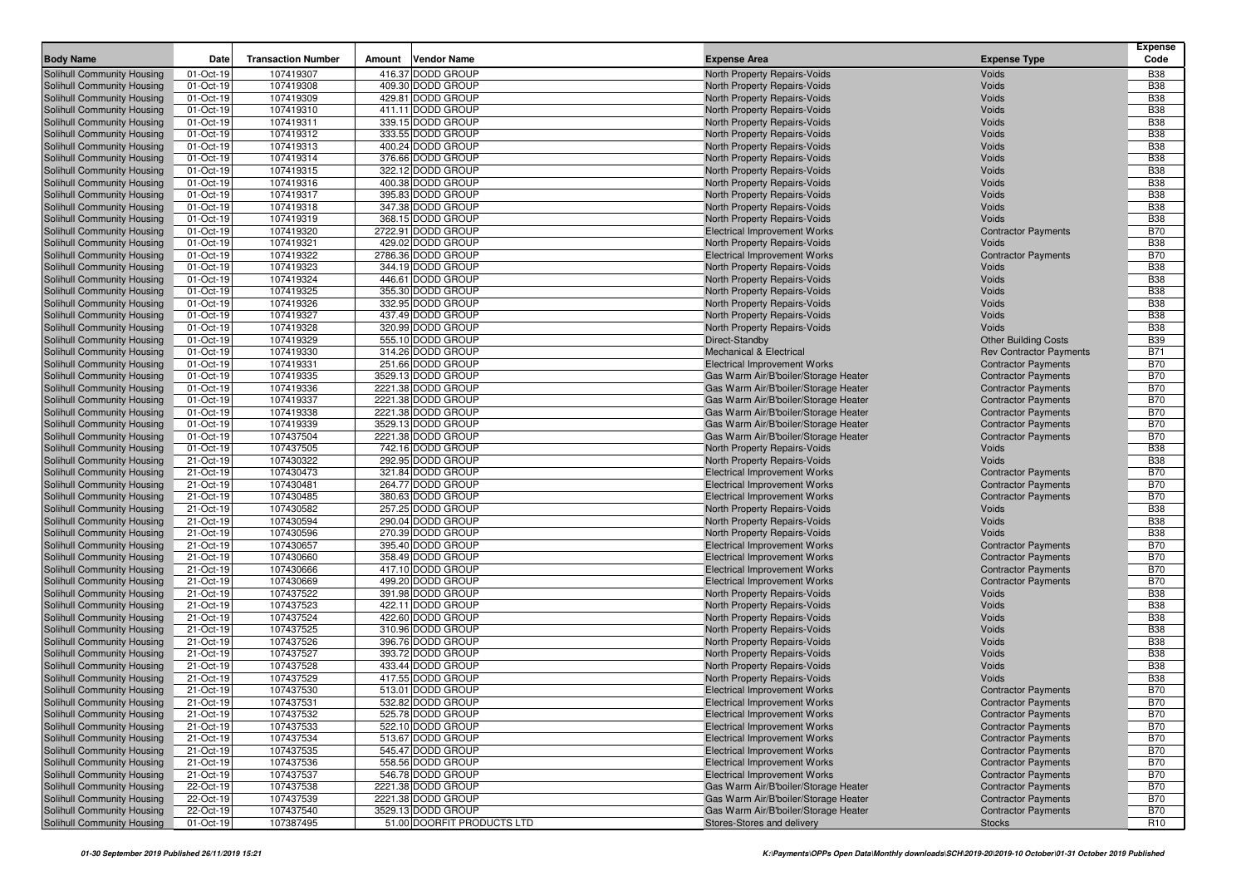| <b>Body Name</b>                                         | Date                   | <b>Transaction Number</b> | <b>Vendor Name</b><br>Amount           | <b>Expense Area</b>                                          | <b>Expense Type</b>            | <b>Expense</b><br>Code   |
|----------------------------------------------------------|------------------------|---------------------------|----------------------------------------|--------------------------------------------------------------|--------------------------------|--------------------------|
| Solihull Community Housing                               | 01-Oct-19              | 107419307                 | 416.37 DODD GROUP                      | North Property Repairs-Voids                                 | Voids                          | <b>B38</b>               |
| Solihull Community Housing                               | 01-Oct-19              | 107419308                 | 409.30 DODD GROUP                      | North Property Repairs-Voids                                 | Voids                          | <b>B38</b>               |
| Solihull Community Housing                               | 01-Oct-19              | 107419309                 | 429.81 DODD GROUP                      | North Property Repairs-Voids                                 | Voids                          | <b>B38</b>               |
| Solihull Community Housing                               | 01-Oct-19              | 107419310                 | 411.11 DODD GROUP                      | North Property Repairs-Voids                                 | Voids                          | <b>B38</b>               |
| Solihull Community Housing                               | 01-Oct-19              | 107419311                 | 339.15 DODD GROUP                      | <b>North Property Repairs-Voids</b>                          | Voids                          | <b>B38</b>               |
| Solihull Community Housing                               | 01-Oct-19              | 107419312                 | 333.55 DODD GROUP                      | North Property Repairs-Voids                                 | Voids                          | <b>B38</b>               |
| Solihull Community Housing                               | 01-Oct-19              | 107419313                 | 400.24 DODD GROUP                      | North Property Repairs-Voids                                 | Voids                          | <b>B38</b>               |
| Solihull Community Housing                               | 01-Oct-19              | 107419314                 | 376.66 DODD GROUP                      | North Property Repairs-Voids                                 | Voids                          | <b>B38</b>               |
| Solihull Community Housing                               | 01-Oct-19              | 107419315                 | 322.12 DODD GROUP                      | North Property Repairs-Voids                                 | Voids                          | <b>B38</b>               |
| Solihull Community Housing                               | 01-Oct-19              | 107419316                 | 400.38 DODD GROUP                      | North Property Repairs-Voids                                 | Voids                          | <b>B38</b>               |
| Solihull Community Housing                               | 01-Oct-19              | 107419317                 | 395.83 DODD GROUP                      | North Property Repairs-Voids                                 | Voids                          | <b>B38</b>               |
| Solihull Community Housing                               | 01-Oct-19              | 107419318                 | 347.38 DODD GROUP                      | North Property Repairs-Voids                                 | Voids                          | <b>B38</b>               |
| Solihull Community Housing                               | 01-Oct-19              | 107419319                 | 368.15 DODD GROUP                      | North Property Repairs-Voids                                 | Voids                          | <b>B38</b>               |
| Solihull Community Housing                               | 01-Oct-19              | 107419320                 | 2722.91 DODD GROUP                     | <b>Electrical Improvement Works</b>                          | <b>Contractor Payments</b>     | <b>B70</b>               |
| Solihull Community Housing                               | 01-Oct-19              | 107419321                 | 429.02 DODD GROUP                      | North Property Repairs-Voids                                 | Voids                          | <b>B38</b>               |
| Solihull Community Housing                               | 01-Oct-19              | 107419322                 | 2786.36 DODD GROUP                     | <b>Electrical Improvement Works</b>                          | <b>Contractor Payments</b>     | <b>B70</b>               |
| Solihull Community Housing                               | 01-Oct-19              | 107419323                 | 344.19 DODD GROUP                      | North Property Repairs-Voids                                 | Voids                          | <b>B38</b>               |
| Solihull Community Housing                               | 01-Oct-19<br>01-Oct-19 | 107419324<br>107419325    | 446.61 DODD GROUP<br>355.30 DODD GROUP | North Property Repairs-Voids                                 | Voids<br>Voids                 | <b>B38</b><br><b>B38</b> |
| Solihull Community Housing<br>Solihull Community Housing | 01-Oct-19              | 107419326                 | 332.95 DODD GROUP                      | North Property Repairs-Voids<br>North Property Repairs-Voids | Voids                          | <b>B38</b>               |
| Solihull Community Housing                               | 01-Oct-19              | 107419327                 | 437.49 DODD GROUP                      | North Property Repairs-Voids                                 | Voids                          | <b>B38</b>               |
| Solihull Community Housing                               | 01-Oct-19              | 107419328                 | 320.99 DODD GROUP                      | North Property Repairs-Voids                                 | Voids                          | <b>B38</b>               |
| Solihull Community Housing                               | 01-Oct-19              | 107419329                 | 555.10 DODD GROUP                      | Direct-Standby                                               | <b>Other Building Costs</b>    | <b>B39</b>               |
| Solihull Community Housing                               | 01-Oct-19              | 107419330                 | 314.26 DODD GROUP                      | <b>Mechanical &amp; Electrical</b>                           | <b>Rev Contractor Payments</b> | <b>B71</b>               |
| Solihull Community Housing                               | 01-Oct-19              | 107419331                 | 251.66 DODD GROUP                      | <b>Electrical Improvement Works</b>                          | <b>Contractor Payments</b>     | <b>B70</b>               |
| Solihull Community Housing                               | 01-Oct-19              | 107419335                 | 3529.13 DODD GROUP                     | Gas Warm Air/B'boiler/Storage Heater                         | <b>Contractor Payments</b>     | <b>B70</b>               |
| Solihull Community Housing                               | 01-Oct-19              | 107419336                 | 2221.38 DODD GROUP                     | Gas Warm Air/B'boiler/Storage Heater                         | <b>Contractor Payments</b>     | <b>B70</b>               |
| Solihull Community Housing                               | 01-Oct-19              | 107419337                 | 2221.38 DODD GROUP                     | Gas Warm Air/B'boiler/Storage Heater                         | <b>Contractor Payments</b>     | <b>B70</b>               |
| Solihull Community Housing                               | 01-Oct-19              | 107419338                 | 2221.38 DODD GROUP                     | Gas Warm Air/B'boiler/Storage Heater                         | <b>Contractor Payments</b>     | <b>B70</b>               |
| Solihull Community Housing                               | 01-Oct-19              | 107419339                 | 3529.13 DODD GROUP                     | Gas Warm Air/B'boiler/Storage Heater                         | <b>Contractor Payments</b>     | <b>B70</b>               |
| Solihull Community Housing                               | 01-Oct-19              | 107437504                 | 2221.38 DODD GROUP                     | Gas Warm Air/B'boiler/Storage Heater                         | <b>Contractor Payments</b>     | <b>B70</b>               |
| Solihull Community Housing                               | 01-Oct-19              | 107437505                 | 742.16 DODD GROUP                      | North Property Repairs-Voids                                 | Voids                          | <b>B38</b>               |
| Solihull Community Housing                               | 21-Oct-19              | 107430322                 | 292.95 DODD GROUP                      | North Property Repairs-Voids                                 | Voids                          | <b>B38</b>               |
| Solihull Community Housing                               | 21-Oct-19              | 107430473                 | 321.84 DODD GROUP                      | <b>Electrical Improvement Works</b>                          | <b>Contractor Payments</b>     | <b>B70</b>               |
| Solihull Community Housing                               | 21-Oct-19              | 107430481                 | 264.77 DODD GROUP                      | <b>Electrical Improvement Works</b>                          | <b>Contractor Payments</b>     | <b>B70</b>               |
| Solihull Community Housing                               | 21-Oct-19              | 107430485                 | 380.63 DODD GROUP                      | <b>Electrical Improvement Works</b>                          | <b>Contractor Payments</b>     | <b>B70</b>               |
| Solihull Community Housing                               | 21-Oct-19              | 107430582                 | 257.25 DODD GROUP                      | North Property Repairs-Voids                                 | Voids                          | <b>B38</b>               |
| Solihull Community Housing                               | 21-Oct-19              | 107430594                 | 290.04 DODD GROUP                      | North Property Repairs-Voids                                 | Voids                          | <b>B38</b>               |
| Solihull Community Housing                               | 21-Oct-19              | 107430596                 | 270.39 DODD GROUP                      | North Property Repairs-Voids                                 | Voids                          | <b>B38</b>               |
| Solihull Community Housing                               | 21-Oct-19              | 107430657                 | 395.40 DODD GROUP                      | <b>Electrical Improvement Works</b>                          | <b>Contractor Payments</b>     | <b>B70</b>               |
| Solihull Community Housing                               | 21-Oct-19              | 107430660                 | 358.49 DODD GROUP                      | <b>Electrical Improvement Works</b>                          | <b>Contractor Payments</b>     | <b>B70</b>               |
| Solihull Community Housing                               | 21-Oct-19              | 107430666                 | 417.10 DODD GROUP                      | <b>Electrical Improvement Works</b>                          | <b>Contractor Payments</b>     | <b>B70</b>               |
| Solihull Community Housing                               | 21-Oct-19              | 107430669                 | 499.20 DODD GROUP                      | <b>Electrical Improvement Works</b>                          | <b>Contractor Payments</b>     | <b>B70</b><br><b>B38</b> |
| Solihull Community Housing<br>Solihull Community Housing | 21-Oct-19<br>21-Oct-19 | 107437522<br>107437523    | 391.98 DODD GROUP<br>422.11 DODD GROUP | North Property Repairs-Voids<br>North Property Repairs-Voids | Voids<br>Voids                 | <b>B38</b>               |
| Solihull Community Housing                               | 21-Oct-19              | 107437524                 | 422.60 DODD GROUP                      | North Property Repairs-Voids                                 | Voids                          | <b>B38</b>               |
| Solihull Community Housing                               | 21-Oct-19              | 107437525                 | 310.96 DODD GROUP                      | North Property Repairs-Voids                                 | Voids                          | <b>B38</b>               |
| Solihull Community Housing                               | 21-Oct-19              | 107437526                 | 396.76 DODD GROUP                      | North Property Repairs-Voids                                 | Voids                          | <b>B38</b>               |
| Solihull Community Housing                               | 21-Oct-19              | 107437527                 | 393.72 DODD GROUP                      | North Property Repairs-Voids                                 | Voids                          | <b>B38</b>               |
| Solihull Community Housing                               | 21-Oct-19              | 107437528                 | 433.44 DODD GROUP                      | North Property Repairs-Voids                                 | Voids                          | <b>B38</b>               |
| Solihull Community Housing                               | 21-Oct-19              | 107437529                 | 417.55 DODD GROUP                      | North Property Repairs-Voids                                 | Voids                          | <b>B38</b>               |
| Solihull Community Housing                               | 21-Oct-19              | 107437530                 | 513.01 DODD GROUP                      | <b>Electrical Improvement Works</b>                          | <b>Contractor Payments</b>     | <b>B70</b>               |
| Solihull Community Housing                               | 21-Oct-19              | 107437531                 | 532.82 DODD GROUP                      | <b>Electrical Improvement Works</b>                          | <b>Contractor Payments</b>     | <b>B70</b>               |
| Solihull Community Housing                               | 21-Oct-19              | 107437532                 | 525.78 DODD GROUP                      | <b>Electrical Improvement Works</b>                          | <b>Contractor Payments</b>     | <b>B70</b>               |
| Solihull Community Housing                               | 21-Oct-19              | 107437533                 | 522.10 DODD GROUP                      | <b>Electrical Improvement Works</b>                          | <b>Contractor Payments</b>     | <b>B70</b>               |
| Solihull Community Housing                               | 21-Oct-19              | 107437534                 | 513.67 DODD GROUP                      | <b>Electrical Improvement Works</b>                          | <b>Contractor Payments</b>     | <b>B70</b>               |
| Solihull Community Housing                               | 21-Oct-19              | 107437535                 | 545.47 DODD GROUP                      | <b>Electrical Improvement Works</b>                          | <b>Contractor Payments</b>     | <b>B70</b>               |
| Solihull Community Housing                               | 21-Oct-19              | 107437536                 | 558.56 DODD GROUP                      | <b>Electrical Improvement Works</b>                          | <b>Contractor Payments</b>     | <b>B70</b>               |
| Solihull Community Housing                               | 21-Oct-19              | 107437537                 | 546.78 DODD GROUP                      | <b>Electrical Improvement Works</b>                          | <b>Contractor Payments</b>     | <b>B70</b>               |
| Solihull Community Housing                               | 22-Oct-19              | 107437538                 | 2221.38 DODD GROUP                     | Gas Warm Air/B'boiler/Storage Heater                         | <b>Contractor Payments</b>     | <b>B70</b>               |
| Solihull Community Housing                               | 22-Oct-19              | 107437539                 | 2221.38 DODD GROUP                     | Gas Warm Air/B'boiler/Storage Heater                         | <b>Contractor Payments</b>     | <b>B70</b>               |
| Solihull Community Housing                               | 22-Oct-19              | 107437540                 | 3529.13 DODD GROUP                     | Gas Warm Air/B'boiler/Storage Heater                         | <b>Contractor Payments</b>     | <b>B70</b>               |
| Solihull Community Housing                               | 01-Oct-19              | 107387495                 | 51.00 DOORFIT PRODUCTS LTD             | Stores-Stores and delivery                                   | Stocks                         | <b>R10</b>               |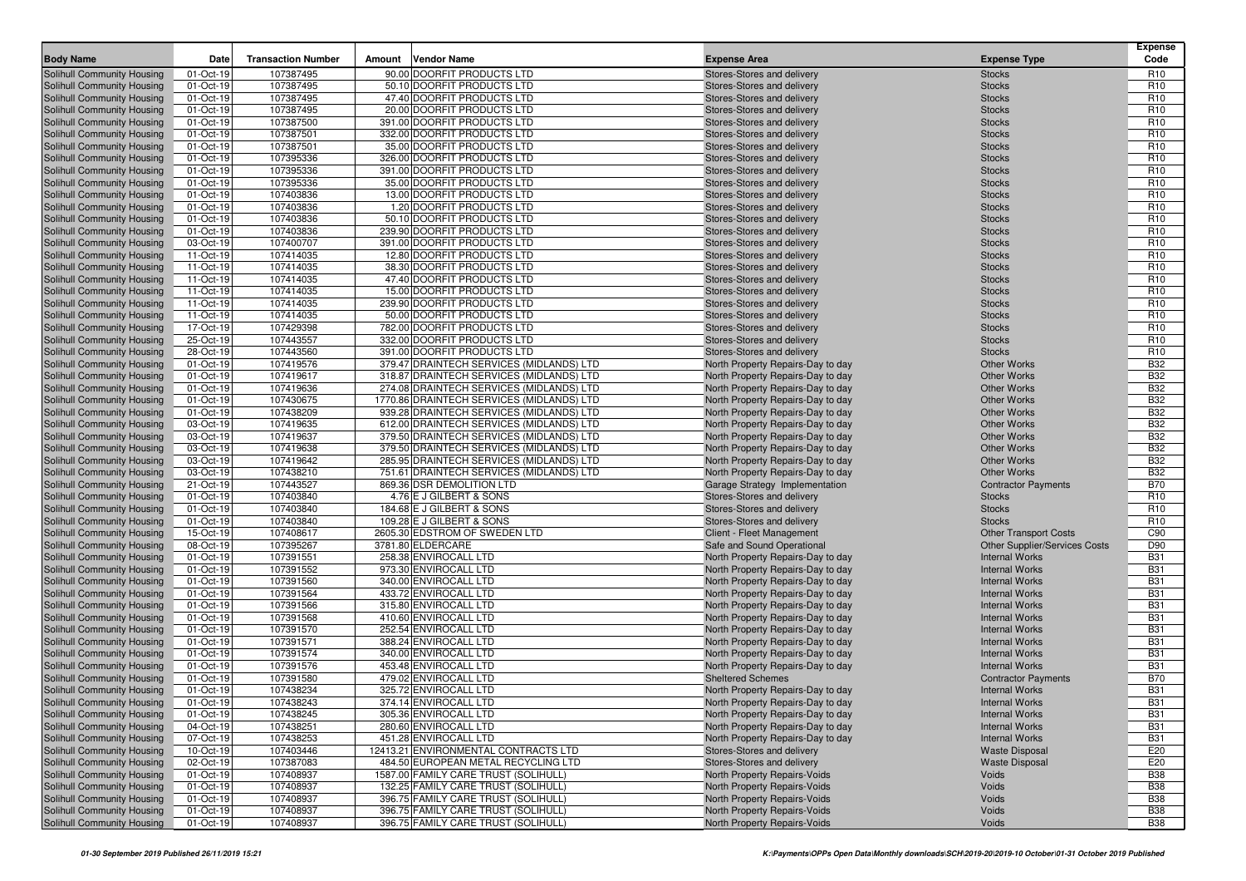| <b>Body Name</b>                                         | Date                   | <b>Transaction Number</b> | Amount | Vendor Name                                | <b>Expense Area</b>                                             | <b>Expense Type</b>                                           | <b>Expense</b><br>Code |
|----------------------------------------------------------|------------------------|---------------------------|--------|--------------------------------------------|-----------------------------------------------------------------|---------------------------------------------------------------|------------------------|
| Solihull Community Housing                               | 01-Oct-19              | 107387495                 |        | 90.00 DOORFIT PRODUCTS LTD                 | Stores-Stores and delivery                                      | <b>Stocks</b>                                                 | R <sub>10</sub>        |
| Solihull Community Housing                               | 01-Oct-19              | 107387495                 |        | 50.10 DOORFIT PRODUCTS LTD                 | Stores-Stores and delivery                                      | <b>Stocks</b>                                                 | R <sub>10</sub>        |
| Solihull Community Housing                               | 01-Oct-19              | 107387495                 |        | 47.40 DOORFIT PRODUCTS LTD                 | Stores-Stores and delivery                                      | <b>Stocks</b>                                                 | R <sub>10</sub>        |
| Solihull Community Housing                               | 01-Oct-19              | 107387495                 |        | 20.00 DOORFIT PRODUCTS LTD                 | Stores-Stores and delivery                                      | <b>Stocks</b>                                                 | R <sub>10</sub>        |
| Solihull Community Housing                               | 01-Oct-19              | 107387500                 |        | 391.00 DOORFIT PRODUCTS LTD                | Stores-Stores and delivery                                      | <b>Stocks</b>                                                 | R <sub>10</sub>        |
| Solihull Community Housing                               | 01-Oct-19              | 107387501                 |        | 332.00 DOORFIT PRODUCTS LTD                | Stores-Stores and delivery                                      | <b>Stocks</b>                                                 | R <sub>10</sub>        |
| Solihull Community Housing                               | 01-Oct-19              | 107387501                 |        | 35.00 DOORFIT PRODUCTS LTD                 | Stores-Stores and delivery                                      | <b>Stocks</b>                                                 | R <sub>10</sub>        |
| Solihull Community Housing                               | 01-Oct-19              | 107395336                 |        | 326.00 DOORFIT PRODUCTS LTD                | Stores-Stores and delivery                                      | <b>Stocks</b>                                                 | R <sub>10</sub>        |
| Solihull Community Housing                               | 01-Oct-19              | 107395336                 |        | 391.00 DOORFIT PRODUCTS LTD                | Stores-Stores and delivery                                      | <b>Stocks</b>                                                 | R <sub>10</sub>        |
| Solihull Community Housing                               | 01-Oct-19              | 107395336                 |        | 35.00 DOORFIT PRODUCTS LTD                 | Stores-Stores and delivery                                      | <b>Stocks</b>                                                 | R <sub>10</sub>        |
| Solihull Community Housing                               | 01-Oct-19              | 107403836                 |        | 13.00 DOORFIT PRODUCTS LTD                 | Stores-Stores and delivery                                      | <b>Stocks</b>                                                 | R <sub>10</sub>        |
| Solihull Community Housing                               | 01-Oct-19              | 107403836                 |        | 1.20 DOORFIT PRODUCTS LTD                  | Stores-Stores and delivery                                      | <b>Stocks</b>                                                 | R <sub>10</sub>        |
| Solihull Community Housing                               | 01-Oct-19              | 107403836                 |        | 50.10 DOORFIT PRODUCTS LTD                 | Stores-Stores and delivery                                      | <b>Stocks</b>                                                 | R <sub>10</sub>        |
| Solihull Community Housing                               | 01-Oct-19              | 107403836                 |        | 239.90 DOORFIT PRODUCTS LTD                | Stores-Stores and delivery                                      | <b>Stocks</b>                                                 | R <sub>10</sub>        |
| Solihull Community Housing                               | 03-Oct-19              | 107400707                 |        | 391.00 DOORFIT PRODUCTS LTD                | Stores-Stores and delivery                                      | <b>Stocks</b>                                                 | R <sub>10</sub>        |
| Solihull Community Housing                               | 11-Oct-19              | 107414035                 |        | 12.80 DOORFIT PRODUCTS LTD                 | Stores-Stores and delivery                                      | <b>Stocks</b>                                                 | R <sub>10</sub>        |
| Solihull Community Housing                               | 11-Oct-19              | 107414035                 |        | 38.30 DOORFIT PRODUCTS LTD                 | Stores-Stores and delivery                                      | <b>Stocks</b>                                                 | R <sub>10</sub>        |
| Solihull Community Housing                               | 11-Oct-19              | 107414035                 |        | 47.40 DOORFIT PRODUCTS LTD                 | Stores-Stores and delivery                                      | <b>Stocks</b>                                                 | R <sub>10</sub>        |
| Solihull Community Housing                               | 11-Oct-19              | 107414035                 |        | 15.00 DOORFIT PRODUCTS LTD                 | Stores-Stores and delivery                                      | <b>Stocks</b>                                                 | R <sub>10</sub>        |
| Solihull Community Housing                               | 11-Oct-19              | 107414035                 |        | 239.90 DOORFIT PRODUCTS LTD                | Stores-Stores and delivery                                      | <b>Stocks</b>                                                 | R <sub>10</sub>        |
| Solihull Community Housing                               | 11-Oct-19              | 107414035                 |        | 50.00 DOORFIT PRODUCTS LTD                 | Stores-Stores and delivery                                      | <b>Stocks</b>                                                 | R <sub>10</sub>        |
| Solihull Community Housing                               | 17-Oct-19              | 107429398                 |        | 782.00 DOORFIT PRODUCTS LTD                | Stores-Stores and delivery                                      | <b>Stocks</b>                                                 | R <sub>10</sub>        |
| Solihull Community Housing                               | 25-Oct-19              | 107443557                 |        | 332.00 DOORFIT PRODUCTS LTD                | Stores-Stores and delivery                                      | <b>Stocks</b>                                                 | R <sub>10</sub>        |
| Solihull Community Housing                               | 28-Oct-19              | 107443560                 |        | 391.00 DOORFIT PRODUCTS LTD                | Stores-Stores and delivery                                      | <b>Stocks</b>                                                 | R <sub>10</sub>        |
| Solihull Community Housing                               | 01-Oct-19              | 107419576                 |        | 379.47 DRAINTECH SERVICES (MIDLANDS) LTD   | North Property Repairs-Day to day                               | <b>Other Works</b>                                            | <b>B32</b>             |
| Solihull Community Housing                               | 01-Oct-19              | 107419617                 |        | 318.87 DRAINTECH SERVICES (MIDLANDS) LTD   | North Property Repairs-Day to day                               | <b>Other Works</b>                                            | <b>B32</b>             |
| Solihull Community Housing                               | 01-Oct-19              | 107419636                 |        | 274.08 DRAINTECH SERVICES (MIDLANDS) LTD   | North Property Repairs-Day to day                               | <b>Other Works</b>                                            | <b>B32</b>             |
| Solihull Community Housing                               | 01-Oct-19              | 107430675                 |        | 1770.86 DRAINTECH SERVICES (MIDLANDS) LTD  | North Property Repairs-Day to day                               | <b>Other Works</b>                                            | <b>B32</b>             |
| Solihull Community Housing                               | 01-Oct-19              | 107438209                 |        | 939.28 DRAINTECH SERVICES (MIDLANDS) LTD   | North Property Repairs-Day to day                               | <b>Other Works</b>                                            | <b>B32</b>             |
| Solihull Community Housing                               | 03-Oct-19              | 107419635                 |        | 612.00 DRAINTECH SERVICES (MIDLANDS) LTD   | North Property Repairs-Day to day                               | <b>Other Works</b>                                            | <b>B32</b>             |
| Solihull Community Housing                               | 03-Oct-19              | 107419637                 |        | 379.50 DRAINTECH SERVICES (MIDLANDS) LTD   | North Property Repairs-Day to day                               | <b>Other Works</b>                                            | <b>B32</b>             |
| Solihull Community Housing                               | 03-Oct-19              | 107419638                 |        | 379.50 DRAINTECH SERVICES (MIDLANDS) LTD   | North Property Repairs-Day to day                               | <b>Other Works</b>                                            | <b>B32</b>             |
| Solihull Community Housing                               | 03-Oct-19              | 107419642                 |        | 285.95 DRAINTECH SERVICES (MIDLANDS) LTD   | North Property Repairs-Day to day                               | <b>Other Works</b>                                            | <b>B32</b>             |
| Solihull Community Housing                               | 03-Oct-19              | 107438210                 |        | 751.61 DRAINTECH SERVICES (MIDLANDS) LTD   | North Property Repairs-Day to day                               | <b>Other Works</b>                                            | <b>B32</b>             |
| Solihull Community Housing                               | 21-Oct-19              | 107443527                 |        | 869.36 DSR DEMOLITION LTD                  | Garage Strategy Implementation                                  | <b>Contractor Payments</b>                                    | <b>B70</b>             |
| Solihull Community Housing                               | 01-Oct-19              | 107403840                 |        | 4.76 E J GILBERT & SONS                    | Stores-Stores and delivery                                      | <b>Stocks</b>                                                 | R <sub>10</sub>        |
| Solihull Community Housing                               | 01-Oct-19              | 107403840                 |        | 184.68 E J GILBERT & SONS                  | Stores-Stores and delivery                                      | <b>Stocks</b>                                                 | R <sub>10</sub>        |
| Solihull Community Housing                               | 01-Oct-19              | 107403840                 |        | 109.28 E J GILBERT & SONS                  | Stores-Stores and delivery                                      | <b>Stocks</b>                                                 | R <sub>10</sub>        |
| Solihull Community Housing                               | 15-Oct-19<br>08-Oct-19 | 107408617<br>107395267    |        | 2605.30 EDSTROM OF SWEDEN LTD              | Client - Fleet Management                                       | <b>Other Transport Costs</b>                                  | C90<br>D90             |
| Solihull Community Housing<br>Solihull Community Housing | 01-Oct-19              | 107391551                 |        | 3781.80 ELDERCARE<br>258.38 ENVIROCALL LTD | Safe and Sound Operational<br>North Property Repairs-Day to day | <b>Other Supplier/Services Costs</b><br><b>Internal Works</b> | <b>B31</b>             |
| Solihull Community Housing                               | 01-Oct-19              | 107391552                 |        | 973.30 ENVIROCALL LTD                      | North Property Repairs-Day to day                               | <b>Internal Works</b>                                         | <b>B31</b>             |
| Solihull Community Housing                               | 01-Oct-19              | 107391560                 |        | 340.00 ENVIROCALL LTD                      | North Property Repairs-Day to day                               | <b>Internal Works</b>                                         | <b>B31</b>             |
| Solihull Community Housing                               | 01-Oct-19              | 107391564                 |        | 433.72 ENVIROCALL LTD                      | North Property Repairs-Day to day                               | <b>Internal Works</b>                                         | <b>B31</b>             |
| Solihull Community Housing                               | 01-Oct-19              | 107391566                 |        | 315.80 ENVIROCALL LTD                      | North Property Repairs-Day to day                               | <b>Internal Works</b>                                         | <b>B31</b>             |
| Solihull Community Housing                               | 01-Oct-19              | 107391568                 |        | 410.60 ENVIROCALL LTD                      | North Property Repairs-Day to day                               | <b>Internal Works</b>                                         | <b>B31</b>             |
| Solihull Community Housing                               | 01-Oct-19              | 107391570                 |        | 252.54 ENVIROCALL LTD                      | North Property Repairs-Day to day                               | <b>Internal Works</b>                                         | <b>B31</b>             |
| Solihull Community Housing                               | 01-Oct-19              | 107391571                 |        | 388.24 ENVIROCALL LTD                      | North Property Repairs-Day to day                               | <b>Internal Works</b>                                         | <b>B31</b>             |
| Solihull Community Housing                               | 01-Oct-19              | 107391574                 |        | 340.00 ENVIROCALL LTD                      | North Property Repairs-Day to day                               | <b>Internal Works</b>                                         | <b>B31</b>             |
| Solihull Community Housing                               | 01-Oct-19              | 107391576                 |        | 453.48 ENVIROCALL LTD                      | North Property Repairs-Day to day                               | <b>Internal Works</b>                                         | <b>B31</b>             |
| Solihull Community Housing                               | 01-Oct-19              | 107391580                 |        | 479.02 ENVIROCALL LTD                      | <b>Sheltered Schemes</b>                                        | <b>Contractor Payments</b>                                    | <b>B70</b>             |
| Solihull Community Housing                               | 01-Oct-19              | 107438234                 |        | 325.72 ENVIROCALL LTD                      | North Property Repairs-Day to day                               | <b>Internal Works</b>                                         | <b>B31</b>             |
| <b>Solihull Community Housing</b>                        | 01-Oct-19              | 107438243                 |        | 374.14 ENVIROCALL LTD                      | North Property Repairs-Day to day                               | <b>Internal Works</b>                                         | <b>B31</b>             |
| Solihull Community Housing                               | 01-Oct-19              | 107438245                 |        | 305.36 ENVIROCALL LTD                      | North Property Repairs-Day to day                               | <b>Internal Works</b>                                         | <b>B31</b>             |
| Solihull Community Housing                               | 04-Oct-19              | 107438251                 |        | 280.60 ENVIROCALL LTD                      | North Property Repairs-Day to day                               | <b>Internal Works</b>                                         | <b>B31</b>             |
| Solihull Community Housing                               | 07-Oct-19              | 107438253                 |        | 451.28 ENVIROCALL LTD                      | North Property Repairs-Day to day                               | <b>Internal Works</b>                                         | <b>B31</b>             |
| Solihull Community Housing                               | 10-Oct-19              | 107403446                 |        | 12413.21 ENVIRONMENTAL CONTRACTS LTD       | Stores-Stores and delivery                                      | <b>Waste Disposal</b>                                         | E20                    |
| Solihull Community Housing                               | 02-Oct-19              | 107387083                 |        | 484.50 EUROPEAN METAL RECYCLING LTD        | Stores-Stores and delivery                                      | <b>Waste Disposal</b>                                         | E20                    |
| Solihull Community Housing                               | 01-Oct-19              | 107408937                 |        | 1587.00 FAMILY CARE TRUST (SOLIHULL)       | North Property Repairs-Voids                                    | Voids                                                         | <b>B38</b>             |
| Solihull Community Housing                               | 01-Oct-19              | 107408937                 |        | 132.25 FAMILY CARE TRUST (SOLIHULL)        | North Property Repairs-Voids                                    | Voids                                                         | <b>B38</b>             |
| Solihull Community Housing                               | 01-Oct-19              | 107408937                 |        | 396.75 FAMILY CARE TRUST (SOLIHULL)        | North Property Repairs-Voids                                    | Voids                                                         | <b>B38</b>             |
| Solihull Community Housing                               | 01-Oct-19              | 107408937                 |        | 396.75 FAMILY CARE TRUST (SOLIHULL)        | North Property Repairs-Voids                                    | Voids                                                         | <b>B38</b>             |
| Solihull Community Housing                               | 01-Oct-19              | 107408937                 |        | 396.75 FAMILY CARE TRUST (SOLIHULL)        | North Property Repairs-Voids                                    | Voids                                                         | <b>B38</b>             |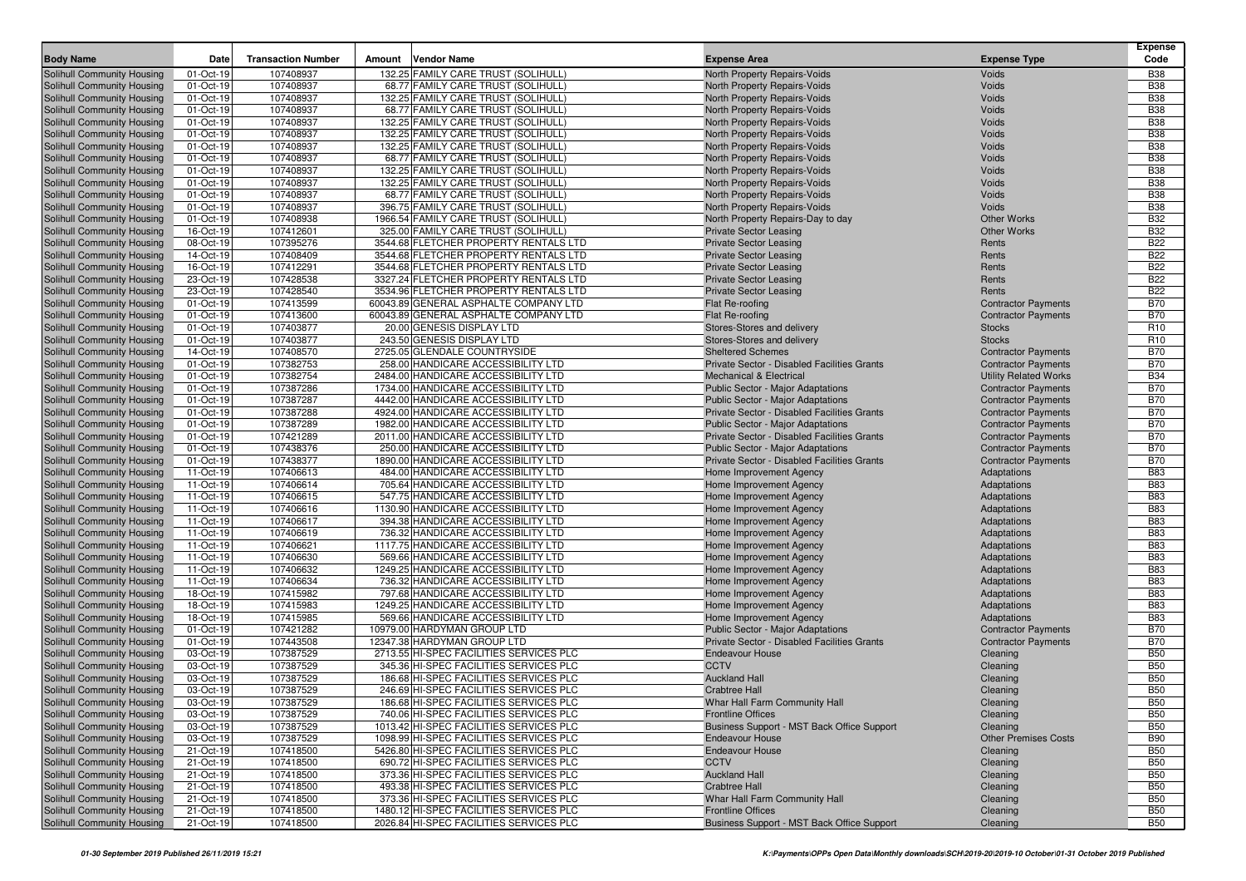| <b>Body Name</b>                                         | Date                    | <b>Transaction Number</b> | <b>Vendor Name</b><br>Amount                                                     | <b>Expense Area</b>                                            | <b>Expense Type</b>                      | <b>Expense</b><br>Code   |
|----------------------------------------------------------|-------------------------|---------------------------|----------------------------------------------------------------------------------|----------------------------------------------------------------|------------------------------------------|--------------------------|
| Solihull Community Housing                               | 01-Oct-19               | 107408937                 | 132.25 FAMILY CARE TRUST (SOLIHULL)                                              | North Property Repairs-Voids                                   | Voids                                    | <b>B38</b>               |
| Solihull Community Housing                               | 01-Oct-19               | 107408937                 | 68.77 FAMILY CARE TRUST (SOLIHULL)                                               | North Property Repairs-Voids                                   | Voids                                    | <b>B38</b>               |
| Solihull Community Housing                               | 01-Oct-19               | 107408937                 | 132.25 FAMILY CARE TRUST (SOLIHULL)                                              | North Property Repairs-Voids                                   | Voids                                    | <b>B38</b>               |
| Solihull Community Housing                               | 01-Oct-19               | 107408937                 | 68.77 FAMILY CARE TRUST (SOLIHULL)                                               | North Property Repairs-Voids                                   | Voids                                    | <b>B38</b>               |
| Solihull Community Housing                               | 01-Oct-19               | 107408937                 | 132.25 FAMILY CARE TRUST (SOLIHULL)                                              | North Property Repairs-Voids                                   | Voids                                    | <b>B38</b>               |
| Solihull Community Housing                               | 01-Oct-19               | 107408937                 | 132.25 FAMILY CARE TRUST (SOLIHULL)                                              | North Property Repairs-Voids                                   | Voids                                    | <b>B38</b>               |
| Solihull Community Housing                               | 01-Oct-19               | 107408937                 | 132.25 FAMILY CARE TRUST (SOLIHULL)                                              | North Property Repairs-Voids                                   | Voids                                    | <b>B38</b>               |
| Solihull Community Housing                               | 01-Oct-19               | 107408937                 | 68.77 FAMILY CARE TRUST (SOLIHULL)                                               | North Property Repairs-Voids                                   | Voids                                    | <b>B38</b>               |
| Solihull Community Housing                               | 01-Oct-19               | 107408937                 | 132.25 FAMILY CARE TRUST (SOLIHULL)                                              | North Property Repairs-Voids                                   | Voids                                    | <b>B38</b>               |
| Solihull Community Housing                               | 01-Oct-19               | 107408937                 | 132.25 FAMILY CARE TRUST (SOLIHULL)                                              | North Property Repairs-Voids                                   | Voids                                    | <b>B38</b>               |
| Solihull Community Housing                               | 01-Oct-19               | 107408937                 | 68.77 FAMILY CARE TRUST (SOLIHULL)                                               | North Property Repairs-Voids                                   | Voids                                    | <b>B38</b>               |
| Solihull Community Housing                               | 01-Oct-19               | 107408937                 | 396.75 FAMILY CARE TRUST (SOLIHULL)                                              | North Property Repairs-Voids                                   | Voids                                    | <b>B38</b>               |
| <b>Solihull Community Housing</b>                        | 01-Oct-19               | 107408938<br>107412601    | 1966.54 FAMILY CARE TRUST (SOLIHULL)                                             | North Property Repairs-Day to day                              | <b>Other Works</b><br><b>Other Works</b> | <b>B32</b><br><b>B32</b> |
| Solihull Community Housing<br>Solihull Community Housing | 16-Oct-19<br>08-Oct-19  | 107395276                 | 325.00 FAMILY CARE TRUST (SOLIHULL)<br>3544.68 FLETCHER PROPERTY RENTALS LTD     | <b>Private Sector Leasing</b><br><b>Private Sector Leasing</b> | Rents                                    | <b>B22</b>               |
| Solihull Community Housing                               | 14-Oct-19               | 107408409                 | 3544.68 FLETCHER PROPERTY RENTALS LTD                                            | <b>Private Sector Leasing</b>                                  | Rents                                    | <b>B22</b>               |
| Solihull Community Housing                               | 16-Oct-19               | 107412291                 | 3544.68 FLETCHER PROPERTY RENTALS LTD                                            | <b>Private Sector Leasing</b>                                  | Rents                                    | <b>B22</b>               |
| Solihull Community Housing                               | 23-Oct-19               | 107428538                 | 3327.24 FLETCHER PROPERTY RENTALS LTD                                            | <b>Private Sector Leasing</b>                                  | Rents                                    | <b>B22</b>               |
| Solihull Community Housing                               | 23-Oct-19               | 107428540                 | 3534.96 FLETCHER PROPERTY RENTALS LTD                                            | <b>Private Sector Leasing</b>                                  | Rents                                    | <b>B22</b>               |
| Solihull Community Housing                               | $\overline{0}$ 1-Oct-19 | 107413599                 | 60043.89 GENERAL ASPHALTE COMPANY LTD                                            | Flat Re-roofing                                                | <b>Contractor Payments</b>               | <b>B70</b>               |
| Solihull Community Housing                               | 01-Oct-19               | 107413600                 | 60043.89 GENERAL ASPHALTE COMPANY LTD                                            | Flat Re-roofing                                                | <b>Contractor Payments</b>               | <b>B70</b>               |
| Solihull Community Housing                               | 01-Oct-19               | 107403877                 | 20.00 GENESIS DISPLAY LTD                                                        | Stores-Stores and delivery                                     | <b>Stocks</b>                            | R <sub>10</sub>          |
| Solihull Community Housing                               | 01-Oct-19               | 107403877                 | 243.50 GENESIS DISPLAY LTD                                                       | Stores-Stores and delivery                                     | <b>Stocks</b>                            | R <sub>10</sub>          |
| Solihull Community Housing                               | 14-Oct-19               | 107408570                 | 2725.05 GLENDALE COUNTRYSIDE                                                     | <b>Sheltered Schemes</b>                                       | <b>Contractor Payments</b>               | <b>B70</b>               |
| Solihull Community Housing                               | 01-Oct-19               | 107382753                 | 258.00 HANDICARE ACCESSIBILITY LTD                                               | Private Sector - Disabled Facilities Grants                    | <b>Contractor Payments</b>               | <b>B70</b>               |
| Solihull Community Housing                               | 01-Oct-19               | 107382754                 | 2484.00 HANDICARE ACCESSIBILITY LTD                                              | <b>Mechanical &amp; Electrical</b>                             | <b>Utility Related Works</b>             | <b>B34</b>               |
| Solihull Community Housing                               | 01-Oct-19               | 107387286                 | 1734.00 HANDICARE ACCESSIBILITY LTD                                              | <b>Public Sector - Major Adaptations</b>                       | <b>Contractor Payments</b>               | <b>B70</b>               |
| Solihull Community Housing                               | 01-Oct-19               | 107387287                 | 4442.00 HANDICARE ACCESSIBILITY LTD                                              | <b>Public Sector - Major Adaptations</b>                       | <b>Contractor Payments</b>               | <b>B70</b>               |
| Solihull Community Housing                               | 01-Oct-19               | 107387288                 | 4924.00 HANDICARE ACCESSIBILITY LTD                                              | Private Sector - Disabled Facilities Grants                    | <b>Contractor Payments</b>               | <b>B70</b>               |
| Solihull Community Housing                               | 01-Oct-19               | 107387289                 | 1982.00 HANDICARE ACCESSIBILITY LTD                                              | <b>Public Sector - Major Adaptations</b>                       | <b>Contractor Payments</b>               | <b>B70</b>               |
| Solihull Community Housing                               | 01-Oct-19               | 107421289                 | 2011.00 HANDICARE ACCESSIBILITY LTD                                              | Private Sector - Disabled Facilities Grants                    | <b>Contractor Payments</b>               | <b>B70</b>               |
| Solihull Community Housing                               | 01-Oct-19               | 107438376                 | 250.00 HANDICARE ACCESSIBILITY LTD                                               | <b>Public Sector - Major Adaptations</b>                       | <b>Contractor Payments</b>               | <b>B70</b>               |
| Solihull Community Housing                               | 01-Oct-19               | 107438377                 | 1890.00 HANDICARE ACCESSIBILITY LTD                                              | Private Sector - Disabled Facilities Grants                    | <b>Contractor Payments</b>               | <b>B70</b>               |
| Solihull Community Housing                               | 11-Oct-19               | 107406613                 | 484.00 HANDICARE ACCESSIBILITY LTD                                               | Home Improvement Agency                                        | Adaptations                              | <b>B83</b>               |
| Solihull Community Housing                               | 11-Oct-19               | 107406614                 | 705.64 HANDICARE ACCESSIBILITY LTD                                               | Home Improvement Agency                                        | Adaptations                              | <b>B83</b><br><b>B83</b> |
| Solihull Community Housing                               | 11-Oct-19<br>11-Oct-19  | 107406615<br>107406616    | 547.75 HANDICARE ACCESSIBILITY LTD<br>1130.90 HANDICARE ACCESSIBILITY LTD        | Home Improvement Agency                                        | Adaptations                              | <b>B83</b>               |
| Solihull Community Housing<br>Solihull Community Housing | 11-Oct-19               | 107406617                 | 394.38 HANDICARE ACCESSIBILITY LTD                                               | Home Improvement Agency<br>Home Improvement Agency             | Adaptations<br>Adaptations               | <b>B83</b>               |
| Solihull Community Housing                               | 11-Oct-19               | 107406619                 | 736.32 HANDICARE ACCESSIBILITY LTD                                               | Home Improvement Agency                                        | Adaptations                              | <b>B83</b>               |
| Solihull Community Housing                               | 11-Oct-19               | 107406621                 | 1117.75 HANDICARE ACCESSIBILITY LTD                                              | Home Improvement Agency                                        | Adaptations                              | <b>B83</b>               |
| Solihull Community Housing                               | 11-Oct-19               | 107406630                 | 569.66 HANDICARE ACCESSIBILITY LTD                                               | Home Improvement Agency                                        | Adaptations                              | <b>B83</b>               |
| Solihull Community Housing                               | 11-Oct-19               | 107406632                 | 1249.25 HANDICARE ACCESSIBILITY LTD                                              | Home Improvement Agency                                        | Adaptations                              | <b>B83</b>               |
| Solihull Community Housing                               | 11-Oct-19               | 107406634                 | 736.32 HANDICARE ACCESSIBILITY LTD                                               | Home Improvement Agency                                        | Adaptations                              | <b>B83</b>               |
| Solihull Community Housing                               | 18-Oct-19               | 107415982                 | 797.68 HANDICARE ACCESSIBILITY LTD                                               | Home Improvement Agency                                        | Adaptations                              | <b>B83</b>               |
| Solihull Community Housing                               | 18-Oct-19               | 107415983                 | 1249.25 HANDICARE ACCESSIBILITY LTD                                              | Home Improvement Agency                                        | Adaptations                              | <b>B83</b>               |
| Solihull Community Housing                               | 18-Oct-19               | 107415985                 | 569.66 HANDICARE ACCESSIBILITY LTD                                               | Home Improvement Agency                                        | Adaptations                              | <b>B83</b>               |
| Solihull Community Housing                               | 01-Oct-19               | 107421282                 | 10979.00 HARDYMAN GROUP LTD                                                      | <b>Public Sector - Major Adaptations</b>                       | <b>Contractor Payments</b>               | <b>B70</b>               |
| Solihull Community Housing                               | 01-Oct-19               | 107443508                 | 12347.38 HARDYMAN GROUP LTD                                                      | Private Sector - Disabled Facilities Grants                    | <b>Contractor Payments</b>               | <b>B70</b>               |
| Solihull Community Housing                               | 03-Oct-19               | 107387529                 | 2713.55 HI-SPEC FACILITIES SERVICES PLC                                          | <b>Endeavour House</b>                                         | Cleaning                                 | <b>B50</b>               |
| Solihull Community Housing                               | 03-Oct-19               | 107387529                 | 345.36 HI-SPEC FACILITIES SERVICES PLC                                           | <b>CCTV</b>                                                    | Cleaning                                 | <b>B50</b>               |
| Solihull Community Housing                               | 03-Oct-19               | 107387529                 | 186.68 HI-SPEC FACILITIES SERVICES PLC                                           | <b>Auckland Hall</b>                                           | Cleaning                                 | <b>B50</b>               |
| Solihull Community Housing                               | 03-Oct-19               | 107387529                 | 246.69 HI-SPEC FACILITIES SERVICES PLC                                           | <b>Crabtree Hall</b>                                           | Cleaning                                 | <b>B50</b>               |
| Solihull Community Housing                               | 03-Oct-19               | 107387529                 | 186.68 HI-SPEC FACILITIES SERVICES PLC                                           | Whar Hall Farm Community Hall                                  | Cleaning                                 | <b>B50</b>               |
| Solihull Community Housing                               | 03-Oct-19               | 107387529                 | 740.06 HI-SPEC FACILITIES SERVICES PLC                                           | <b>Frontline Offices</b>                                       | Cleaning                                 | <b>B50</b>               |
| Solihull Community Housing                               | 03-Oct-19               | 107387529                 | 1013.42 HI-SPEC FACILITIES SERVICES PLC                                          | Business Support - MST Back Office Support                     | Cleaning                                 | <b>B50</b>               |
| Solihull Community Housing                               | 03-Oct-19               | 107387529                 | 1098.99 HI-SPEC FACILITIES SERVICES PLC                                          | <b>Endeavour House</b>                                         | <b>Other Premises Costs</b>              | <b>B90</b>               |
| Solihull Community Housing                               | 21-Oct-19               | 107418500                 | 5426.80 HI-SPEC FACILITIES SERVICES PLC                                          | <b>Endeavour House</b><br><b>CCTV</b>                          | Cleaning                                 | <b>B50</b>               |
| Solihull Community Housing<br>Solihull Community Housing | 21-Oct-19               | 107418500<br>107418500    | 690.72 HI-SPEC FACILITIES SERVICES PLC<br>373.36 HI-SPEC FACILITIES SERVICES PLC | <b>Auckland Hall</b>                                           | Cleaning                                 | <b>B50</b><br><b>B50</b> |
| Solihull Community Housing                               | 21-Oct-19<br>21-Oct-19  | 107418500                 | 493.38 HI-SPEC FACILITIES SERVICES PLC                                           | <b>Crabtree Hall</b>                                           | Cleaning<br>Cleaning                     | <b>B50</b>               |
| Solihull Community Housing                               | 21-Oct-19               | 107418500                 | 373.36 HI-SPEC FACILITIES SERVICES PLC                                           | Whar Hall Farm Community Hall                                  | Cleaning                                 | <b>B50</b>               |
| Solihull Community Housing                               | 21-Oct-19               | 107418500                 | 1480.12 HI-SPEC FACILITIES SERVICES PLC                                          | <b>Frontline Offices</b>                                       | Cleaning                                 | <b>B50</b>               |
| <b>Solihull Community Housing</b>                        | 21-Oct-19               | 107418500                 | 2026.84 HI-SPEC FACILITIES SERVICES PLC                                          | Business Support - MST Back Office Support                     | Cleaning                                 | <b>B50</b>               |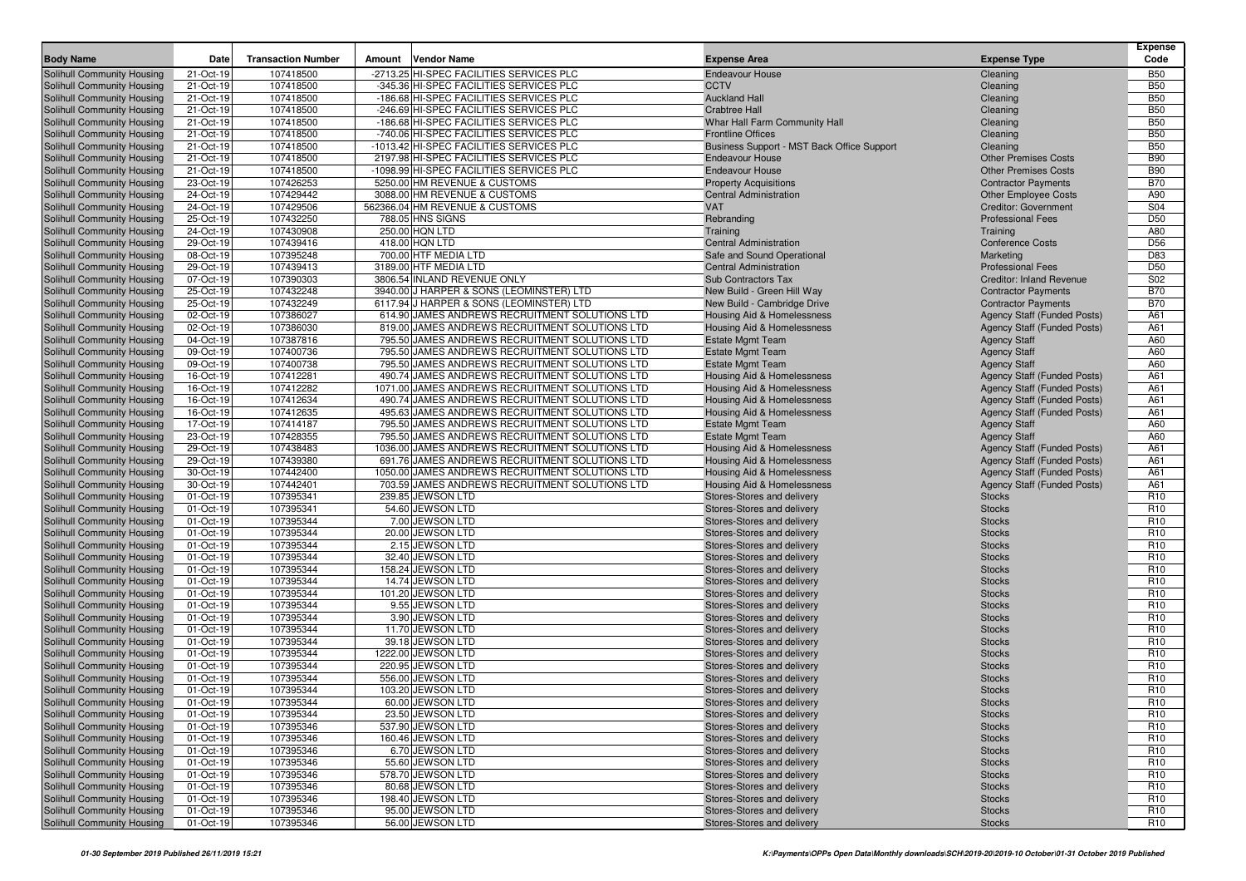| <b>Body Name</b>                                         | Date                    | <b>Transaction Number</b> | Amount | <b>Vendor Name</b>                                                                  | <b>Expense Area</b>                                                  | <b>Expense Type</b>                                        | <b>Expense</b><br>Code             |
|----------------------------------------------------------|-------------------------|---------------------------|--------|-------------------------------------------------------------------------------------|----------------------------------------------------------------------|------------------------------------------------------------|------------------------------------|
|                                                          |                         |                           |        |                                                                                     |                                                                      |                                                            |                                    |
| Solihull Community Housing                               | 21-Oct-19               | 107418500                 |        | -2713.25 HI-SPEC FACILITIES SERVICES PLC                                            | <b>Endeavour House</b>                                               | Cleaning                                                   | <b>B50</b>                         |
| Solihull Community Housing                               | 21-Oct-19               | 107418500                 |        | -345.36 HI-SPEC FACILITIES SERVICES PLC                                             | <b>CCTV</b>                                                          | Cleaning                                                   | <b>B50</b>                         |
| Solihull Community Housing                               | 21-Oct-19               | 107418500                 |        | -186.68 HI-SPEC FACILITIES SERVICES PLC                                             | <b>Auckland Hall</b>                                                 | Cleaning                                                   | <b>B50</b>                         |
| Solihull Community Housing                               | 21-Oct-19               | 107418500                 |        | -246.69 HI-SPEC FACILITIES SERVICES PLC                                             | <b>Crabtree Hall</b>                                                 | Cleaning                                                   | <b>B50</b>                         |
| Solihull Community Housing                               | 21-Oct-19               | 107418500                 |        | -186.68 HI-SPEC FACILITIES SERVICES PLC                                             | Whar Hall Farm Community Hall                                        | Cleaning                                                   | <b>B50</b>                         |
| Solihull Community Housing                               | 21-Oct-19               | 107418500                 |        | -740.06 HI-SPEC FACILITIES SERVICES PLC<br>-1013.42 HI-SPEC FACILITIES SERVICES PLC | <b>Frontline Offices</b>                                             | Cleaning                                                   | <b>B50</b><br><b>B50</b>           |
| Solihull Community Housing<br>Solihull Community Housing | 21-Oct-19<br>21-Oct-19  | 107418500<br>107418500    |        | 2197.98 HI-SPEC FACILITIES SERVICES PLC                                             | Business Support - MST Back Office Support<br><b>Endeavour House</b> | Cleaning                                                   | <b>B90</b>                         |
| Solihull Community Housing                               | 21-Oct-19               | 107418500                 |        | -1098.99 HI-SPEC FACILITIES SERVICES PLC                                            | <b>Endeavour House</b>                                               | <b>Other Premises Costs</b><br><b>Other Premises Costs</b> | <b>B90</b>                         |
| Solihull Community Housing                               | 23-Oct-19               | 107426253                 |        | 5250.00 HM REVENUE & CUSTOMS                                                        | <b>Property Acquisitions</b>                                         | <b>Contractor Payments</b>                                 | <b>B70</b>                         |
| Solihull Community Housing                               | 24-Oct-19               | 107429442                 |        | 3088.00 HM REVENUE & CUSTOMS                                                        | <b>Central Administration</b>                                        | <b>Other Employee Costs</b>                                | A90                                |
| Solihull Community Housing                               | 24-Oct-19               | 107429506                 |        | 562366.04 HM REVENUE & CUSTOMS                                                      | <b>VAT</b>                                                           | <b>Creditor: Government</b>                                | S04                                |
| Solihull Community Housing                               | 25-Oct-19               | 107432250                 |        | 788.05 HNS SIGNS                                                                    | Rebranding                                                           | <b>Professional Fees</b>                                   | D <sub>50</sub>                    |
| Solihull Community Housing                               | 24-Oct-19               | 107430908                 |        | 250.00 HQN LTD                                                                      | Training                                                             | Training                                                   | A80                                |
| Solihull Community Housing                               | 29-Oct-19               | 107439416                 |        | 418.00 HQN LTD                                                                      | <b>Central Administration</b>                                        | <b>Conference Costs</b>                                    | D <sub>56</sub>                    |
| Solihull Community Housing                               | 08-Oct-19               | 107395248                 |        | 700.00 HTF MEDIA LTD                                                                | Safe and Sound Operational                                           | Marketing                                                  | D83                                |
| Solihull Community Housing                               | 29-Oct-19               | 107439413                 |        | 3189.00 HTF MEDIA LTD                                                               | <b>Central Administration</b>                                        | <b>Professional Fees</b>                                   | D <sub>50</sub>                    |
| Solihull Community Housing                               | 07-Oct-19               | 107390303                 |        | 3806.54 INLAND REVENUE ONLY                                                         | <b>Sub Contractors Tax</b>                                           | <b>Creditor: Inland Revenue</b>                            | S02                                |
| Solihull Community Housing                               | 25-Oct-19               | 107432248                 |        | 3940.00 J HARPER & SONS (LEOMINSTER) LTD                                            | New Build - Green Hill Way                                           | <b>Contractor Payments</b>                                 | <b>B70</b>                         |
| Solihull Community Housing                               | 25-Oct-19               | 107432249                 |        | 6117.94 J HARPER & SONS (LEOMINSTER) LTD                                            | New Build - Cambridge Drive                                          | <b>Contractor Payments</b>                                 | <b>B70</b>                         |
| Solihull Community Housing                               | 02-Oct-19               | 107386027                 |        | 614.90 JAMES ANDREWS RECRUITMENT SOLUTIONS LTD                                      | Housing Aid & Homelessness                                           | Agency Staff (Funded Posts)                                | A61                                |
| Solihull Community Housing                               | 02-Oct-19               | 107386030                 |        | 819.00 JAMES ANDREWS RECRUITMENT SOLUTIONS LTD                                      | Housing Aid & Homelessness                                           | <b>Agency Staff (Funded Posts)</b>                         | A61                                |
| Solihull Community Housing                               | 04-Oct-19               | 107387816                 |        | 795.50 JAMES ANDREWS RECRUITMENT SOLUTIONS LTD                                      | <b>Estate Mgmt Team</b>                                              | <b>Agency Staff</b>                                        | A60                                |
| Solihull Community Housing                               | 09-Oct-19               | 107400736                 |        | 795.50 JAMES ANDREWS RECRUITMENT SOLUTIONS LTD                                      | <b>Estate Mgmt Team</b>                                              | <b>Agency Staff</b>                                        | A60                                |
| Solihull Community Housing                               | 09-Oct-19               | 107400738                 |        | 795.50 JAMES ANDREWS RECRUITMENT SOLUTIONS LTD                                      | <b>Estate Mgmt Team</b>                                              | <b>Agency Staff</b>                                        | A60                                |
| Solihull Community Housing                               | 16-Oct-19               | 107412281                 |        | 490.74 JAMES ANDREWS RECRUITMENT SOLUTIONS LTD                                      | <b>Housing Aid &amp; Homelessness</b>                                | Agency Staff (Funded Posts)                                | A61                                |
| Solihull Community Housing                               | 16-Oct-19               | 107412282                 |        | 1071.00 JAMES ANDREWS RECRUITMENT SOLUTIONS LTD                                     | Housing Aid & Homelessness                                           | <b>Agency Staff (Funded Posts)</b>                         | A61                                |
| Solihull Community Housing                               | 16-Oct-19               | 107412634                 |        | 490.74 JAMES ANDREWS RECRUITMENT SOLUTIONS LTD                                      | <b>Housing Aid &amp; Homelessness</b>                                | Agency Staff (Funded Posts)                                | A61                                |
| Solihull Community Housing                               | 16-Oct-19               | 107412635                 |        | 495.63 JAMES ANDREWS RECRUITMENT SOLUTIONS LTD                                      | Housing Aid & Homelessness                                           | Agency Staff (Funded Posts)                                | A61                                |
| Solihull Community Housing                               | 17-Oct-19               | 107414187                 |        | 795.50 JAMES ANDREWS RECRUITMENT SOLUTIONS LTD                                      | <b>Estate Mgmt Team</b>                                              | <b>Agency Staff</b>                                        | A60                                |
| Solihull Community Housing                               | 23-Oct-19               | 107428355                 |        | 795.50 JAMES ANDREWS RECRUITMENT SOLUTIONS LTD                                      | <b>Estate Mgmt Team</b>                                              | <b>Agency Staff</b>                                        | A60                                |
| Solihull Community Housing                               | 29-Oct-19               | 107438483                 |        | 1036.00 JAMES ANDREWS RECRUITMENT SOLUTIONS LTD                                     | <b>Housing Aid &amp; Homelessness</b>                                | Agency Staff (Funded Posts)                                | A61                                |
| Solihull Community Housing                               | 29-Oct-19               | 107439380                 |        | 691.76 JAMES ANDREWS RECRUITMENT SOLUTIONS LTD                                      | Housing Aid & Homelessness                                           | <b>Agency Staff (Funded Posts)</b>                         | A61                                |
| Solihull Community Housing                               | 30-Oct-19               | 107442400                 |        | 1050.00 JAMES ANDREWS RECRUITMENT SOLUTIONS LTD                                     | Housing Aid & Homelessness                                           | <b>Agency Staff (Funded Posts)</b>                         | A61                                |
| Solihull Community Housing                               | 30-Oct-19               | 107442401                 |        | 703.59 JAMES ANDREWS RECRUITMENT SOLUTIONS LTD                                      | Housing Aid & Homelessness                                           | Agency Staff (Funded Posts)                                | A61                                |
| Solihull Community Housing                               | 01-Oct-19               | 107395341                 |        | 239.85 JEWSON LTD                                                                   | Stores-Stores and delivery                                           | <b>Stocks</b>                                              | R <sub>10</sub>                    |
| Solihull Community Housing                               | 01-Oct-19               | 107395341                 |        | 54.60 JEWSON LTD                                                                    | Stores-Stores and delivery                                           | <b>Stocks</b>                                              | R <sub>10</sub><br>R <sub>10</sub> |
| Solihull Community Housing                               | 01-Oct-19<br>01-Oct-19  | 107395344<br>107395344    |        | 7.00 JEWSON LTD<br>20.00 JEWSON LTD                                                 | Stores-Stores and delivery                                           | <b>Stocks</b><br><b>Stocks</b>                             | R <sub>10</sub>                    |
| Solihull Community Housing<br>Solihull Community Housing | 01-Oct-19               | 107395344                 |        | 2.15 JEWSON LTD                                                                     | Stores-Stores and delivery<br>Stores-Stores and delivery             | <b>Stocks</b>                                              | R <sub>10</sub>                    |
| Solihull Community Housing                               | 01-Oct-19               | 107395344                 |        | 32.40 JEWSON LTD                                                                    | Stores-Stores and delivery                                           | <b>Stocks</b>                                              | R <sub>10</sub>                    |
| Solihull Community Housing                               | 01-Oct-19               | 107395344                 |        | 158.24 JEWSON LTD                                                                   | Stores-Stores and delivery                                           | <b>Stocks</b>                                              | R <sub>10</sub>                    |
| Solihull Community Housing                               | 01-Oct-19               | 107395344                 |        | 14.74 JEWSON LTD                                                                    | Stores-Stores and delivery                                           | <b>Stocks</b>                                              | R <sub>10</sub>                    |
| Solihull Community Housing                               | 01-Oct-19               | 107395344                 |        | 101.20 JEWSON LTD                                                                   | Stores-Stores and delivery                                           | <b>Stocks</b>                                              | R <sub>10</sub>                    |
| Solihull Community Housing                               | 01-Oct-19               | 107395344                 |        | 9.55 JEWSON LTD                                                                     | Stores-Stores and delivery                                           | <b>Stocks</b>                                              | R <sub>10</sub>                    |
| Solihull Community Housing                               | 01-Oct-19               | 107395344                 |        | 3.90 JEWSON LTD                                                                     | Stores-Stores and delivery                                           | <b>Stocks</b>                                              | R <sub>10</sub>                    |
| Solihull Community Housing                               | 01-Oct-19               | 107395344                 |        | 11.70 JEWSON LTD                                                                    | Stores-Stores and delivery                                           | <b>Stocks</b>                                              | R <sub>10</sub>                    |
| Solihull Community Housing                               | $\overline{0}$ 1-Oct-19 | 107395344                 |        | 39.18 JEWSON LTD                                                                    | Stores-Stores and delivery                                           | <b>Stocks</b>                                              | R <sub>10</sub>                    |
| <b>Solihull Community Housing</b>                        | 01-Oct-19               | 107395344                 |        | 1222.00 JEWSON LTD                                                                  | Stores-Stores and delivery                                           | <b>Stocks</b>                                              | R <sub>10</sub>                    |
| Solihull Community Housing                               | 01-Oct-19               | 107395344                 |        | 220.95 JEWSON LTD                                                                   | Stores-Stores and delivery                                           | <b>Stocks</b>                                              | R <sub>10</sub>                    |
| Solihull Community Housing                               | 01-Oct-19               | 107395344                 |        | 556.00 JEWSON LTD                                                                   | Stores-Stores and delivery                                           | <b>Stocks</b>                                              | R <sub>10</sub>                    |
| Solihull Community Housing                               | 01-Oct-19               | 107395344                 |        | 103.20 JEWSON LTD                                                                   | Stores-Stores and delivery                                           | <b>Stocks</b>                                              | R <sub>10</sub>                    |
| Solihull Community Housing                               | 01-Oct-19               | 107395344                 |        | 60.00 JEWSON LTD                                                                    | Stores-Stores and delivery                                           | <b>Stocks</b>                                              | R <sub>10</sub>                    |
| Solihull Community Housing                               | 01-Oct-19               | 107395344                 |        | 23.50 JEWSON LTD                                                                    | Stores-Stores and delivery                                           | <b>Stocks</b>                                              | <b>R10</b>                         |
| Solihull Community Housing                               | 01-Oct-19               | 107395346                 |        | 537.90 JEWSON LTD                                                                   | Stores-Stores and delivery                                           | <b>Stocks</b>                                              | R <sub>10</sub>                    |
| Solihull Community Housing                               | 01-Oct-19               | 107395346                 |        | 160.46 JEWSON LTD                                                                   | Stores-Stores and delivery                                           | <b>Stocks</b>                                              | R <sub>10</sub>                    |
| Solihull Community Housing                               | 01-Oct-19               | 107395346                 |        | 6.70 JEWSON LTD                                                                     | Stores-Stores and delivery                                           | <b>Stocks</b>                                              | R <sub>10</sub>                    |
| Solihull Community Housing                               | 01-Oct-19               | 107395346                 |        | 55.60 JEWSON LTD                                                                    | Stores-Stores and delivery                                           | <b>Stocks</b>                                              | R <sub>10</sub>                    |
| Solihull Community Housing                               | 01-Oct-19               | 107395346                 |        | 578.70 JEWSON LTD                                                                   | Stores-Stores and delivery                                           | <b>Stocks</b>                                              | R <sub>10</sub>                    |
| Solihull Community Housing                               | 01-Oct-19               | 107395346                 |        | 80.68 JEWSON LTD                                                                    | Stores-Stores and delivery                                           | <b>Stocks</b>                                              | R <sub>10</sub>                    |
| Solihull Community Housing                               | 01-Oct-19               | 107395346                 |        | 198.40 JEWSON LTD                                                                   | Stores-Stores and delivery                                           | <b>Stocks</b>                                              | R <sub>10</sub>                    |
| Solihull Community Housing                               | 01-Oct-19               | 107395346                 |        | 95.00 JEWSON LTD                                                                    | Stores-Stores and delivery                                           | <b>Stocks</b>                                              | R <sub>10</sub>                    |
| Solihull Community Housing                               | 01-Oct-19               | 107395346                 |        | 56.00 JEWSON LTD                                                                    | Stores-Stores and delivery                                           | <b>Stocks</b>                                              | R <sub>10</sub>                    |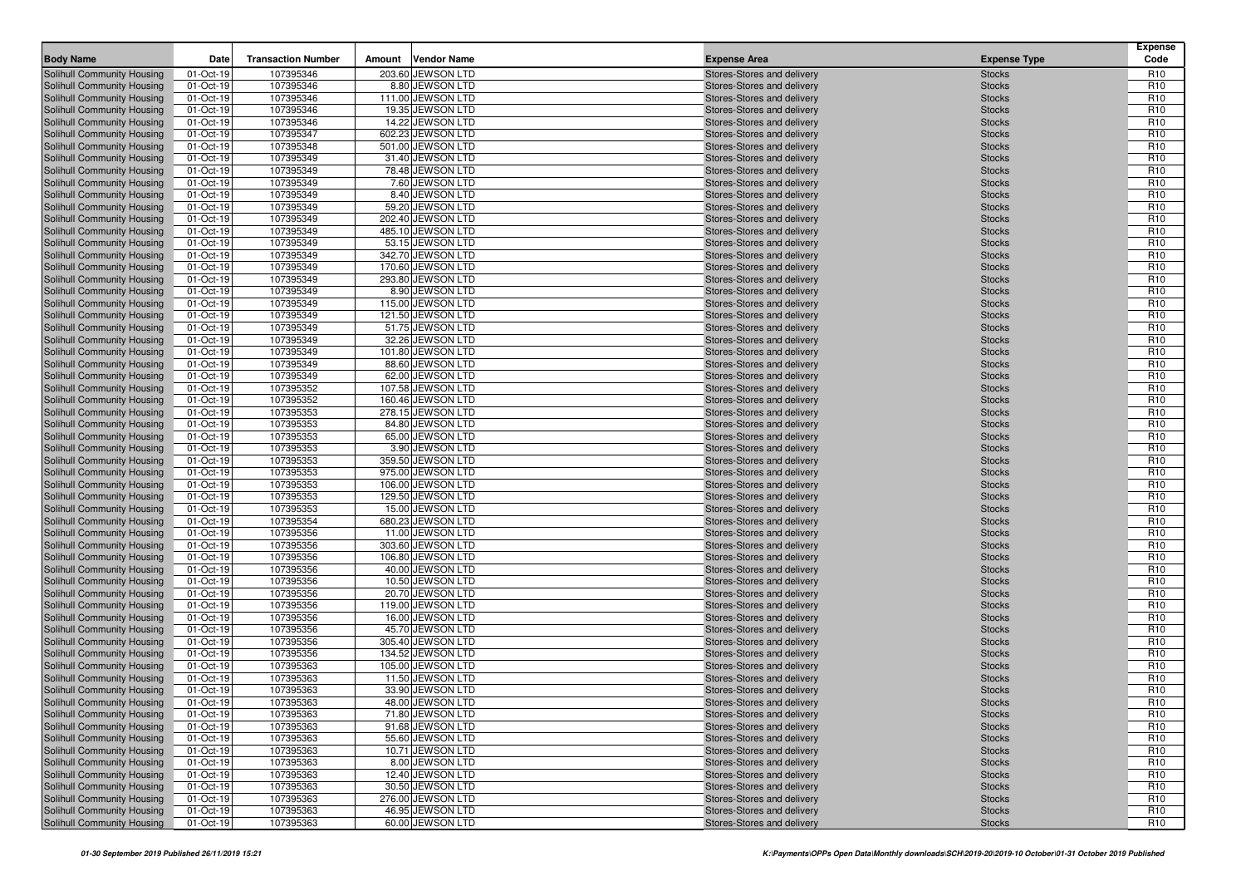| <b>Body Name</b>                                         | Date                   | <b>Transaction Number</b> | Amount | <b>Vendor Name</b>                    | <b>Expense Area</b>                                      | <b>Expense Type</b>            | <b>Expense</b><br>Code             |
|----------------------------------------------------------|------------------------|---------------------------|--------|---------------------------------------|----------------------------------------------------------|--------------------------------|------------------------------------|
|                                                          |                        |                           |        |                                       |                                                          |                                |                                    |
| Solihull Community Housing<br>Solihull Community Housing | 01-Oct-19<br>01-Oct-19 | 107395346<br>107395346    |        | 203.60 JEWSON LTD<br>8.80 JEWSON LTD  | Stores-Stores and delivery<br>Stores-Stores and delivery | <b>Stocks</b><br><b>Stocks</b> | R <sub>10</sub><br>R <sub>10</sub> |
| Solihull Community Housing                               | 01-Oct-19              | 107395346                 |        | 111.00 JEWSON LTD                     | Stores-Stores and delivery                               | <b>Stocks</b>                  | R <sub>10</sub>                    |
| Solihull Community Housing                               | 01-Oct-19              | 107395346                 |        | 19.35 JEWSON LTD                      | Stores-Stores and delivery                               | <b>Stocks</b>                  | R <sub>10</sub>                    |
| Solihull Community Housing                               | 01-Oct-19              | 107395346                 |        | 14.22 JEWSON LTD                      | Stores-Stores and delivery                               | <b>Stocks</b>                  | R <sub>10</sub>                    |
| Solihull Community Housing                               | 01-Oct-19              | 107395347                 |        | 602.23 JEWSON LTD                     | Stores-Stores and delivery                               | <b>Stocks</b>                  | R <sub>10</sub>                    |
| Solihull Community Housing                               | 01-Oct-19              | 107395348                 |        | 501.00 JEWSON LTD                     | Stores-Stores and delivery                               | <b>Stocks</b>                  | R <sub>10</sub>                    |
| Solihull Community Housing                               | 01-Oct-19              | 107395349                 |        | 31.40 JEWSON LTD                      | Stores-Stores and delivery                               | <b>Stocks</b>                  | R <sub>10</sub>                    |
| Solihull Community Housing                               | 01-Oct-19              | 107395349                 |        | 78.48 JEWSON LTD                      | Stores-Stores and delivery                               | <b>Stocks</b>                  | R <sub>10</sub>                    |
| Solihull Community Housing                               | 01-Oct-19              | 107395349                 |        | 7.60 JEWSON LTD                       | Stores-Stores and delivery                               | <b>Stocks</b>                  | R <sub>10</sub>                    |
| Solihull Community Housing                               | 01-Oct-19              | 107395349                 |        | 8.40 JEWSON LTD                       | Stores-Stores and delivery                               | <b>Stocks</b>                  | R <sub>10</sub>                    |
| Solihull Community Housing                               | 01-Oct-19              | 107395349                 |        | 59.20 JEWSON LTD                      | Stores-Stores and delivery                               | <b>Stocks</b>                  | R <sub>10</sub>                    |
| Solihull Community Housing                               | 01-Oct-19              | 107395349                 |        | 202.40 JEWSON LTD                     | Stores-Stores and delivery                               | <b>Stocks</b>                  | R <sub>10</sub>                    |
| Solihull Community Housing                               | 01-Oct-19              | 107395349                 |        | 485.10 JEWSON LTD                     | Stores-Stores and delivery                               | <b>Stocks</b>                  | R <sub>10</sub>                    |
| Solihull Community Housing                               | 01-Oct-19              | 107395349                 |        | 53.15 JEWSON LTD                      | Stores-Stores and delivery                               | <b>Stocks</b>                  | R <sub>10</sub>                    |
| Solihull Community Housing                               | 01-Oct-19              | 107395349                 |        | 342.70 JEWSON LTD                     | Stores-Stores and delivery                               | <b>Stocks</b>                  | R <sub>10</sub>                    |
| Solihull Community Housing                               | 01-Oct-19              | 107395349                 |        | 170.60 JEWSON LTD                     | Stores-Stores and delivery                               | <b>Stocks</b>                  | R <sub>10</sub>                    |
| Solihull Community Housing                               | 01-Oct-19              | 107395349                 |        | 293.80 JEWSON LTD                     | Stores-Stores and delivery                               | <b>Stocks</b>                  | R <sub>10</sub>                    |
| Solihull Community Housing                               | 01-Oct-19              | 107395349                 |        | 8.90 JEWSON LTD                       | Stores-Stores and delivery                               | <b>Stocks</b>                  | R <sub>10</sub>                    |
| Solihull Community Housing                               | 01-Oct-19              | 107395349                 |        | 115.00 JEWSON LTD                     | Stores-Stores and delivery                               | <b>Stocks</b>                  | R <sub>10</sub>                    |
| Solihull Community Housing                               | 01-Oct-19              | 107395349                 |        | 121.50 JEWSON LTD                     | Stores-Stores and delivery                               | <b>Stocks</b>                  | R <sub>10</sub>                    |
| Solihull Community Housing                               | 01-Oct-19              | 107395349                 |        | 51.75 JEWSON LTD                      | Stores-Stores and delivery                               | <b>Stocks</b>                  | R <sub>10</sub>                    |
| Solihull Community Housing                               | 01-Oct-19              | 107395349                 |        | 32.26 JEWSON LTD                      | Stores-Stores and delivery                               | <b>Stocks</b>                  | R <sub>10</sub>                    |
| Solihull Community Housing                               | 01-Oct-19              | 107395349                 |        | 101.80 JEWSON LTD                     | Stores-Stores and delivery                               | <b>Stocks</b>                  | R <sub>10</sub>                    |
| Solihull Community Housing<br>Solihull Community Housing | 01-Oct-19              | 107395349<br>107395349    |        | 88.60 JEWSON LTD<br>62.00 JEWSON LTD  | Stores-Stores and delivery                               | <b>Stocks</b>                  | R <sub>10</sub><br>R <sub>10</sub> |
| Solihull Community Housing                               | 01-Oct-19<br>01-Oct-19 | 107395352                 |        | 107.58 JEWSON LTD                     | Stores-Stores and delivery<br>Stores-Stores and delivery | <b>Stocks</b><br><b>Stocks</b> | R <sub>10</sub>                    |
| Solihull Community Housing                               | 01-Oct-19              | 107395352                 |        | 160.46 JEWSON LTD                     | Stores-Stores and delivery                               | <b>Stocks</b>                  | R <sub>10</sub>                    |
| Solihull Community Housing                               | 01-Oct-19              | 107395353                 |        | 278.15 JEWSON LTD                     | Stores-Stores and delivery                               | <b>Stocks</b>                  | R <sub>10</sub>                    |
| Solihull Community Housing                               | 01-Oct-19              | 107395353                 |        | 84.80 JEWSON LTD                      | Stores-Stores and delivery                               | <b>Stocks</b>                  | R <sub>10</sub>                    |
| Solihull Community Housing                               | 01-Oct-19              | 107395353                 |        | 65.00 JEWSON LTD                      | Stores-Stores and delivery                               | <b>Stocks</b>                  | R <sub>10</sub>                    |
| Solihull Community Housing                               | 01-Oct-19              | 107395353                 |        | 3.90 JEWSON LTD                       | Stores-Stores and delivery                               | <b>Stocks</b>                  | R <sub>10</sub>                    |
| Solihull Community Housing                               | 01-Oct-19              | 107395353                 |        | 359.50 JEWSON LTD                     | Stores-Stores and delivery                               | <b>Stocks</b>                  | R <sub>10</sub>                    |
| Solihull Community Housing                               | 01-Oct-19              | 107395353                 |        | 975.00 JEWSON LTD                     | Stores-Stores and delivery                               | <b>Stocks</b>                  | R <sub>10</sub>                    |
| Solihull Community Housing                               | 01-Oct-19              | 107395353                 |        | 106.00 JEWSON LTD                     | Stores-Stores and delivery                               | <b>Stocks</b>                  | R <sub>10</sub>                    |
| Solihull Community Housing                               | 01-Oct-19              | 107395353                 |        | 129.50 JEWSON LTD                     | Stores-Stores and delivery                               | <b>Stocks</b>                  | R <sub>10</sub>                    |
| Solihull Community Housing                               | 01-Oct-19              | 107395353                 |        | 15.00 JEWSON LTD                      | Stores-Stores and delivery                               | <b>Stocks</b>                  | R <sub>10</sub>                    |
| Solihull Community Housing                               | 01-Oct-19              | 107395354                 |        | 680.23 JEWSON LTD                     | Stores-Stores and delivery                               | <b>Stocks</b>                  | R <sub>10</sub>                    |
| Solihull Community Housing                               | 01-Oct-19              | 107395356                 |        | 11.00 JEWSON LTD                      | Stores-Stores and delivery                               | <b>Stocks</b>                  | R <sub>10</sub>                    |
| Solihull Community Housing                               | 01-Oct-19              | 107395356                 |        | 303.60 JEWSON LTD                     | Stores-Stores and delivery                               | <b>Stocks</b>                  | R <sub>10</sub>                    |
| Solihull Community Housing                               | 01-Oct-19              | 107395356                 |        | 106.80 JEWSON LTD                     | Stores-Stores and delivery                               | <b>Stocks</b>                  | R <sub>10</sub>                    |
| Solihull Community Housing                               | 01-Oct-19              | 107395356                 |        | 40.00 JEWSON LTD                      | Stores-Stores and delivery                               | <b>Stocks</b>                  | R <sub>10</sub>                    |
| Solihull Community Housing                               | 01-Oct-19              | 107395356                 |        | 10.50 JEWSON LTD                      | Stores-Stores and delivery                               | <b>Stocks</b>                  | R <sub>10</sub>                    |
| Solihull Community Housing                               | 01-Oct-19              | 107395356                 |        | 20.70 JEWSON LTD                      | Stores-Stores and delivery                               | <b>Stocks</b>                  | R <sub>10</sub>                    |
| Solihull Community Housing                               | 01-Oct-19<br>01-Oct-19 | 107395356<br>107395356    |        | 119.00 JEWSON LTD<br>16.00 JEWSON LTD | Stores-Stores and delivery<br>Stores-Stores and delivery | <b>Stocks</b>                  | R <sub>10</sub><br>R <sub>10</sub> |
| Solihull Community Housing<br>Solihull Community Housing | 01-Oct-19              | 107395356                 |        | 45.70 JEWSON LTD                      | Stores-Stores and delivery                               | <b>Stocks</b><br><b>Stocks</b> | R <sub>10</sub>                    |
| Solihull Community Housing                               | 01-Oct-19              | 107395356                 |        | 305.40 JEWSON LTD                     | Stores-Stores and delivery                               | <b>Stocks</b>                  | R <sub>10</sub>                    |
| Solihull Community Housing                               | 01-Oct-19              | 107395356                 |        | 134.52 JEWSON LTD                     | Stores-Stores and delivery                               | <b>Stocks</b>                  | R <sub>10</sub>                    |
| Solihull Community Housing                               | 01-Oct-19              | 107395363                 |        | 105.00 JEWSON LTD                     | Stores-Stores and delivery                               | <b>Stocks</b>                  | R <sub>10</sub>                    |
| Solihull Community Housing                               | 01-Oct-19              | 107395363                 |        | 11.50 JEWSON LTD                      | Stores-Stores and delivery                               | <b>Stocks</b>                  | R <sub>10</sub>                    |
| <b>Solihull Community Housing</b>                        | 01-Oct-19              | 107395363                 |        | 33.90 JEWSON LTD                      | Stores-Stores and delivery                               | <b>Stocks</b>                  | R <sub>10</sub>                    |
| Solihull Community Housing                               | 01-Oct-19              | 107395363                 |        | 48.00 JEWSON LTD                      | Stores-Stores and delivery                               | <b>Stocks</b>                  | R <sub>10</sub>                    |
| <b>Solihull Community Housing</b>                        | 01-Oct-19              | 107395363                 |        | 71.80 JEWSON LTD                      | Stores-Stores and delivery                               | <b>Stocks</b>                  | R <sub>10</sub>                    |
| Solihull Community Housing                               | 01-Oct-19              | 107395363                 |        | 91.68 JEWSON LTD                      | Stores-Stores and delivery                               | <b>Stocks</b>                  | R <sub>10</sub>                    |
| Solihull Community Housing                               | 01-Oct-19              | 107395363                 |        | 55.60 JEWSON LTD                      | Stores-Stores and delivery                               | <b>Stocks</b>                  | R <sub>10</sub>                    |
| Solihull Community Housing                               | 01-Oct-19              | 107395363                 |        | 10.71 JEWSON LTD                      | Stores-Stores and delivery                               | <b>Stocks</b>                  | R <sub>10</sub>                    |
| Solihull Community Housing                               | 01-Oct-19              | 107395363                 |        | 8.00 JEWSON LTD                       | Stores-Stores and delivery                               | <b>Stocks</b>                  | R <sub>10</sub>                    |
| Solihull Community Housing                               | 01-Oct-19              | 107395363                 |        | 12.40 JEWSON LTD                      | Stores-Stores and delivery                               | <b>Stocks</b>                  | R <sub>10</sub>                    |
| Solihull Community Housing                               | 01-Oct-19              | 107395363                 |        | 30.50 JEWSON LTD                      | Stores-Stores and delivery                               | <b>Stocks</b>                  | R <sub>10</sub>                    |
| Solihull Community Housing                               | 01-Oct-19              | 107395363                 |        | 276.00 JEWSON LTD                     | Stores-Stores and delivery                               | <b>Stocks</b>                  | R <sub>10</sub>                    |
| Solihull Community Housing                               | 01-Oct-19              | 107395363                 |        | 46.95 JEWSON LTD                      | Stores-Stores and delivery                               | <b>Stocks</b>                  | R <sub>10</sub>                    |
| Solihull Community Housing                               | 01-Oct-19              | 107395363                 |        | 60.00 JEWSON LTD                      | Stores-Stores and delivery                               | <b>Stocks</b>                  | R <sub>10</sub>                    |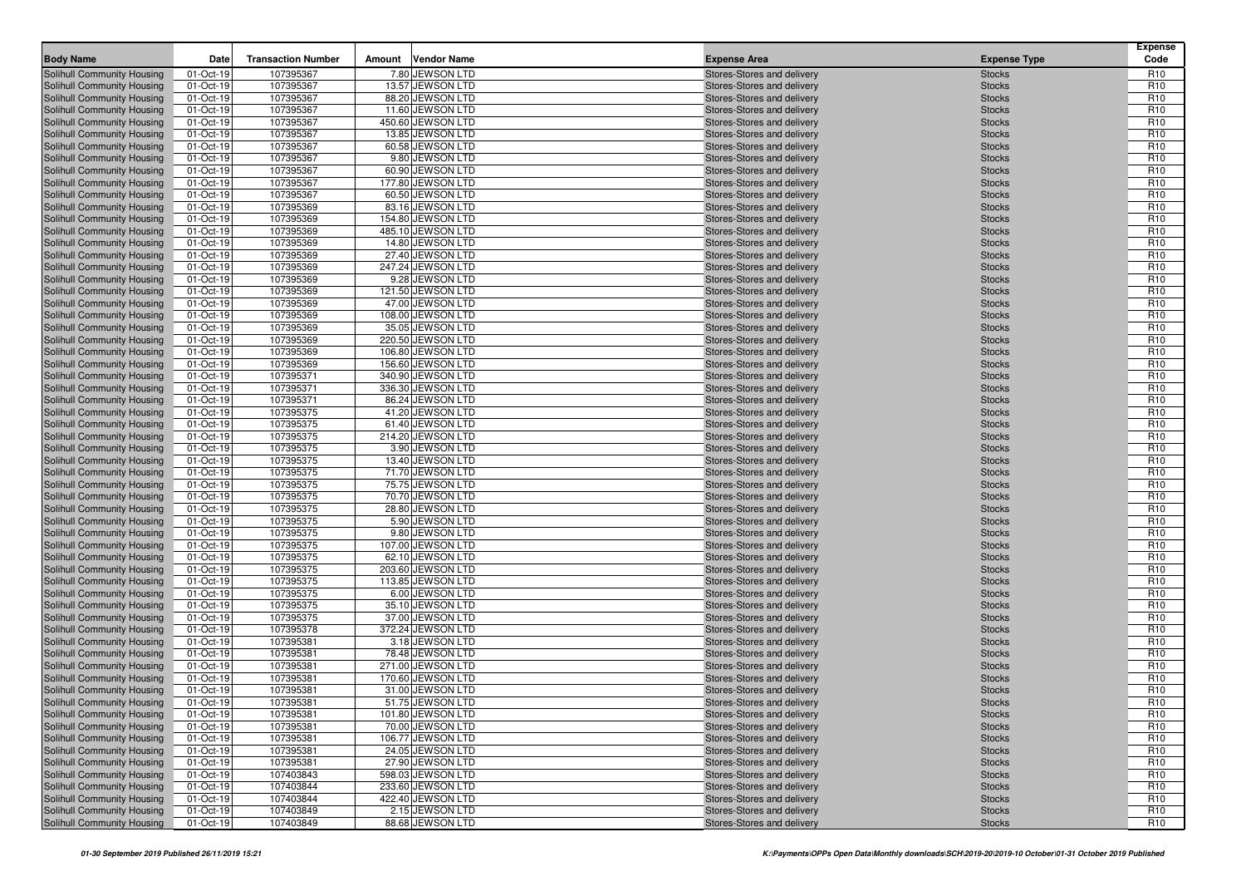|                                                          |                        | <b>Transaction Number</b> |        |                                        |                                                          |                                | <b>Expense</b><br>Code             |
|----------------------------------------------------------|------------------------|---------------------------|--------|----------------------------------------|----------------------------------------------------------|--------------------------------|------------------------------------|
| <b>Body Name</b>                                         | Date                   |                           | Amount | <b>Vendor Name</b>                     | <b>Expense Area</b>                                      | <b>Expense Type</b>            |                                    |
| Solihull Community Housing                               | 01-Oct-19              | 107395367                 |        | 7.80 JEWSON LTD                        | Stores-Stores and delivery                               | <b>Stocks</b>                  | R <sub>10</sub>                    |
| Solihull Community Housing                               | 01-Oct-19<br>01-Oct-19 | 107395367<br>107395367    |        | 13.57 JEWSON LTD<br>88.20 JEWSON LTD   | Stores-Stores and delivery                               | <b>Stocks</b>                  | R <sub>10</sub><br>R <sub>10</sub> |
| Solihull Community Housing<br>Solihull Community Housing | 01-Oct-19              | 107395367                 |        | 11.60 JEWSON LTD                       | Stores-Stores and delivery<br>Stores-Stores and delivery | <b>Stocks</b><br><b>Stocks</b> | R <sub>10</sub>                    |
| Solihull Community Housing                               | 01-Oct-19              | 107395367                 |        | 450.60 JEWSON LTD                      | Stores-Stores and delivery                               | <b>Stocks</b>                  | R <sub>10</sub>                    |
| Solihull Community Housing                               | 01-Oct-19              | 107395367                 |        | 13.85 JEWSON LTD                       | Stores-Stores and delivery                               | <b>Stocks</b>                  | R <sub>10</sub>                    |
| Solihull Community Housing                               | 01-Oct-19              | 107395367                 |        | 60.58 JEWSON LTD                       | Stores-Stores and delivery                               | <b>Stocks</b>                  | R <sub>10</sub>                    |
| Solihull Community Housing                               | 01-Oct-19              | 107395367                 |        | 9.80 JEWSON LTD                        | Stores-Stores and delivery                               | <b>Stocks</b>                  | R <sub>10</sub>                    |
| Solihull Community Housing                               | 01-Oct-19              | 107395367                 |        | 60.90 JEWSON LTD                       | Stores-Stores and delivery                               | <b>Stocks</b>                  | R <sub>10</sub>                    |
| Solihull Community Housing                               | 01-Oct-19              | 107395367                 |        | 177.80 JEWSON LTD                      | Stores-Stores and delivery                               | <b>Stocks</b>                  | R <sub>10</sub>                    |
| Solihull Community Housing                               | 01-Oct-19              | 107395367                 |        | 60.50 JEWSON LTD                       | Stores-Stores and delivery                               | <b>Stocks</b>                  | R <sub>10</sub>                    |
| Solihull Community Housing                               | 01-Oct-19              | 107395369                 |        | 83.16 JEWSON LTD                       | Stores-Stores and delivery                               | <b>Stocks</b>                  | R <sub>10</sub>                    |
| Solihull Community Housing                               | 01-Oct-19              | 107395369                 |        | 154.80 JEWSON LTD                      | Stores-Stores and delivery                               | <b>Stocks</b>                  | R <sub>10</sub>                    |
| Solihull Community Housing                               | 01-Oct-19              | 107395369                 |        | 485.10 JEWSON LTD                      | Stores-Stores and delivery                               | <b>Stocks</b>                  | R <sub>10</sub>                    |
| Solihull Community Housing                               | 01-Oct-19              | 107395369                 |        | 14.80 JEWSON LTD                       | Stores-Stores and delivery                               | <b>Stocks</b>                  | R <sub>10</sub>                    |
| Solihull Community Housing                               | 01-Oct-19              | 107395369                 |        | 27.40 JEWSON LTD                       | Stores-Stores and delivery                               | <b>Stocks</b>                  | R <sub>10</sub>                    |
| Solihull Community Housing                               | 01-Oct-19              | 107395369                 |        | 247.24 JEWSON LTD                      | Stores-Stores and delivery                               | <b>Stocks</b>                  | R <sub>10</sub>                    |
| Solihull Community Housing                               | 01-Oct-19              | 107395369                 |        | 9.28 JEWSON LTD                        | Stores-Stores and delivery                               | <b>Stocks</b>                  | R <sub>10</sub>                    |
| Solihull Community Housing                               | 01-Oct-19              | 107395369                 |        | 121.50 JEWSON LTD                      | Stores-Stores and delivery                               | <b>Stocks</b>                  | R <sub>10</sub>                    |
| Solihull Community Housing                               | 01-Oct-19              | 107395369                 |        | 47.00 JEWSON LTD                       | Stores-Stores and delivery                               | <b>Stocks</b>                  | R <sub>10</sub>                    |
| Solihull Community Housing                               | 01-Oct-19              | 107395369                 |        | 108.00 JEWSON LTD                      | Stores-Stores and delivery                               | <b>Stocks</b>                  | R <sub>10</sub>                    |
| Solihull Community Housing                               | 01-Oct-19              | 107395369                 |        | 35.05 JEWSON LTD                       | Stores-Stores and delivery                               | <b>Stocks</b>                  | R <sub>10</sub>                    |
| Solihull Community Housing                               | 01-Oct-19              | 107395369                 |        | 220.50 JEWSON LTD                      | Stores-Stores and delivery                               | <b>Stocks</b>                  | R <sub>10</sub>                    |
| Solihull Community Housing                               | 01-Oct-19              | 107395369<br>107395369    |        | 106.80 JEWSON LTD<br>156.60 JEWSON LTD | Stores-Stores and delivery                               | <b>Stocks</b>                  | R <sub>10</sub><br>R <sub>10</sub> |
| Solihull Community Housing<br>Solihull Community Housing | 01-Oct-19<br>01-Oct-19 | 107395371                 |        | 340.90 JEWSON LTD                      | Stores-Stores and delivery<br>Stores-Stores and delivery | <b>Stocks</b><br><b>Stocks</b> | R <sub>10</sub>                    |
| Solihull Community Housing                               | 01-Oct-19              | 107395371                 |        | 336.30 JEWSON LTD                      | Stores-Stores and delivery                               | <b>Stocks</b>                  | R <sub>10</sub>                    |
| Solihull Community Housing                               | 01-Oct-19              | 107395371                 |        | 86.24 JEWSON LTD                       | Stores-Stores and delivery                               | <b>Stocks</b>                  | R <sub>10</sub>                    |
| Solihull Community Housing                               | 01-Oct-19              | 107395375                 |        | 41.20 JEWSON LTD                       | Stores-Stores and delivery                               | <b>Stocks</b>                  | R <sub>10</sub>                    |
| Solihull Community Housing                               | 01-Oct-19              | 107395375                 |        | 61.40 JEWSON LTD                       | Stores-Stores and delivery                               | <b>Stocks</b>                  | R <sub>10</sub>                    |
| Solihull Community Housing                               | 01-Oct-19              | 107395375                 |        | 214.20 JEWSON LTD                      | Stores-Stores and delivery                               | <b>Stocks</b>                  | R <sub>10</sub>                    |
| Solihull Community Housing                               | 01-Oct-19              | 107395375                 |        | 3.90 JEWSON LTD                        | Stores-Stores and delivery                               | <b>Stocks</b>                  | R <sub>10</sub>                    |
| Solihull Community Housing                               | 01-Oct-19              | 107395375                 |        | 13.40 JEWSON LTD                       | Stores-Stores and delivery                               | <b>Stocks</b>                  | R <sub>10</sub>                    |
| Solihull Community Housing                               | 01-Oct-19              | 107395375                 |        | 71.70 JEWSON LTD                       | Stores-Stores and delivery                               | <b>Stocks</b>                  | R <sub>10</sub>                    |
| Solihull Community Housing                               | 01-Oct-19              | 107395375                 |        | 75.75 JEWSON LTD                       | Stores-Stores and delivery                               | <b>Stocks</b>                  | R <sub>10</sub>                    |
| Solihull Community Housing                               | 01-Oct-19              | 107395375                 |        | 70.70 JEWSON LTD                       | Stores-Stores and delivery                               | <b>Stocks</b>                  | R <sub>10</sub>                    |
| Solihull Community Housing                               | 01-Oct-19              | 107395375                 |        | 28.80 JEWSON LTD                       | Stores-Stores and delivery                               | <b>Stocks</b>                  | R <sub>10</sub>                    |
| Solihull Community Housing                               | 01-Oct-19              | 107395375                 |        | 5.90 JEWSON LTD                        | Stores-Stores and delivery                               | <b>Stocks</b>                  | R <sub>10</sub>                    |
| Solihull Community Housing                               | 01-Oct-19              | 107395375                 |        | 9.80 JEWSON LTD                        | Stores-Stores and delivery                               | <b>Stocks</b>                  | R <sub>10</sub>                    |
| Solihull Community Housing                               | 01-Oct-19              | 107395375                 |        | 107.00 JEWSON LTD                      | Stores-Stores and delivery                               | <b>Stocks</b>                  | R <sub>10</sub>                    |
| Solihull Community Housing                               | 01-Oct-19              | 107395375                 |        | 62.10 JEWSON LTD                       | Stores-Stores and delivery                               | <b>Stocks</b>                  | R <sub>10</sub>                    |
| Solihull Community Housing                               | 01-Oct-19              | 107395375                 |        | 203.60 JEWSON LTD                      | Stores-Stores and delivery                               | <b>Stocks</b>                  | R <sub>10</sub>                    |
| Solihull Community Housing<br>Solihull Community Housing | 01-Oct-19<br>01-Oct-19 | 107395375<br>107395375    |        | 113.85 JEWSON LTD<br>6.00 JEWSON LTD   | Stores-Stores and delivery<br>Stores-Stores and delivery | <b>Stocks</b><br><b>Stocks</b> | R <sub>10</sub><br>R <sub>10</sub> |
| Solihull Community Housing                               | 01-Oct-19              | 107395375                 |        | 35.10 JEWSON LTD                       | Stores-Stores and delivery                               | <b>Stocks</b>                  | R <sub>10</sub>                    |
| Solihull Community Housing                               | 01-Oct-19              | 107395375                 |        | 37.00 JEWSON LTD                       | Stores-Stores and delivery                               | <b>Stocks</b>                  | R <sub>10</sub>                    |
| Solihull Community Housing                               | 01-Oct-19              | 107395378                 |        | 372.24 JEWSON LTD                      | Stores-Stores and delivery                               | <b>Stocks</b>                  | R <sub>10</sub>                    |
| Solihull Community Housing                               | 01-Oct-19              | 107395381                 |        | 3.18 JEWSON LTD                        | Stores-Stores and delivery                               | <b>Stocks</b>                  | R <sub>10</sub>                    |
| Solihull Community Housing                               | 01-Oct-19              | 107395381                 |        | 78.48 JEWSON LTD                       | Stores-Stores and delivery                               | <b>Stocks</b>                  | R <sub>10</sub>                    |
| Solihull Community Housing                               | 01-Oct-19              | 107395381                 |        | 271.00 JEWSON LTD                      | Stores-Stores and delivery                               | <b>Stocks</b>                  | R <sub>10</sub>                    |
| Solihull Community Housing                               | 01-Oct-19              | 107395381                 |        | 170.60 JEWSON LTD                      | Stores-Stores and delivery                               | <b>Stocks</b>                  | R <sub>10</sub>                    |
| <b>Solihull Community Housing</b>                        | 01-Oct-19              | 107395381                 |        | 31.00 JEWSON LTD                       | Stores-Stores and delivery                               | <b>Stocks</b>                  | R <sub>10</sub>                    |
| Solihull Community Housing                               | 01-Oct-19              | 107395381                 |        | 51.75 JEWSON LTD                       | Stores-Stores and delivery                               | <b>Stocks</b>                  | R <sub>10</sub>                    |
| <b>Solihull Community Housing</b>                        | 01-Oct-19              | 107395381                 |        | 101.80 JEWSON LTD                      | Stores-Stores and delivery                               | <b>Stocks</b>                  | R <sub>10</sub>                    |
| Solihull Community Housing                               | 01-Oct-19              | 107395381                 |        | 70.00 JEWSON LTD                       | Stores-Stores and delivery                               | <b>Stocks</b>                  | R <sub>10</sub>                    |
| Solihull Community Housing                               | 01-Oct-19              | 107395381                 |        | 106.77 JEWSON LTD                      | Stores-Stores and delivery                               | <b>Stocks</b>                  | R <sub>10</sub>                    |
| Solihull Community Housing                               | 01-Oct-19              | 107395381                 |        | 24.05 JEWSON LTD                       | Stores-Stores and delivery                               | <b>Stocks</b>                  | R <sub>10</sub>                    |
| Solihull Community Housing                               | 01-Oct-19              | 107395381                 |        | 27.90 JEWSON LTD                       | Stores-Stores and delivery                               | <b>Stocks</b>                  | R <sub>10</sub>                    |
| Solihull Community Housing                               | 01-Oct-19              | 107403843                 |        | 598.03 JEWSON LTD                      | Stores-Stores and delivery                               | <b>Stocks</b>                  | R <sub>10</sub>                    |
| Solihull Community Housing                               | 01-Oct-19              | 107403844                 |        | 233.60 JEWSON LTD                      | Stores-Stores and delivery                               | <b>Stocks</b>                  | R <sub>10</sub>                    |
| Solihull Community Housing<br>Solihull Community Housing | 01-Oct-19              | 107403844<br>107403849    |        | 422.40 JEWSON LTD<br>2.15 JEWSON LTD   | Stores-Stores and delivery<br>Stores-Stores and delivery | <b>Stocks</b>                  | R <sub>10</sub><br>R <sub>10</sub> |
| Solihull Community Housing                               | 01-Oct-19<br>01-Oct-19 | 107403849                 |        | 88.68 JEWSON LTD                       | Stores-Stores and delivery                               | <b>Stocks</b><br><b>Stocks</b> | R <sub>10</sub>                    |
|                                                          |                        |                           |        |                                        |                                                          |                                |                                    |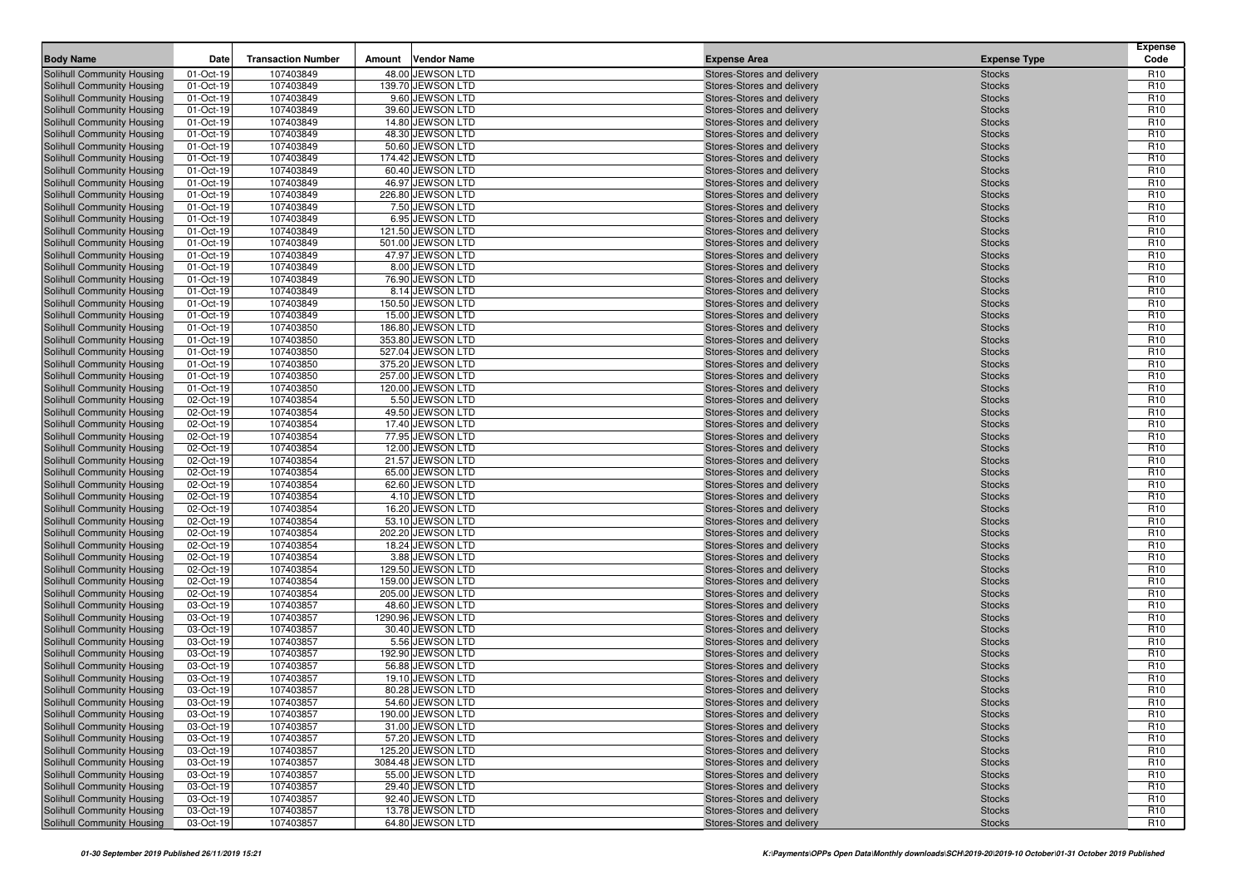|                                                          |                        |                           |        |                                        |                                                          |                                | <b>Expense</b>                     |
|----------------------------------------------------------|------------------------|---------------------------|--------|----------------------------------------|----------------------------------------------------------|--------------------------------|------------------------------------|
| <b>Body Name</b>                                         | Date                   | <b>Transaction Number</b> | Amount | <b>Vendor Name</b>                     | <b>Expense Area</b>                                      | <b>Expense Type</b>            | Code                               |
| Solihull Community Housing                               | 01-Oct-19              | 107403849                 |        | 48.00 JEWSON LTD                       | Stores-Stores and delivery                               | <b>Stocks</b>                  | R <sub>10</sub>                    |
| Solihull Community Housing                               | 01-Oct-19              | 107403849<br>107403849    |        | 139.70 JEWSON LTD<br>9.60 JEWSON LTD   | Stores-Stores and delivery                               | <b>Stocks</b>                  | R <sub>10</sub><br>R <sub>10</sub> |
| Solihull Community Housing<br>Solihull Community Housing | 01-Oct-19<br>01-Oct-19 | 107403849                 |        | 39.60 JEWSON LTD                       | Stores-Stores and delivery<br>Stores-Stores and delivery | <b>Stocks</b><br><b>Stocks</b> | R <sub>10</sub>                    |
| Solihull Community Housing                               | 01-Oct-19              | 107403849                 |        | 14.80 JEWSON LTD                       | Stores-Stores and delivery                               | <b>Stocks</b>                  | R <sub>10</sub>                    |
| Solihull Community Housing                               | 01-Oct-19              | 107403849                 |        | 48.30 JEWSON LTD                       | Stores-Stores and delivery                               | <b>Stocks</b>                  | R <sub>10</sub>                    |
| Solihull Community Housing                               | 01-Oct-19              | 107403849                 |        | 50.60 JEWSON LTD                       | Stores-Stores and delivery                               | <b>Stocks</b>                  | R <sub>10</sub>                    |
| Solihull Community Housing                               | 01-Oct-19              | 107403849                 |        | 174.42 JEWSON LTD                      | Stores-Stores and delivery                               | <b>Stocks</b>                  | R <sub>10</sub>                    |
| Solihull Community Housing                               | 01-Oct-19              | 107403849                 |        | 60.40 JEWSON LTD                       | Stores-Stores and delivery                               | <b>Stocks</b>                  | R <sub>10</sub>                    |
| Solihull Community Housing                               | 01-Oct-19              | 107403849                 |        | 46.97 JEWSON LTD                       | Stores-Stores and delivery                               | <b>Stocks</b>                  | R <sub>10</sub>                    |
| Solihull Community Housing                               | 01-Oct-19              | 107403849                 |        | 226.80 JEWSON LTD                      | Stores-Stores and delivery                               | <b>Stocks</b>                  | R <sub>10</sub>                    |
| Solihull Community Housing                               | 01-Oct-19              | 107403849                 |        | 7.50 JEWSON LTD                        | Stores-Stores and delivery                               | <b>Stocks</b>                  | R <sub>10</sub>                    |
| Solihull Community Housing                               | 01-Oct-19              | 107403849                 |        | 6.95 JEWSON LTD                        | Stores-Stores and delivery                               | <b>Stocks</b>                  | R <sub>10</sub>                    |
| Solihull Community Housing                               | 01-Oct-19              | 107403849                 |        | 121.50 JEWSON LTD                      | Stores-Stores and delivery                               | <b>Stocks</b>                  | R <sub>10</sub>                    |
| Solihull Community Housing                               | 01-Oct-19              | 107403849                 |        | 501.00 JEWSON LTD                      | Stores-Stores and delivery                               | <b>Stocks</b>                  | R <sub>10</sub>                    |
| Solihull Community Housing                               | 01-Oct-19              | 107403849                 |        | 47.97 JEWSON LTD                       | Stores-Stores and delivery                               | <b>Stocks</b>                  | R <sub>10</sub>                    |
| Solihull Community Housing                               | 01-Oct-19              | 107403849                 |        | 8.00 JEWSON LTD                        | Stores-Stores and delivery                               | <b>Stocks</b>                  | R <sub>10</sub>                    |
| Solihull Community Housing                               | 01-Oct-19              | 107403849                 |        | 76.90 JEWSON LTD                       | Stores-Stores and delivery                               | <b>Stocks</b>                  | R <sub>10</sub>                    |
| Solihull Community Housing                               | 01-Oct-19              | 107403849                 |        | 8.14 JEWSON LTD                        | Stores-Stores and delivery                               | <b>Stocks</b>                  | R <sub>10</sub>                    |
| Solihull Community Housing                               | 01-Oct-19              | 107403849                 |        | 150.50 JEWSON LTD                      | Stores-Stores and delivery                               | <b>Stocks</b>                  | R <sub>10</sub>                    |
| Solihull Community Housing                               | 01-Oct-19              | 107403849                 |        | 15.00 JEWSON LTD                       | Stores-Stores and delivery                               | <b>Stocks</b>                  | R <sub>10</sub>                    |
| Solihull Community Housing                               | 01-Oct-19              | 107403850                 |        | 186.80 JEWSON LTD                      | Stores-Stores and delivery                               | <b>Stocks</b>                  | R <sub>10</sub>                    |
| Solihull Community Housing<br>Solihull Community Housing | 01-Oct-19<br>01-Oct-19 | 107403850<br>107403850    |        | 353.80 JEWSON LTD<br>527.04 JEWSON LTD | Stores-Stores and delivery<br>Stores-Stores and delivery | <b>Stocks</b><br><b>Stocks</b> | R <sub>10</sub><br>R <sub>10</sub> |
| Solihull Community Housing                               | 01-Oct-19              | 107403850                 |        | 375.20 JEWSON LTD                      | Stores-Stores and delivery                               | <b>Stocks</b>                  | R <sub>10</sub>                    |
| Solihull Community Housing                               | 01-Oct-19              | 107403850                 |        | 257.00 JEWSON LTD                      | Stores-Stores and delivery                               | <b>Stocks</b>                  | R <sub>10</sub>                    |
| Solihull Community Housing                               | 01-Oct-19              | 107403850                 |        | 120.00 JEWSON LTD                      | Stores-Stores and delivery                               | <b>Stocks</b>                  | R <sub>10</sub>                    |
| Solihull Community Housing                               | 02-Oct-19              | 107403854                 |        | 5.50 JEWSON LTD                        | Stores-Stores and delivery                               | <b>Stocks</b>                  | R <sub>10</sub>                    |
| Solihull Community Housing                               | 02-Oct-19              | 107403854                 |        | 49.50 JEWSON LTD                       | Stores-Stores and delivery                               | <b>Stocks</b>                  | R <sub>10</sub>                    |
| Solihull Community Housing                               | 02-Oct-19              | 107403854                 |        | 17.40 JEWSON LTD                       | Stores-Stores and delivery                               | <b>Stocks</b>                  | R <sub>10</sub>                    |
| Solihull Community Housing                               | 02-Oct-19              | 107403854                 |        | 77.95 JEWSON LTD                       | Stores-Stores and delivery                               | <b>Stocks</b>                  | R <sub>10</sub>                    |
| Solihull Community Housing                               | 02-Oct-19              | 107403854                 |        | 12.00 JEWSON LTD                       | Stores-Stores and delivery                               | <b>Stocks</b>                  | R <sub>10</sub>                    |
| Solihull Community Housing                               | 02-Oct-19              | 107403854                 |        | 21.57 JEWSON LTD                       | Stores-Stores and delivery                               | <b>Stocks</b>                  | R <sub>10</sub>                    |
| Solihull Community Housing                               | 02-Oct-19              | 107403854                 |        | 65.00 JEWSON LTD                       | Stores-Stores and delivery                               | <b>Stocks</b>                  | R <sub>10</sub>                    |
| Solihull Community Housing                               | 02-Oct-19              | 107403854                 |        | 62.60 JEWSON LTD                       | Stores-Stores and delivery                               | <b>Stocks</b>                  | R <sub>10</sub>                    |
| Solihull Community Housing                               | 02-Oct-19              | 107403854                 |        | 4.10 JEWSON LTD                        | Stores-Stores and delivery                               | <b>Stocks</b>                  | R <sub>10</sub>                    |
| Solihull Community Housing                               | 02-Oct-19              | 107403854                 |        | 16.20 JEWSON LTD                       | Stores-Stores and delivery                               | <b>Stocks</b>                  | R <sub>10</sub>                    |
| Solihull Community Housing                               | 02-Oct-19              | 107403854                 |        | 53.10 JEWSON LTD                       | Stores-Stores and delivery                               | <b>Stocks</b>                  | R <sub>10</sub>                    |
| Solihull Community Housing                               | 02-Oct-19              | 107403854                 |        | 202.20 JEWSON LTD                      | Stores-Stores and delivery                               | <b>Stocks</b>                  | R <sub>10</sub>                    |
| Solihull Community Housing                               | 02-Oct-19              | 107403854                 |        | 18.24 JEWSON LTD                       | Stores-Stores and delivery                               | <b>Stocks</b>                  | R <sub>10</sub>                    |
| Solihull Community Housing                               | 02-Oct-19              | 107403854<br>107403854    |        | 3.88 JEWSON LTD                        | Stores-Stores and delivery                               | <b>Stocks</b>                  | R <sub>10</sub><br>R <sub>10</sub> |
| Solihull Community Housing<br>Solihull Community Housing | 02-Oct-19<br>02-Oct-19 | 107403854                 |        | 129.50 JEWSON LTD<br>159.00 JEWSON LTD | Stores-Stores and delivery<br>Stores-Stores and delivery | <b>Stocks</b><br><b>Stocks</b> | R <sub>10</sub>                    |
| Solihull Community Housing                               | 02-Oct-19              | 107403854                 |        | 205.00 JEWSON LTD                      | Stores-Stores and delivery                               | <b>Stocks</b>                  | R <sub>10</sub>                    |
| Solihull Community Housing                               | 03-Oct-19              | 107403857                 |        | 48.60 JEWSON LTD                       | Stores-Stores and delivery                               | <b>Stocks</b>                  | R <sub>10</sub>                    |
| Solihull Community Housing                               | 03-Oct-19              | 107403857                 |        | 1290.96 JEWSON LTD                     | Stores-Stores and delivery                               | <b>Stocks</b>                  | R <sub>10</sub>                    |
| Solihull Community Housing                               | 03-Oct-19              | 107403857                 |        | 30.40 JEWSON LTD                       | Stores-Stores and delivery                               | <b>Stocks</b>                  | R <sub>10</sub>                    |
| Solihull Community Housing                               | 03-Oct-19              | 107403857                 |        | 5.56 JEWSON LTD                        | Stores-Stores and delivery                               | <b>Stocks</b>                  | R <sub>10</sub>                    |
| Solihull Community Housing                               | 03-Oct-19              | 107403857                 |        | 192.90 JEWSON LTD                      | Stores-Stores and delivery                               | <b>Stocks</b>                  | R <sub>10</sub>                    |
| Solihull Community Housing                               | 03-Oct-19              | 107403857                 |        | 56.88 JEWSON LTD                       | Stores-Stores and delivery                               | <b>Stocks</b>                  | R <sub>10</sub>                    |
| Solihull Community Housing                               | 03-Oct-19              | 107403857                 |        | 19.10 JEWSON LTD                       | Stores-Stores and delivery                               | <b>Stocks</b>                  | R <sub>10</sub>                    |
| Solihull Community Housing                               | 03-Oct-19              | 107403857                 |        | 80.28 JEWSON LTD                       | Stores-Stores and delivery                               | <b>Stocks</b>                  | R <sub>10</sub>                    |
| Solihull Community Housing                               | 03-Oct-19              | 107403857                 |        | 54.60 JEWSON LTD                       | Stores-Stores and delivery                               | <b>Stocks</b>                  | R <sub>10</sub>                    |
| Solihull Community Housing                               | 03-Oct-19              | 107403857                 |        | 190.00 JEWSON LTD                      | Stores-Stores and delivery                               | <b>Stocks</b>                  | R <sub>10</sub>                    |
| Solihull Community Housing                               | 03-Oct-19              | 107403857                 |        | 31.00 JEWSON LTD                       | Stores-Stores and delivery                               | <b>Stocks</b>                  | R <sub>10</sub>                    |
| Solihull Community Housing                               | 03-Oct-19              | 107403857                 |        | 57.20 JEWSON LTD                       | Stores-Stores and delivery                               | <b>Stocks</b>                  | R <sub>10</sub>                    |
| Solihull Community Housing                               | 03-Oct-19              | 107403857                 |        | 125.20 JEWSON LTD                      | Stores-Stores and delivery                               | <b>Stocks</b>                  | R <sub>10</sub>                    |
| Solihull Community Housing                               | 03-Oct-19              | 107403857                 |        | 3084.48 JEWSON LTD                     | Stores-Stores and delivery                               | <b>Stocks</b>                  | R <sub>10</sub>                    |
| Solihull Community Housing                               | 03-Oct-19              | 107403857                 |        | 55.00 JEWSON LTD                       | Stores-Stores and delivery                               | <b>Stocks</b>                  | R <sub>10</sub>                    |
| Solihull Community Housing                               | 03-Oct-19              | 107403857                 |        | 29.40 JEWSON LTD                       | Stores-Stores and delivery                               | <b>Stocks</b>                  | R <sub>10</sub>                    |
| Solihull Community Housing<br>Solihull Community Housing | 03-Oct-19              | 107403857                 |        | 92.40 JEWSON LTD<br>13.78 JEWSON LTD   | Stores-Stores and delivery<br>Stores-Stores and delivery | <b>Stocks</b>                  | R <sub>10</sub><br>R <sub>10</sub> |
| Solihull Community Housing                               | 03-Oct-19<br>03-Oct-19 | 107403857<br>107403857    |        | 64.80 JEWSON LTD                       | Stores-Stores and delivery                               | <b>Stocks</b><br><b>Stocks</b> | R <sub>10</sub>                    |
|                                                          |                        |                           |        |                                        |                                                          |                                |                                    |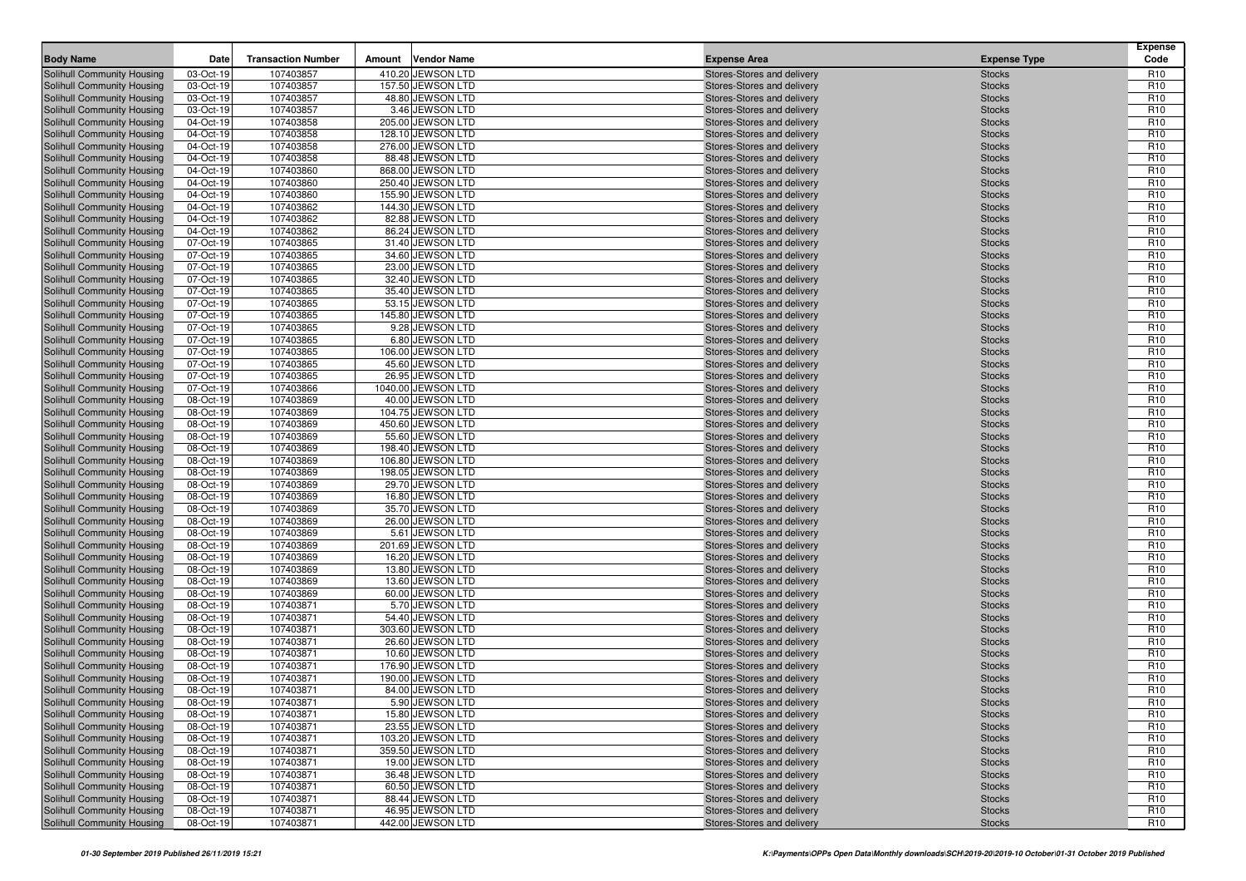|                                                          |                        | <b>Transaction Number</b> |        |                                       |                                                          |                                | <b>Expense</b><br>Code             |
|----------------------------------------------------------|------------------------|---------------------------|--------|---------------------------------------|----------------------------------------------------------|--------------------------------|------------------------------------|
| <b>Body Name</b>                                         | Date                   |                           | Amount | <b>Vendor Name</b>                    | <b>Expense Area</b>                                      | <b>Expense Type</b>            |                                    |
| Solihull Community Housing                               | 03-Oct-19              | 107403857                 |        | 410.20 JEWSON LTD                     | Stores-Stores and delivery                               | <b>Stocks</b>                  | R <sub>10</sub>                    |
| Solihull Community Housing                               | 03-Oct-19              | 107403857<br>107403857    |        | 157.50 JEWSON LTD                     | Stores-Stores and delivery                               | <b>Stocks</b>                  | R <sub>10</sub><br>R <sub>10</sub> |
| Solihull Community Housing<br>Solihull Community Housing | 03-Oct-19<br>03-Oct-19 | 107403857                 |        | 48.80 JEWSON LTD<br>3.46 JEWSON LTD   | Stores-Stores and delivery<br>Stores-Stores and delivery | <b>Stocks</b><br><b>Stocks</b> | R <sub>10</sub>                    |
| Solihull Community Housing                               | 04-Oct-19              | 107403858                 |        | 205.00 JEWSON LTD                     | Stores-Stores and delivery                               | <b>Stocks</b>                  | R <sub>10</sub>                    |
| Solihull Community Housing                               | 04-Oct-19              | 107403858                 |        | 128.10 JEWSON LTD                     | Stores-Stores and delivery                               | <b>Stocks</b>                  | R <sub>10</sub>                    |
| Solihull Community Housing                               | 04-Oct-19              | 107403858                 |        | 276.00 JEWSON LTD                     | Stores-Stores and delivery                               | <b>Stocks</b>                  | R <sub>10</sub>                    |
| Solihull Community Housing                               | 04-Oct-19              | 107403858                 |        | 88.48 JEWSON LTD                      | Stores-Stores and delivery                               | <b>Stocks</b>                  | R <sub>10</sub>                    |
| Solihull Community Housing                               | 04-Oct-19              | 107403860                 |        | 868.00 JEWSON LTD                     | Stores-Stores and delivery                               | <b>Stocks</b>                  | R <sub>10</sub>                    |
| Solihull Community Housing                               | 04-Oct-19              | 107403860                 |        | 250.40 JEWSON LTD                     | Stores-Stores and delivery                               | <b>Stocks</b>                  | R <sub>10</sub>                    |
| Solihull Community Housing                               | 04-Oct-19              | 107403860                 |        | 155.90 JEWSON LTD                     | Stores-Stores and delivery                               | <b>Stocks</b>                  | R <sub>10</sub>                    |
| Solihull Community Housing                               | 04-Oct-19              | 107403862                 |        | 144.30 JEWSON LTD                     | Stores-Stores and delivery                               | <b>Stocks</b>                  | R <sub>10</sub>                    |
| Solihull Community Housing                               | 04-Oct-19              | 107403862                 |        | 82.88 JEWSON LTD                      | Stores-Stores and delivery                               | <b>Stocks</b>                  | R <sub>10</sub>                    |
| Solihull Community Housing                               | 04-Oct-19              | 107403862                 |        | 86.24 JEWSON LTD                      | Stores-Stores and delivery                               | <b>Stocks</b>                  | R <sub>10</sub>                    |
| Solihull Community Housing                               | 07-Oct-19              | 107403865                 |        | 31.40 JEWSON LTD                      | Stores-Stores and delivery                               | <b>Stocks</b>                  | R <sub>10</sub>                    |
| Solihull Community Housing                               | 07-Oct-19              | 107403865                 |        | 34.60 JEWSON LTD                      | Stores-Stores and delivery                               | <b>Stocks</b>                  | R <sub>10</sub>                    |
| Solihull Community Housing                               | 07-Oct-19              | 107403865                 |        | 23.00 JEWSON LTD                      | Stores-Stores and delivery                               | <b>Stocks</b>                  | R <sub>10</sub>                    |
| Solihull Community Housing                               | 07-Oct-19              | 107403865                 |        | 32.40 JEWSON LTD                      | Stores-Stores and delivery                               | <b>Stocks</b>                  | R <sub>10</sub>                    |
| Solihull Community Housing                               | 07-Oct-19              | 107403865                 |        | 35.40 JEWSON LTD                      | Stores-Stores and delivery                               | <b>Stocks</b>                  | R <sub>10</sub>                    |
| Solihull Community Housing                               | 07-Oct-19              | 107403865                 |        | 53.15 JEWSON LTD                      | Stores-Stores and delivery                               | <b>Stocks</b>                  | R <sub>10</sub>                    |
| Solihull Community Housing                               | 07-Oct-19              | 107403865                 |        | 145.80 JEWSON LTD                     | Stores-Stores and delivery                               | <b>Stocks</b>                  | R <sub>10</sub>                    |
| Solihull Community Housing                               | 07-Oct-19              | 107403865                 |        | 9.28 JEWSON LTD                       | Stores-Stores and delivery                               | <b>Stocks</b>                  | R <sub>10</sub>                    |
| Solihull Community Housing                               | 07-Oct-19              | 107403865                 |        | 6.80 JEWSON LTD                       | Stores-Stores and delivery                               | <b>Stocks</b>                  | R <sub>10</sub>                    |
| Solihull Community Housing                               | 07-Oct-19<br>07-Oct-19 | 107403865<br>107403865    |        | 106.00 JEWSON LTD<br>45.60 JEWSON LTD | Stores-Stores and delivery                               | <b>Stocks</b>                  | R <sub>10</sub><br>R <sub>10</sub> |
| Solihull Community Housing<br>Solihull Community Housing | 07-Oct-19              | 107403865                 |        | 26.95 JEWSON LTD                      | Stores-Stores and delivery<br>Stores-Stores and delivery | <b>Stocks</b><br><b>Stocks</b> | R <sub>10</sub>                    |
| Solihull Community Housing                               | 07-Oct-19              | 107403866                 |        | 1040.00 JEWSON LTD                    | Stores-Stores and delivery                               | <b>Stocks</b>                  | R <sub>10</sub>                    |
| Solihull Community Housing                               | 08-Oct-19              | 107403869                 |        | 40.00 JEWSON LTD                      | Stores-Stores and delivery                               | <b>Stocks</b>                  | R <sub>10</sub>                    |
| Solihull Community Housing                               | 08-Oct-19              | 107403869                 |        | 104.75 JEWSON LTD                     | Stores-Stores and delivery                               | <b>Stocks</b>                  | R <sub>10</sub>                    |
| Solihull Community Housing                               | 08-Oct-19              | 107403869                 |        | 450.60 JEWSON LTD                     | Stores-Stores and delivery                               | <b>Stocks</b>                  | R <sub>10</sub>                    |
| Solihull Community Housing                               | 08-Oct-19              | 107403869                 |        | 55.60 JEWSON LTD                      | Stores-Stores and delivery                               | <b>Stocks</b>                  | R <sub>10</sub>                    |
| Solihull Community Housing                               | 08-Oct-19              | 107403869                 |        | 198.40 JEWSON LTD                     | Stores-Stores and delivery                               | <b>Stocks</b>                  | R <sub>10</sub>                    |
| Solihull Community Housing                               | 08-Oct-19              | 107403869                 |        | 106.80 JEWSON LTD                     | Stores-Stores and delivery                               | <b>Stocks</b>                  | R <sub>10</sub>                    |
| Solihull Community Housing                               | 08-Oct-19              | 107403869                 |        | 198.05 JEWSON LTD                     | Stores-Stores and delivery                               | <b>Stocks</b>                  | R <sub>10</sub>                    |
| Solihull Community Housing                               | 08-Oct-19              | 107403869                 |        | 29.70 JEWSON LTD                      | Stores-Stores and delivery                               | <b>Stocks</b>                  | R <sub>10</sub>                    |
| Solihull Community Housing                               | 08-Oct-19              | 107403869                 |        | 16.80 JEWSON LTD                      | Stores-Stores and delivery                               | <b>Stocks</b>                  | R <sub>10</sub>                    |
| Solihull Community Housing                               | 08-Oct-19              | 107403869                 |        | 35.70 JEWSON LTD                      | Stores-Stores and delivery                               | <b>Stocks</b>                  | R <sub>10</sub>                    |
| Solihull Community Housing                               | 08-Oct-19              | 107403869                 |        | 26.00 JEWSON LTD                      | Stores-Stores and delivery                               | <b>Stocks</b>                  | R <sub>10</sub>                    |
| Solihull Community Housing                               | 08-Oct-19              | 107403869                 |        | 5.61 JEWSON LTD                       | Stores-Stores and delivery                               | <b>Stocks</b>                  | R <sub>10</sub>                    |
| Solihull Community Housing                               | 08-Oct-19              | 107403869                 |        | 201.69 JEWSON LTD                     | Stores-Stores and delivery                               | <b>Stocks</b>                  | R <sub>10</sub>                    |
| Solihull Community Housing                               | 08-Oct-19              | 107403869                 |        | 16.20 JEWSON LTD                      | Stores-Stores and delivery                               | <b>Stocks</b>                  | R <sub>10</sub>                    |
| Solihull Community Housing                               | 08-Oct-19              | 107403869                 |        | 13.80 JEWSON LTD                      | Stores-Stores and delivery                               | <b>Stocks</b>                  | R <sub>10</sub>                    |
| Solihull Community Housing<br>Solihull Community Housing | 08-Oct-19<br>08-Oct-19 | 107403869<br>107403869    |        | 13.60 JEWSON LTD<br>60.00 JEWSON LTD  | Stores-Stores and delivery<br>Stores-Stores and delivery | <b>Stocks</b><br><b>Stocks</b> | R <sub>10</sub><br>R <sub>10</sub> |
| Solihull Community Housing                               | 08-Oct-19              | 107403871                 |        | 5.70 JEWSON LTD                       | Stores-Stores and delivery                               | <b>Stocks</b>                  | R <sub>10</sub>                    |
| Solihull Community Housing                               | 08-Oct-19              | 107403871                 |        | 54.40 JEWSON LTD                      | Stores-Stores and delivery                               | <b>Stocks</b>                  | R <sub>10</sub>                    |
| Solihull Community Housing                               | 08-Oct-19              | 107403871                 |        | 303.60 JEWSON LTD                     | Stores-Stores and delivery                               | <b>Stocks</b>                  | R <sub>10</sub>                    |
| Solihull Community Housing                               | 08-Oct-19              | 107403871                 |        | 26.60 JEWSON LTD                      | Stores-Stores and delivery                               | <b>Stocks</b>                  | R <sub>10</sub>                    |
| Solihull Community Housing                               | 08-Oct-19              | 107403871                 |        | 10.60 JEWSON LTD                      | Stores-Stores and delivery                               | <b>Stocks</b>                  | R <sub>10</sub>                    |
| Solihull Community Housing                               | 08-Oct-19              | 107403871                 |        | 176.90 JEWSON LTD                     | Stores-Stores and delivery                               | <b>Stocks</b>                  | R <sub>10</sub>                    |
| Solihull Community Housing                               | 08-Oct-19              | 107403871                 |        | 190.00 JEWSON LTD                     | Stores-Stores and delivery                               | <b>Stocks</b>                  | R <sub>10</sub>                    |
| Solihull Community Housing                               | 08-Oct-19              | 107403871                 |        | 84.00 JEWSON LTD                      | Stores-Stores and delivery                               | <b>Stocks</b>                  | R <sub>10</sub>                    |
| Solihull Community Housing                               | 08-Oct-19              | 107403871                 |        | 5.90 JEWSON LTD                       | Stores-Stores and delivery                               | <b>Stocks</b>                  | R <sub>10</sub>                    |
| Solihull Community Housing                               | 08-Oct-19              | 107403871                 |        | 15.80 JEWSON LTD                      | Stores-Stores and delivery                               | <b>Stocks</b>                  | R <sub>10</sub>                    |
| Solihull Community Housing                               | 08-Oct-19              | 107403871                 |        | 23.55 JEWSON LTD                      | Stores-Stores and delivery                               | <b>Stocks</b>                  | R <sub>10</sub>                    |
| Solihull Community Housing                               | 08-Oct-19              | 107403871                 |        | 103.20 JEWSON LTD                     | Stores-Stores and delivery                               | <b>Stocks</b>                  | R <sub>10</sub>                    |
| Solihull Community Housing                               | 08-Oct-19              | 107403871                 |        | 359.50 JEWSON LTD                     | Stores-Stores and delivery                               | <b>Stocks</b>                  | R <sub>10</sub>                    |
| Solihull Community Housing                               | 08-Oct-19              | 107403871                 |        | 19.00 JEWSON LTD                      | Stores-Stores and delivery                               | <b>Stocks</b>                  | R <sub>10</sub>                    |
| Solihull Community Housing                               | 08-Oct-19              | 107403871                 |        | 36.48 JEWSON LTD                      | Stores-Stores and delivery                               | <b>Stocks</b>                  | R <sub>10</sub>                    |
| Solihull Community Housing                               | 08-Oct-19              | 107403871                 |        | 60.50 JEWSON LTD                      | Stores-Stores and delivery                               | <b>Stocks</b>                  | R <sub>10</sub>                    |
| Solihull Community Housing                               | 08-Oct-19              | 107403871                 |        | 88.44 JEWSON LTD                      | Stores-Stores and delivery                               | <b>Stocks</b>                  | R <sub>10</sub>                    |
| Solihull Community Housing                               | 08-Oct-19              | 107403871                 |        | 46.95 JEWSON LTD                      | Stores-Stores and delivery                               | <b>Stocks</b>                  | R <sub>10</sub>                    |
| Solihull Community Housing                               | 08-Oct-19              | 107403871                 |        | 442.00 JEWSON LTD                     | Stores-Stores and delivery                               | <b>Stocks</b>                  | R <sub>10</sub>                    |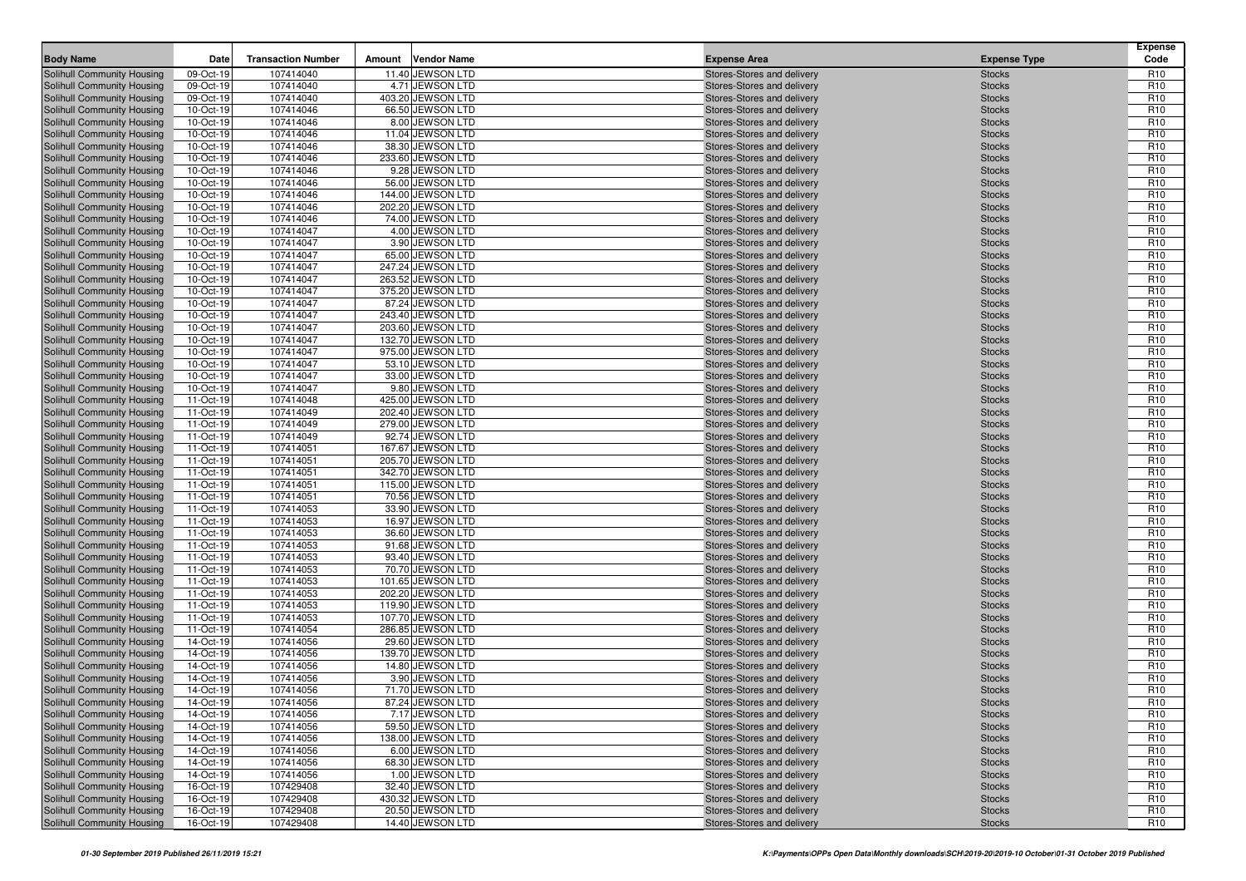| Solihull Community Housing<br>09-Oct-19<br>107414040<br>11.40 JEWSON LTD<br>Stores-Stores and delivery                                                                                                          |                                                                      |
|-----------------------------------------------------------------------------------------------------------------------------------------------------------------------------------------------------------------|----------------------------------------------------------------------|
|                                                                                                                                                                                                                 | R <sub>10</sub><br><b>Stocks</b>                                     |
| 107414040<br>4.71 JEWSON LTD<br>Solihull Community Housing<br>09-Oct-19<br>Stores-Stores and delivery                                                                                                           | R <sub>10</sub><br><b>Stocks</b>                                     |
| 107414040<br>Solihull Community Housing<br>09-Oct-19<br>403.20 JEWSON LTD<br>Stores-Stores and delivery                                                                                                         | <b>Stocks</b><br>R <sub>10</sub>                                     |
| 10-Oct-19<br>107414046<br>66.50 JEWSON LTD<br>Solihull Community Housing<br>Stores-Stores and delivery                                                                                                          | R <sub>10</sub><br><b>Stocks</b>                                     |
| 10-Oct-19<br>8.00 JEWSON LTD<br>Solihull Community Housing<br>107414046<br>Stores-Stores and delivery                                                                                                           | R <sub>10</sub><br><b>Stocks</b>                                     |
| 107414046<br>11.04 JEWSON LTD<br>Solihull Community Housing<br>10-Oct-19<br>Stores-Stores and delivery                                                                                                          | R <sub>10</sub><br><b>Stocks</b>                                     |
| 10-Oct-19<br>Solihull Community Housing<br>107414046<br>38.30 JEWSON LTD<br>Stores-Stores and delivery                                                                                                          | R <sub>10</sub><br><b>Stocks</b>                                     |
| 10-Oct-19<br>233.60 JEWSON LTD<br>Solihull Community Housing<br>107414046<br>Stores-Stores and delivery                                                                                                         | R <sub>10</sub><br><b>Stocks</b>                                     |
| 107414046<br>9.28 JEWSON LTD<br>Solihull Community Housing<br>10-Oct-19<br>Stores-Stores and delivery                                                                                                           | R <sub>10</sub><br><b>Stocks</b>                                     |
| Solihull Community Housing<br>10-Oct-19<br>107414046<br>56.00 JEWSON LTD<br>Stores-Stores and delivery                                                                                                          | R <sub>10</sub><br><b>Stocks</b>                                     |
| 10-Oct-19<br>107414046<br>Solihull Community Housing<br>144.00 JEWSON LTD<br>Stores-Stores and delivery                                                                                                         | R <sub>10</sub><br><b>Stocks</b>                                     |
| 10-Oct-19<br>107414046<br>Solihull Community Housing<br>202.20 JEWSON LTD<br>Stores-Stores and delivery                                                                                                         | R <sub>10</sub><br><b>Stocks</b>                                     |
| 10-Oct-19<br>107414046<br>74.00 JEWSON LTD<br>Solihull Community Housing<br>Stores-Stores and delivery                                                                                                          | R <sub>10</sub><br><b>Stocks</b>                                     |
| Solihull Community Housing<br>10-Oct-19<br>107414047<br>4.00 JEWSON LTD<br>Stores-Stores and delivery                                                                                                           | R <sub>10</sub><br><b>Stocks</b>                                     |
| 10-Oct-19<br>107414047<br>3.90 JEWSON LTD<br>Solihull Community Housing<br>Stores-Stores and delivery                                                                                                           | R <sub>10</sub><br><b>Stocks</b>                                     |
| 107414047<br>65.00 JEWSON LTD<br>Solihull Community Housing<br>10-Oct-19<br>Stores-Stores and delivery                                                                                                          | R <sub>10</sub><br><b>Stocks</b>                                     |
| 10-Oct-19<br>107414047<br>247.24 JEWSON LTD<br>Solihull Community Housing<br>Stores-Stores and delivery                                                                                                         | R <sub>10</sub><br><b>Stocks</b>                                     |
| 10-Oct-19<br>107414047<br>263.52 JEWSON LTD<br>Solihull Community Housing<br>Stores-Stores and delivery                                                                                                         | R <sub>10</sub><br><b>Stocks</b>                                     |
| 10-Oct-19<br>Solihull Community Housing<br>107414047<br>375.20 JEWSON LTD<br>Stores-Stores and delivery                                                                                                         | R <sub>10</sub><br><b>Stocks</b>                                     |
| 107414047<br>87.24 JEWSON LTD<br>Solihull Community Housing<br>10-Oct-19<br>Stores-Stores and delivery                                                                                                          | R <sub>10</sub><br><b>Stocks</b>                                     |
| 10-Oct-19<br>107414047<br>Solihull Community Housing<br>243.40 JEWSON LTD<br>Stores-Stores and delivery<br>107414047<br>203.60 JEWSON LTD                                                                       | R <sub>10</sub><br><b>Stocks</b>                                     |
| 10-Oct-19<br>Solihull Community Housing<br>Stores-Stores and delivery<br>107414047<br>Solihull Community Housing<br>10-Oct-19<br>132.70 JEWSON LTD<br>Stores-Stores and delivery                                | R <sub>10</sub><br><b>Stocks</b><br>R <sub>10</sub><br><b>Stocks</b> |
| 10-Oct-19<br>107414047<br>975.00 JEWSON LTD<br>Solihull Community Housing<br>Stores-Stores and delivery                                                                                                         | R <sub>10</sub><br><b>Stocks</b>                                     |
| 10-Oct-19<br>107414047<br>53.10 JEWSON LTD<br>Solihull Community Housing<br>Stores-Stores and delivery                                                                                                          | R <sub>10</sub><br><b>Stocks</b>                                     |
| 10-Oct-19<br>107414047<br>33.00 JEWSON LTD<br>Solihull Community Housing<br>Stores-Stores and delivery                                                                                                          | R <sub>10</sub><br><b>Stocks</b>                                     |
| 107414047<br>9.80 JEWSON LTD<br>Solihull Community Housing<br>10-Oct-19<br>Stores-Stores and delivery                                                                                                           | R <sub>10</sub><br><b>Stocks</b>                                     |
| Solihull Community Housing<br>11-Oct-19<br>107414048<br>425.00 JEWSON LTD<br>Stores-Stores and delivery                                                                                                         | R <sub>10</sub><br><b>Stocks</b>                                     |
| 11-Oct-19<br>107414049<br>202.40 JEWSON LTD<br>Solihull Community Housing<br>Stores-Stores and delivery                                                                                                         | R <sub>10</sub><br><b>Stocks</b>                                     |
| 11-Oct-19<br>279.00 JEWSON LTD<br>Solihull Community Housing<br>107414049<br>Stores-Stores and delivery                                                                                                         | R <sub>10</sub><br><b>Stocks</b>                                     |
| Solihull Community Housing<br>11-Oct-19<br>107414049<br>92.74 JEWSON LTD<br>Stores-Stores and delivery                                                                                                          | R <sub>10</sub><br><b>Stocks</b>                                     |
| 11-Oct-19<br>Solihull Community Housing<br>107414051<br>167.67 JEWSON LTD<br>Stores-Stores and delivery                                                                                                         | R <sub>10</sub><br><b>Stocks</b>                                     |
| 205.70 JEWSON LTD<br>Solihull Community Housing<br>11-Oct-19<br>107414051<br>Stores-Stores and delivery                                                                                                         | R <sub>10</sub><br><b>Stocks</b>                                     |
| 107414051<br>342.70 JEWSON LTD<br>Solihull Community Housing<br>11-Oct-19<br>Stores-Stores and delivery                                                                                                         | R <sub>10</sub><br><b>Stocks</b>                                     |
| Solihull Community Housing<br>11-Oct-19<br>107414051<br>115.00 JEWSON LTD<br>Stores-Stores and delivery                                                                                                         | R <sub>10</sub><br><b>Stocks</b>                                     |
| Solihull Community Housing<br>11-Oct-19<br>107414051<br>70.56 JEWSON LTD<br>Stores-Stores and delivery                                                                                                          | R <sub>10</sub><br><b>Stocks</b>                                     |
| 33.90 JEWSON LTD<br>Solihull Community Housing<br>11-Oct-19<br>107414053<br>Stores-Stores and delivery                                                                                                          | R <sub>10</sub><br><b>Stocks</b>                                     |
| 11-Oct-19<br>107414053<br>16.97 JEWSON LTD<br>Solihull Community Housing<br>Stores-Stores and delivery                                                                                                          | R <sub>10</sub><br><b>Stocks</b>                                     |
| Solihull Community Housing<br>11-Oct-19<br>107414053<br>36.60 JEWSON LTD<br>Stores-Stores and delivery                                                                                                          | R <sub>10</sub><br><b>Stocks</b>                                     |
| 107414053<br>Solihull Community Housing<br>11-Oct-19<br>91.68 JEWSON LTD<br>Stores-Stores and delivery                                                                                                          | R <sub>10</sub><br><b>Stocks</b>                                     |
| 11-Oct-19<br>107414053<br>93.40 JEWSON LTD<br>Solihull Community Housing<br>Stores-Stores and delivery                                                                                                          | R <sub>10</sub><br><b>Stocks</b>                                     |
| 107414053<br>70.70 JEWSON LTD<br>Solihull Community Housing<br>11-Oct-19<br>Stores-Stores and delivery                                                                                                          | R <sub>10</sub><br><b>Stocks</b>                                     |
| Solihull Community Housing<br>11-Oct-19<br>107414053<br>101.65 JEWSON LTD<br>Stores-Stores and delivery                                                                                                         | R <sub>10</sub><br><b>Stocks</b>                                     |
| Solihull Community Housing<br>11-Oct-19<br>107414053<br>202.20 JEWSON LTD<br>Stores-Stores and delivery                                                                                                         | R <sub>10</sub><br><b>Stocks</b>                                     |
| 11-Oct-19<br>107414053<br>119.90 JEWSON LTD<br>Solihull Community Housing<br>Stores-Stores and delivery                                                                                                         | R <sub>10</sub><br><b>Stocks</b>                                     |
| 11-Oct-19<br>107414053<br>Solihull Community Housing<br>107.70 JEWSON LTD<br>Stores-Stores and delivery                                                                                                         | R <sub>10</sub><br><b>Stocks</b>                                     |
| 11-Oct-19<br>107414054<br>286.85 JEWSON LTD<br>Solihull Community Housing<br>Stores-Stores and delivery                                                                                                         | R <sub>10</sub><br><b>Stocks</b>                                     |
| 107414056<br>14-Oct-19<br>29.60 JEWSON LTD<br>Solihull Community Housing<br>Stores-Stores and delivery                                                                                                          | R <sub>10</sub><br><b>Stocks</b>                                     |
| 14-Oct-19<br>107414056<br>139.70 JEWSON LTD<br>Solihull Community Housing<br>Stores-Stores and delivery                                                                                                         | R <sub>10</sub><br><b>Stocks</b>                                     |
| Solihull Community Housing<br>14-Oct-19<br>107414056<br>14.80 JEWSON LTD<br>Stores-Stores and delivery                                                                                                          | R <sub>10</sub><br><b>Stocks</b>                                     |
| 14-Oct-19<br>107414056<br>3.90 JEWSON LTD<br>Solihull Community Housing<br>Stores-Stores and delivery<br>Stores-Stores and delivery                                                                             | R <sub>10</sub><br><b>Stocks</b>                                     |
| Solihull Community Housing<br>14-Oct-19<br>107414056<br>71.70 JEWSON LTD                                                                                                                                        | R <sub>10</sub><br><b>Stocks</b><br>R <sub>10</sub>                  |
| Solihull Community Housing<br>14-Oct-19<br>87.24 JEWSON LTD<br>107414056<br>Stores-Stores and delivery<br>Solihull Community Housing<br>7.17 JEWSON LTD<br>14-Oct-19<br>107414056<br>Stores-Stores and delivery | <b>Stocks</b><br>R <sub>10</sub><br><b>Stocks</b>                    |
| Solihull Community Housing<br>59.50 JEWSON LTD<br>14-Oct-19<br>107414056<br>Stores-Stores and delivery                                                                                                          | R <sub>10</sub><br><b>Stocks</b>                                     |
| Solihull Community Housing<br>14-Oct-19<br>107414056<br>138.00 JEWSON LTD<br>Stores-Stores and delivery                                                                                                         | R <sub>10</sub><br><b>Stocks</b>                                     |
| Solihull Community Housing<br>6.00 JEWSON LTD<br>Stores-Stores and delivery<br>14-Oct-19<br>107414056                                                                                                           | R <sub>10</sub><br><b>Stocks</b>                                     |
| Solihull Community Housing<br>14-Oct-19<br>107414056<br>68.30 JEWSON LTD<br>Stores-Stores and delivery                                                                                                          | R <sub>10</sub><br><b>Stocks</b>                                     |
| Solihull Community Housing<br>14-Oct-19<br>107414056<br>1.00 JEWSON LTD<br>Stores-Stores and delivery                                                                                                           | R <sub>10</sub><br><b>Stocks</b>                                     |
| Solihull Community Housing<br>16-Oct-19<br>107429408<br>32.40 JEWSON LTD<br>Stores-Stores and delivery                                                                                                          | R <sub>10</sub><br><b>Stocks</b>                                     |
| Solihull Community Housing<br>107429408<br>430.32 JEWSON LTD<br>Stores-Stores and delivery<br>16-Oct-19                                                                                                         | <b>Stocks</b><br>R <sub>10</sub>                                     |
| Solihull Community Housing<br>16-Oct-19<br>107429408<br>20.50 JEWSON LTD<br>Stores-Stores and delivery                                                                                                          | <b>Stocks</b><br>R <sub>10</sub>                                     |
| Solihull Community Housing<br>16-Oct-19<br>107429408<br>14.40 JEWSON LTD<br>Stores-Stores and delivery                                                                                                          | R <sub>10</sub><br><b>Stocks</b>                                     |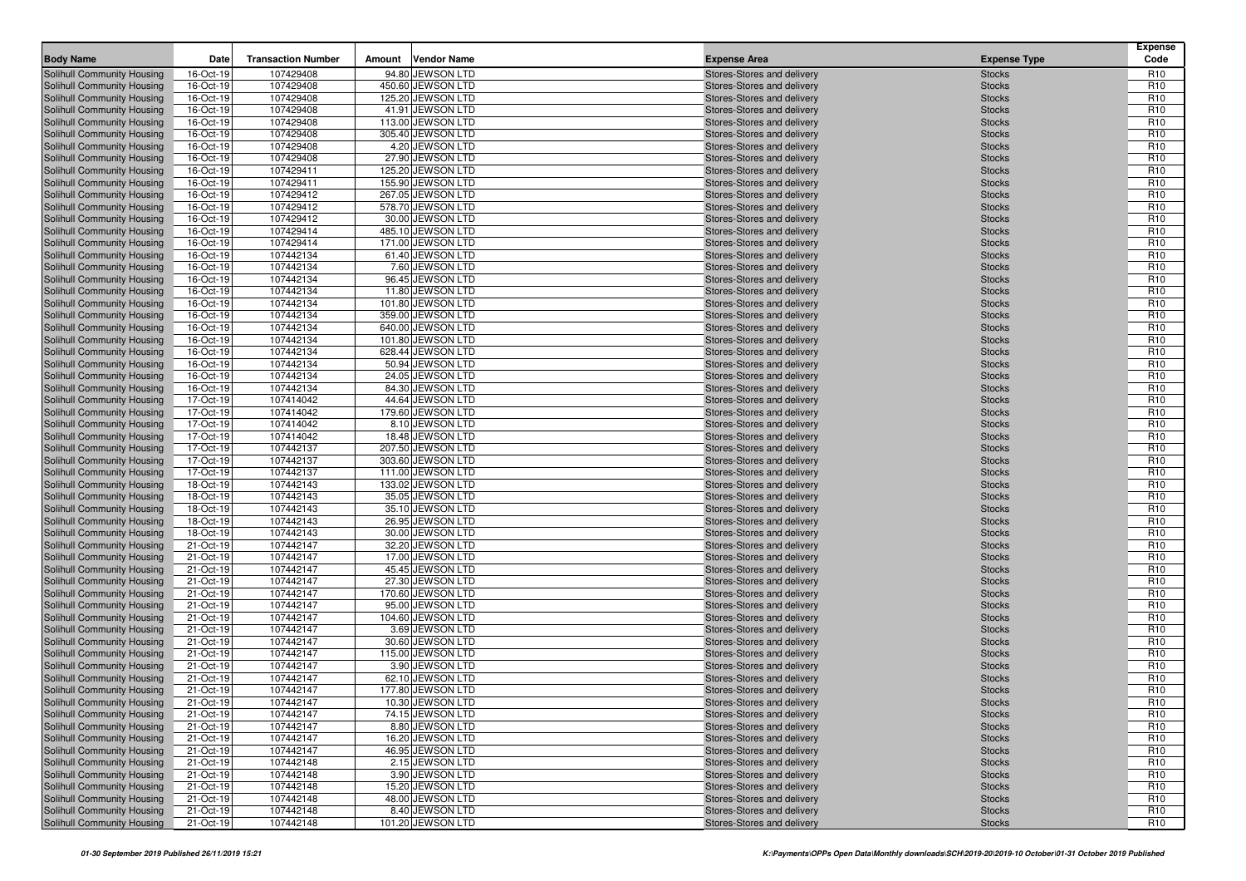| <b>Body Name</b>                                         | Date                   | <b>Transaction Number</b> | Amount | <b>Vendor Name</b>                     | <b>Expense Area</b>                                      | <b>Expense Type</b>            | <b>Expense</b><br>Code             |
|----------------------------------------------------------|------------------------|---------------------------|--------|----------------------------------------|----------------------------------------------------------|--------------------------------|------------------------------------|
| Solihull Community Housing                               | 16-Oct-19              | 107429408                 |        | 94.80 JEWSON LTD                       | Stores-Stores and delivery                               | <b>Stocks</b>                  | R <sub>10</sub>                    |
| Solihull Community Housing                               | 16-Oct-19              | 107429408                 |        | 450.60 JEWSON LTD                      | Stores-Stores and delivery                               | <b>Stocks</b>                  | R <sub>10</sub>                    |
| Solihull Community Housing                               | 16-Oct-19              | 107429408                 |        | 125.20 JEWSON LTD                      | Stores-Stores and delivery                               | <b>Stocks</b>                  | R <sub>10</sub>                    |
| Solihull Community Housing                               | 16-Oct-19              | 107429408                 |        | 41.91 JEWSON LTD                       | Stores-Stores and delivery                               | <b>Stocks</b>                  | R <sub>10</sub>                    |
| Solihull Community Housing                               | 16-Oct-19              | 107429408                 |        | 113.00 JEWSON LTD                      | Stores-Stores and delivery                               | <b>Stocks</b>                  | R <sub>10</sub>                    |
| Solihull Community Housing                               | 16-Oct-19              | 107429408                 |        | 305.40 JEWSON LTD                      | Stores-Stores and delivery                               | <b>Stocks</b>                  | R <sub>10</sub>                    |
| Solihull Community Housing                               | 16-Oct-19              | 107429408                 |        | 4.20 JEWSON LTD                        | Stores-Stores and delivery                               | <b>Stocks</b>                  | R <sub>10</sub>                    |
| Solihull Community Housing                               | 16-Oct-19              | 107429408                 |        | 27.90 JEWSON LTD                       | Stores-Stores and delivery                               | <b>Stocks</b>                  | R <sub>10</sub>                    |
| Solihull Community Housing                               | 16-Oct-19              | 107429411                 |        | 125.20 JEWSON LTD                      | Stores-Stores and delivery                               | <b>Stocks</b>                  | R <sub>10</sub>                    |
| Solihull Community Housing                               | 16-Oct-19              | 107429411                 |        | 155.90 JEWSON LTD                      | Stores-Stores and delivery                               | <b>Stocks</b>                  | R <sub>10</sub>                    |
| Solihull Community Housing                               | 16-Oct-19              | 107429412                 |        | 267.05 JEWSON LTD                      | Stores-Stores and delivery                               | <b>Stocks</b>                  | R <sub>10</sub>                    |
| Solihull Community Housing                               | 16-Oct-19              | 107429412                 |        | 578.70 JEWSON LTD                      | Stores-Stores and delivery                               | <b>Stocks</b>                  | R <sub>10</sub>                    |
| Solihull Community Housing                               | 16-Oct-19              | 107429412                 |        | 30.00 JEWSON LTD                       | Stores-Stores and delivery                               | <b>Stocks</b>                  | R <sub>10</sub>                    |
| Solihull Community Housing                               | 16-Oct-19              | 107429414                 |        | 485.10 JEWSON LTD<br>171.00 JEWSON LTD | Stores-Stores and delivery                               | <b>Stocks</b>                  | R <sub>10</sub>                    |
| Solihull Community Housing                               | 16-Oct-19              | 107429414                 |        |                                        | Stores-Stores and delivery                               | <b>Stocks</b>                  | R <sub>10</sub><br>R <sub>10</sub> |
| Solihull Community Housing<br>Solihull Community Housing | 16-Oct-19<br>16-Oct-19 | 107442134<br>107442134    |        | 61.40 JEWSON LTD<br>7.60 JEWSON LTD    | Stores-Stores and delivery<br>Stores-Stores and delivery | <b>Stocks</b><br><b>Stocks</b> | R <sub>10</sub>                    |
| Solihull Community Housing                               | 16-Oct-19              | 107442134                 |        | 96.45 JEWSON LTD                       | Stores-Stores and delivery                               | <b>Stocks</b>                  | R <sub>10</sub>                    |
| Solihull Community Housing                               | 16-Oct-19              | 107442134                 |        | 11.80 JEWSON LTD                       | Stores-Stores and delivery                               | <b>Stocks</b>                  | R <sub>10</sub>                    |
| Solihull Community Housing                               | 16-Oct-19              | 107442134                 |        | 101.80 JEWSON LTD                      | Stores-Stores and delivery                               | <b>Stocks</b>                  | R <sub>10</sub>                    |
| Solihull Community Housing                               | 16-Oct-19              | 107442134                 |        | 359.00 JEWSON LTD                      | Stores-Stores and delivery                               | <b>Stocks</b>                  | R <sub>10</sub>                    |
| Solihull Community Housing                               | 16-Oct-19              | 107442134                 |        | 640.00 JEWSON LTD                      | Stores-Stores and delivery                               | <b>Stocks</b>                  | R <sub>10</sub>                    |
| Solihull Community Housing                               | 16-Oct-19              | 107442134                 |        | 101.80 JEWSON LTD                      | Stores-Stores and delivery                               | <b>Stocks</b>                  | R <sub>10</sub>                    |
| Solihull Community Housing                               | 16-Oct-19              | 107442134                 |        | 628.44 JEWSON LTD                      | Stores-Stores and delivery                               | <b>Stocks</b>                  | R <sub>10</sub>                    |
| Solihull Community Housing                               | 16-Oct-19              | 107442134                 |        | 50.94 JEWSON LTD                       | Stores-Stores and delivery                               | <b>Stocks</b>                  | R <sub>10</sub>                    |
| Solihull Community Housing                               | 16-Oct-19              | 107442134                 |        | 24.05 JEWSON LTD                       | Stores-Stores and delivery                               | <b>Stocks</b>                  | R <sub>10</sub>                    |
| Solihull Community Housing                               | 16-Oct-19              | 107442134                 |        | 84.30 JEWSON LTD                       | Stores-Stores and delivery                               | <b>Stocks</b>                  | R <sub>10</sub>                    |
| Solihull Community Housing                               | 17-Oct-19              | 107414042                 |        | 44.64 JEWSON LTD                       | Stores-Stores and delivery                               | <b>Stocks</b>                  | R <sub>10</sub>                    |
| Solihull Community Housing                               | 17-Oct-19              | 107414042                 |        | 179.60 JEWSON LTD                      | Stores-Stores and delivery                               | <b>Stocks</b>                  | R <sub>10</sub>                    |
| Solihull Community Housing                               | 17-Oct-19              | 107414042                 |        | 8.10 JEWSON LTD                        | Stores-Stores and delivery                               | <b>Stocks</b>                  | R <sub>10</sub>                    |
| Solihull Community Housing                               | 17-Oct-19              | 107414042                 |        | 18.48 JEWSON LTD                       | Stores-Stores and delivery                               | <b>Stocks</b>                  | R <sub>10</sub>                    |
| Solihull Community Housing                               | 17-Oct-19              | 107442137                 |        | 207.50 JEWSON LTD                      | Stores-Stores and delivery                               | <b>Stocks</b>                  | R <sub>10</sub>                    |
| Solihull Community Housing                               | 17-Oct-19              | 107442137                 |        | 303.60 JEWSON LTD                      | Stores-Stores and delivery                               | <b>Stocks</b>                  | R <sub>10</sub>                    |
| Solihull Community Housing                               | 17-Oct-19              | 107442137                 |        | 111.00 JEWSON LTD                      | Stores-Stores and delivery                               | <b>Stocks</b>                  | R <sub>10</sub>                    |
| Solihull Community Housing                               | 18-Oct-19              | 107442143                 |        | 133.02 JEWSON LTD                      | Stores-Stores and delivery                               | <b>Stocks</b>                  | R <sub>10</sub>                    |
| Solihull Community Housing                               | 18-Oct-19              | 107442143                 |        | 35.05 JEWSON LTD                       | Stores-Stores and delivery                               | <b>Stocks</b>                  | R <sub>10</sub>                    |
| Solihull Community Housing                               | 18-Oct-19              | 107442143                 |        | 35.10 JEWSON LTD                       | Stores-Stores and delivery                               | <b>Stocks</b>                  | R <sub>10</sub>                    |
| Solihull Community Housing                               | 18-Oct-19              | 107442143                 |        | 26.95 JEWSON LTD                       | Stores-Stores and delivery                               | <b>Stocks</b>                  | R <sub>10</sub>                    |
| Solihull Community Housing                               | 18-Oct-19              | 107442143                 |        | 30.00 JEWSON LTD                       | Stores-Stores and delivery                               | <b>Stocks</b>                  | R <sub>10</sub>                    |
| Solihull Community Housing                               | 21-Oct-19              | 107442147                 |        | 32.20 JEWSON LTD                       | Stores-Stores and delivery                               | <b>Stocks</b>                  | R <sub>10</sub>                    |
| Solihull Community Housing                               | 21-Oct-19              | 107442147                 |        | 17.00 JEWSON LTD                       | Stores-Stores and delivery                               | <b>Stocks</b>                  | R <sub>10</sub>                    |
| Solihull Community Housing                               | 21-Oct-19              | 107442147                 |        | 45.45 JEWSON LTD                       | Stores-Stores and delivery                               | <b>Stocks</b>                  | R <sub>10</sub>                    |
| Solihull Community Housing<br>Solihull Community Housing | 21-Oct-19<br>21-Oct-19 | 107442147<br>107442147    |        | 27.30 JEWSON LTD<br>170.60 JEWSON LTD  | Stores-Stores and delivery<br>Stores-Stores and delivery | <b>Stocks</b><br><b>Stocks</b> | R <sub>10</sub><br>R <sub>10</sub> |
| Solihull Community Housing                               | 21-Oct-19              | 107442147                 |        | 95.00 JEWSON LTD                       | Stores-Stores and delivery                               | <b>Stocks</b>                  | R <sub>10</sub>                    |
| Solihull Community Housing                               | 21-Oct-19              | 107442147                 |        | 104.60 JEWSON LTD                      | Stores-Stores and delivery                               | <b>Stocks</b>                  | R <sub>10</sub>                    |
| Solihull Community Housing                               | 21-Oct-19              | 107442147                 |        | 3.69 JEWSON LTD                        | Stores-Stores and delivery                               | <b>Stocks</b>                  | R <sub>10</sub>                    |
| Solihull Community Housing                               | 21-Oct-19              | 107442147                 |        | 30.60 JEWSON LTD                       | Stores-Stores and delivery                               | <b>Stocks</b>                  | R <sub>10</sub>                    |
| Solihull Community Housing                               | 21-Oct-19              | 107442147                 |        | 115.00 JEWSON LTD                      | Stores-Stores and delivery                               | <b>Stocks</b>                  | R <sub>10</sub>                    |
| Solihull Community Housing                               | 21-Oct-19              | 107442147                 |        | 3.90 JEWSON LTD                        | Stores-Stores and delivery                               | <b>Stocks</b>                  | R <sub>10</sub>                    |
| Solihull Community Housing                               | 21-Oct-19              | 107442147                 |        | 62.10 JEWSON LTD                       | Stores-Stores and delivery                               | <b>Stocks</b>                  | R <sub>10</sub>                    |
| Solihull Community Housing                               | 21-Oct-19              | 107442147                 |        | 177.80 JEWSON LTD                      | Stores-Stores and delivery                               | <b>Stocks</b>                  | R <sub>10</sub>                    |
| Solihull Community Housing                               | 21-Oct-19              | 107442147                 |        | 10.30 JEWSON LTD                       | Stores-Stores and delivery                               | <b>Stocks</b>                  | R <sub>10</sub>                    |
| Solihull Community Housing                               | 21-Oct-19              | 107442147                 |        | 74.15 JEWSON LTD                       | Stores-Stores and delivery                               | <b>Stocks</b>                  | R <sub>10</sub>                    |
| Solihull Community Housing                               | 21-Oct-19              | 107442147                 |        | 8.80 JEWSON LTD                        | Stores-Stores and delivery                               | <b>Stocks</b>                  | R <sub>10</sub>                    |
| Solihull Community Housing                               | 21-Oct-19              | 107442147                 |        | 16.20 JEWSON LTD                       | Stores-Stores and delivery                               | <b>Stocks</b>                  | R <sub>10</sub>                    |
| Solihull Community Housing                               | 21-Oct-19              | 107442147                 |        | 46.95 JEWSON LTD                       | Stores-Stores and delivery                               | <b>Stocks</b>                  | R <sub>10</sub>                    |
| Solihull Community Housing                               | 21-Oct-19              | 107442148                 |        | 2.15 JEWSON LTD                        | Stores-Stores and delivery                               | <b>Stocks</b>                  | R <sub>10</sub>                    |
| Solihull Community Housing                               | 21-Oct-19              | 107442148                 |        | 3.90 JEWSON LTD                        | Stores-Stores and delivery                               | <b>Stocks</b>                  | R <sub>10</sub>                    |
| Solihull Community Housing                               | 21-Oct-19              | 107442148                 |        | 15.20 JEWSON LTD                       | Stores-Stores and delivery                               | <b>Stocks</b>                  | R <sub>10</sub>                    |
| Solihull Community Housing                               | 21-Oct-19              | 107442148                 |        | 48.00 JEWSON LTD                       | Stores-Stores and delivery                               | <b>Stocks</b>                  | R <sub>10</sub>                    |
| Solihull Community Housing                               | 21-Oct-19              | 107442148                 |        | 8.40 JEWSON LTD                        | Stores-Stores and delivery                               | <b>Stocks</b>                  | R <sub>10</sub>                    |
| Solihull Community Housing                               | 21-Oct-19              | 107442148                 |        | 101.20 JEWSON LTD                      | Stores-Stores and delivery                               | <b>Stocks</b>                  | R <sub>10</sub>                    |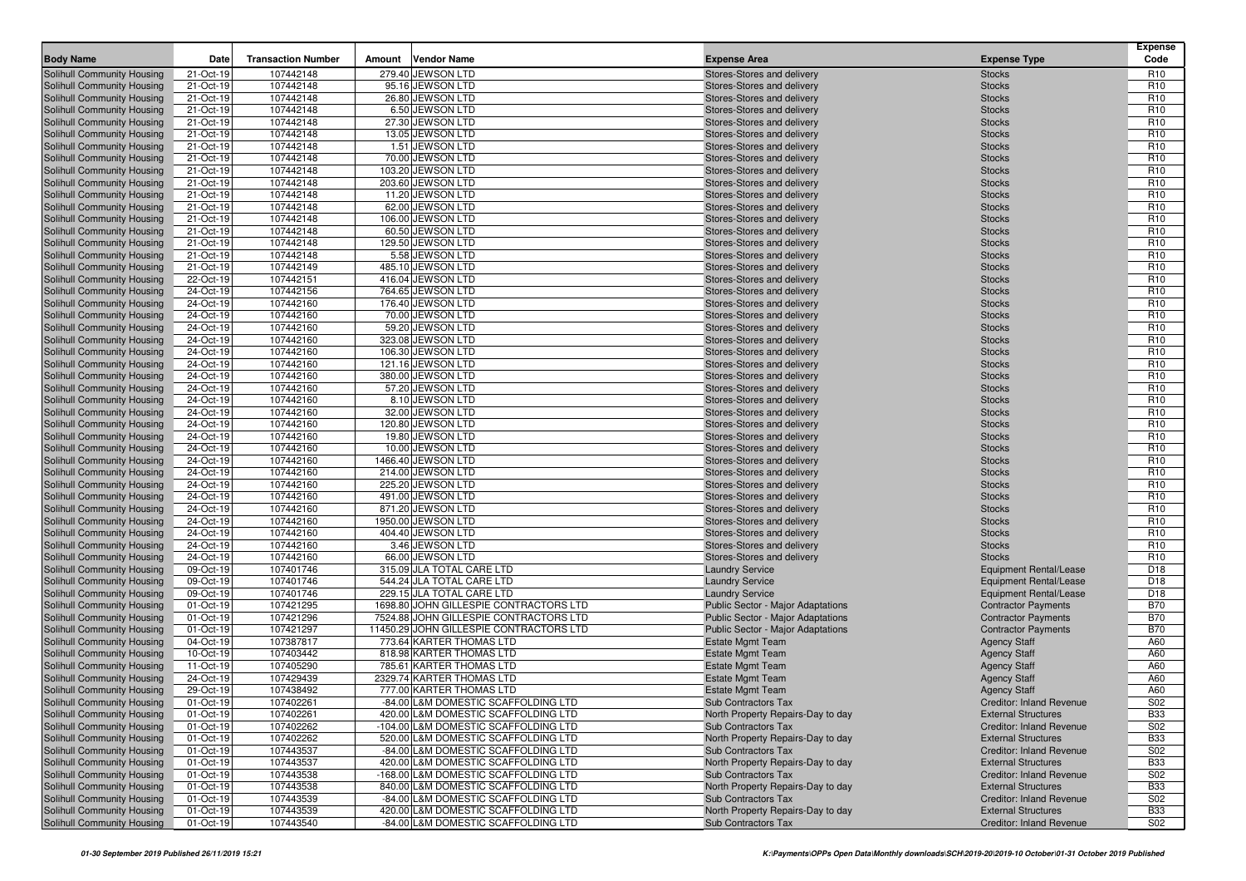|                                                          |                        |                           |                                                      |                                                          |                                            | <b>Expense</b>                     |
|----------------------------------------------------------|------------------------|---------------------------|------------------------------------------------------|----------------------------------------------------------|--------------------------------------------|------------------------------------|
| <b>Body Name</b>                                         | Date                   | <b>Transaction Number</b> | <b>Vendor Name</b><br>Amount                         | <b>Expense Area</b>                                      | <b>Expense Type</b>                        | Code                               |
| Solihull Community Housing                               | 21-Oct-19              | 107442148                 | 279.40 JEWSON LTD                                    | Stores-Stores and delivery                               | <b>Stocks</b>                              | R <sub>10</sub>                    |
| Solihull Community Housing                               | 21-Oct-19              | 107442148                 | 95.16 JEWSON LTD                                     | Stores-Stores and delivery                               | <b>Stocks</b>                              | R <sub>10</sub>                    |
| Solihull Community Housing                               | 21-Oct-19              | 107442148                 | 26.80 JEWSON LTD                                     | Stores-Stores and delivery                               | <b>Stocks</b>                              | R <sub>10</sub>                    |
| Solihull Community Housing                               | 21-Oct-19              | 107442148                 | 6.50 JEWSON LTD<br>27.30 JEWSON LTD                  | Stores-Stores and delivery<br>Stores-Stores and delivery | <b>Stocks</b>                              | R <sub>10</sub><br>R <sub>10</sub> |
| Solihull Community Housing<br>Solihull Community Housing | 21-Oct-19<br>21-Oct-19 | 107442148<br>107442148    | 13.05 JEWSON LTD                                     | Stores-Stores and delivery                               | <b>Stocks</b><br><b>Stocks</b>             | R <sub>10</sub>                    |
| Solihull Community Housing                               | 21-Oct-19              | 107442148                 | 1.51 JEWSON LTD                                      | Stores-Stores and delivery                               | <b>Stocks</b>                              | R <sub>10</sub>                    |
| Solihull Community Housing                               | 21-Oct-19              | 107442148                 | 70.00 JEWSON LTD                                     | Stores-Stores and delivery                               | <b>Stocks</b>                              | R <sub>10</sub>                    |
| Solihull Community Housing                               | 21-Oct-19              | 107442148                 | 103.20 JEWSON LTD                                    | Stores-Stores and delivery                               | <b>Stocks</b>                              | R <sub>10</sub>                    |
| Solihull Community Housing                               | 21-Oct-19              | 107442148                 | 203.60 JEWSON LTD                                    | Stores-Stores and delivery                               | <b>Stocks</b>                              | R <sub>10</sub>                    |
| <b>Solihull Community Housing</b>                        | 21-Oct-19              | 107442148                 | 11.20 JEWSON LTD                                     | Stores-Stores and delivery                               | <b>Stocks</b>                              | R <sub>10</sub>                    |
| Solihull Community Housing                               | 21-Oct-19              | 107442148                 | 62.00 JEWSON LTD                                     | Stores-Stores and delivery                               | <b>Stocks</b>                              | R <sub>10</sub>                    |
| Solihull Community Housing                               | 21-Oct-19              | 107442148                 | 106.00 JEWSON LTD                                    | Stores-Stores and delivery                               | <b>Stocks</b>                              | R <sub>10</sub>                    |
| Solihull Community Housing                               | 21-Oct-19              | 107442148                 | 60.50 JEWSON LTD                                     | Stores-Stores and delivery                               | <b>Stocks</b>                              | R <sub>10</sub>                    |
| Solihull Community Housing                               | 21-Oct-19              | 107442148                 | 129.50 JEWSON LTD                                    | Stores-Stores and delivery                               | <b>Stocks</b>                              | R <sub>10</sub>                    |
| Solihull Community Housing                               | 21-Oct-19              | 107442148                 | 5.58 JEWSON LTD                                      | Stores-Stores and delivery                               | <b>Stocks</b>                              | R <sub>10</sub>                    |
| Solihull Community Housing                               | 21-Oct-19              | 107442149                 | 485.10 JEWSON LTD                                    | Stores-Stores and delivery                               | <b>Stocks</b>                              | R <sub>10</sub>                    |
| Solihull Community Housing                               | 22-Oct-19              | 107442151                 | 416.04 JEWSON LTD                                    | Stores-Stores and delivery                               | <b>Stocks</b>                              | R <sub>10</sub>                    |
| Solihull Community Housing                               | 24-Oct-19              | 107442156                 | 764.65 JEWSON LTD                                    | Stores-Stores and delivery                               | <b>Stocks</b>                              | R <sub>10</sub>                    |
| Solihull Community Housing                               | 24-Oct-19              | 107442160                 | 176.40 JEWSON LTD                                    | Stores-Stores and delivery                               | <b>Stocks</b>                              | R <sub>10</sub>                    |
| Solihull Community Housing                               | 24-Oct-19              | 107442160                 | 70.00 JEWSON LTD                                     | Stores-Stores and delivery                               | <b>Stocks</b>                              | R <sub>10</sub>                    |
| Solihull Community Housing                               | 24-Oct-19              | 107442160                 | 59.20 JEWSON LTD                                     | Stores-Stores and delivery                               | <b>Stocks</b>                              | R <sub>10</sub>                    |
| Solihull Community Housing                               | 24-Oct-19              | 107442160                 | 323.08 JEWSON LTD                                    | Stores-Stores and delivery                               | <b>Stocks</b>                              | R <sub>10</sub>                    |
| Solihull Community Housing                               | 24-Oct-19              | 107442160                 | 106.30 JEWSON LTD                                    | Stores-Stores and delivery                               | <b>Stocks</b>                              | R <sub>10</sub>                    |
| Solihull Community Housing                               | 24-Oct-19              | 107442160                 | 121.16 JEWSON LTD                                    | Stores-Stores and delivery                               | <b>Stocks</b>                              | R <sub>10</sub>                    |
| Solihull Community Housing                               | 24-Oct-19              | 107442160                 | 380.00 JEWSON LTD                                    | Stores-Stores and delivery                               | <b>Stocks</b>                              | R <sub>10</sub>                    |
| Solihull Community Housing                               | 24-Oct-19              | 107442160                 | 57.20 JEWSON LTD                                     | Stores-Stores and delivery                               | <b>Stocks</b>                              | R <sub>10</sub>                    |
| Solihull Community Housing                               | 24-Oct-19              | 107442160                 | 8.10 JEWSON LTD                                      | Stores-Stores and delivery                               | <b>Stocks</b>                              | R <sub>10</sub><br>R <sub>10</sub> |
| Solihull Community Housing<br>Solihull Community Housing | 24-Oct-19<br>24-Oct-19 | 107442160<br>107442160    | 32.00 JEWSON LTD<br>120.80 JEWSON LTD                | Stores-Stores and delivery<br>Stores-Stores and delivery | <b>Stocks</b><br><b>Stocks</b>             | R <sub>10</sub>                    |
| Solihull Community Housing                               | 24-Oct-19              | 107442160                 | 19.80 JEWSON LTD                                     | Stores-Stores and delivery                               | <b>Stocks</b>                              | R <sub>10</sub>                    |
| Solihull Community Housing                               | 24-Oct-19              | 107442160                 | 10.00 JEWSON LTD                                     | Stores-Stores and delivery                               | <b>Stocks</b>                              | R <sub>10</sub>                    |
| Solihull Community Housing                               | 24-Oct-19              | 107442160                 | 1466.40 JEWSON LTD                                   | Stores-Stores and delivery                               | <b>Stocks</b>                              | R <sub>10</sub>                    |
| Solihull Community Housing                               | 24-Oct-19              | 107442160                 | 214.00 JEWSON LTD                                    | Stores-Stores and delivery                               | <b>Stocks</b>                              | R <sub>10</sub>                    |
| Solihull Community Housing                               | 24-Oct-19              | 107442160                 | 225.20 JEWSON LTD                                    | Stores-Stores and delivery                               | <b>Stocks</b>                              | R <sub>10</sub>                    |
| Solihull Community Housing                               | 24-Oct-19              | 107442160                 | 491.00 JEWSON LTD                                    | Stores-Stores and delivery                               | <b>Stocks</b>                              | R <sub>10</sub>                    |
| Solihull Community Housing                               | 24-Oct-19              | 107442160                 | 871.20 JEWSON LTD                                    | Stores-Stores and delivery                               | <b>Stocks</b>                              | R <sub>10</sub>                    |
| Solihull Community Housing                               | 24-Oct-19              | 107442160                 | 1950.00 JEWSON LTD                                   | Stores-Stores and delivery                               | <b>Stocks</b>                              | R <sub>10</sub>                    |
| <b>Solihull Community Housing</b>                        | 24-Oct-19              | 107442160                 | 404.40 JEWSON LTD                                    | Stores-Stores and delivery                               | <b>Stocks</b>                              | R <sub>10</sub>                    |
| Solihull Community Housing                               | 24-Oct-19              | 107442160                 | 3.46 JEWSON LTD                                      | Stores-Stores and delivery                               | <b>Stocks</b>                              | R <sub>10</sub>                    |
| Solihull Community Housing                               | 24-Oct-19              | 107442160                 | 66.00 JEWSON LTD                                     | Stores-Stores and delivery                               | <b>Stocks</b>                              | R <sub>10</sub>                    |
| Solihull Community Housing                               | 09-Oct-19              | 107401746                 | 315.09 JLA TOTAL CARE LTD                            | <b>Laundry Service</b>                                   | Equipment Rental/Lease                     | D <sub>18</sub>                    |
| Solihull Community Housing                               | 09-Oct-19              | 107401746                 | 544.24 JLA TOTAL CARE LTD                            | <b>Laundry Service</b>                                   | Equipment Rental/Lease                     | D <sub>18</sub>                    |
| Solihull Community Housing                               | 09-Oct-19              | 107401746                 | 229.15 JLA TOTAL CARE LTD                            | <b>Laundry Service</b>                                   | <b>Equipment Rental/Lease</b>              | D <sub>18</sub>                    |
| Solihull Community Housing                               | 01-Oct-19              | 107421295                 | 1698.80 JOHN GILLESPIE CONTRACTORS LTD               | Public Sector - Major Adaptations                        | <b>Contractor Payments</b>                 | <b>B70</b>                         |
| Solihull Community Housing                               | 01-Oct-19              | 107421296                 | 7524.88 JOHN GILLESPIE CONTRACTORS LTD               | Public Sector - Major Adaptations                        | <b>Contractor Payments</b>                 | <b>B70</b>                         |
| Solihull Community Housing                               | 01-Oct-19              | 107421297                 | 11450.29 JOHN GILLESPIE CONTRACTORS LTD              | Public Sector - Major Adaptations                        | <b>Contractor Payments</b>                 | <b>B70</b>                         |
| Solihull Community Housing<br>Solihull Community Housing | 04-Oct-19<br>10-Oct-19 | 107387817<br>107403442    | 773.64 KARTER THOMAS LTD<br>818.98 KARTER THOMAS LTD | <b>Estate Mgmt Team</b><br><b>Estate Mgmt Team</b>       | <b>Agency Staff</b>                        | A60<br>A60                         |
| Solihull Community Housing                               | 11-Oct-19              | 107405290                 | 785.61 KARTER THOMAS LTD                             | <b>Estate Mgmt Team</b>                                  | <b>Agency Staff</b><br><b>Agency Staff</b> | A60                                |
| Solihull Community Housing                               | 24-Oct-19              | 107429439                 | 2329.74 KARTER THOMAS LTD                            | <b>Estate Mgmt Team</b>                                  | <b>Agency Staff</b>                        | A60                                |
| Solihull Community Housing                               | 29-Oct-19              | 107438492                 | 777.00 KARTER THOMAS LTD                             | <b>Estate Mgmt Team</b>                                  | <b>Agency Staff</b>                        | A60                                |
| Solihull Community Housing                               | 01-Oct-19              | 107402261                 | -84.00 L&M DOMESTIC SCAFFOLDING LTD                  | Sub Contractors Tax                                      | <b>Creditor: Inland Revenue</b>            | S <sub>02</sub>                    |
| Solihull Community Housing                               | 01-Oct-19              | 107402261                 | 420.00 L&M DOMESTIC SCAFFOLDING LTD                  | North Property Repairs-Day to day                        | <b>External Structures</b>                 | <b>B33</b>                         |
| Solihull Community Housing                               | 01-Oct-19              | 107402262                 | -104.00 L&M DOMESTIC SCAFFOLDING LTD                 | <b>Sub Contractors Tax</b>                               | <b>Creditor: Inland Revenue</b>            | S02                                |
| Solihull Community Housing                               | 01-Oct-19              | 107402262                 | 520.00 L&M DOMESTIC SCAFFOLDING LTD                  | North Property Repairs-Day to day                        | <b>External Structures</b>                 | <b>B33</b>                         |
| Solihull Community Housing                               | 01-Oct-19              | 107443537                 | -84.00 L&M DOMESTIC SCAFFOLDING LTD                  | Sub Contractors Tax                                      | Creditor: Inland Revenue                   | S02                                |
| Solihull Community Housing                               | 01-Oct-19              | 107443537                 | 420.00 L&M DOMESTIC SCAFFOLDING LTD                  | North Property Repairs-Day to day                        | <b>External Structures</b>                 | <b>B33</b>                         |
| Solihull Community Housing                               | 01-Oct-19              | 107443538                 | -168.00 L&M DOMESTIC SCAFFOLDING LTD                 | Sub Contractors Tax                                      | <b>Creditor: Inland Revenue</b>            | S02                                |
| Solihull Community Housing                               | 01-Oct-19              | 107443538                 | 840.00 L&M DOMESTIC SCAFFOLDING LTD                  | North Property Repairs-Day to day                        | <b>External Structures</b>                 | <b>B33</b>                         |
| Solihull Community Housing                               | 01-Oct-19              | 107443539                 | -84.00 L&M DOMESTIC SCAFFOLDING LTD                  | Sub Contractors Tax                                      | Creditor: Inland Revenue                   | S02                                |
| Solihull Community Housing                               | 01-Oct-19              | 107443539                 | 420.00 L&M DOMESTIC SCAFFOLDING LTD                  | North Property Repairs-Day to day                        | <b>External Structures</b>                 | <b>B33</b>                         |
| Solihull Community Housing                               | 01-Oct-19              | 107443540                 | -84.00 L&M DOMESTIC SCAFFOLDING LTD                  | Sub Contractors Tax                                      | <b>Creditor: Inland Revenue</b>            | S02                                |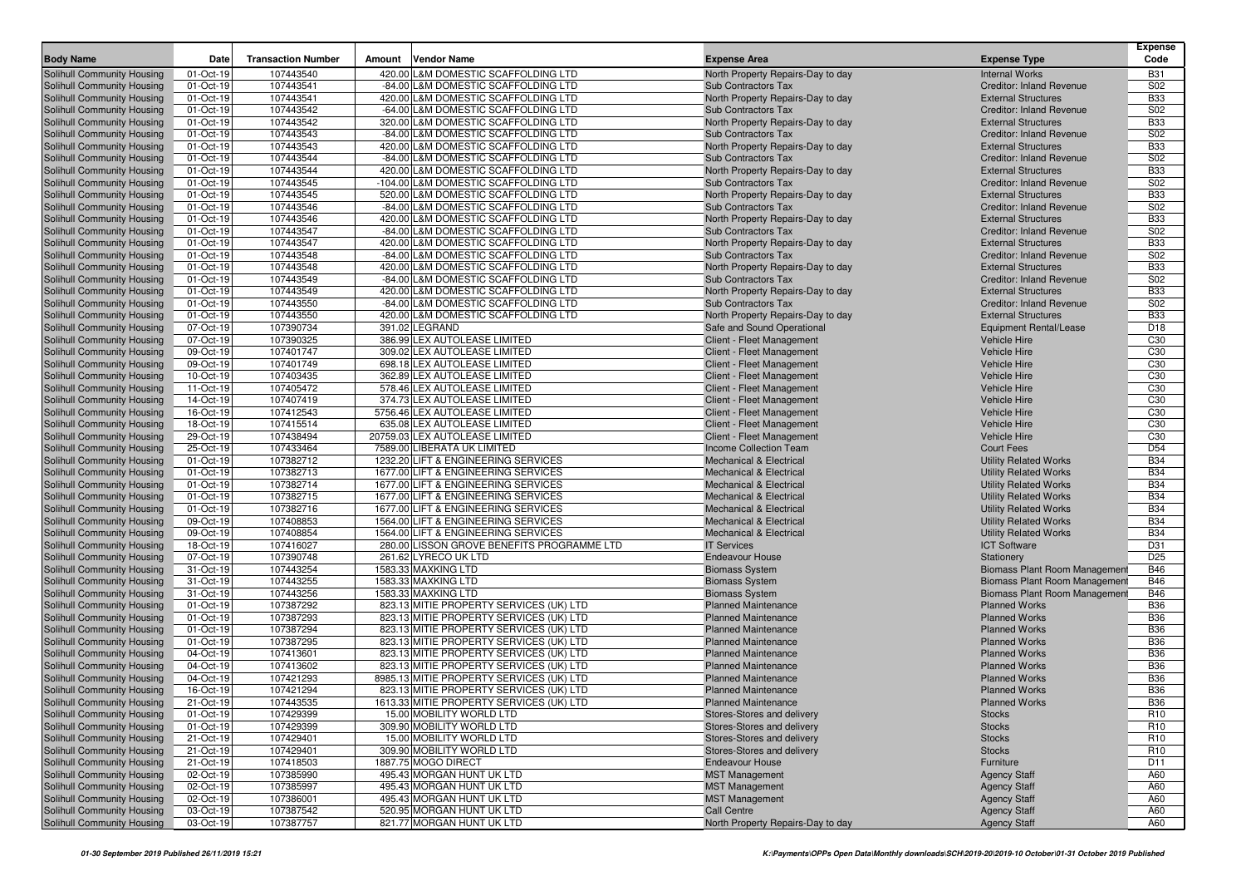|                                                                 |                        |                           |        |                                                                             |                                                                          |                                                               | <b>Expense</b>                |
|-----------------------------------------------------------------|------------------------|---------------------------|--------|-----------------------------------------------------------------------------|--------------------------------------------------------------------------|---------------------------------------------------------------|-------------------------------|
| <b>Body Name</b>                                                | Date                   | <b>Transaction Number</b> | Amount | <b>Vendor Name</b>                                                          | <b>Expense Area</b>                                                      | <b>Expense Type</b>                                           | Code                          |
| Solihull Community Housing                                      | 01-Oct-19              | 107443540                 |        | 420.00 L&M DOMESTIC SCAFFOLDING LTD                                         | North Property Repairs-Day to day                                        | <b>Internal Works</b>                                         | <b>B31</b>                    |
| Solihull Community Housing                                      | 01-Oct-19              | 107443541                 |        | -84.00 L&M DOMESTIC SCAFFOLDING LTD                                         | Sub Contractors Tax                                                      | <b>Creditor: Inland Revenue</b>                               | S02                           |
| Solihull Community Housing                                      | 01-Oct-19              | 107443541                 |        | 420.00 L&M DOMESTIC SCAFFOLDING LTD                                         | North Property Repairs-Day to day                                        | <b>External Structures</b>                                    | <b>B33</b>                    |
| Solihull Community Housing                                      | 01-Oct-19              | 107443542                 |        | -64.00 L&M DOMESTIC SCAFFOLDING LTD                                         | <b>Sub Contractors Tax</b>                                               | <b>Creditor: Inland Revenue</b>                               | S02                           |
| Solihull Community Housing                                      | 01-Oct-19              | 107443542                 |        | 320.00 L&M DOMESTIC SCAFFOLDING LTD                                         | North Property Repairs-Day to day                                        | <b>External Structures</b>                                    | <b>B33</b>                    |
| Solihull Community Housing                                      | 01-Oct-19              | 107443543                 |        | -84.00 L&M DOMESTIC SCAFFOLDING LTD                                         | <b>Sub Contractors Tax</b>                                               | <b>Creditor: Inland Revenue</b>                               | S02                           |
| Solihull Community Housing                                      | 01-Oct-19              | 107443543                 |        | 420.00 L&M DOMESTIC SCAFFOLDING LTD                                         | North Property Repairs-Day to day                                        | <b>External Structures</b>                                    | <b>B33</b>                    |
| Solihull Community Housing                                      | 01-Oct-19              | 107443544                 |        | -84.00 L&M DOMESTIC SCAFFOLDING LTD                                         | <b>Sub Contractors Tax</b>                                               | <b>Creditor: Inland Revenue</b>                               | S02                           |
| Solihull Community Housing                                      | 01-Oct-19              | 107443544                 |        | 420.00 L&M DOMESTIC SCAFFOLDING LTD<br>-104.00 L&M DOMESTIC SCAFFOLDING LTD | North Property Repairs-Day to day<br>Sub Contractors Tax                 | <b>External Structures</b><br><b>Creditor: Inland Revenue</b> | <b>B33</b><br>S <sub>02</sub> |
| Solihull Community Housing                                      | 01-Oct-19              | 107443545<br>107443545    |        | 520.00 L&M DOMESTIC SCAFFOLDING LTD                                         |                                                                          | <b>External Structures</b>                                    | <b>B33</b>                    |
| <b>Solihull Community Housing</b><br>Solihull Community Housing | 01-Oct-19<br>01-Oct-19 | 107443546                 |        | -84.00 L&M DOMESTIC SCAFFOLDING LTD                                         | North Property Repairs-Day to day<br>Sub Contractors Tax                 | <b>Creditor: Inland Revenue</b>                               | S <sub>02</sub>               |
| Solihull Community Housing                                      | 01-Oct-19              | 107443546                 |        | 420.00 L&M DOMESTIC SCAFFOLDING LTD                                         | North Property Repairs-Day to day                                        | <b>External Structures</b>                                    | <b>B33</b>                    |
| Solihull Community Housing                                      | 01-Oct-19              | 107443547                 |        | -84.00 L&M DOMESTIC SCAFFOLDING LTD                                         | Sub Contractors Tax                                                      | Creditor: Inland Revenue                                      | S02                           |
| Solihull Community Housing                                      | 01-Oct-19              | 107443547                 |        | 420.00 L&M DOMESTIC SCAFFOLDING LTD                                         | North Property Repairs-Day to day                                        | <b>External Structures</b>                                    | <b>B33</b>                    |
| Solihull Community Housing                                      | 01-Oct-19              | 107443548                 |        | -84.00 L&M DOMESTIC SCAFFOLDING LTD                                         | <b>Sub Contractors Tax</b>                                               | <b>Creditor: Inland Revenue</b>                               | S <sub>02</sub>               |
| Solihull Community Housing                                      | 01-Oct-19              | 107443548                 |        | 420.00 L&M DOMESTIC SCAFFOLDING LTD                                         | North Property Repairs-Day to day                                        | <b>External Structures</b>                                    | <b>B33</b>                    |
| Solihull Community Housing                                      | 01-Oct-19              | 107443549                 |        | -84.00 L&M DOMESTIC SCAFFOLDING LTD                                         | <b>Sub Contractors Tax</b>                                               | <b>Creditor: Inland Revenue</b>                               | S <sub>02</sub>               |
| Solihull Community Housing                                      | 01-Oct-19              | 107443549                 |        | 420.00 L&M DOMESTIC SCAFFOLDING LTD                                         | North Property Repairs-Day to day                                        | <b>External Structures</b>                                    | <b>B33</b>                    |
| Solihull Community Housing                                      | 01-Oct-19              | 107443550                 |        | -84.00 L&M DOMESTIC SCAFFOLDING LTD                                         | Sub Contractors Tax                                                      | <b>Creditor: Inland Revenue</b>                               | S02                           |
| Solihull Community Housing                                      | 01-Oct-19              | 107443550                 |        | 420.00 L&M DOMESTIC SCAFFOLDING LTD                                         | North Property Repairs-Day to day                                        | <b>External Structures</b>                                    | <b>B33</b>                    |
| Solihull Community Housing                                      | 07-Oct-19              | 107390734                 |        | 391.02 LEGRAND                                                              | Safe and Sound Operational                                               | <b>Equipment Rental/Lease</b>                                 | D <sub>18</sub>               |
| Solihull Community Housing                                      | 07-Oct-19              | 107390325                 |        | 386.99 LEX AUTOLEASE LIMITED                                                | Client - Fleet Management                                                | <b>Vehicle Hire</b>                                           | C <sub>30</sub>               |
| Solihull Community Housing                                      | 09-Oct-19              | 107401747                 |        | 309.02 LEX AUTOLEASE LIMITED                                                | Client - Fleet Management                                                | Vehicle Hire                                                  | C30                           |
| Solihull Community Housing                                      | 09-Oct-19              | 107401749                 |        | 698.18 LEX AUTOLEASE LIMITED                                                | Client - Fleet Management                                                | Vehicle Hire                                                  | C <sub>30</sub>               |
| Solihull Community Housing                                      | 10-Oct-19              | 107403435                 |        | 362.89 LEX AUTOLEASE LIMITED                                                | Client - Fleet Management                                                | Vehicle Hire                                                  | C <sub>30</sub>               |
| Solihull Community Housing                                      | 11-Oct-19              | 107405472                 |        | 578.46 LEX AUTOLEASE LIMITED                                                | Client - Fleet Management                                                | Vehicle Hire                                                  | C <sub>30</sub>               |
| Solihull Community Housing                                      | 14-Oct-19              | 107407419                 |        | 374.73 LEX AUTOLEASE LIMITED                                                | Client - Fleet Management                                                | <b>Vehicle Hire</b>                                           | C <sub>30</sub>               |
| Solihull Community Housing                                      | 16-Oct-19              | 107412543                 |        | 5756.46 LEX AUTOLEASE LIMITED                                               | Client - Fleet Management                                                | Vehicle Hire                                                  | C <sub>30</sub>               |
| Solihull Community Housing                                      | 18-Oct-19              | 107415514                 |        | 635.08 LEX AUTOLEASE LIMITED                                                | Client - Fleet Management                                                | Vehicle Hire                                                  | C <sub>30</sub>               |
| Solihull Community Housing                                      | 29-Oct-19              | 107438494                 |        | 20759.03 LEX AUTOLEASE LIMITED                                              | Client - Fleet Management                                                | <b>Vehicle Hire</b>                                           | C <sub>30</sub>               |
| Solihull Community Housing                                      | 25-Oct-19              | 107433464                 |        | 7589.00 LIBERATA UK LIMITED                                                 | Income Collection Team                                                   | <b>Court Fees</b>                                             | D <sub>54</sub>               |
| Solihull Community Housing                                      | 01-Oct-19              | 107382712                 |        | 1232.20 LIFT & ENGINEERING SERVICES                                         | <b>Mechanical &amp; Electrical</b>                                       | <b>Utility Related Works</b>                                  | <b>B34</b>                    |
| Solihull Community Housing                                      | 01-Oct-19              | 107382713                 |        | 1677.00 LIFT & ENGINEERING SERVICES                                         | <b>Mechanical &amp; Electrical</b>                                       | <b>Utility Related Works</b>                                  | <b>B34</b>                    |
| Solihull Community Housing                                      | 01-Oct-19              | 107382714<br>107382715    |        | 1677.00 LIFT & ENGINEERING SERVICES<br>1677.00 LIFT & ENGINEERING SERVICES  | <b>Mechanical &amp; Electrical</b><br><b>Mechanical &amp; Electrical</b> | <b>Utility Related Works</b>                                  | <b>B34</b><br><b>B34</b>      |
| Solihull Community Housing<br>Solihull Community Housing        | 01-Oct-19<br>01-Oct-19 | 107382716                 |        | 1677.00 LIFT & ENGINEERING SERVICES                                         | <b>Mechanical &amp; Electrical</b>                                       | <b>Utility Related Works</b><br><b>Utility Related Works</b>  | <b>B34</b>                    |
| Solihull Community Housing                                      | 09-Oct-19              | 107408853                 |        | 1564.00 LIFT & ENGINEERING SERVICES                                         | <b>Mechanical &amp; Electrical</b>                                       | <b>Utility Related Works</b>                                  | <b>B34</b>                    |
| <b>Solihull Community Housing</b>                               | 09-Oct-19              | 107408854                 |        | 1564.00 LIFT & ENGINEERING SERVICES                                         | <b>Mechanical &amp; Electrical</b>                                       | <b>Utility Related Works</b>                                  | <b>B34</b>                    |
| Solihull Community Housing                                      | 18-Oct-19              | 107416027                 |        | 280.00 LISSON GROVE BENEFITS PROGRAMME LTD                                  | <b>IT Services</b>                                                       | <b>ICT Software</b>                                           | D31                           |
| Solihull Community Housing                                      | 07-Oct-19              | 107390748                 |        | 261.62 LYRECO UK LTD                                                        | <b>Endeavour House</b>                                                   | Stationery                                                    | D <sub>25</sub>               |
| Solihull Community Housing                                      | 31-Oct-19              | 107443254                 |        | 1583.33 MAXKING LTD                                                         | <b>Biomass System</b>                                                    | <b>Biomass Plant Room Management</b>                          | <b>B46</b>                    |
| Solihull Community Housing                                      | 31-Oct-19              | 107443255                 |        | 1583.33 MAXKING LTD                                                         | <b>Biomass System</b>                                                    | <b>Biomass Plant Room Management</b>                          | <b>B46</b>                    |
| Solihull Community Housing                                      | 31-Oct-19              | 107443256                 |        | 1583.33 MAXKING LTD                                                         | <b>Biomass System</b>                                                    | <b>Biomass Plant Room Management</b>                          | <b>B46</b>                    |
| Solihull Community Housing                                      | 01-Oct-19              | 107387292                 |        | 823.13 MITIE PROPERTY SERVICES (UK) LTD                                     | <b>Planned Maintenance</b>                                               | <b>Planned Works</b>                                          | <b>B36</b>                    |
| Solihull Community Housing                                      | 01-Oct-19              | 107387293                 |        | 823.13 MITIE PROPERTY SERVICES (UK) LTD                                     | <b>Planned Maintenance</b>                                               | <b>Planned Works</b>                                          | <b>B36</b>                    |
| Solihull Community Housing                                      | 01-Oct-19              | 107387294                 |        | 823.13 MITIE PROPERTY SERVICES (UK) LTD                                     | <b>Planned Maintenance</b>                                               | <b>Planned Works</b>                                          | <b>B36</b>                    |
| Solihull Community Housing                                      | 01-Oct-19              | 107387295                 |        | 823.13 MITIE PROPERTY SERVICES (UK) LTD                                     | <b>Planned Maintenance</b>                                               | <b>Planned Works</b>                                          | <b>B36</b>                    |
| Solihull Community Housing                                      | 04-Oct-19              | 107413601                 |        | 823.13 MITIE PROPERTY SERVICES (UK) LTD                                     | <b>Planned Maintenance</b>                                               | <b>Planned Works</b>                                          | <b>B36</b>                    |
| Solihull Community Housing                                      | 04-Oct-19              | 107413602                 |        | 823.13 MITIE PROPERTY SERVICES (UK) LTD                                     | <b>Planned Maintenance</b>                                               | <b>Planned Works</b>                                          | <b>B36</b>                    |
| Solihull Community Housing                                      | 04-Oct-19              | 107421293                 |        | 8985.13 MITIE PROPERTY SERVICES (UK) LTD                                    | <b>Planned Maintenance</b>                                               | <b>Planned Works</b>                                          | <b>B36</b>                    |
| Solihull Community Housing                                      | 16-Oct-19              | 107421294                 |        | 823.13 MITIE PROPERTY SERVICES (UK) LTD                                     | <b>Planned Maintenance</b>                                               | <b>Planned Works</b>                                          | <b>B36</b>                    |
| Solihull Community Housing                                      | 21-Oct-19              | 107443535                 |        | 1613.33 MITIE PROPERTY SERVICES (UK) LTD                                    | <b>Planned Maintenance</b>                                               | <b>Planned Works</b>                                          | <b>B36</b>                    |
| Solihull Community Housing                                      | 01-Oct-19              | 107429399                 |        | 15.00 MOBILITY WORLD LTD                                                    | Stores-Stores and delivery                                               | <b>Stocks</b>                                                 | R <sub>10</sub>               |
| Solihull Community Housing                                      | 01-Oct-19              | 107429399                 |        | 309.90 MOBILITY WORLD LTD                                                   | Stores-Stores and delivery                                               | <b>Stocks</b>                                                 | R <sub>10</sub>               |
| Solihull Community Housing                                      | 21-Oct-19              | 107429401                 |        | 15.00 MOBILITY WORLD LTD                                                    | Stores-Stores and delivery                                               | <b>Stocks</b>                                                 | R <sub>10</sub>               |
| Solihull Community Housing                                      | 21-Oct-19              | 107429401                 |        | 309.90 MOBILITY WORLD LTD                                                   | Stores-Stores and delivery                                               | <b>Stocks</b>                                                 | R <sub>10</sub>               |
| Solihull Community Housing                                      | 21-Oct-19              | 107418503                 |        | 1887.75 MOGO DIRECT                                                         | <b>Endeavour House</b>                                                   | Furniture                                                     | D11                           |
| Solihull Community Housing                                      | 02-Oct-19              | 107385990                 |        | 495.43 MORGAN HUNT UK LTD                                                   | <b>MST Management</b>                                                    | <b>Agency Staff</b>                                           | A60                           |
| Solihull Community Housing                                      | 02-Oct-19              | 107385997                 |        | 495.43 MORGAN HUNT UK LTD                                                   | <b>MST Management</b>                                                    | <b>Agency Staff</b>                                           | A60                           |
| Solihull Community Housing<br>Solihull Community Housing        | 02-Oct-19              | 107386001                 |        | 495.43 MORGAN HUNT UK LTD                                                   | <b>MST Management</b>                                                    | <b>Agency Staff</b>                                           | A60                           |
| Solihull Community Housing                                      | 03-Oct-19              | 107387542                 |        | 520.95 MORGAN HUNT UK LTD                                                   | <b>Call Centre</b>                                                       | <b>Agency Staff</b>                                           | A60                           |
|                                                                 | 03-Oct-19              | 107387757                 |        | 821.77 MORGAN HUNT UK LTD                                                   | North Property Repairs-Day to day                                        | <b>Agency Staff</b>                                           | A60                           |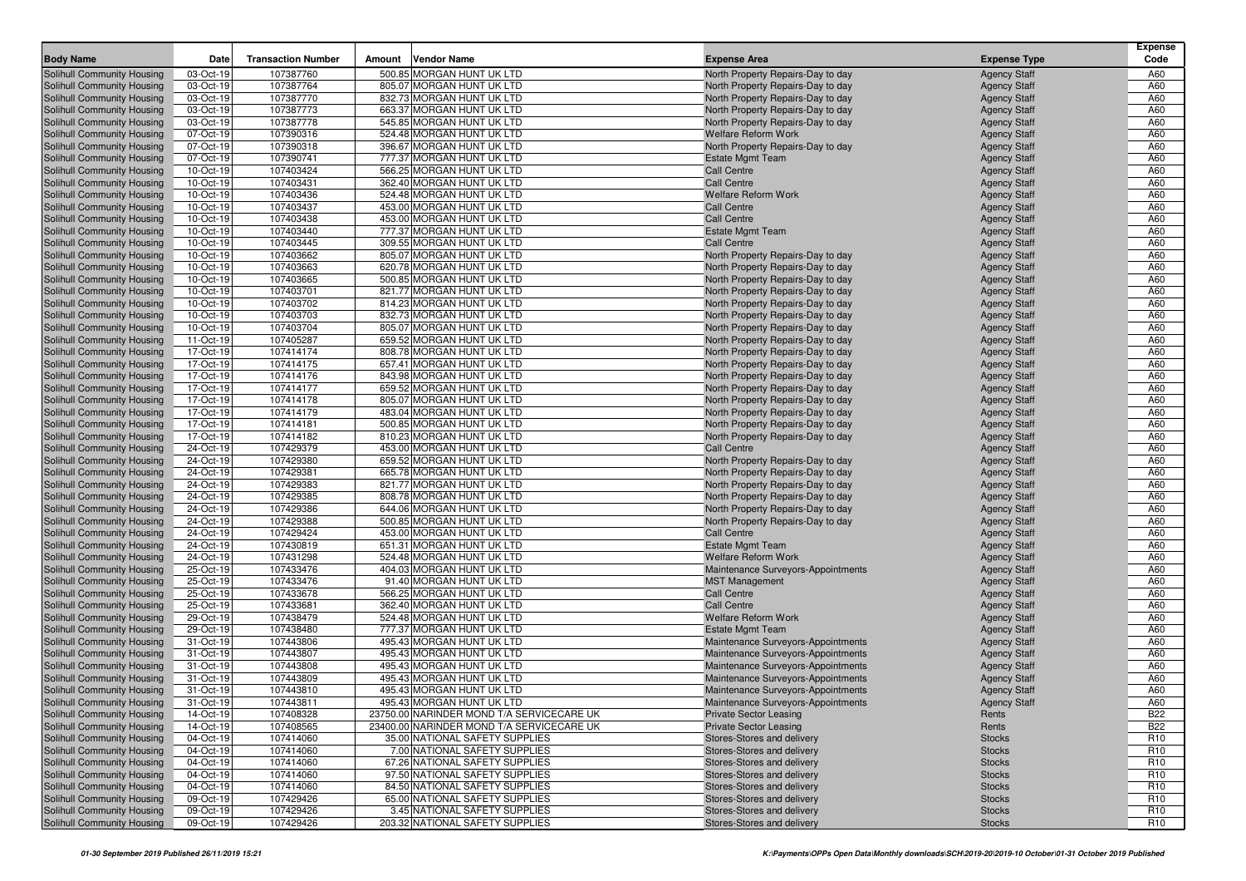|                                                          |                        |                           |        |                                                        |                                                                        |                                            | Expense         |
|----------------------------------------------------------|------------------------|---------------------------|--------|--------------------------------------------------------|------------------------------------------------------------------------|--------------------------------------------|-----------------|
| <b>Body Name</b>                                         | Date                   | <b>Transaction Number</b> | Amount | <b>Vendor Name</b>                                     | <b>Expense Area</b>                                                    | <b>Expense Type</b>                        | Code            |
| Solihull Community Housing                               | 03-Oct-19              | 107387760                 |        | 500.85 MORGAN HUNT UK LTD                              | North Property Repairs-Day to day                                      | <b>Agency Staff</b>                        | A60             |
| Solihull Community Housing                               | 03-Oct-19              | 107387764                 |        | 805.07 MORGAN HUNT UK LTD                              | North Property Repairs-Day to day                                      | <b>Agency Staff</b>                        | A60             |
| Solihull Community Housing                               | 03-Oct-19<br>03-Oct-19 | 107387770<br>107387773    |        | 832.73 MORGAN HUNT UK LTD<br>663.37 MORGAN HUNT UK LTD | North Property Repairs-Day to day                                      | <b>Agency Staff</b>                        | A60<br>A60      |
| Solihull Community Housing<br>Solihull Community Housing | 03-Oct-19              | 107387778                 |        | 545.85 MORGAN HUNT UK LTD                              | North Property Repairs-Day to day<br>North Property Repairs-Day to day | <b>Agency Staff</b><br><b>Agency Staff</b> | A60             |
| Solihull Community Housing                               | 07-Oct-19              | 107390316                 |        | 524.48 MORGAN HUNT UK LTD                              | <b>Welfare Reform Work</b>                                             | <b>Agency Staff</b>                        | A60             |
| Solihull Community Housing                               | 07-Oct-19              | 107390318                 |        | 396.67 MORGAN HUNT UK LTD                              | North Property Repairs-Day to day                                      | <b>Agency Staff</b>                        | A60             |
| Solihull Community Housing                               | 07-Oct-19              | 107390741                 |        | 777.37 MORGAN HUNT UK LTD                              | <b>Estate Mgmt Team</b>                                                | <b>Agency Staff</b>                        | A60             |
| Solihull Community Housing                               | 10-Oct-19              | 107403424                 |        | 566.25 MORGAN HUNT UK LTD                              | <b>Call Centre</b>                                                     | <b>Agency Staff</b>                        | A60             |
| Solihull Community Housing                               | 10-Oct-19              | 107403431                 |        | 362.40 MORGAN HUNT UK LTD                              | <b>Call Centre</b>                                                     | <b>Agency Staff</b>                        | A60             |
| Solihull Community Housing                               | 10-Oct-19              | 107403436                 |        | 524.48 MORGAN HUNT UK LTD                              | <b>Welfare Reform Work</b>                                             | <b>Agency Staff</b>                        | A60             |
| Solihull Community Housing                               | 10-Oct-19              | 107403437                 |        | 453.00 MORGAN HUNT UK LTD                              | <b>Call Centre</b>                                                     | <b>Agency Staff</b>                        | A60             |
| Solihull Community Housing                               | 10-Oct-19              | 107403438                 |        | 453.00 MORGAN HUNT UK LTD                              | <b>Call Centre</b>                                                     | <b>Agency Staff</b>                        | A60             |
| Solihull Community Housing                               | 10-Oct-19              | 107403440                 |        | 777.37 MORGAN HUNT UK LTD                              | <b>Estate Mgmt Team</b>                                                | <b>Agency Staff</b>                        | A60             |
| Solihull Community Housing                               | 10-Oct-19              | 107403445                 |        | 309.55 MORGAN HUNT UK LTD                              | <b>Call Centre</b>                                                     | <b>Agency Staff</b>                        | A60             |
| Solihull Community Housing                               | 10-Oct-19              | 107403662                 |        | 805.07 MORGAN HUNT UK LTD                              | North Property Repairs-Day to day                                      | <b>Agency Staff</b>                        | A60             |
| Solihull Community Housing                               | 10-Oct-19              | 107403663                 |        | 620.78 MORGAN HUNT UK LTD                              | North Property Repairs-Day to day                                      | <b>Agency Staff</b>                        | A60             |
| Solihull Community Housing                               | 10-Oct-19              | 107403665                 |        | 500.85 MORGAN HUNT UK LTD                              | North Property Repairs-Day to day                                      | <b>Agency Staff</b>                        | A60             |
| Solihull Community Housing                               | 10-Oct-19              | 107403701                 |        | 821.77 MORGAN HUNT UK LTD                              | North Property Repairs-Day to day                                      | <b>Agency Staff</b>                        | A60             |
| Solihull Community Housing                               | 10-Oct-19              | 107403702                 |        | 814.23 MORGAN HUNT UK LTD                              | North Property Repairs-Day to day                                      | <b>Agency Staff</b>                        | A60             |
| Solihull Community Housing                               | 10-Oct-19              | 107403703                 |        | 832.73 MORGAN HUNT UK LTD                              | North Property Repairs-Day to day                                      | <b>Agency Staff</b>                        | A60             |
| Solihull Community Housing                               | 10-Oct-19              | 107403704                 |        | 805.07 MORGAN HUNT UK LTD                              | North Property Repairs-Day to day                                      | <b>Agency Staff</b>                        | A60             |
| Solihull Community Housing                               | 11-Oct-19              | 107405287                 |        | 659.52 MORGAN HUNT UK LTD                              | North Property Repairs-Day to day                                      | <b>Agency Staff</b>                        | A60             |
| Solihull Community Housing                               | 17-Oct-19              | 107414174                 |        | 808.78 MORGAN HUNT UK LTD                              | North Property Repairs-Day to day                                      | <b>Agency Staff</b>                        | A60             |
| Solihull Community Housing                               | 17-Oct-19              | 107414175                 |        | 657.41 MORGAN HUNT UK LTD                              | North Property Repairs-Day to day                                      | <b>Agency Staff</b>                        | A60             |
| Solihull Community Housing                               | 17-Oct-19              | 107414176                 |        | 843.98 MORGAN HUNT UK LTD                              | North Property Repairs-Day to day                                      | <b>Agency Staff</b>                        | A60             |
| Solihull Community Housing                               | 17-Oct-19              | 107414177                 |        | 659.52 MORGAN HUNT UK LTD                              | North Property Repairs-Day to day                                      | <b>Agency Staff</b>                        | A60             |
| Solihull Community Housing                               | 17-Oct-19              | 107414178                 |        | 805.07 MORGAN HUNT UK LTD                              | North Property Repairs-Day to day                                      | <b>Agency Staff</b>                        | A60             |
| Solihull Community Housing                               | 17-Oct-19              | 107414179                 |        | 483.04 MORGAN HUNT UK LTD                              | North Property Repairs-Day to day                                      | <b>Agency Staff</b>                        | A60             |
| Solihull Community Housing                               | 17-Oct-19              | 107414181                 |        | 500.85 MORGAN HUNT UK LTD                              | North Property Repairs-Day to day                                      | <b>Agency Staff</b>                        | A60             |
| Solihull Community Housing                               | 17-Oct-19              | 107414182                 |        | 810.23 MORGAN HUNT UK LTD                              | North Property Repairs-Day to day                                      | <b>Agency Staff</b>                        | A60             |
| Solihull Community Housing                               | 24-Oct-19              | 107429379                 |        | 453.00 MORGAN HUNT UK LTD                              | Call Centre                                                            | <b>Agency Staff</b>                        | A60             |
| Solihull Community Housing                               | 24-Oct-19              | 107429380                 |        | 659.52 MORGAN HUNT UK LTD                              | North Property Repairs-Day to day                                      | <b>Agency Staff</b>                        | A60             |
| Solihull Community Housing                               | 24-Oct-19              | 107429381                 |        | 665.78 MORGAN HUNT UK LTD                              | North Property Repairs-Day to day                                      | <b>Agency Staff</b>                        | A60             |
| Solihull Community Housing                               | 24-Oct-19              | 107429383                 |        | 821.77 MORGAN HUNT UK LTD<br>808.78 MORGAN HUNT UK LTD | North Property Repairs-Day to day                                      | <b>Agency Staff</b>                        | A60<br>A60      |
| Solihull Community Housing<br>Solihull Community Housing | 24-Oct-19<br>24-Oct-19 | 107429385<br>107429386    |        | 644.06 MORGAN HUNT UK LTD                              | North Property Repairs-Day to day<br>North Property Repairs-Day to day | <b>Agency Staff</b><br><b>Agency Staff</b> | A60             |
| Solihull Community Housing                               | 24-Oct-19              | 107429388                 |        | 500.85 MORGAN HUNT UK LTD                              | North Property Repairs-Day to day                                      | <b>Agency Staff</b>                        | A60             |
| Solihull Community Housing                               | 24-Oct-19              | 107429424                 |        | 453.00 MORGAN HUNT UK LTD                              | <b>Call Centre</b>                                                     | <b>Agency Staff</b>                        | A60             |
| Solihull Community Housing                               | 24-Oct-19              | 107430819                 |        | 651.31 MORGAN HUNT UK LTD                              | <b>Estate Mgmt Team</b>                                                | <b>Agency Staff</b>                        | A60             |
| Solihull Community Housing                               | 24-Oct-19              | 107431298                 |        | 524.48 MORGAN HUNT UK LTD                              | <b>Welfare Reform Work</b>                                             | <b>Agency Staff</b>                        | A60             |
| Solihull Community Housing                               | 25-Oct-19              | 107433476                 |        | 404.03 MORGAN HUNT UK LTD                              | Maintenance Surveyors-Appointments                                     | <b>Agency Staff</b>                        | A60             |
| Solihull Community Housing                               | 25-Oct-19              | 107433476                 |        | 91.40 MORGAN HUNT UK LTD                               | <b>MST Management</b>                                                  | <b>Agency Staff</b>                        | A60             |
| Solihull Community Housing                               | 25-Oct-19              | 107433678                 |        | 566.25 MORGAN HUNT UK LTD                              | <b>Call Centre</b>                                                     | <b>Agency Staff</b>                        | A60             |
| Solihull Community Housing                               | 25-Oct-19              | 107433681                 |        | 362.40 MORGAN HUNT UK LTD                              | <b>Call Centre</b>                                                     | <b>Agency Staff</b>                        | A60             |
| Solihull Community Housing                               | 29-Oct-19              | 107438479                 |        | 524.48 MORGAN HUNT UK LTD                              | <b>Welfare Reform Work</b>                                             | <b>Agency Staff</b>                        | A60             |
| Solihull Community Housing                               | 29-Oct-19              | 107438480                 |        | 777.37 MORGAN HUNT UK LTD                              | <b>Estate Mgmt Team</b>                                                | <b>Agency Staff</b>                        | A60             |
| Solihull Community Housing                               | 31-Oct-19              | 107443806                 |        | 495.43 MORGAN HUNT UK LTD                              | Maintenance Surveyors-Appointments                                     | <b>Agency Staff</b>                        | A60             |
| Solihull Community Housing                               | 31-Oct-19              | 107443807                 |        | 495.43 MORGAN HUNT UK LTD                              | Maintenance Surveyors-Appointments                                     | <b>Agency Staff</b>                        | A60             |
| Solihull Community Housing                               | 31-Oct-19              | 107443808                 |        | 495.43 MORGAN HUNT UK LTD                              | Maintenance Surveyors-Appointments                                     | <b>Agency Staff</b>                        | A60             |
| Solihull Community Housing                               | 31-Oct-19              | 107443809                 |        | 495.43 MORGAN HUNT UK LTD                              | Maintenance Surveyors-Appointments                                     | <b>Agency Staff</b>                        | A60             |
| <b>Solihull Community Housing</b>                        | 31-Oct-19              | 107443810                 |        | 495.43 MORGAN HUNT UK LTD                              | Maintenance Surveyors-Appointments                                     | <b>Agency Staff</b>                        | A60             |
| Solihull Community Housing                               | 31-Oct-19              | 107443811                 |        | 495.43 MORGAN HUNT UK LTD                              | Maintenance Surveyors-Appointments                                     | <b>Agency Staff</b>                        | A60             |
| Solihull Community Housing                               | 14-Oct-19              | 107408328                 |        | 23750.00 NARINDER MOND T/A SERVICECARE UK              | <b>Private Sector Leasing</b>                                          | Rents                                      | <b>B22</b>      |
| Solihull Community Housing                               | 14-Oct-19              | 107408565                 |        | 23400.00 NARINDER MOND T/A SERVICECARE UK              | <b>Private Sector Leasing</b>                                          | Rents                                      | <b>B22</b>      |
| Solihull Community Housing                               | 04-Oct-19              | 107414060                 |        | 35.00 NATIONAL SAFETY SUPPLIES                         | Stores-Stores and delivery                                             | <b>Stocks</b>                              | R <sub>10</sub> |
| Solihull Community Housing                               | 04-Oct-19              | 107414060                 |        | 7.00 NATIONAL SAFETY SUPPLIES                          | Stores-Stores and delivery                                             | <b>Stocks</b>                              | R <sub>10</sub> |
| Solihull Community Housing                               | 04-Oct-19              | 107414060                 |        | 67.26 NATIONAL SAFETY SUPPLIES                         | Stores-Stores and delivery                                             | <b>Stocks</b>                              | R <sub>10</sub> |
| Solihull Community Housing                               | 04-Oct-19              | 107414060                 |        | 97.50 NATIONAL SAFETY SUPPLIES                         | Stores-Stores and delivery                                             | <b>Stocks</b>                              | R <sub>10</sub> |
| Solihull Community Housing                               | 04-Oct-19              | 107414060                 |        | 84.50 NATIONAL SAFETY SUPPLIES                         | Stores-Stores and delivery                                             | <b>Stocks</b>                              | R <sub>10</sub> |
| Solihull Community Housing                               | 09-Oct-19              | 107429426                 |        | 65.00 NATIONAL SAFETY SUPPLIES                         | Stores-Stores and delivery                                             | <b>Stocks</b>                              | R <sub>10</sub> |
| Solihull Community Housing                               | 09-Oct-19              | 107429426                 |        | 3.45 NATIONAL SAFETY SUPPLIES                          | Stores-Stores and delivery                                             | <b>Stocks</b>                              | R <sub>10</sub> |
| Solihull Community Housing                               | 09-Oct-19              | 107429426                 |        | 203.32 NATIONAL SAFETY SUPPLIES                        | Stores-Stores and delivery                                             | <b>Stocks</b>                              | R <sub>10</sub> |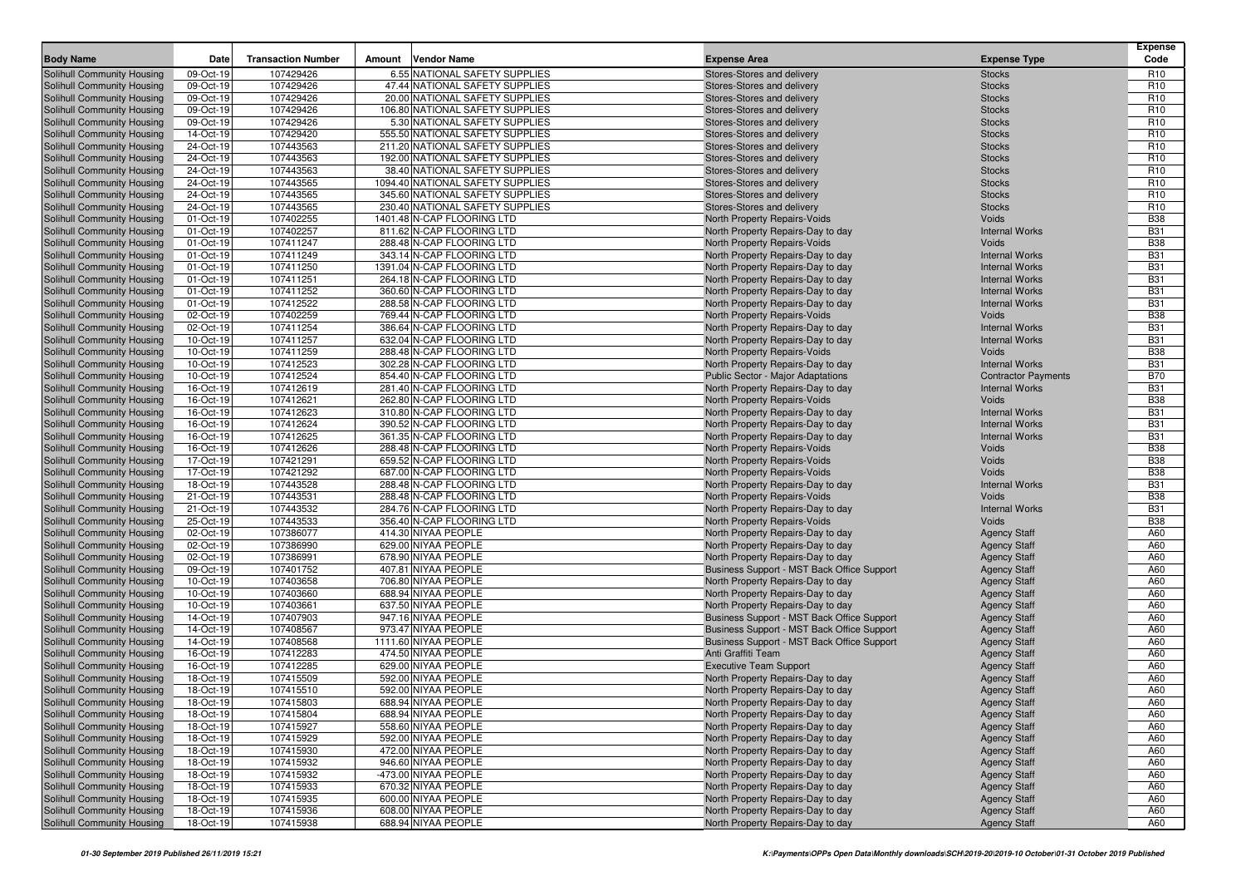| <b>Body Name</b>                                         | Date                   | <b>Transaction Number</b> | <b>Vendor Name</b><br>Amount                           | <b>Expense Area</b>                                               | <b>Expense Type</b>            | Expense<br>Code          |
|----------------------------------------------------------|------------------------|---------------------------|--------------------------------------------------------|-------------------------------------------------------------------|--------------------------------|--------------------------|
| Solihull Community Housing                               | 09-Oct-19              | 107429426                 | 6.55 NATIONAL SAFETY SUPPLIES                          | Stores-Stores and delivery                                        | <b>Stocks</b>                  | R <sub>10</sub>          |
| Solihull Community Housing                               | 09-Oct-19              | 107429426                 | 47.44 NATIONAL SAFETY SUPPLIES                         | Stores-Stores and delivery                                        | <b>Stocks</b>                  | R <sub>10</sub>          |
| Solihull Community Housing                               | 09-Oct-19              | 107429426                 | 20.00 NATIONAL SAFETY SUPPLIES                         | Stores-Stores and delivery                                        | <b>Stocks</b>                  | R <sub>10</sub>          |
| Solihull Community Housing                               | 09-Oct-19              | 107429426                 | 106.80 NATIONAL SAFETY SUPPLIES                        | Stores-Stores and delivery                                        | <b>Stocks</b>                  | R <sub>10</sub>          |
| Solihull Community Housing                               | 09-Oct-19              | 107429426                 | 5.30 NATIONAL SAFETY SUPPLIES                          | Stores-Stores and delivery                                        | <b>Stocks</b>                  | R <sub>10</sub>          |
| Solihull Community Housing                               | 14-Oct-19              | 107429420                 | 555.50 NATIONAL SAFETY SUPPLIES                        | Stores-Stores and delivery                                        | <b>Stocks</b>                  | R <sub>10</sub>          |
| Solihull Community Housing                               | 24-Oct-19              | 107443563                 | 211.20 NATIONAL SAFETY SUPPLIES                        | Stores-Stores and delivery                                        | <b>Stocks</b>                  | R <sub>10</sub>          |
| Solihull Community Housing                               | 24-Oct-19              | 107443563                 | 192.00 NATIONAL SAFETY SUPPLIES                        | Stores-Stores and delivery                                        | <b>Stocks</b>                  | R <sub>10</sub>          |
| Solihull Community Housing                               | 24-Oct-19              | 107443563                 | 38.40 NATIONAL SAFETY SUPPLIES                         | Stores-Stores and delivery                                        | <b>Stocks</b>                  | R <sub>10</sub>          |
| Solihull Community Housing                               | 24-Oct-19              | 107443565                 | 1094.40 NATIONAL SAFETY SUPPLIES                       | Stores-Stores and delivery                                        | <b>Stocks</b>                  | R <sub>10</sub>          |
| Solihull Community Housing                               | 24-Oct-19              | 107443565                 | 345.60 NATIONAL SAFETY SUPPLIES                        | Stores-Stores and delivery                                        | <b>Stocks</b>                  | R <sub>10</sub>          |
| Solihull Community Housing                               | 24-Oct-19              | 107443565                 | 230.40 NATIONAL SAFETY SUPPLIES                        | Stores-Stores and delivery                                        | <b>Stocks</b>                  | R <sub>10</sub>          |
| Solihull Community Housing                               | 01-Oct-19              | 107402255                 | 1401.48 N-CAP FLOORING LTD                             | North Property Repairs-Voids                                      | Voids                          | <b>B38</b>               |
| Solihull Community Housing                               | 01-Oct-19              | 107402257                 | 811.62 N-CAP FLOORING LTD                              | North Property Repairs-Day to day                                 | <b>Internal Works</b>          | <b>B31</b>               |
| Solihull Community Housing                               | 01-Oct-19              | 107411247                 | 288.48 N-CAP FLOORING LTD                              | <b>North Property Repairs-Voids</b>                               | Voids                          | <b>B38</b>               |
| Solihull Community Housing                               | 01-Oct-19              | 107411249                 | 343.14 N-CAP FLOORING LTD                              | North Property Repairs-Day to day                                 | <b>Internal Works</b>          | <b>B31</b>               |
| Solihull Community Housing                               | 01-Oct-19              | 107411250                 | 1391.04 N-CAP FLOORING LTD                             | North Property Repairs-Day to day                                 | <b>Internal Works</b>          | <b>B31</b>               |
| Solihull Community Housing                               | 01-Oct-19              | 107411251                 | 264.18 N-CAP FLOORING LTD                              | North Property Repairs-Day to day                                 | <b>Internal Works</b>          | <b>B31</b>               |
| Solihull Community Housing                               | 01-Oct-19              | 107411252                 | 360.60 N-CAP FLOORING LTD                              | North Property Repairs-Day to day                                 | <b>Internal Works</b>          | <b>B31</b>               |
| Solihull Community Housing                               | 01-Oct-19              | 107412522                 | 288.58 N-CAP FLOORING LTD                              | North Property Repairs-Day to day                                 | <b>Internal Works</b>          | <b>B31</b>               |
| Solihull Community Housing                               | 02-Oct-19              | 107402259                 | 769.44 N-CAP FLOORING LTD                              | North Property Repairs-Voids                                      | Voids                          | <b>B38</b>               |
| Solihull Community Housing                               | 02-Oct-19              | 107411254                 | 386.64 N-CAP FLOORING LTD                              | North Property Repairs-Day to day                                 | <b>Internal Works</b>          | <b>B31</b>               |
| Solihull Community Housing                               | 10-Oct-19              | 107411257                 | 632.04 N-CAP FLOORING LTD                              | North Property Repairs-Day to day                                 | <b>Internal Works</b>          | <b>B31</b>               |
| Solihull Community Housing                               | 10-Oct-19              | 107411259                 | 288.48 N-CAP FLOORING LTD                              | North Property Repairs-Voids                                      | Voids                          | <b>B38</b>               |
| Solihull Community Housing                               | 10-Oct-19              | 107412523                 | 302.28 N-CAP FLOORING LTD                              | North Property Repairs-Day to day                                 | <b>Internal Works</b>          | <b>B31</b>               |
| Solihull Community Housing                               | 10-Oct-19              | 107412524                 | 854.40 N-CAP FLOORING LTD                              | Public Sector - Major Adaptations                                 | <b>Contractor Payments</b>     | <b>B70</b>               |
| Solihull Community Housing                               | 16-Oct-19              | 107412619                 | 281.40 N-CAP FLOORING LTD                              | North Property Repairs-Day to day                                 | <b>Internal Works</b>          | <b>B31</b>               |
| Solihull Community Housing                               | 16-Oct-19              | 107412621                 | 262.80 N-CAP FLOORING LTD                              | North Property Repairs-Voids                                      | Voids                          | <b>B38</b>               |
| Solihull Community Housing                               | 16-Oct-19              | 107412623                 | 310.80 N-CAP FLOORING LTD                              | North Property Repairs-Day to day                                 | <b>Internal Works</b>          | <b>B31</b>               |
| Solihull Community Housing                               | 16-Oct-19              | 107412624                 | 390.52 N-CAP FLOORING LTD                              | North Property Repairs-Day to day                                 | <b>Internal Works</b>          | <b>B31</b>               |
| Solihull Community Housing                               | 16-Oct-19              | 107412625                 | 361.35 N-CAP FLOORING LTD                              | North Property Repairs-Day to day                                 | <b>Internal Works</b>          | <b>B31</b>               |
| Solihull Community Housing                               | 16-Oct-19              | 107412626                 | 288.48 N-CAP FLOORING LTD                              | North Property Repairs-Voids                                      | Voids                          | <b>B38</b>               |
| Solihull Community Housing                               | 17-Oct-19              | 107421291                 | 659.52 N-CAP FLOORING LTD                              | North Property Repairs-Voids                                      | Voids                          | <b>B38</b>               |
| Solihull Community Housing                               | 17-Oct-19              | 107421292                 | 687.00 N-CAP FLOORING LTD                              | North Property Repairs-Voids                                      | Voids                          | <b>B38</b>               |
| Solihull Community Housing                               | 18-Oct-19<br>21-Oct-19 | 107443528                 | 288.48 N-CAP FLOORING LTD<br>288.48 N-CAP FLOORING LTD | North Property Repairs-Day to day                                 | <b>Internal Works</b><br>Voids | <b>B31</b><br><b>B38</b> |
| Solihull Community Housing<br>Solihull Community Housing | 21-Oct-19              | 107443531<br>107443532    | 284.76 N-CAP FLOORING LTD                              | North Property Repairs-Voids<br>North Property Repairs-Day to day | <b>Internal Works</b>          | <b>B31</b>               |
| Solihull Community Housing                               | 25-Oct-19              | 107443533                 | 356.40 N-CAP FLOORING LTD                              | North Property Repairs-Voids                                      | Voids                          | <b>B38</b>               |
| Solihull Community Housing                               | 02-Oct-19              | 107386077                 | 414.30 NIYAA PEOPLE                                    | North Property Repairs-Day to day                                 | <b>Agency Staff</b>            | A60                      |
| Solihull Community Housing                               | 02-Oct-19              | 107386990                 | 629.00 NIYAA PEOPLE                                    | North Property Repairs-Day to day                                 | <b>Agency Staff</b>            | A60                      |
| Solihull Community Housing                               | 02-Oct-19              | 107386991                 | 678.90 NIYAA PEOPLE                                    | North Property Repairs-Day to day                                 | <b>Agency Staff</b>            | A60                      |
| Solihull Community Housing                               | 09-Oct-19              | 107401752                 | 407.81 NIYAA PEOPLE                                    | Business Support - MST Back Office Support                        | <b>Agency Staff</b>            | A60                      |
| Solihull Community Housing                               | 10-Oct-19              | 107403658                 | 706.80 NIYAA PEOPLE                                    | North Property Repairs-Day to day                                 | <b>Agency Staff</b>            | A60                      |
| Solihull Community Housing                               | 10-Oct-19              | 107403660                 | 688.94 NIYAA PEOPLE                                    | North Property Repairs-Day to day                                 | <b>Agency Staff</b>            | A60                      |
| Solihull Community Housing                               | 10-Oct-19              | 107403661                 | 637.50 NIYAA PEOPLE                                    | North Property Repairs-Day to day                                 | <b>Agency Staff</b>            | A60                      |
| Solihull Community Housing                               | 14-Oct-19              | 107407903                 | 947.16 NIYAA PEOPLE                                    | Business Support - MST Back Office Support                        | <b>Agency Staff</b>            | A60                      |
| Solihull Community Housing                               | 14-Oct-19              | 107408567                 | 973.47 NIYAA PEOPLE                                    | Business Support - MST Back Office Support                        | <b>Agency Staff</b>            | A60                      |
| Solihull Community Housing                               | 14-Oct-19              | 107408568                 | 1111.60 NIYAA PEOPLE                                   | Business Support - MST Back Office Support                        | <b>Agency Staff</b>            | A60                      |
| Solihull Community Housing                               | 16-Oct-19              | 107412283                 | 474.50 NIYAA PEOPLE                                    | Anti Graffiti Team                                                | <b>Agency Staff</b>            | A60                      |
| Solihull Community Housing                               | 16-Oct-19              | 107412285                 | 629.00 NIYAA PEOPLE                                    | <b>Executive Team Support</b>                                     | <b>Agency Staff</b>            | A60                      |
| Solihull Community Housing                               | 18-Oct-19              | 107415509                 | 592.00 NIYAA PEOPLE                                    | North Property Repairs-Day to day                                 | <b>Agency Staff</b>            | A60                      |
| Solihull Community Housing                               | 18-Oct-19              | 107415510                 | 592.00 NIYAA PEOPLE                                    | North Property Repairs-Day to day                                 | <b>Agency Staff</b>            | A60                      |
| Solihull Community Housing                               | 18-Oct-19              | 107415803                 | 688.94 NIYAA PEOPLE                                    | North Property Repairs-Day to day                                 | <b>Agency Staff</b>            | A60                      |
| Solihull Community Housing                               | 18-Oct-19              | 107415804                 | 688.94 NIYAA PEOPLE                                    | North Property Repairs-Day to day                                 | <b>Agency Staff</b>            | A60                      |
| Solihull Community Housing                               | 18-Oct-19              | 107415927                 | 558.60 NIYAA PEOPLE                                    | North Property Repairs-Day to day                                 | <b>Agency Staff</b>            | A60                      |
| Solihull Community Housing                               | 18-Oct-19              | 107415929                 | 592.00 NIYAA PEOPLE                                    | North Property Repairs-Day to day                                 | <b>Agency Staff</b>            | A60                      |
| <b>Solihull Community Housing</b>                        | 18-Oct-19              | 107415930                 | 472.00 NIYAA PEOPLE                                    | North Property Repairs-Day to day                                 | <b>Agency Staff</b>            | A60                      |
| Solihull Community Housing                               | 18-Oct-19              | 107415932                 | 946.60 NIYAA PEOPLE                                    | North Property Repairs-Day to day                                 | <b>Agency Staff</b>            | A60                      |
| Solihull Community Housing                               | 18-Oct-19              | 107415932                 | -473.00 NIYAA PEOPLE                                   | North Property Repairs-Day to day                                 | <b>Agency Staff</b>            | A60                      |
| Solihull Community Housing                               | 18-Oct-19              | 107415933                 | 670.32 NIYAA PEOPLE                                    | North Property Repairs-Day to day                                 | <b>Agency Staff</b>            | A60                      |
| Solihull Community Housing                               | 18-Oct-19              | 107415935                 | 600.00 NIYAA PEOPLE                                    | North Property Repairs-Day to day                                 | <b>Agency Staff</b>            | A60                      |
| Solihull Community Housing                               | 18-Oct-19              | 107415936                 | 608.00 NIYAA PEOPLE                                    | North Property Repairs-Day to day                                 | <b>Agency Staff</b>            | A60                      |
| Solihull Community Housing                               | 18-Oct-19              | 107415938                 | 688.94 NIYAA PEOPLE                                    | North Property Repairs-Day to day                                 | <b>Agency Staff</b>            | A60                      |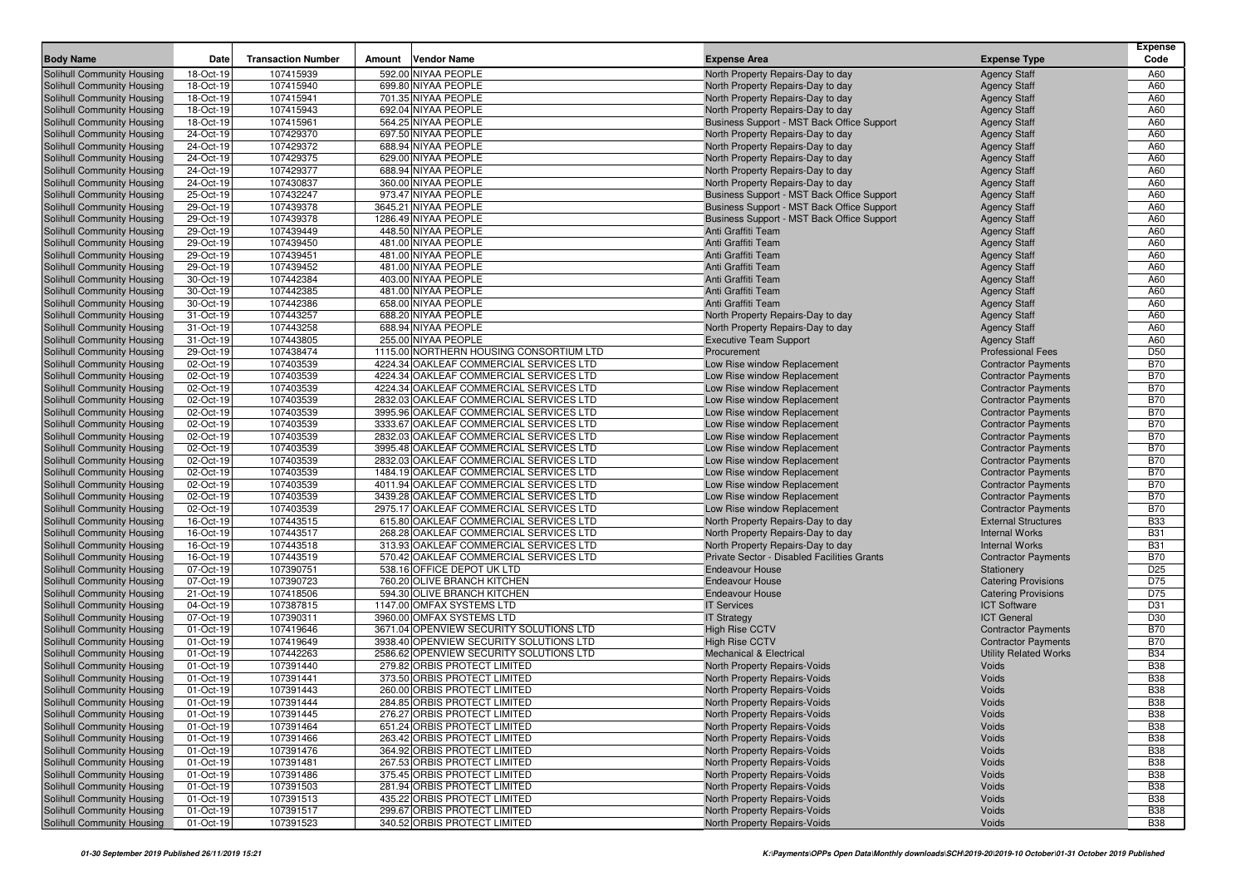|                                                          |                        |                           |        |                                                              |                                                                    |                                            | Expense         |
|----------------------------------------------------------|------------------------|---------------------------|--------|--------------------------------------------------------------|--------------------------------------------------------------------|--------------------------------------------|-----------------|
| <b>Body Name</b>                                         | Date                   | <b>Transaction Number</b> | Amount | <b>Vendor Name</b>                                           | <b>Expense Area</b>                                                | <b>Expense Type</b>                        | Code            |
| Solihull Community Housing                               | 18-Oct-19              | 107415939                 |        | 592.00 NIYAA PEOPLE                                          | North Property Repairs-Day to day                                  | <b>Agency Staff</b>                        | A60             |
| Solihull Community Housing                               | 18-Oct-19              | 107415940                 |        | 699.80 NIYAA PEOPLE                                          | North Property Repairs-Day to day                                  | <b>Agency Staff</b>                        | A60             |
| Solihull Community Housing                               | 18-Oct-19              | 107415941                 |        | 701.35 NIYAA PEOPLE                                          | North Property Repairs-Day to day                                  | <b>Agency Staff</b>                        | A60             |
| Solihull Community Housing                               | 18-Oct-19              | 107415943                 |        | 692.04 NIYAA PEOPLE                                          | North Property Repairs-Day to day                                  | <b>Agency Staff</b>                        | A60             |
| Solihull Community Housing                               | 18-Oct-19              | 107415961                 |        | 564.25 NIYAA PEOPLE                                          | Business Support - MST Back Office Support                         | <b>Agency Staff</b>                        | A60             |
| Solihull Community Housing                               | 24-Oct-19              | 107429370                 |        | 697.50 NIYAA PEOPLE                                          | North Property Repairs-Day to day                                  | <b>Agency Staff</b>                        | A60             |
| Solihull Community Housing                               | 24-Oct-19              | 107429372                 |        | 688.94 NIYAA PEOPLE                                          | North Property Repairs-Day to day                                  | <b>Agency Staff</b>                        | A60             |
| Solihull Community Housing                               | 24-Oct-19              | 107429375                 |        | 629.00 NIYAA PEOPLE                                          | North Property Repairs-Day to day                                  | <b>Agency Staff</b>                        | A60             |
| Solihull Community Housing                               | 24-Oct-19              | 107429377                 |        | 688.94 NIYAA PEOPLE                                          | North Property Repairs-Day to day                                  | <b>Agency Staff</b>                        | A60             |
| Solihull Community Housing                               | 24-Oct-19              | 107430837                 |        | 360.00 NIYAA PEOPLE                                          | North Property Repairs-Day to day                                  | <b>Agency Staff</b>                        | A60             |
| Solihull Community Housing                               | 25-Oct-19              | 107432247                 |        | 973.47 NIYAA PEOPLE                                          | Business Support - MST Back Office Support                         | <b>Agency Staff</b>                        | A60             |
| Solihull Community Housing                               | 29-Oct-19              | 107439378                 |        | 3645.21 NIYAA PEOPLE                                         | Business Support - MST Back Office Support                         | <b>Agency Staff</b>                        | A60             |
| Solihull Community Housing                               | 29-Oct-19              | 107439378                 |        | 1286.49 NIYAA PEOPLE                                         | Business Support - MST Back Office Support                         | <b>Agency Staff</b>                        | A60             |
| Solihull Community Housing                               | 29-Oct-19              | 107439449                 |        | 448.50 NIYAA PEOPLE<br>481.00 NIYAA PEOPLE                   | Anti Graffiti Team                                                 | <b>Agency Staff</b>                        | A60             |
| Solihull Community Housing                               | 29-Oct-19              | 107439450                 |        |                                                              | Anti Graffiti Team<br>Anti Graffiti Team                           | <b>Agency Staff</b>                        | A60<br>A60      |
| Solihull Community Housing                               | 29-Oct-19              | 107439451                 |        | 481.00 NIYAA PEOPLE                                          |                                                                    | <b>Agency Staff</b>                        |                 |
| Solihull Community Housing                               | 29-Oct-19              | 107439452                 |        | 481.00 NIYAA PEOPLE                                          | Anti Graffiti Team                                                 | <b>Agency Staff</b>                        | A60             |
| Solihull Community Housing                               | 30-Oct-19              | 107442384<br>107442385    |        | 403.00 NIYAA PEOPLE<br>481.00 NIYAA PEOPLE                   | Anti Graffiti Team<br>Anti Graffiti Team                           | <b>Agency Staff</b>                        | A60<br>A60      |
| Solihull Community Housing<br>Solihull Community Housing | 30-Oct-19<br>30-Oct-19 | 107442386                 |        | 658.00 NIYAA PEOPLE                                          | Anti Graffiti Team                                                 | <b>Agency Staff</b><br><b>Agency Staff</b> | A60             |
|                                                          | 31-Oct-19              | 107443257                 |        | 688.20 NIYAA PEOPLE                                          |                                                                    |                                            | A60             |
| Solihull Community Housing                               | 31-Oct-19              | 107443258                 |        | 688.94 NIYAA PEOPLE                                          | North Property Repairs-Day to day                                  | <b>Agency Staff</b>                        | A60             |
| Solihull Community Housing<br>Solihull Community Housing | 31-Oct-19              | 107443805                 |        | 255.00 NIYAA PEOPLE                                          | North Property Repairs-Day to day<br><b>Executive Team Support</b> | <b>Agency Staff</b><br><b>Agency Staff</b> | A60             |
| Solihull Community Housing                               | 29-Oct-19              | 107438474                 |        | 1115.00 NORTHERN HOUSING CONSORTIUM LTD                      | Procurement                                                        | <b>Professional Fees</b>                   | <b>D50</b>      |
| Solihull Community Housing                               | 02-Oct-19              | 107403539                 |        | 4224.34 OAKLEAF COMMERCIAL SERVICES LTD                      | Low Rise window Replacement                                        | <b>Contractor Payments</b>                 | <b>B70</b>      |
| Solihull Community Housing                               | 02-Oct-19              | 107403539                 |        | 4224.34 OAKLEAF COMMERCIAL SERVICES LTD                      | Low Rise window Replacement                                        | <b>Contractor Payments</b>                 | <b>B70</b>      |
| Solihull Community Housing                               | 02-Oct-19              | 107403539                 |        | 4224.34 OAKLEAF COMMERCIAL SERVICES LTD                      | Low Rise window Replacement                                        | <b>Contractor Payments</b>                 | <b>B70</b>      |
| Solihull Community Housing                               | 02-Oct-19              | 107403539                 |        | 2832.03 OAKLEAF COMMERCIAL SERVICES LTD                      | Low Rise window Replacement                                        | <b>Contractor Payments</b>                 | <b>B70</b>      |
| Solihull Community Housing                               | 02-Oct-19              | 107403539                 |        | 3995.96 OAKLEAF COMMERCIAL SERVICES LTD                      | Low Rise window Replacement                                        | <b>Contractor Payments</b>                 | <b>B70</b>      |
| Solihull Community Housing                               | 02-Oct-19              | 107403539                 |        | 3333.67 OAKLEAF COMMERCIAL SERVICES LTD                      | Low Rise window Replacement                                        | <b>Contractor Payments</b>                 | <b>B70</b>      |
| Solihull Community Housing                               | 02-Oct-19              | 107403539                 |        | 2832.03 OAKLEAF COMMERCIAL SERVICES LTD                      | Low Rise window Replacement                                        | <b>Contractor Payments</b>                 | <b>B70</b>      |
| Solihull Community Housing                               | 02-Oct-19              | 107403539                 |        | 3995.48 OAKLEAF COMMERCIAL SERVICES LTD                      | Low Rise window Replacement                                        | <b>Contractor Payments</b>                 | <b>B70</b>      |
| Solihull Community Housing                               | 02-Oct-19              | 107403539                 |        | 2832.03 OAKLEAF COMMERCIAL SERVICES LTD                      | Low Rise window Replacement                                        | <b>Contractor Payments</b>                 | <b>B70</b>      |
| Solihull Community Housing                               | 02-Oct-19              | 107403539                 |        | 1484.19 OAKLEAF COMMERCIAL SERVICES LTD                      | Low Rise window Replacement                                        | <b>Contractor Payments</b>                 | <b>B70</b>      |
| Solihull Community Housing                               | 02-Oct-19              | 107403539                 |        | 4011.94 OAKLEAF COMMERCIAL SERVICES LTD                      | Low Rise window Replacement                                        | <b>Contractor Payments</b>                 | <b>B70</b>      |
| Solihull Community Housing                               | 02-Oct-19              | 107403539                 |        | 3439.28 OAKLEAF COMMERCIAL SERVICES LTD                      | Low Rise window Replacement                                        | <b>Contractor Payments</b>                 | <b>B70</b>      |
| Solihull Community Housing                               | 02-Oct-19              | 107403539                 |        | 2975.17 OAKLEAF COMMERCIAL SERVICES LTD                      | Low Rise window Replacement                                        | <b>Contractor Payments</b>                 | <b>B70</b>      |
| Solihull Community Housing                               | 16-Oct-19              | 107443515                 |        | 615.80 OAKLEAF COMMERCIAL SERVICES LTD                       | North Property Repairs-Day to day                                  | <b>External Structures</b>                 | <b>B33</b>      |
| Solihull Community Housing                               | 16-Oct-19              | 107443517                 |        | 268.28 OAKLEAF COMMERCIAL SERVICES LTD                       | North Property Repairs-Day to day                                  | <b>Internal Works</b>                      | <b>B31</b>      |
| Solihull Community Housing                               | 16-Oct-19              | 107443518                 |        | 313.93 OAKLEAF COMMERCIAL SERVICES LTD                       | North Property Repairs-Day to day                                  | <b>Internal Works</b>                      | <b>B31</b>      |
| Solihull Community Housing                               | 16-Oct-19              | 107443519                 |        | 570.42 OAKLEAF COMMERCIAL SERVICES LTD                       | Private Sector - Disabled Facilities Grants                        | <b>Contractor Payments</b>                 | <b>B70</b>      |
| Solihull Community Housing                               | 07-Oct-19              | 107390751                 |        | 538.16 OFFICE DEPOT UK LTD                                   | <b>Endeavour House</b>                                             | Stationery                                 | D <sub>25</sub> |
| Solihull Community Housing                               | 07-Oct-19              | 107390723                 |        | 760.20 OLIVE BRANCH KITCHEN                                  | <b>Endeavour House</b>                                             | <b>Catering Provisions</b>                 | D75             |
| Solihull Community Housing                               | 21-Oct-19              | 107418506                 |        | 594.30 OLIVE BRANCH KITCHEN                                  | <b>Endeavour House</b>                                             | <b>Catering Provisions</b>                 | D75             |
| Solihull Community Housing                               | 04-Oct-19              | 107387815                 |        | 1147.00 OMFAX SYSTEMS LTD                                    | <b>IT Services</b>                                                 | <b>ICT Software</b>                        | D31             |
| Solihull Community Housing                               | 07-Oct-19              | 107390311                 |        | 3960.00 OMFAX SYSTEMS LTD                                    | <b>IT Strategy</b>                                                 | <b>ICT General</b>                         | D30             |
| Solihull Community Housing                               | 01-Oct-19              | 107419646                 |        | 3671.04 OPENVIEW SECURITY SOLUTIONS LTD                      | <b>High Rise CCTV</b>                                              | <b>Contractor Payments</b>                 | <b>B70</b>      |
| Solihull Community Housing                               | 01-Oct-19              | 107419649                 |        | 3938.40 OPENVIEW SECURITY SOLUTIONS LTD                      | <b>High Rise CCTV</b>                                              | <b>Contractor Payments</b>                 | <b>B70</b>      |
| Solihull Community Housing                               | 01-Oct-19              | 107442263                 |        | 2586.62 OPENVIEW SECURITY SOLUTIONS LTD                      | <b>Mechanical &amp; Electrical</b>                                 | <b>Utility Related Works</b>               | <b>B34</b>      |
| Solihull Community Housing                               | 01-Oct-19              | 107391440                 |        | 279.82 ORBIS PROTECT LIMITED                                 | North Property Repairs-Voids                                       | Voids                                      | <b>B38</b>      |
| Solihull Community Housing                               | 01-Oct-19              | 107391441                 |        | 373.50 ORBIS PROTECT LIMITED                                 | North Property Repairs-Voids                                       | Voids                                      | <b>B38</b>      |
| <b>Solihull Community Housing</b>                        | 01-Oct-19              | 107391443                 |        | 260.00 ORBIS PROTECT LIMITED                                 | North Property Repairs-Voids                                       | Voids                                      | <b>B38</b>      |
| Solihull Community Housing                               | 01-Oct-19              | 107391444                 |        | 284.85 ORBIS PROTECT LIMITED                                 | North Property Repairs-Voids                                       | Voids                                      | <b>B38</b>      |
| <b>Solihull Community Housing</b>                        | 01-Oct-19              | 107391445                 |        | 276.27 ORBIS PROTECT LIMITED                                 | North Property Repairs-Voids                                       | Voids                                      | <b>B38</b>      |
| Solihull Community Housing                               | 01-Oct-19              | 107391464                 |        | 651.24 ORBIS PROTECT LIMITED                                 | North Property Repairs-Voids                                       | Voids                                      | <b>B38</b>      |
| Solihull Community Housing                               | 01-Oct-19              | 107391466                 |        | 263.42 ORBIS PROTECT LIMITED                                 | North Property Repairs-Voids                                       | Voids                                      | <b>B38</b>      |
| Solihull Community Housing                               | 01-Oct-19              | 107391476                 |        | 364.92 ORBIS PROTECT LIMITED                                 | North Property Repairs-Voids                                       | Voids                                      | <b>B38</b>      |
| Solihull Community Housing                               | 01-Oct-19              | 107391481                 |        | 267.53 ORBIS PROTECT LIMITED                                 | North Property Repairs-Voids                                       | Voids                                      | <b>B38</b>      |
| Solihull Community Housing                               | 01-Oct-19              | 107391486                 |        | 375.45 ORBIS PROTECT LIMITED                                 | North Property Repairs-Voids                                       | Voids                                      | <b>B38</b>      |
| Solihull Community Housing                               | 01-Oct-19              | 107391503<br>107391513    |        | 281.94 ORBIS PROTECT LIMITED<br>435.22 ORBIS PROTECT LIMITED | North Property Repairs-Voids                                       | Voids                                      | <b>B38</b>      |
| Solihull Community Housing<br>Solihull Community Housing | 01-Oct-19              |                           |        | 299.67 ORBIS PROTECT LIMITED                                 | North Property Repairs-Voids                                       | Voids<br>Voids                             | <b>B38</b>      |
|                                                          | 01-Oct-19              | 107391517                 |        | 340.52 ORBIS PROTECT LIMITED                                 | North Property Repairs-Voids                                       |                                            | <b>B38</b>      |
| Solihull Community Housing                               | 01-Oct-19              | 107391523                 |        |                                                              | North Property Repairs-Voids                                       | Voids                                      | <b>B38</b>      |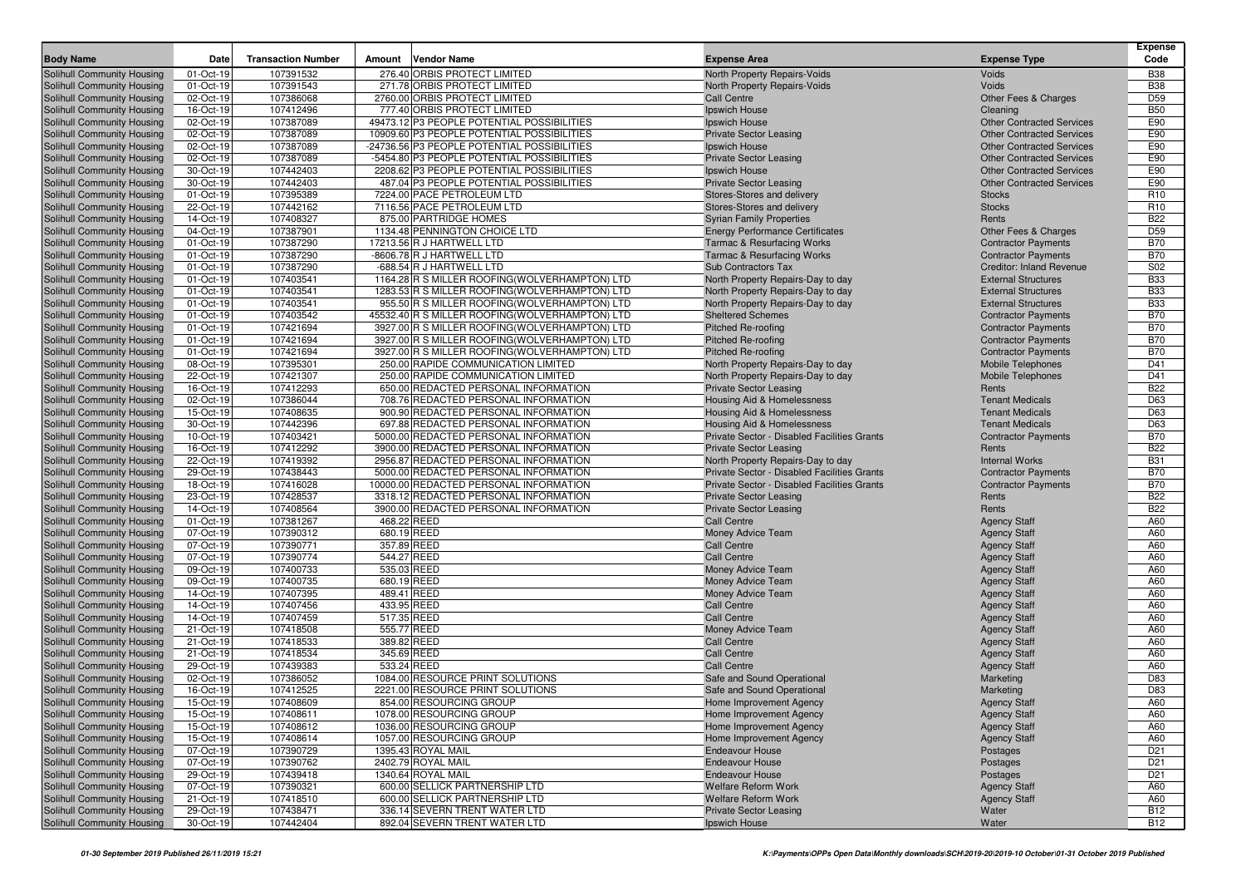|                                                          |                        |                           |                            |                                                         |                                                                           |                                            | <b>Expense</b>                |
|----------------------------------------------------------|------------------------|---------------------------|----------------------------|---------------------------------------------------------|---------------------------------------------------------------------------|--------------------------------------------|-------------------------------|
| <b>Body Name</b>                                         | Date                   | <b>Transaction Number</b> | Amount                     | <b>Vendor Name</b>                                      | <b>Expense Area</b>                                                       | <b>Expense Type</b>                        | Code                          |
| Solihull Community Housing                               | 01-Oct-19              | 107391532                 |                            | 276.40 ORBIS PROTECT LIMITED                            | North Property Repairs-Voids                                              | <b>Voids</b>                               | <b>B38</b>                    |
| Solihull Community Housing                               | 01-Oct-19              | 107391543                 |                            | 271.78 ORBIS PROTECT LIMITED                            | North Property Repairs-Voids                                              | Voids                                      | <b>B38</b>                    |
| Solihull Community Housing                               | 02-Oct-19              | 107386068                 |                            | 2760.00 ORBIS PROTECT LIMITED                           | <b>Call Centre</b>                                                        | Other Fees & Charges                       | D <sub>59</sub>               |
| Solihull Community Housing                               | 16-Oct-19              | 107412496                 |                            | 777.40 ORBIS PROTECT LIMITED                            | Ipswich House                                                             | Cleaning                                   | <b>B50</b>                    |
| Solihull Community Housing                               | 02-Oct-19              | 107387089                 |                            | 49473.12 P3 PEOPLE POTENTIAL POSSIBILITIES              | Ipswich House                                                             | <b>Other Contracted Services</b>           | E90                           |
| Solihull Community Housing                               | 02-Oct-19              | 107387089                 |                            | 10909.60 P3 PEOPLE POTENTIAL POSSIBILITIES              | <b>Private Sector Leasing</b>                                             | <b>Other Contracted Services</b>           | E90                           |
| Solihull Community Housing                               | 02-Oct-19              | 107387089                 |                            | -24736.56 P3 PEOPLE POTENTIAL POSSIBILITIES             | Ipswich House                                                             | <b>Other Contracted Services</b>           | E90                           |
| Solihull Community Housing                               | 02-Oct-19              | 107387089                 |                            | -5454.80 P3 PEOPLE POTENTIAL POSSIBILITIES              | <b>Private Sector Leasing</b>                                             | <b>Other Contracted Services</b>           | E90                           |
| Solihull Community Housing                               | 30-Oct-19              | 107442403                 |                            | 2208.62 P3 PEOPLE POTENTIAL POSSIBILITIES               | Ipswich House                                                             | <b>Other Contracted Services</b>           | E90                           |
| Solihull Community Housing                               | 30-Oct-19              | 107442403                 |                            | 487.04 P3 PEOPLE POTENTIAL POSSIBILITIES                | <b>Private Sector Leasing</b>                                             | <b>Other Contracted Services</b>           | E90                           |
| Solihull Community Housing                               | 01-Oct-19              | 107395389                 |                            | 7224.00 PACE PETROLEUM LTD                              | Stores-Stores and delivery                                                | <b>Stocks</b>                              | R <sub>10</sub>               |
| Solihull Community Housing                               | 22-Oct-19              | 107442162                 |                            | 7116.56 PACE PETROLEUM LTD                              | Stores-Stores and delivery                                                | <b>Stocks</b>                              | R <sub>10</sub><br><b>B22</b> |
| Solihull Community Housing<br>Solihull Community Housing | 14-Oct-19<br>04-Oct-19 | 107408327<br>107387901    |                            | 875.00 PARTRIDGE HOMES<br>1134.48 PENNINGTON CHOICE LTD | <b>Syrian Family Properties</b><br><b>Energy Performance Certificates</b> | Rents<br>Other Fees & Charges              | D <sub>59</sub>               |
| Solihull Community Housing                               | 01-Oct-19              | 107387290                 |                            | 17213.56 R J HARTWELL LTD                               | <b>Tarmac &amp; Resurfacing Works</b>                                     | <b>Contractor Payments</b>                 | <b>B70</b>                    |
| Solihull Community Housing                               | 01-Oct-19              | 107387290                 |                            | -8606.78 R J HARTWELL LTD                               | <b>Tarmac &amp; Resurfacing Works</b>                                     | <b>Contractor Payments</b>                 | <b>B70</b>                    |
| Solihull Community Housing                               | 01-Oct-19              | 107387290                 |                            | -688.54 R J HARTWELL LTD                                | <b>Sub Contractors Tax</b>                                                | <b>Creditor: Inland Revenue</b>            | S02                           |
| Solihull Community Housing                               | 01-Oct-19              | 107403541                 |                            | 1164.28 R S MILLER ROOFING (WOLVERHAMPTON) LTD          | North Property Repairs-Day to day                                         | <b>External Structures</b>                 | <b>B33</b>                    |
| Solihull Community Housing                               | 01-Oct-19              | 107403541                 |                            | 1283.53 R S MILLER ROOFING (WOLVERHAMPTON) LTD          | North Property Repairs-Day to day                                         | <b>External Structures</b>                 | <b>B33</b>                    |
| Solihull Community Housing                               | 01-Oct-19              | 107403541                 |                            | 955.50 R S MILLER ROOFING (WOLVERHAMPTON) LTD           | North Property Repairs-Day to day                                         | <b>External Structures</b>                 | <b>B33</b>                    |
| Solihull Community Housing                               | 01-Oct-19              | 107403542                 |                            | 45532.40 R S MILLER ROOFING(WOLVERHAMPTON) LTD          | <b>Sheltered Schemes</b>                                                  | <b>Contractor Payments</b>                 | <b>B70</b>                    |
| Solihull Community Housing                               | 01-Oct-19              | 107421694                 |                            | 3927.00 R S MILLER ROOFING (WOLVERHAMPTON) LTD          | <b>Pitched Re-roofing</b>                                                 | <b>Contractor Payments</b>                 | <b>B70</b>                    |
| Solihull Community Housing                               | 01-Oct-19              | 107421694                 |                            | 3927.00 R S MILLER ROOFING (WOLVERHAMPTON) LTD          | <b>Pitched Re-roofing</b>                                                 | <b>Contractor Payments</b>                 | <b>B70</b>                    |
| Solihull Community Housing                               | 01-Oct-19              | 107421694                 |                            | 3927.00 R S MILLER ROOFING(WOLVERHAMPTON) LTD           | <b>Pitched Re-roofing</b>                                                 | <b>Contractor Payments</b>                 | <b>B70</b>                    |
| Solihull Community Housing                               | 08-Oct-19              | 107395301                 |                            | 250.00 RAPIDE COMMUNICATION LIMITED                     | North Property Repairs-Day to day                                         | <b>Mobile Telephones</b>                   | D41                           |
| Solihull Community Housing                               | 22-Oct-19              | 107421307                 |                            | 250.00 RAPIDE COMMUNICATION LIMITED                     | North Property Repairs-Day to day                                         | <b>Mobile Telephones</b>                   | D41                           |
| Solihull Community Housing                               | 16-Oct-19              | 107412293                 |                            | 650.00 REDACTED PERSONAL INFORMATION                    | <b>Private Sector Leasing</b>                                             | Rents                                      | <b>B22</b>                    |
| Solihull Community Housing                               | 02-Oct-19              | 107386044                 |                            | 708.76 REDACTED PERSONAL INFORMATION                    | Housing Aid & Homelessness                                                | <b>Tenant Medicals</b>                     | D63                           |
| Solihull Community Housing                               | 15-Oct-19              | 107408635                 |                            | 900.90 REDACTED PERSONAL INFORMATION                    | Housing Aid & Homelessness                                                | <b>Tenant Medicals</b>                     | D63                           |
| Solihull Community Housing                               | 30-Oct-19              | 107442396                 |                            | 697.88 REDACTED PERSONAL INFORMATION                    | Housing Aid & Homelessness                                                | <b>Tenant Medicals</b>                     | D63                           |
| Solihull Community Housing                               | 10-Oct-19              | 107403421                 |                            | 5000.00 REDACTED PERSONAL INFORMATION                   | Private Sector - Disabled Facilities Grants                               | <b>Contractor Payments</b>                 | <b>B70</b>                    |
| Solihull Community Housing                               | 16-Oct-19              | 107412292                 |                            | 3900.00 REDACTED PERSONAL INFORMATION                   | <b>Private Sector Leasing</b>                                             | Rents                                      | <b>B22</b>                    |
| Solihull Community Housing                               | 22-Oct-19              | 107419392                 |                            | 2956.87 REDACTED PERSONAL INFORMATION                   | North Property Repairs-Day to day                                         | <b>Internal Works</b>                      | <b>B31</b>                    |
| Solihull Community Housing                               | 29-Oct-19              | 107438443                 |                            | 5000.00 REDACTED PERSONAL INFORMATION                   | Private Sector - Disabled Facilities Grants                               | <b>Contractor Payments</b>                 | <b>B70</b>                    |
| Solihull Community Housing                               | 18-Oct-19              | 107416028                 |                            | 10000.00 REDACTED PERSONAL INFORMATION                  | Private Sector - Disabled Facilities Grants                               | <b>Contractor Payments</b>                 | <b>B70</b>                    |
| Solihull Community Housing                               | 23-Oct-19              | 107428537                 |                            | 3318.12 REDACTED PERSONAL INFORMATION                   | <b>Private Sector Leasing</b>                                             | Rents                                      | <b>B22</b>                    |
| Solihull Community Housing                               | 14-Oct-19              | 107408564                 |                            | 3900.00 REDACTED PERSONAL INFORMATION                   | <b>Private Sector Leasing</b>                                             | Rents                                      | <b>B22</b>                    |
| Solihull Community Housing                               | 01-Oct-19              | 107381267                 | 468.22 REED                |                                                         | <b>Call Centre</b>                                                        | <b>Agency Staff</b>                        | A60                           |
| Solihull Community Housing                               | 07-Oct-19              | 107390312                 | 680.19 REED                |                                                         | Money Advice Team                                                         | <b>Agency Staff</b>                        | A60                           |
| Solihull Community Housing                               | 07-Oct-19              | 107390771                 | 357.89 REED                |                                                         | <b>Call Centre</b>                                                        | <b>Agency Staff</b>                        | A60                           |
| Solihull Community Housing                               | 07-Oct-19              | 107390774                 | 544.27 REED                |                                                         | <b>Call Centre</b>                                                        | <b>Agency Staff</b>                        | A60                           |
| Solihull Community Housing                               | 09-Oct-19              | 107400733                 | 535.03 REED                |                                                         | Money Advice Team                                                         | <b>Agency Staff</b>                        | A60                           |
| Solihull Community Housing                               | 09-Oct-19<br>14-Oct-19 | 107400735                 | 680.19 REED<br>489.41 REED |                                                         | Money Advice Team                                                         | <b>Agency Staff</b>                        | A60<br>A60                    |
| Solihull Community Housing<br>Solihull Community Housing | 14-Oct-19              | 107407395<br>107407456    | 433.95 REED                |                                                         | Money Advice Team<br><b>Call Centre</b>                                   | <b>Agency Staff</b>                        | A60                           |
| Solihull Community Housing                               | 14-Oct-19              | 107407459                 | 517.35 REED                |                                                         | <b>Call Centre</b>                                                        | <b>Agency Staff</b><br><b>Agency Staff</b> | A60                           |
| Solihull Community Housing                               | 21-Oct-19              | 107418508                 | 555.77 REED                |                                                         | Money Advice Team                                                         | <b>Agency Staff</b>                        | A60                           |
| Solihull Community Housing                               | 21-Oct-19              | 107418533                 | 389.82 REED                |                                                         | <b>Call Centre</b>                                                        | <b>Agency Staff</b>                        | A60                           |
| Solihull Community Housing                               | 21-Oct-19              | 107418534                 | 345.69 REED                |                                                         | <b>Call Centre</b>                                                        | <b>Agency Staff</b>                        | A60                           |
| Solihull Community Housing                               | 29-Oct-19              | 107439383                 | 533.24 REED                |                                                         | <b>Call Centre</b>                                                        | <b>Agency Staff</b>                        | A60                           |
| Solihull Community Housing                               | 02-Oct-19              | 107386052                 |                            | 1084.00 RESOURCE PRINT SOLUTIONS                        | Safe and Sound Operational                                                | Marketing                                  | D83                           |
| Solihull Community Housing                               | 16-Oct-19              | 107412525                 |                            | 2221.00 RESOURCE PRINT SOLUTIONS                        | Safe and Sound Operational                                                | Marketing                                  | D83                           |
| Solihull Community Housing                               | 15-Oct-19              | 107408609                 |                            | 854.00 RESOURCING GROUP                                 | Home Improvement Agency                                                   | <b>Agency Staff</b>                        | A60                           |
| Solihull Community Housing                               | 15-Oct-19              | 107408611                 |                            | 1078.00 RESOURCING GROUP                                | Home Improvement Agency                                                   | <b>Agency Staff</b>                        | A60                           |
| Solihull Community Housing                               | 15-Oct-19              | 107408612                 |                            | 1036.00 RESOURCING GROUP                                | Home Improvement Agency                                                   | <b>Agency Staff</b>                        | A60                           |
| Solihull Community Housing                               | 15-Oct-19              | 107408614                 |                            | 1057.00 RESOURCING GROUP                                | Home Improvement Agency                                                   | <b>Agency Staff</b>                        | A60                           |
| Solihull Community Housing                               | 07-Oct-19              | 107390729                 |                            | 1395.43 ROYAL MAIL                                      | <b>Endeavour House</b>                                                    | Postages                                   | D <sub>21</sub>               |
| Solihull Community Housing                               | 07-Oct-19              | 107390762                 |                            | 2402.79 ROYAL MAIL                                      | <b>Endeavour House</b>                                                    | Postages                                   | D <sub>21</sub>               |
| Solihull Community Housing                               | 29-Oct-19              | 107439418                 |                            | 1340.64 ROYAL MAIL                                      | <b>Endeavour House</b>                                                    | Postages                                   | D <sub>21</sub>               |
| Solihull Community Housing                               | 07-Oct-19              | 107390321                 |                            | 600.00 SELLICK PARTNERSHIP LTD                          | Welfare Reform Work                                                       | <b>Agency Staff</b>                        | A60                           |
| Solihull Community Housing                               | 21-Oct-19              | 107418510                 |                            | 600.00 SELLICK PARTNERSHIP LTD                          | <b>Welfare Reform Work</b>                                                | <b>Agency Staff</b>                        | A60                           |
| Solihull Community Housing                               | 29-Oct-19              | 107438471                 |                            | 336.14 SEVERN TRENT WATER LTD                           | <b>Private Sector Leasing</b>                                             | Water                                      | <b>B12</b>                    |
| Solihull Community Housing                               | 30-Oct-19              | 107442404                 |                            | 892.04 SEVERN TRENT WATER LTD                           | Ipswich House                                                             | Water                                      | <b>B12</b>                    |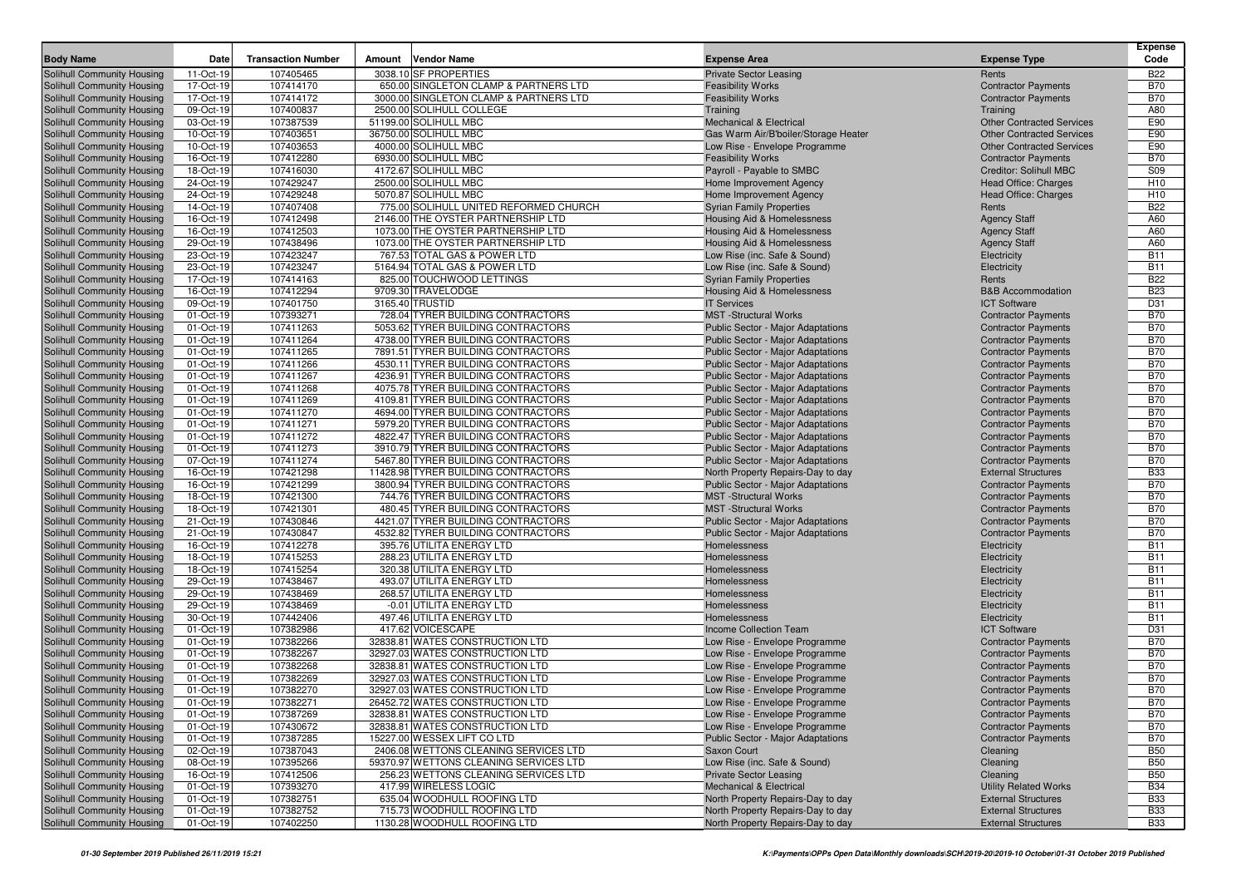| <b>Transaction Number</b><br>Code<br><b>Body Name</b><br><b>Date</b><br>Amount<br>Vendor Name<br><b>Expense Area</b><br><b>Expense Type</b><br><b>Solihull Community Housing</b><br>3038.10 SF PROPERTIES<br>11-Oct-19<br>107405465<br><b>Private Sector Leasing</b><br>Rents<br><b>B22</b><br>17-Oct-19<br>107414170<br>650.00 SINGLETON CLAMP & PARTNERS LTD<br><b>B70</b><br>Solihull Community Housing<br><b>Feasibility Works</b><br><b>Contractor Payments</b><br>107414172<br>3000.00 SINGLETON CLAMP & PARTNERS LTD<br><b>B70</b><br>Solihull Community Housing<br>17-Oct-19<br><b>Feasibility Works</b><br><b>Contractor Payments</b><br>107400837<br>2500.00 SOLIHULL COLLEGE<br>A80<br>Solihull Community Housing<br>09-Oct-19<br>Training<br>Training<br>Solihull Community Housing<br>107387539<br>51199.00 SOLIHULL MBC<br>E90<br>03-Oct-19<br><b>Mechanical &amp; Electrical</b><br><b>Other Contracted Services</b><br>107403651<br>36750.00 SOLIHULL MBC<br>E90<br>Solihull Community Housing<br>10-Oct-19<br>Gas Warm Air/B'boiler/Storage Heater<br><b>Other Contracted Services</b><br>107403653<br>4000.00 SOLIHULL MBC<br>E90<br>Solihull Community Housing<br>10-Oct-19<br>Low Rise - Envelope Programme<br><b>Other Contracted Services</b><br>107412280<br>6930.00 SOLIHULL MBC<br><b>B70</b><br>Solihull Community Housing<br>16-Oct-19<br><b>Feasibility Works</b><br><b>Contractor Payments</b><br>107416030<br>4172.67 SOLIHULL MBC<br>S09<br>Solihull Community Housing<br>18-Oct-19<br>Payroll - Payable to SMBC<br>Creditor: Solihull MBC<br>107429247<br>2500.00 SOLIHULL MBC<br>Solihull Community Housing<br>24-Oct-19<br>Home Improvement Agency<br>Head Office: Charges<br>H <sub>10</sub><br>107429248<br>5070.87 SOLIHULL MBC<br>H <sub>10</sub><br>Solihull Community Housing<br>24-Oct-19<br>Home Improvement Agency<br><b>Head Office: Charges</b><br>107407408<br>775.00 SOLIHULL UNITED REFORMED CHURCH<br><b>B22</b><br>Solihull Community Housing<br>14-Oct-19<br><b>Syrian Family Properties</b><br>Rents<br>107412498<br>2146.00 THE OYSTER PARTNERSHIP LTD<br>A60<br>Solihull Community Housing<br>16-Oct-19<br>Housing Aid & Homelessness<br><b>Agency Staff</b><br>1073.00 THE OYSTER PARTNERSHIP LTD<br>A60<br>Solihull Community Housing<br>16-Oct-19<br>107412503<br>Housing Aid & Homelessness<br><b>Agency Staff</b><br>107438496<br>1073.00 THE OYSTER PARTNERSHIP LTD<br>A60<br>Solihull Community Housing<br>29-Oct-19<br>Housing Aid & Homelessness<br><b>Agency Staff</b><br><b>B11</b><br>107423247<br>767.53 TOTAL GAS & POWER LTD<br>Solihull Community Housing<br>23-Oct-19<br>Low Rise (inc. Safe & Sound)<br>Electricity<br>107423247<br>5164.94 TOTAL GAS & POWER LTD<br><b>B11</b><br>Solihull Community Housing<br>23-Oct-19<br>Low Rise (inc. Safe & Sound)<br>Electricity<br>107414163<br>825.00 TOUCHWOOD LETTINGS<br><b>B22</b><br>Solihull Community Housing<br>17-Oct-19<br><b>Syrian Family Properties</b><br>Rents<br>107412294<br>9709.30 TRAVELODGE<br><b>B&amp;B Accommodation</b><br><b>B23</b><br>Solihull Community Housing<br>16-Oct-19<br>Housing Aid & Homelessness<br>107401750<br>3165.40 TRUSTID<br>D31<br>Solihull Community Housing<br>09-Oct-19<br><b>IT Services</b><br><b>ICT Software</b><br>107393271<br>728.04 TYRER BUILDING CONTRACTORS<br><b>MST</b> -Structural Works<br><b>B70</b><br>Solihull Community Housing<br>01-Oct-19<br><b>Contractor Payments</b><br>5053.62 TYRER BUILDING CONTRACTORS<br>Solihull Community Housing<br><b>B70</b><br>01-Oct-19<br>107411263<br>Public Sector - Major Adaptations<br><b>Contractor Payments</b><br><b>B70</b><br>Solihull Community Housing<br>01-Oct-19<br>107411264<br>4738.00 TYRER BUILDING CONTRACTORS<br>Public Sector - Major Adaptations<br><b>Contractor Payments</b><br>107411265<br>7891.51 TYRER BUILDING CONTRACTORS<br><b>B70</b><br>Solihull Community Housing<br>01-Oct-19<br><b>Public Sector - Major Adaptations</b><br><b>Contractor Payments</b><br>107411266<br>4530.11 TYRER BUILDING CONTRACTORS<br><b>B70</b><br>Solihull Community Housing<br>01-Oct-19<br>Public Sector - Major Adaptations<br><b>Contractor Payments</b><br>107411267<br>4236.91 TYRER BUILDING CONTRACTORS<br><b>B70</b><br>Solihull Community Housing<br>01-Oct-19<br>Public Sector - Major Adaptations<br><b>Contractor Payments</b><br>107411268<br>4075.78 TYRER BUILDING CONTRACTORS<br><b>B70</b><br>Solihull Community Housing<br>01-Oct-19<br>Public Sector - Major Adaptations<br><b>Contractor Payments</b><br>107411269<br>4109.81 TYRER BUILDING CONTRACTORS<br><b>B70</b><br>Solihull Community Housing<br>01-Oct-19<br>Public Sector - Major Adaptations<br><b>Contractor Payments</b><br>107411270<br>4694.00 TYRER BUILDING CONTRACTORS<br><b>B70</b><br>Solihull Community Housing<br>01-Oct-19<br>Public Sector - Major Adaptations<br><b>Contractor Payments</b><br>Solihull Community Housing<br>107411271<br>5979.20 TYRER BUILDING CONTRACTORS<br><b>B70</b><br>01-Oct-19<br>Public Sector - Major Adaptations<br><b>Contractor Payments</b><br><b>B70</b><br>Solihull Community Housing<br>01-Oct-19<br>107411272<br>4822.47 TYRER BUILDING CONTRACTORS<br>Public Sector - Major Adaptations<br><b>Contractor Payments</b><br>107411273<br>3910.79 TYRER BUILDING CONTRACTORS<br><b>B70</b><br>Solihull Community Housing<br>01-Oct-19<br>Public Sector - Major Adaptations<br><b>Contractor Payments</b><br>107411274<br>5467.80 TYRER BUILDING CONTRACTORS<br><b>B70</b><br>Solihull Community Housing<br>07-Oct-19<br><b>Public Sector - Major Adaptations</b><br><b>Contractor Payments</b><br>107421298<br>11428.98 TYRER BUILDING CONTRACTORS<br><b>B33</b><br>Solihull Community Housing<br>16-Oct-19<br>North Property Repairs-Day to day<br><b>External Structures</b><br>107421299<br>3800.94 TYRER BUILDING CONTRACTORS<br><b>Public Sector - Major Adaptations</b><br><b>B70</b><br>Solihull Community Housing<br>16-Oct-19<br><b>Contractor Payments</b><br>107421300<br>744.76 TYRER BUILDING CONTRACTORS<br><b>B70</b><br>Solihull Community Housing<br>18-Oct-19<br><b>MST</b> -Structural Works<br><b>Contractor Payments</b><br>107421301<br>480.45 TYRER BUILDING CONTRACTORS<br><b>MST</b> -Structural Works<br><b>B70</b><br>Solihull Community Housing<br>18-Oct-19<br><b>Contractor Payments</b><br>107430846<br>4421.07 TYRER BUILDING CONTRACTORS<br><b>B70</b><br>Solihull Community Housing<br>21-Oct-19<br>Public Sector - Major Adaptations<br><b>Contractor Payments</b><br>Solihull Community Housing<br>107430847<br>4532.82 TYRER BUILDING CONTRACTORS<br><b>B70</b><br>21-Oct-19<br>Public Sector - Major Adaptations<br><b>Contractor Payments</b><br>107412278<br>395.76 UTILITA ENERGY LTD<br>Solihull Community Housing<br>16-Oct-19<br><b>B11</b><br>Homelessness<br>Electricity<br><b>B11</b><br>107415253<br>288.23 UTILITA ENERGY LTD<br>Solihull Community Housing<br>18-Oct-19<br>Homelessness<br>Electricity<br>107415254<br>320.38 UTILITA ENERGY LTD<br><b>B11</b><br>Solihull Community Housing<br>18-Oct-19<br>Homelessness<br>Electricity<br>107438467<br>493.07 UTILITA ENERGY LTD<br>Solihull Community Housing<br>29-Oct-19<br>Homelessness<br>Electricity<br><b>B11</b><br>107438469<br>268.57 UTILITA ENERGY LTD<br><b>B11</b><br>Solihull Community Housing<br>29-Oct-19<br>Homelessness<br>Electricity<br>107438469<br>-0.01 UTILITA ENERGY LTD<br><b>B11</b><br>Solihull Community Housing<br>29-Oct-19<br>Homelessness<br>Electricity<br>107442406<br>497.46 UTILITA ENERGY LTD<br><b>B11</b><br>Solihull Community Housing<br>30-Oct-19<br>Homelessness<br>Electricity<br>417.62 VOICESCAPE<br>Solihull Community Housing<br>107382986<br><b>ICT Software</b><br>D31<br>01-Oct-19<br>Income Collection Team<br><b>B70</b><br>Solihull Community Housing<br>01-Oct-19<br>107382266<br>32838.81 WATES CONSTRUCTION LTD<br>Low Rise - Envelope Programme<br><b>Contractor Payments</b><br>107382267<br>32927.03 WATES CONSTRUCTION LTD<br><b>B70</b><br>Solihull Community Housing<br>01-Oct-19<br>Low Rise - Envelope Programme<br><b>Contractor Payments</b><br>107382268<br>32838.81 WATES CONSTRUCTION LTD<br><b>B70</b><br>Solihull Community Housing<br>01-Oct-19<br>Low Rise - Envelope Programme<br><b>Contractor Payments</b><br>107382269<br>32927.03 WATES CONSTRUCTION LTD<br><b>B70</b><br>Solihull Community Housing<br>01-Oct-19<br>Low Rise - Envelope Programme<br><b>Contractor Payments</b><br>Solihull Community Housing<br>107382270<br>32927.03 WATES CONSTRUCTION LTD<br>Low Rise - Envelope Programme<br><b>B70</b><br>01-Oct-19<br><b>Contractor Payments</b><br>26452.72 WATES CONSTRUCTION LTD<br><b>B70</b><br>01-Oct-19<br>107382271<br>Low Rise - Envelope Programme<br><b>Contractor Payments</b><br><b>B70</b><br>01-Oct-19<br>107387269<br>32838.81 WATES CONSTRUCTION LTD<br>Low Rise - Envelope Programme<br><b>Contractor Payments</b><br>01-Oct-19<br>107430672<br>32838.81 WATES CONSTRUCTION LTD<br>Low Rise - Envelope Programme<br><b>Contractor Payments</b><br><b>B70</b><br>Solihull Community Housing<br>01-Oct-19<br>107387285<br>15227.00 WESSEX LIFT CO LTD<br>Public Sector - Major Adaptations<br><b>Contractor Payments</b><br><b>B70</b><br>107387043<br>Solihull Community Housing<br>2406.08 WETTONS CLEANING SERVICES LTD<br>02-Oct-19<br>Saxon Court<br>Cleaning<br><b>B50</b><br>Solihull Community Housing<br>08-Oct-19<br>107395266<br>59370.97 WETTONS CLEANING SERVICES LTD<br>Low Rise (inc. Safe & Sound)<br><b>B50</b><br>Cleaning<br>Solihull Community Housing<br>16-Oct-19<br>107412506<br>256.23 WETTONS CLEANING SERVICES LTD<br><b>Private Sector Leasing</b><br><b>B50</b><br>Cleaning<br>Solihull Community Housing<br>01-Oct-19<br>107393270<br>417.99 WIRELESS LOGIC<br><b>Mechanical &amp; Electrical</b><br><b>Utility Related Works</b><br><b>B34</b><br>Solihull Community Housing<br>107382751<br>635.04 WOODHULL ROOFING LTD<br>North Property Repairs-Day to day<br><b>External Structures</b><br><b>B33</b><br>01-Oct-19<br>Solihull Community Housing<br>01-Oct-19<br>107382752<br>715.73 WOODHULL ROOFING LTD<br>North Property Repairs-Day to day<br><b>External Structures</b><br><b>B33</b> |                            |           |           |                              |                                   |                            | <b>Expense</b> |
|------------------------------------------------------------------------------------------------------------------------------------------------------------------------------------------------------------------------------------------------------------------------------------------------------------------------------------------------------------------------------------------------------------------------------------------------------------------------------------------------------------------------------------------------------------------------------------------------------------------------------------------------------------------------------------------------------------------------------------------------------------------------------------------------------------------------------------------------------------------------------------------------------------------------------------------------------------------------------------------------------------------------------------------------------------------------------------------------------------------------------------------------------------------------------------------------------------------------------------------------------------------------------------------------------------------------------------------------------------------------------------------------------------------------------------------------------------------------------------------------------------------------------------------------------------------------------------------------------------------------------------------------------------------------------------------------------------------------------------------------------------------------------------------------------------------------------------------------------------------------------------------------------------------------------------------------------------------------------------------------------------------------------------------------------------------------------------------------------------------------------------------------------------------------------------------------------------------------------------------------------------------------------------------------------------------------------------------------------------------------------------------------------------------------------------------------------------------------------------------------------------------------------------------------------------------------------------------------------------------------------------------------------------------------------------------------------------------------------------------------------------------------------------------------------------------------------------------------------------------------------------------------------------------------------------------------------------------------------------------------------------------------------------------------------------------------------------------------------------------------------------------------------------------------------------------------------------------------------------------------------------------------------------------------------------------------------------------------------------------------------------------------------------------------------------------------------------------------------------------------------------------------------------------------------------------------------------------------------------------------------------------------------------------------------------------------------------------------------------------------------------------------------------------------------------------------------------------------------------------------------------------------------------------------------------------------------------------------------------------------------------------------------------------------------------------------------------------------------------------------------------------------------------------------------------------------------------------------------------------------------------------------------------------------------------------------------------------------------------------------------------------------------------------------------------------------------------------------------------------------------------------------------------------------------------------------------------------------------------------------------------------------------------------------------------------------------------------------------------------------------------------------------------------------------------------------------------------------------------------------------------------------------------------------------------------------------------------------------------------------------------------------------------------------------------------------------------------------------------------------------------------------------------------------------------------------------------------------------------------------------------------------------------------------------------------------------------------------------------------------------------------------------------------------------------------------------------------------------------------------------------------------------------------------------------------------------------------------------------------------------------------------------------------------------------------------------------------------------------------------------------------------------------------------------------------------------------------------------------------------------------------------------------------------------------------------------------------------------------------------------------------------------------------------------------------------------------------------------------------------------------------------------------------------------------------------------------------------------------------------------------------------------------------------------------------------------------------------------------------------------------------------------------------------------------------------------------------------------------------------------------------------------------------------------------------------------------------------------------------------------------------------------------------------------------------------------------------------------------------------------------------------------------------------------------------------------------------------------------------------------------------------------------------------------------------------------------------------------------------------------------------------------------------------------------------------------------------------------------------------------------------------------------------------------------------------------------------------------------------------------------------------------------------------------------------------------------------------------------------------------------------------------------------------------------------------------------------------------------------------------------------------------------------------------------------------------------------------------------------------------------------------------------------------------------------------------------------------------------------------------------------------------------------------------------------------------------------------------------------------------------------------------------------------------------------------------------------------------------------------------------------------------------------------------------------------------------------------------------------------------------------------------------------------------------------------------------------------------------------------------------------------------------------------------------------------------------------------------------------------------------------------------------------------------------------------------------------------------------------------------------------------------------------------------------------------------------------------------------------------------------------------------------------------------------------------------------------------------------------------------------------------------------------------------------------------------------------------------------------------------------------------------------------------------------------------------------------------------------------------------------------------------------------------------------------------------------------------------------------------------------------------------------------------------------------------------------------------------------------------------------------------------------------------------------------------------------------------------------------------------------------------------------------------------------------------------------------------------------------------------------------------------------------------------------------------------------------------------------------------------------------------------------------------------------------------------------------------------------------------------------------------------------------------------------------------------------------------------------------------------------------------------------------------------------------------------------------------------------------------------------------------------------------------------------------------------------------------------------------------------------------------------------------------------------------------------------------------------------------------------------------------------------------------------------------|----------------------------|-----------|-----------|------------------------------|-----------------------------------|----------------------------|----------------|
| Solihull Community Housing<br>Solihull Community Housing<br>Solihull Community Housing                                                                                                                                                                                                                                                                                                                                                                                                                                                                                                                                                                                                                                                                                                                                                                                                                                                                                                                                                                                                                                                                                                                                                                                                                                                                                                                                                                                                                                                                                                                                                                                                                                                                                                                                                                                                                                                                                                                                                                                                                                                                                                                                                                                                                                                                                                                                                                                                                                                                                                                                                                                                                                                                                                                                                                                                                                                                                                                                                                                                                                                                                                                                                                                                                                                                                                                                                                                                                                                                                                                                                                                                                                                                                                                                                                                                                                                                                                                                                                                                                                                                                                                                                                                                                                                                                                                                                                                                                                                                                                                                                                                                                                                                                                                                                                                                                                                                                                                                                                                                                                                                                                                                                                                                                                                                                                                                                                                                                                                                                                                                                                                                                                                                                                                                                                                                                                                                                                                                                                                                                                                                                                                                                                                                                                                                                                                                                                                                                                                                                                                                                                                                                                                                                                                                                                                                                                                                                                                                                                                                                                                                                                                                                                                                                                                                                                                                                                                                                                                                                                                                                                                                                                                                                                                                                                                                                                                                                                                                                                                                                                                                                                                                                                                                                                                                                                                                                                                                                                                                                                                                                                                                                                                                                                                                                                                                                                                                                                                                                                                                                                                                                                                                                                                                                                                                                                                                                                                                                                                                                                                                                                                                                                                                                                                                                                                                                                                                                                                                                                                                                                                                                                                                                                                                                           |                            |           |           |                              |                                   |                            |                |
|                                                                                                                                                                                                                                                                                                                                                                                                                                                                                                                                                                                                                                                                                                                                                                                                                                                                                                                                                                                                                                                                                                                                                                                                                                                                                                                                                                                                                                                                                                                                                                                                                                                                                                                                                                                                                                                                                                                                                                                                                                                                                                                                                                                                                                                                                                                                                                                                                                                                                                                                                                                                                                                                                                                                                                                                                                                                                                                                                                                                                                                                                                                                                                                                                                                                                                                                                                                                                                                                                                                                                                                                                                                                                                                                                                                                                                                                                                                                                                                                                                                                                                                                                                                                                                                                                                                                                                                                                                                                                                                                                                                                                                                                                                                                                                                                                                                                                                                                                                                                                                                                                                                                                                                                                                                                                                                                                                                                                                                                                                                                                                                                                                                                                                                                                                                                                                                                                                                                                                                                                                                                                                                                                                                                                                                                                                                                                                                                                                                                                                                                                                                                                                                                                                                                                                                                                                                                                                                                                                                                                                                                                                                                                                                                                                                                                                                                                                                                                                                                                                                                                                                                                                                                                                                                                                                                                                                                                                                                                                                                                                                                                                                                                                                                                                                                                                                                                                                                                                                                                                                                                                                                                                                                                                                                                                                                                                                                                                                                                                                                                                                                                                                                                                                                                                                                                                                                                                                                                                                                                                                                                                                                                                                                                                                                                                                                                                                                                                                                                                                                                                                                                                                                                                                                                                                                                                                  |                            |           |           |                              |                                   |                            |                |
|                                                                                                                                                                                                                                                                                                                                                                                                                                                                                                                                                                                                                                                                                                                                                                                                                                                                                                                                                                                                                                                                                                                                                                                                                                                                                                                                                                                                                                                                                                                                                                                                                                                                                                                                                                                                                                                                                                                                                                                                                                                                                                                                                                                                                                                                                                                                                                                                                                                                                                                                                                                                                                                                                                                                                                                                                                                                                                                                                                                                                                                                                                                                                                                                                                                                                                                                                                                                                                                                                                                                                                                                                                                                                                                                                                                                                                                                                                                                                                                                                                                                                                                                                                                                                                                                                                                                                                                                                                                                                                                                                                                                                                                                                                                                                                                                                                                                                                                                                                                                                                                                                                                                                                                                                                                                                                                                                                                                                                                                                                                                                                                                                                                                                                                                                                                                                                                                                                                                                                                                                                                                                                                                                                                                                                                                                                                                                                                                                                                                                                                                                                                                                                                                                                                                                                                                                                                                                                                                                                                                                                                                                                                                                                                                                                                                                                                                                                                                                                                                                                                                                                                                                                                                                                                                                                                                                                                                                                                                                                                                                                                                                                                                                                                                                                                                                                                                                                                                                                                                                                                                                                                                                                                                                                                                                                                                                                                                                                                                                                                                                                                                                                                                                                                                                                                                                                                                                                                                                                                                                                                                                                                                                                                                                                                                                                                                                                                                                                                                                                                                                                                                                                                                                                                                                                                                                                                  |                            |           |           |                              |                                   |                            |                |
|                                                                                                                                                                                                                                                                                                                                                                                                                                                                                                                                                                                                                                                                                                                                                                                                                                                                                                                                                                                                                                                                                                                                                                                                                                                                                                                                                                                                                                                                                                                                                                                                                                                                                                                                                                                                                                                                                                                                                                                                                                                                                                                                                                                                                                                                                                                                                                                                                                                                                                                                                                                                                                                                                                                                                                                                                                                                                                                                                                                                                                                                                                                                                                                                                                                                                                                                                                                                                                                                                                                                                                                                                                                                                                                                                                                                                                                                                                                                                                                                                                                                                                                                                                                                                                                                                                                                                                                                                                                                                                                                                                                                                                                                                                                                                                                                                                                                                                                                                                                                                                                                                                                                                                                                                                                                                                                                                                                                                                                                                                                                                                                                                                                                                                                                                                                                                                                                                                                                                                                                                                                                                                                                                                                                                                                                                                                                                                                                                                                                                                                                                                                                                                                                                                                                                                                                                                                                                                                                                                                                                                                                                                                                                                                                                                                                                                                                                                                                                                                                                                                                                                                                                                                                                                                                                                                                                                                                                                                                                                                                                                                                                                                                                                                                                                                                                                                                                                                                                                                                                                                                                                                                                                                                                                                                                                                                                                                                                                                                                                                                                                                                                                                                                                                                                                                                                                                                                                                                                                                                                                                                                                                                                                                                                                                                                                                                                                                                                                                                                                                                                                                                                                                                                                                                                                                                                                                  |                            |           |           |                              |                                   |                            |                |
|                                                                                                                                                                                                                                                                                                                                                                                                                                                                                                                                                                                                                                                                                                                                                                                                                                                                                                                                                                                                                                                                                                                                                                                                                                                                                                                                                                                                                                                                                                                                                                                                                                                                                                                                                                                                                                                                                                                                                                                                                                                                                                                                                                                                                                                                                                                                                                                                                                                                                                                                                                                                                                                                                                                                                                                                                                                                                                                                                                                                                                                                                                                                                                                                                                                                                                                                                                                                                                                                                                                                                                                                                                                                                                                                                                                                                                                                                                                                                                                                                                                                                                                                                                                                                                                                                                                                                                                                                                                                                                                                                                                                                                                                                                                                                                                                                                                                                                                                                                                                                                                                                                                                                                                                                                                                                                                                                                                                                                                                                                                                                                                                                                                                                                                                                                                                                                                                                                                                                                                                                                                                                                                                                                                                                                                                                                                                                                                                                                                                                                                                                                                                                                                                                                                                                                                                                                                                                                                                                                                                                                                                                                                                                                                                                                                                                                                                                                                                                                                                                                                                                                                                                                                                                                                                                                                                                                                                                                                                                                                                                                                                                                                                                                                                                                                                                                                                                                                                                                                                                                                                                                                                                                                                                                                                                                                                                                                                                                                                                                                                                                                                                                                                                                                                                                                                                                                                                                                                                                                                                                                                                                                                                                                                                                                                                                                                                                                                                                                                                                                                                                                                                                                                                                                                                                                                                                                  |                            |           |           |                              |                                   |                            |                |
|                                                                                                                                                                                                                                                                                                                                                                                                                                                                                                                                                                                                                                                                                                                                                                                                                                                                                                                                                                                                                                                                                                                                                                                                                                                                                                                                                                                                                                                                                                                                                                                                                                                                                                                                                                                                                                                                                                                                                                                                                                                                                                                                                                                                                                                                                                                                                                                                                                                                                                                                                                                                                                                                                                                                                                                                                                                                                                                                                                                                                                                                                                                                                                                                                                                                                                                                                                                                                                                                                                                                                                                                                                                                                                                                                                                                                                                                                                                                                                                                                                                                                                                                                                                                                                                                                                                                                                                                                                                                                                                                                                                                                                                                                                                                                                                                                                                                                                                                                                                                                                                                                                                                                                                                                                                                                                                                                                                                                                                                                                                                                                                                                                                                                                                                                                                                                                                                                                                                                                                                                                                                                                                                                                                                                                                                                                                                                                                                                                                                                                                                                                                                                                                                                                                                                                                                                                                                                                                                                                                                                                                                                                                                                                                                                                                                                                                                                                                                                                                                                                                                                                                                                                                                                                                                                                                                                                                                                                                                                                                                                                                                                                                                                                                                                                                                                                                                                                                                                                                                                                                                                                                                                                                                                                                                                                                                                                                                                                                                                                                                                                                                                                                                                                                                                                                                                                                                                                                                                                                                                                                                                                                                                                                                                                                                                                                                                                                                                                                                                                                                                                                                                                                                                                                                                                                                                                                  |                            |           |           |                              |                                   |                            |                |
|                                                                                                                                                                                                                                                                                                                                                                                                                                                                                                                                                                                                                                                                                                                                                                                                                                                                                                                                                                                                                                                                                                                                                                                                                                                                                                                                                                                                                                                                                                                                                                                                                                                                                                                                                                                                                                                                                                                                                                                                                                                                                                                                                                                                                                                                                                                                                                                                                                                                                                                                                                                                                                                                                                                                                                                                                                                                                                                                                                                                                                                                                                                                                                                                                                                                                                                                                                                                                                                                                                                                                                                                                                                                                                                                                                                                                                                                                                                                                                                                                                                                                                                                                                                                                                                                                                                                                                                                                                                                                                                                                                                                                                                                                                                                                                                                                                                                                                                                                                                                                                                                                                                                                                                                                                                                                                                                                                                                                                                                                                                                                                                                                                                                                                                                                                                                                                                                                                                                                                                                                                                                                                                                                                                                                                                                                                                                                                                                                                                                                                                                                                                                                                                                                                                                                                                                                                                                                                                                                                                                                                                                                                                                                                                                                                                                                                                                                                                                                                                                                                                                                                                                                                                                                                                                                                                                                                                                                                                                                                                                                                                                                                                                                                                                                                                                                                                                                                                                                                                                                                                                                                                                                                                                                                                                                                                                                                                                                                                                                                                                                                                                                                                                                                                                                                                                                                                                                                                                                                                                                                                                                                                                                                                                                                                                                                                                                                                                                                                                                                                                                                                                                                                                                                                                                                                                                                                  |                            |           |           |                              |                                   |                            |                |
|                                                                                                                                                                                                                                                                                                                                                                                                                                                                                                                                                                                                                                                                                                                                                                                                                                                                                                                                                                                                                                                                                                                                                                                                                                                                                                                                                                                                                                                                                                                                                                                                                                                                                                                                                                                                                                                                                                                                                                                                                                                                                                                                                                                                                                                                                                                                                                                                                                                                                                                                                                                                                                                                                                                                                                                                                                                                                                                                                                                                                                                                                                                                                                                                                                                                                                                                                                                                                                                                                                                                                                                                                                                                                                                                                                                                                                                                                                                                                                                                                                                                                                                                                                                                                                                                                                                                                                                                                                                                                                                                                                                                                                                                                                                                                                                                                                                                                                                                                                                                                                                                                                                                                                                                                                                                                                                                                                                                                                                                                                                                                                                                                                                                                                                                                                                                                                                                                                                                                                                                                                                                                                                                                                                                                                                                                                                                                                                                                                                                                                                                                                                                                                                                                                                                                                                                                                                                                                                                                                                                                                                                                                                                                                                                                                                                                                                                                                                                                                                                                                                                                                                                                                                                                                                                                                                                                                                                                                                                                                                                                                                                                                                                                                                                                                                                                                                                                                                                                                                                                                                                                                                                                                                                                                                                                                                                                                                                                                                                                                                                                                                                                                                                                                                                                                                                                                                                                                                                                                                                                                                                                                                                                                                                                                                                                                                                                                                                                                                                                                                                                                                                                                                                                                                                                                                                                                                  |                            |           |           |                              |                                   |                            |                |
|                                                                                                                                                                                                                                                                                                                                                                                                                                                                                                                                                                                                                                                                                                                                                                                                                                                                                                                                                                                                                                                                                                                                                                                                                                                                                                                                                                                                                                                                                                                                                                                                                                                                                                                                                                                                                                                                                                                                                                                                                                                                                                                                                                                                                                                                                                                                                                                                                                                                                                                                                                                                                                                                                                                                                                                                                                                                                                                                                                                                                                                                                                                                                                                                                                                                                                                                                                                                                                                                                                                                                                                                                                                                                                                                                                                                                                                                                                                                                                                                                                                                                                                                                                                                                                                                                                                                                                                                                                                                                                                                                                                                                                                                                                                                                                                                                                                                                                                                                                                                                                                                                                                                                                                                                                                                                                                                                                                                                                                                                                                                                                                                                                                                                                                                                                                                                                                                                                                                                                                                                                                                                                                                                                                                                                                                                                                                                                                                                                                                                                                                                                                                                                                                                                                                                                                                                                                                                                                                                                                                                                                                                                                                                                                                                                                                                                                                                                                                                                                                                                                                                                                                                                                                                                                                                                                                                                                                                                                                                                                                                                                                                                                                                                                                                                                                                                                                                                                                                                                                                                                                                                                                                                                                                                                                                                                                                                                                                                                                                                                                                                                                                                                                                                                                                                                                                                                                                                                                                                                                                                                                                                                                                                                                                                                                                                                                                                                                                                                                                                                                                                                                                                                                                                                                                                                                                                                  |                            |           |           |                              |                                   |                            |                |
|                                                                                                                                                                                                                                                                                                                                                                                                                                                                                                                                                                                                                                                                                                                                                                                                                                                                                                                                                                                                                                                                                                                                                                                                                                                                                                                                                                                                                                                                                                                                                                                                                                                                                                                                                                                                                                                                                                                                                                                                                                                                                                                                                                                                                                                                                                                                                                                                                                                                                                                                                                                                                                                                                                                                                                                                                                                                                                                                                                                                                                                                                                                                                                                                                                                                                                                                                                                                                                                                                                                                                                                                                                                                                                                                                                                                                                                                                                                                                                                                                                                                                                                                                                                                                                                                                                                                                                                                                                                                                                                                                                                                                                                                                                                                                                                                                                                                                                                                                                                                                                                                                                                                                                                                                                                                                                                                                                                                                                                                                                                                                                                                                                                                                                                                                                                                                                                                                                                                                                                                                                                                                                                                                                                                                                                                                                                                                                                                                                                                                                                                                                                                                                                                                                                                                                                                                                                                                                                                                                                                                                                                                                                                                                                                                                                                                                                                                                                                                                                                                                                                                                                                                                                                                                                                                                                                                                                                                                                                                                                                                                                                                                                                                                                                                                                                                                                                                                                                                                                                                                                                                                                                                                                                                                                                                                                                                                                                                                                                                                                                                                                                                                                                                                                                                                                                                                                                                                                                                                                                                                                                                                                                                                                                                                                                                                                                                                                                                                                                                                                                                                                                                                                                                                                                                                                                                                                  |                            |           |           |                              |                                   |                            |                |
|                                                                                                                                                                                                                                                                                                                                                                                                                                                                                                                                                                                                                                                                                                                                                                                                                                                                                                                                                                                                                                                                                                                                                                                                                                                                                                                                                                                                                                                                                                                                                                                                                                                                                                                                                                                                                                                                                                                                                                                                                                                                                                                                                                                                                                                                                                                                                                                                                                                                                                                                                                                                                                                                                                                                                                                                                                                                                                                                                                                                                                                                                                                                                                                                                                                                                                                                                                                                                                                                                                                                                                                                                                                                                                                                                                                                                                                                                                                                                                                                                                                                                                                                                                                                                                                                                                                                                                                                                                                                                                                                                                                                                                                                                                                                                                                                                                                                                                                                                                                                                                                                                                                                                                                                                                                                                                                                                                                                                                                                                                                                                                                                                                                                                                                                                                                                                                                                                                                                                                                                                                                                                                                                                                                                                                                                                                                                                                                                                                                                                                                                                                                                                                                                                                                                                                                                                                                                                                                                                                                                                                                                                                                                                                                                                                                                                                                                                                                                                                                                                                                                                                                                                                                                                                                                                                                                                                                                                                                                                                                                                                                                                                                                                                                                                                                                                                                                                                                                                                                                                                                                                                                                                                                                                                                                                                                                                                                                                                                                                                                                                                                                                                                                                                                                                                                                                                                                                                                                                                                                                                                                                                                                                                                                                                                                                                                                                                                                                                                                                                                                                                                                                                                                                                                                                                                                                                                  |                            |           |           |                              |                                   |                            |                |
|                                                                                                                                                                                                                                                                                                                                                                                                                                                                                                                                                                                                                                                                                                                                                                                                                                                                                                                                                                                                                                                                                                                                                                                                                                                                                                                                                                                                                                                                                                                                                                                                                                                                                                                                                                                                                                                                                                                                                                                                                                                                                                                                                                                                                                                                                                                                                                                                                                                                                                                                                                                                                                                                                                                                                                                                                                                                                                                                                                                                                                                                                                                                                                                                                                                                                                                                                                                                                                                                                                                                                                                                                                                                                                                                                                                                                                                                                                                                                                                                                                                                                                                                                                                                                                                                                                                                                                                                                                                                                                                                                                                                                                                                                                                                                                                                                                                                                                                                                                                                                                                                                                                                                                                                                                                                                                                                                                                                                                                                                                                                                                                                                                                                                                                                                                                                                                                                                                                                                                                                                                                                                                                                                                                                                                                                                                                                                                                                                                                                                                                                                                                                                                                                                                                                                                                                                                                                                                                                                                                                                                                                                                                                                                                                                                                                                                                                                                                                                                                                                                                                                                                                                                                                                                                                                                                                                                                                                                                                                                                                                                                                                                                                                                                                                                                                                                                                                                                                                                                                                                                                                                                                                                                                                                                                                                                                                                                                                                                                                                                                                                                                                                                                                                                                                                                                                                                                                                                                                                                                                                                                                                                                                                                                                                                                                                                                                                                                                                                                                                                                                                                                                                                                                                                                                                                                                                                  |                            |           |           |                              |                                   |                            |                |
|                                                                                                                                                                                                                                                                                                                                                                                                                                                                                                                                                                                                                                                                                                                                                                                                                                                                                                                                                                                                                                                                                                                                                                                                                                                                                                                                                                                                                                                                                                                                                                                                                                                                                                                                                                                                                                                                                                                                                                                                                                                                                                                                                                                                                                                                                                                                                                                                                                                                                                                                                                                                                                                                                                                                                                                                                                                                                                                                                                                                                                                                                                                                                                                                                                                                                                                                                                                                                                                                                                                                                                                                                                                                                                                                                                                                                                                                                                                                                                                                                                                                                                                                                                                                                                                                                                                                                                                                                                                                                                                                                                                                                                                                                                                                                                                                                                                                                                                                                                                                                                                                                                                                                                                                                                                                                                                                                                                                                                                                                                                                                                                                                                                                                                                                                                                                                                                                                                                                                                                                                                                                                                                                                                                                                                                                                                                                                                                                                                                                                                                                                                                                                                                                                                                                                                                                                                                                                                                                                                                                                                                                                                                                                                                                                                                                                                                                                                                                                                                                                                                                                                                                                                                                                                                                                                                                                                                                                                                                                                                                                                                                                                                                                                                                                                                                                                                                                                                                                                                                                                                                                                                                                                                                                                                                                                                                                                                                                                                                                                                                                                                                                                                                                                                                                                                                                                                                                                                                                                                                                                                                                                                                                                                                                                                                                                                                                                                                                                                                                                                                                                                                                                                                                                                                                                                                                                                  |                            |           |           |                              |                                   |                            |                |
|                                                                                                                                                                                                                                                                                                                                                                                                                                                                                                                                                                                                                                                                                                                                                                                                                                                                                                                                                                                                                                                                                                                                                                                                                                                                                                                                                                                                                                                                                                                                                                                                                                                                                                                                                                                                                                                                                                                                                                                                                                                                                                                                                                                                                                                                                                                                                                                                                                                                                                                                                                                                                                                                                                                                                                                                                                                                                                                                                                                                                                                                                                                                                                                                                                                                                                                                                                                                                                                                                                                                                                                                                                                                                                                                                                                                                                                                                                                                                                                                                                                                                                                                                                                                                                                                                                                                                                                                                                                                                                                                                                                                                                                                                                                                                                                                                                                                                                                                                                                                                                                                                                                                                                                                                                                                                                                                                                                                                                                                                                                                                                                                                                                                                                                                                                                                                                                                                                                                                                                                                                                                                                                                                                                                                                                                                                                                                                                                                                                                                                                                                                                                                                                                                                                                                                                                                                                                                                                                                                                                                                                                                                                                                                                                                                                                                                                                                                                                                                                                                                                                                                                                                                                                                                                                                                                                                                                                                                                                                                                                                                                                                                                                                                                                                                                                                                                                                                                                                                                                                                                                                                                                                                                                                                                                                                                                                                                                                                                                                                                                                                                                                                                                                                                                                                                                                                                                                                                                                                                                                                                                                                                                                                                                                                                                                                                                                                                                                                                                                                                                                                                                                                                                                                                                                                                                                                                  |                            |           |           |                              |                                   |                            |                |
|                                                                                                                                                                                                                                                                                                                                                                                                                                                                                                                                                                                                                                                                                                                                                                                                                                                                                                                                                                                                                                                                                                                                                                                                                                                                                                                                                                                                                                                                                                                                                                                                                                                                                                                                                                                                                                                                                                                                                                                                                                                                                                                                                                                                                                                                                                                                                                                                                                                                                                                                                                                                                                                                                                                                                                                                                                                                                                                                                                                                                                                                                                                                                                                                                                                                                                                                                                                                                                                                                                                                                                                                                                                                                                                                                                                                                                                                                                                                                                                                                                                                                                                                                                                                                                                                                                                                                                                                                                                                                                                                                                                                                                                                                                                                                                                                                                                                                                                                                                                                                                                                                                                                                                                                                                                                                                                                                                                                                                                                                                                                                                                                                                                                                                                                                                                                                                                                                                                                                                                                                                                                                                                                                                                                                                                                                                                                                                                                                                                                                                                                                                                                                                                                                                                                                                                                                                                                                                                                                                                                                                                                                                                                                                                                                                                                                                                                                                                                                                                                                                                                                                                                                                                                                                                                                                                                                                                                                                                                                                                                                                                                                                                                                                                                                                                                                                                                                                                                                                                                                                                                                                                                                                                                                                                                                                                                                                                                                                                                                                                                                                                                                                                                                                                                                                                                                                                                                                                                                                                                                                                                                                                                                                                                                                                                                                                                                                                                                                                                                                                                                                                                                                                                                                                                                                                                                                                  |                            |           |           |                              |                                   |                            |                |
|                                                                                                                                                                                                                                                                                                                                                                                                                                                                                                                                                                                                                                                                                                                                                                                                                                                                                                                                                                                                                                                                                                                                                                                                                                                                                                                                                                                                                                                                                                                                                                                                                                                                                                                                                                                                                                                                                                                                                                                                                                                                                                                                                                                                                                                                                                                                                                                                                                                                                                                                                                                                                                                                                                                                                                                                                                                                                                                                                                                                                                                                                                                                                                                                                                                                                                                                                                                                                                                                                                                                                                                                                                                                                                                                                                                                                                                                                                                                                                                                                                                                                                                                                                                                                                                                                                                                                                                                                                                                                                                                                                                                                                                                                                                                                                                                                                                                                                                                                                                                                                                                                                                                                                                                                                                                                                                                                                                                                                                                                                                                                                                                                                                                                                                                                                                                                                                                                                                                                                                                                                                                                                                                                                                                                                                                                                                                                                                                                                                                                                                                                                                                                                                                                                                                                                                                                                                                                                                                                                                                                                                                                                                                                                                                                                                                                                                                                                                                                                                                                                                                                                                                                                                                                                                                                                                                                                                                                                                                                                                                                                                                                                                                                                                                                                                                                                                                                                                                                                                                                                                                                                                                                                                                                                                                                                                                                                                                                                                                                                                                                                                                                                                                                                                                                                                                                                                                                                                                                                                                                                                                                                                                                                                                                                                                                                                                                                                                                                                                                                                                                                                                                                                                                                                                                                                                                                                  |                            |           |           |                              |                                   |                            |                |
|                                                                                                                                                                                                                                                                                                                                                                                                                                                                                                                                                                                                                                                                                                                                                                                                                                                                                                                                                                                                                                                                                                                                                                                                                                                                                                                                                                                                                                                                                                                                                                                                                                                                                                                                                                                                                                                                                                                                                                                                                                                                                                                                                                                                                                                                                                                                                                                                                                                                                                                                                                                                                                                                                                                                                                                                                                                                                                                                                                                                                                                                                                                                                                                                                                                                                                                                                                                                                                                                                                                                                                                                                                                                                                                                                                                                                                                                                                                                                                                                                                                                                                                                                                                                                                                                                                                                                                                                                                                                                                                                                                                                                                                                                                                                                                                                                                                                                                                                                                                                                                                                                                                                                                                                                                                                                                                                                                                                                                                                                                                                                                                                                                                                                                                                                                                                                                                                                                                                                                                                                                                                                                                                                                                                                                                                                                                                                                                                                                                                                                                                                                                                                                                                                                                                                                                                                                                                                                                                                                                                                                                                                                                                                                                                                                                                                                                                                                                                                                                                                                                                                                                                                                                                                                                                                                                                                                                                                                                                                                                                                                                                                                                                                                                                                                                                                                                                                                                                                                                                                                                                                                                                                                                                                                                                                                                                                                                                                                                                                                                                                                                                                                                                                                                                                                                                                                                                                                                                                                                                                                                                                                                                                                                                                                                                                                                                                                                                                                                                                                                                                                                                                                                                                                                                                                                                                                                  |                            |           |           |                              |                                   |                            |                |
|                                                                                                                                                                                                                                                                                                                                                                                                                                                                                                                                                                                                                                                                                                                                                                                                                                                                                                                                                                                                                                                                                                                                                                                                                                                                                                                                                                                                                                                                                                                                                                                                                                                                                                                                                                                                                                                                                                                                                                                                                                                                                                                                                                                                                                                                                                                                                                                                                                                                                                                                                                                                                                                                                                                                                                                                                                                                                                                                                                                                                                                                                                                                                                                                                                                                                                                                                                                                                                                                                                                                                                                                                                                                                                                                                                                                                                                                                                                                                                                                                                                                                                                                                                                                                                                                                                                                                                                                                                                                                                                                                                                                                                                                                                                                                                                                                                                                                                                                                                                                                                                                                                                                                                                                                                                                                                                                                                                                                                                                                                                                                                                                                                                                                                                                                                                                                                                                                                                                                                                                                                                                                                                                                                                                                                                                                                                                                                                                                                                                                                                                                                                                                                                                                                                                                                                                                                                                                                                                                                                                                                                                                                                                                                                                                                                                                                                                                                                                                                                                                                                                                                                                                                                                                                                                                                                                                                                                                                                                                                                                                                                                                                                                                                                                                                                                                                                                                                                                                                                                                                                                                                                                                                                                                                                                                                                                                                                                                                                                                                                                                                                                                                                                                                                                                                                                                                                                                                                                                                                                                                                                                                                                                                                                                                                                                                                                                                                                                                                                                                                                                                                                                                                                                                                                                                                                                                                  |                            |           |           |                              |                                   |                            |                |
|                                                                                                                                                                                                                                                                                                                                                                                                                                                                                                                                                                                                                                                                                                                                                                                                                                                                                                                                                                                                                                                                                                                                                                                                                                                                                                                                                                                                                                                                                                                                                                                                                                                                                                                                                                                                                                                                                                                                                                                                                                                                                                                                                                                                                                                                                                                                                                                                                                                                                                                                                                                                                                                                                                                                                                                                                                                                                                                                                                                                                                                                                                                                                                                                                                                                                                                                                                                                                                                                                                                                                                                                                                                                                                                                                                                                                                                                                                                                                                                                                                                                                                                                                                                                                                                                                                                                                                                                                                                                                                                                                                                                                                                                                                                                                                                                                                                                                                                                                                                                                                                                                                                                                                                                                                                                                                                                                                                                                                                                                                                                                                                                                                                                                                                                                                                                                                                                                                                                                                                                                                                                                                                                                                                                                                                                                                                                                                                                                                                                                                                                                                                                                                                                                                                                                                                                                                                                                                                                                                                                                                                                                                                                                                                                                                                                                                                                                                                                                                                                                                                                                                                                                                                                                                                                                                                                                                                                                                                                                                                                                                                                                                                                                                                                                                                                                                                                                                                                                                                                                                                                                                                                                                                                                                                                                                                                                                                                                                                                                                                                                                                                                                                                                                                                                                                                                                                                                                                                                                                                                                                                                                                                                                                                                                                                                                                                                                                                                                                                                                                                                                                                                                                                                                                                                                                                                                                  |                            |           |           |                              |                                   |                            |                |
|                                                                                                                                                                                                                                                                                                                                                                                                                                                                                                                                                                                                                                                                                                                                                                                                                                                                                                                                                                                                                                                                                                                                                                                                                                                                                                                                                                                                                                                                                                                                                                                                                                                                                                                                                                                                                                                                                                                                                                                                                                                                                                                                                                                                                                                                                                                                                                                                                                                                                                                                                                                                                                                                                                                                                                                                                                                                                                                                                                                                                                                                                                                                                                                                                                                                                                                                                                                                                                                                                                                                                                                                                                                                                                                                                                                                                                                                                                                                                                                                                                                                                                                                                                                                                                                                                                                                                                                                                                                                                                                                                                                                                                                                                                                                                                                                                                                                                                                                                                                                                                                                                                                                                                                                                                                                                                                                                                                                                                                                                                                                                                                                                                                                                                                                                                                                                                                                                                                                                                                                                                                                                                                                                                                                                                                                                                                                                                                                                                                                                                                                                                                                                                                                                                                                                                                                                                                                                                                                                                                                                                                                                                                                                                                                                                                                                                                                                                                                                                                                                                                                                                                                                                                                                                                                                                                                                                                                                                                                                                                                                                                                                                                                                                                                                                                                                                                                                                                                                                                                                                                                                                                                                                                                                                                                                                                                                                                                                                                                                                                                                                                                                                                                                                                                                                                                                                                                                                                                                                                                                                                                                                                                                                                                                                                                                                                                                                                                                                                                                                                                                                                                                                                                                                                                                                                                                                                  |                            |           |           |                              |                                   |                            |                |
|                                                                                                                                                                                                                                                                                                                                                                                                                                                                                                                                                                                                                                                                                                                                                                                                                                                                                                                                                                                                                                                                                                                                                                                                                                                                                                                                                                                                                                                                                                                                                                                                                                                                                                                                                                                                                                                                                                                                                                                                                                                                                                                                                                                                                                                                                                                                                                                                                                                                                                                                                                                                                                                                                                                                                                                                                                                                                                                                                                                                                                                                                                                                                                                                                                                                                                                                                                                                                                                                                                                                                                                                                                                                                                                                                                                                                                                                                                                                                                                                                                                                                                                                                                                                                                                                                                                                                                                                                                                                                                                                                                                                                                                                                                                                                                                                                                                                                                                                                                                                                                                                                                                                                                                                                                                                                                                                                                                                                                                                                                                                                                                                                                                                                                                                                                                                                                                                                                                                                                                                                                                                                                                                                                                                                                                                                                                                                                                                                                                                                                                                                                                                                                                                                                                                                                                                                                                                                                                                                                                                                                                                                                                                                                                                                                                                                                                                                                                                                                                                                                                                                                                                                                                                                                                                                                                                                                                                                                                                                                                                                                                                                                                                                                                                                                                                                                                                                                                                                                                                                                                                                                                                                                                                                                                                                                                                                                                                                                                                                                                                                                                                                                                                                                                                                                                                                                                                                                                                                                                                                                                                                                                                                                                                                                                                                                                                                                                                                                                                                                                                                                                                                                                                                                                                                                                                                                                  |                            |           |           |                              |                                   |                            |                |
|                                                                                                                                                                                                                                                                                                                                                                                                                                                                                                                                                                                                                                                                                                                                                                                                                                                                                                                                                                                                                                                                                                                                                                                                                                                                                                                                                                                                                                                                                                                                                                                                                                                                                                                                                                                                                                                                                                                                                                                                                                                                                                                                                                                                                                                                                                                                                                                                                                                                                                                                                                                                                                                                                                                                                                                                                                                                                                                                                                                                                                                                                                                                                                                                                                                                                                                                                                                                                                                                                                                                                                                                                                                                                                                                                                                                                                                                                                                                                                                                                                                                                                                                                                                                                                                                                                                                                                                                                                                                                                                                                                                                                                                                                                                                                                                                                                                                                                                                                                                                                                                                                                                                                                                                                                                                                                                                                                                                                                                                                                                                                                                                                                                                                                                                                                                                                                                                                                                                                                                                                                                                                                                                                                                                                                                                                                                                                                                                                                                                                                                                                                                                                                                                                                                                                                                                                                                                                                                                                                                                                                                                                                                                                                                                                                                                                                                                                                                                                                                                                                                                                                                                                                                                                                                                                                                                                                                                                                                                                                                                                                                                                                                                                                                                                                                                                                                                                                                                                                                                                                                                                                                                                                                                                                                                                                                                                                                                                                                                                                                                                                                                                                                                                                                                                                                                                                                                                                                                                                                                                                                                                                                                                                                                                                                                                                                                                                                                                                                                                                                                                                                                                                                                                                                                                                                                                                                  |                            |           |           |                              |                                   |                            |                |
|                                                                                                                                                                                                                                                                                                                                                                                                                                                                                                                                                                                                                                                                                                                                                                                                                                                                                                                                                                                                                                                                                                                                                                                                                                                                                                                                                                                                                                                                                                                                                                                                                                                                                                                                                                                                                                                                                                                                                                                                                                                                                                                                                                                                                                                                                                                                                                                                                                                                                                                                                                                                                                                                                                                                                                                                                                                                                                                                                                                                                                                                                                                                                                                                                                                                                                                                                                                                                                                                                                                                                                                                                                                                                                                                                                                                                                                                                                                                                                                                                                                                                                                                                                                                                                                                                                                                                                                                                                                                                                                                                                                                                                                                                                                                                                                                                                                                                                                                                                                                                                                                                                                                                                                                                                                                                                                                                                                                                                                                                                                                                                                                                                                                                                                                                                                                                                                                                                                                                                                                                                                                                                                                                                                                                                                                                                                                                                                                                                                                                                                                                                                                                                                                                                                                                                                                                                                                                                                                                                                                                                                                                                                                                                                                                                                                                                                                                                                                                                                                                                                                                                                                                                                                                                                                                                                                                                                                                                                                                                                                                                                                                                                                                                                                                                                                                                                                                                                                                                                                                                                                                                                                                                                                                                                                                                                                                                                                                                                                                                                                                                                                                                                                                                                                                                                                                                                                                                                                                                                                                                                                                                                                                                                                                                                                                                                                                                                                                                                                                                                                                                                                                                                                                                                                                                                                                                                  |                            |           |           |                              |                                   |                            |                |
|                                                                                                                                                                                                                                                                                                                                                                                                                                                                                                                                                                                                                                                                                                                                                                                                                                                                                                                                                                                                                                                                                                                                                                                                                                                                                                                                                                                                                                                                                                                                                                                                                                                                                                                                                                                                                                                                                                                                                                                                                                                                                                                                                                                                                                                                                                                                                                                                                                                                                                                                                                                                                                                                                                                                                                                                                                                                                                                                                                                                                                                                                                                                                                                                                                                                                                                                                                                                                                                                                                                                                                                                                                                                                                                                                                                                                                                                                                                                                                                                                                                                                                                                                                                                                                                                                                                                                                                                                                                                                                                                                                                                                                                                                                                                                                                                                                                                                                                                                                                                                                                                                                                                                                                                                                                                                                                                                                                                                                                                                                                                                                                                                                                                                                                                                                                                                                                                                                                                                                                                                                                                                                                                                                                                                                                                                                                                                                                                                                                                                                                                                                                                                                                                                                                                                                                                                                                                                                                                                                                                                                                                                                                                                                                                                                                                                                                                                                                                                                                                                                                                                                                                                                                                                                                                                                                                                                                                                                                                                                                                                                                                                                                                                                                                                                                                                                                                                                                                                                                                                                                                                                                                                                                                                                                                                                                                                                                                                                                                                                                                                                                                                                                                                                                                                                                                                                                                                                                                                                                                                                                                                                                                                                                                                                                                                                                                                                                                                                                                                                                                                                                                                                                                                                                                                                                                                                                  |                            |           |           |                              |                                   |                            |                |
|                                                                                                                                                                                                                                                                                                                                                                                                                                                                                                                                                                                                                                                                                                                                                                                                                                                                                                                                                                                                                                                                                                                                                                                                                                                                                                                                                                                                                                                                                                                                                                                                                                                                                                                                                                                                                                                                                                                                                                                                                                                                                                                                                                                                                                                                                                                                                                                                                                                                                                                                                                                                                                                                                                                                                                                                                                                                                                                                                                                                                                                                                                                                                                                                                                                                                                                                                                                                                                                                                                                                                                                                                                                                                                                                                                                                                                                                                                                                                                                                                                                                                                                                                                                                                                                                                                                                                                                                                                                                                                                                                                                                                                                                                                                                                                                                                                                                                                                                                                                                                                                                                                                                                                                                                                                                                                                                                                                                                                                                                                                                                                                                                                                                                                                                                                                                                                                                                                                                                                                                                                                                                                                                                                                                                                                                                                                                                                                                                                                                                                                                                                                                                                                                                                                                                                                                                                                                                                                                                                                                                                                                                                                                                                                                                                                                                                                                                                                                                                                                                                                                                                                                                                                                                                                                                                                                                                                                                                                                                                                                                                                                                                                                                                                                                                                                                                                                                                                                                                                                                                                                                                                                                                                                                                                                                                                                                                                                                                                                                                                                                                                                                                                                                                                                                                                                                                                                                                                                                                                                                                                                                                                                                                                                                                                                                                                                                                                                                                                                                                                                                                                                                                                                                                                                                                                                                                                  |                            |           |           |                              |                                   |                            |                |
|                                                                                                                                                                                                                                                                                                                                                                                                                                                                                                                                                                                                                                                                                                                                                                                                                                                                                                                                                                                                                                                                                                                                                                                                                                                                                                                                                                                                                                                                                                                                                                                                                                                                                                                                                                                                                                                                                                                                                                                                                                                                                                                                                                                                                                                                                                                                                                                                                                                                                                                                                                                                                                                                                                                                                                                                                                                                                                                                                                                                                                                                                                                                                                                                                                                                                                                                                                                                                                                                                                                                                                                                                                                                                                                                                                                                                                                                                                                                                                                                                                                                                                                                                                                                                                                                                                                                                                                                                                                                                                                                                                                                                                                                                                                                                                                                                                                                                                                                                                                                                                                                                                                                                                                                                                                                                                                                                                                                                                                                                                                                                                                                                                                                                                                                                                                                                                                                                                                                                                                                                                                                                                                                                                                                                                                                                                                                                                                                                                                                                                                                                                                                                                                                                                                                                                                                                                                                                                                                                                                                                                                                                                                                                                                                                                                                                                                                                                                                                                                                                                                                                                                                                                                                                                                                                                                                                                                                                                                                                                                                                                                                                                                                                                                                                                                                                                                                                                                                                                                                                                                                                                                                                                                                                                                                                                                                                                                                                                                                                                                                                                                                                                                                                                                                                                                                                                                                                                                                                                                                                                                                                                                                                                                                                                                                                                                                                                                                                                                                                                                                                                                                                                                                                                                                                                                                                                                  |                            |           |           |                              |                                   |                            |                |
|                                                                                                                                                                                                                                                                                                                                                                                                                                                                                                                                                                                                                                                                                                                                                                                                                                                                                                                                                                                                                                                                                                                                                                                                                                                                                                                                                                                                                                                                                                                                                                                                                                                                                                                                                                                                                                                                                                                                                                                                                                                                                                                                                                                                                                                                                                                                                                                                                                                                                                                                                                                                                                                                                                                                                                                                                                                                                                                                                                                                                                                                                                                                                                                                                                                                                                                                                                                                                                                                                                                                                                                                                                                                                                                                                                                                                                                                                                                                                                                                                                                                                                                                                                                                                                                                                                                                                                                                                                                                                                                                                                                                                                                                                                                                                                                                                                                                                                                                                                                                                                                                                                                                                                                                                                                                                                                                                                                                                                                                                                                                                                                                                                                                                                                                                                                                                                                                                                                                                                                                                                                                                                                                                                                                                                                                                                                                                                                                                                                                                                                                                                                                                                                                                                                                                                                                                                                                                                                                                                                                                                                                                                                                                                                                                                                                                                                                                                                                                                                                                                                                                                                                                                                                                                                                                                                                                                                                                                                                                                                                                                                                                                                                                                                                                                                                                                                                                                                                                                                                                                                                                                                                                                                                                                                                                                                                                                                                                                                                                                                                                                                                                                                                                                                                                                                                                                                                                                                                                                                                                                                                                                                                                                                                                                                                                                                                                                                                                                                                                                                                                                                                                                                                                                                                                                                                                                                  |                            |           |           |                              |                                   |                            |                |
|                                                                                                                                                                                                                                                                                                                                                                                                                                                                                                                                                                                                                                                                                                                                                                                                                                                                                                                                                                                                                                                                                                                                                                                                                                                                                                                                                                                                                                                                                                                                                                                                                                                                                                                                                                                                                                                                                                                                                                                                                                                                                                                                                                                                                                                                                                                                                                                                                                                                                                                                                                                                                                                                                                                                                                                                                                                                                                                                                                                                                                                                                                                                                                                                                                                                                                                                                                                                                                                                                                                                                                                                                                                                                                                                                                                                                                                                                                                                                                                                                                                                                                                                                                                                                                                                                                                                                                                                                                                                                                                                                                                                                                                                                                                                                                                                                                                                                                                                                                                                                                                                                                                                                                                                                                                                                                                                                                                                                                                                                                                                                                                                                                                                                                                                                                                                                                                                                                                                                                                                                                                                                                                                                                                                                                                                                                                                                                                                                                                                                                                                                                                                                                                                                                                                                                                                                                                                                                                                                                                                                                                                                                                                                                                                                                                                                                                                                                                                                                                                                                                                                                                                                                                                                                                                                                                                                                                                                                                                                                                                                                                                                                                                                                                                                                                                                                                                                                                                                                                                                                                                                                                                                                                                                                                                                                                                                                                                                                                                                                                                                                                                                                                                                                                                                                                                                                                                                                                                                                                                                                                                                                                                                                                                                                                                                                                                                                                                                                                                                                                                                                                                                                                                                                                                                                                                                                                  |                            |           |           |                              |                                   |                            |                |
|                                                                                                                                                                                                                                                                                                                                                                                                                                                                                                                                                                                                                                                                                                                                                                                                                                                                                                                                                                                                                                                                                                                                                                                                                                                                                                                                                                                                                                                                                                                                                                                                                                                                                                                                                                                                                                                                                                                                                                                                                                                                                                                                                                                                                                                                                                                                                                                                                                                                                                                                                                                                                                                                                                                                                                                                                                                                                                                                                                                                                                                                                                                                                                                                                                                                                                                                                                                                                                                                                                                                                                                                                                                                                                                                                                                                                                                                                                                                                                                                                                                                                                                                                                                                                                                                                                                                                                                                                                                                                                                                                                                                                                                                                                                                                                                                                                                                                                                                                                                                                                                                                                                                                                                                                                                                                                                                                                                                                                                                                                                                                                                                                                                                                                                                                                                                                                                                                                                                                                                                                                                                                                                                                                                                                                                                                                                                                                                                                                                                                                                                                                                                                                                                                                                                                                                                                                                                                                                                                                                                                                                                                                                                                                                                                                                                                                                                                                                                                                                                                                                                                                                                                                                                                                                                                                                                                                                                                                                                                                                                                                                                                                                                                                                                                                                                                                                                                                                                                                                                                                                                                                                                                                                                                                                                                                                                                                                                                                                                                                                                                                                                                                                                                                                                                                                                                                                                                                                                                                                                                                                                                                                                                                                                                                                                                                                                                                                                                                                                                                                                                                                                                                                                                                                                                                                                                                                  |                            |           |           |                              |                                   |                            |                |
|                                                                                                                                                                                                                                                                                                                                                                                                                                                                                                                                                                                                                                                                                                                                                                                                                                                                                                                                                                                                                                                                                                                                                                                                                                                                                                                                                                                                                                                                                                                                                                                                                                                                                                                                                                                                                                                                                                                                                                                                                                                                                                                                                                                                                                                                                                                                                                                                                                                                                                                                                                                                                                                                                                                                                                                                                                                                                                                                                                                                                                                                                                                                                                                                                                                                                                                                                                                                                                                                                                                                                                                                                                                                                                                                                                                                                                                                                                                                                                                                                                                                                                                                                                                                                                                                                                                                                                                                                                                                                                                                                                                                                                                                                                                                                                                                                                                                                                                                                                                                                                                                                                                                                                                                                                                                                                                                                                                                                                                                                                                                                                                                                                                                                                                                                                                                                                                                                                                                                                                                                                                                                                                                                                                                                                                                                                                                                                                                                                                                                                                                                                                                                                                                                                                                                                                                                                                                                                                                                                                                                                                                                                                                                                                                                                                                                                                                                                                                                                                                                                                                                                                                                                                                                                                                                                                                                                                                                                                                                                                                                                                                                                                                                                                                                                                                                                                                                                                                                                                                                                                                                                                                                                                                                                                                                                                                                                                                                                                                                                                                                                                                                                                                                                                                                                                                                                                                                                                                                                                                                                                                                                                                                                                                                                                                                                                                                                                                                                                                                                                                                                                                                                                                                                                                                                                                                                                  |                            |           |           |                              |                                   |                            |                |
|                                                                                                                                                                                                                                                                                                                                                                                                                                                                                                                                                                                                                                                                                                                                                                                                                                                                                                                                                                                                                                                                                                                                                                                                                                                                                                                                                                                                                                                                                                                                                                                                                                                                                                                                                                                                                                                                                                                                                                                                                                                                                                                                                                                                                                                                                                                                                                                                                                                                                                                                                                                                                                                                                                                                                                                                                                                                                                                                                                                                                                                                                                                                                                                                                                                                                                                                                                                                                                                                                                                                                                                                                                                                                                                                                                                                                                                                                                                                                                                                                                                                                                                                                                                                                                                                                                                                                                                                                                                                                                                                                                                                                                                                                                                                                                                                                                                                                                                                                                                                                                                                                                                                                                                                                                                                                                                                                                                                                                                                                                                                                                                                                                                                                                                                                                                                                                                                                                                                                                                                                                                                                                                                                                                                                                                                                                                                                                                                                                                                                                                                                                                                                                                                                                                                                                                                                                                                                                                                                                                                                                                                                                                                                                                                                                                                                                                                                                                                                                                                                                                                                                                                                                                                                                                                                                                                                                                                                                                                                                                                                                                                                                                                                                                                                                                                                                                                                                                                                                                                                                                                                                                                                                                                                                                                                                                                                                                                                                                                                                                                                                                                                                                                                                                                                                                                                                                                                                                                                                                                                                                                                                                                                                                                                                                                                                                                                                                                                                                                                                                                                                                                                                                                                                                                                                                                                                                  |                            |           |           |                              |                                   |                            |                |
|                                                                                                                                                                                                                                                                                                                                                                                                                                                                                                                                                                                                                                                                                                                                                                                                                                                                                                                                                                                                                                                                                                                                                                                                                                                                                                                                                                                                                                                                                                                                                                                                                                                                                                                                                                                                                                                                                                                                                                                                                                                                                                                                                                                                                                                                                                                                                                                                                                                                                                                                                                                                                                                                                                                                                                                                                                                                                                                                                                                                                                                                                                                                                                                                                                                                                                                                                                                                                                                                                                                                                                                                                                                                                                                                                                                                                                                                                                                                                                                                                                                                                                                                                                                                                                                                                                                                                                                                                                                                                                                                                                                                                                                                                                                                                                                                                                                                                                                                                                                                                                                                                                                                                                                                                                                                                                                                                                                                                                                                                                                                                                                                                                                                                                                                                                                                                                                                                                                                                                                                                                                                                                                                                                                                                                                                                                                                                                                                                                                                                                                                                                                                                                                                                                                                                                                                                                                                                                                                                                                                                                                                                                                                                                                                                                                                                                                                                                                                                                                                                                                                                                                                                                                                                                                                                                                                                                                                                                                                                                                                                                                                                                                                                                                                                                                                                                                                                                                                                                                                                                                                                                                                                                                                                                                                                                                                                                                                                                                                                                                                                                                                                                                                                                                                                                                                                                                                                                                                                                                                                                                                                                                                                                                                                                                                                                                                                                                                                                                                                                                                                                                                                                                                                                                                                                                                                                                  |                            |           |           |                              |                                   |                            |                |
|                                                                                                                                                                                                                                                                                                                                                                                                                                                                                                                                                                                                                                                                                                                                                                                                                                                                                                                                                                                                                                                                                                                                                                                                                                                                                                                                                                                                                                                                                                                                                                                                                                                                                                                                                                                                                                                                                                                                                                                                                                                                                                                                                                                                                                                                                                                                                                                                                                                                                                                                                                                                                                                                                                                                                                                                                                                                                                                                                                                                                                                                                                                                                                                                                                                                                                                                                                                                                                                                                                                                                                                                                                                                                                                                                                                                                                                                                                                                                                                                                                                                                                                                                                                                                                                                                                                                                                                                                                                                                                                                                                                                                                                                                                                                                                                                                                                                                                                                                                                                                                                                                                                                                                                                                                                                                                                                                                                                                                                                                                                                                                                                                                                                                                                                                                                                                                                                                                                                                                                                                                                                                                                                                                                                                                                                                                                                                                                                                                                                                                                                                                                                                                                                                                                                                                                                                                                                                                                                                                                                                                                                                                                                                                                                                                                                                                                                                                                                                                                                                                                                                                                                                                                                                                                                                                                                                                                                                                                                                                                                                                                                                                                                                                                                                                                                                                                                                                                                                                                                                                                                                                                                                                                                                                                                                                                                                                                                                                                                                                                                                                                                                                                                                                                                                                                                                                                                                                                                                                                                                                                                                                                                                                                                                                                                                                                                                                                                                                                                                                                                                                                                                                                                                                                                                                                                                                                  |                            |           |           |                              |                                   |                            |                |
|                                                                                                                                                                                                                                                                                                                                                                                                                                                                                                                                                                                                                                                                                                                                                                                                                                                                                                                                                                                                                                                                                                                                                                                                                                                                                                                                                                                                                                                                                                                                                                                                                                                                                                                                                                                                                                                                                                                                                                                                                                                                                                                                                                                                                                                                                                                                                                                                                                                                                                                                                                                                                                                                                                                                                                                                                                                                                                                                                                                                                                                                                                                                                                                                                                                                                                                                                                                                                                                                                                                                                                                                                                                                                                                                                                                                                                                                                                                                                                                                                                                                                                                                                                                                                                                                                                                                                                                                                                                                                                                                                                                                                                                                                                                                                                                                                                                                                                                                                                                                                                                                                                                                                                                                                                                                                                                                                                                                                                                                                                                                                                                                                                                                                                                                                                                                                                                                                                                                                                                                                                                                                                                                                                                                                                                                                                                                                                                                                                                                                                                                                                                                                                                                                                                                                                                                                                                                                                                                                                                                                                                                                                                                                                                                                                                                                                                                                                                                                                                                                                                                                                                                                                                                                                                                                                                                                                                                                                                                                                                                                                                                                                                                                                                                                                                                                                                                                                                                                                                                                                                                                                                                                                                                                                                                                                                                                                                                                                                                                                                                                                                                                                                                                                                                                                                                                                                                                                                                                                                                                                                                                                                                                                                                                                                                                                                                                                                                                                                                                                                                                                                                                                                                                                                                                                                                                                                  |                            |           |           |                              |                                   |                            |                |
|                                                                                                                                                                                                                                                                                                                                                                                                                                                                                                                                                                                                                                                                                                                                                                                                                                                                                                                                                                                                                                                                                                                                                                                                                                                                                                                                                                                                                                                                                                                                                                                                                                                                                                                                                                                                                                                                                                                                                                                                                                                                                                                                                                                                                                                                                                                                                                                                                                                                                                                                                                                                                                                                                                                                                                                                                                                                                                                                                                                                                                                                                                                                                                                                                                                                                                                                                                                                                                                                                                                                                                                                                                                                                                                                                                                                                                                                                                                                                                                                                                                                                                                                                                                                                                                                                                                                                                                                                                                                                                                                                                                                                                                                                                                                                                                                                                                                                                                                                                                                                                                                                                                                                                                                                                                                                                                                                                                                                                                                                                                                                                                                                                                                                                                                                                                                                                                                                                                                                                                                                                                                                                                                                                                                                                                                                                                                                                                                                                                                                                                                                                                                                                                                                                                                                                                                                                                                                                                                                                                                                                                                                                                                                                                                                                                                                                                                                                                                                                                                                                                                                                                                                                                                                                                                                                                                                                                                                                                                                                                                                                                                                                                                                                                                                                                                                                                                                                                                                                                                                                                                                                                                                                                                                                                                                                                                                                                                                                                                                                                                                                                                                                                                                                                                                                                                                                                                                                                                                                                                                                                                                                                                                                                                                                                                                                                                                                                                                                                                                                                                                                                                                                                                                                                                                                                                                                                  |                            |           |           |                              |                                   |                            |                |
|                                                                                                                                                                                                                                                                                                                                                                                                                                                                                                                                                                                                                                                                                                                                                                                                                                                                                                                                                                                                                                                                                                                                                                                                                                                                                                                                                                                                                                                                                                                                                                                                                                                                                                                                                                                                                                                                                                                                                                                                                                                                                                                                                                                                                                                                                                                                                                                                                                                                                                                                                                                                                                                                                                                                                                                                                                                                                                                                                                                                                                                                                                                                                                                                                                                                                                                                                                                                                                                                                                                                                                                                                                                                                                                                                                                                                                                                                                                                                                                                                                                                                                                                                                                                                                                                                                                                                                                                                                                                                                                                                                                                                                                                                                                                                                                                                                                                                                                                                                                                                                                                                                                                                                                                                                                                                                                                                                                                                                                                                                                                                                                                                                                                                                                                                                                                                                                                                                                                                                                                                                                                                                                                                                                                                                                                                                                                                                                                                                                                                                                                                                                                                                                                                                                                                                                                                                                                                                                                                                                                                                                                                                                                                                                                                                                                                                                                                                                                                                                                                                                                                                                                                                                                                                                                                                                                                                                                                                                                                                                                                                                                                                                                                                                                                                                                                                                                                                                                                                                                                                                                                                                                                                                                                                                                                                                                                                                                                                                                                                                                                                                                                                                                                                                                                                                                                                                                                                                                                                                                                                                                                                                                                                                                                                                                                                                                                                                                                                                                                                                                                                                                                                                                                                                                                                                                                                                  |                            |           |           |                              |                                   |                            |                |
|                                                                                                                                                                                                                                                                                                                                                                                                                                                                                                                                                                                                                                                                                                                                                                                                                                                                                                                                                                                                                                                                                                                                                                                                                                                                                                                                                                                                                                                                                                                                                                                                                                                                                                                                                                                                                                                                                                                                                                                                                                                                                                                                                                                                                                                                                                                                                                                                                                                                                                                                                                                                                                                                                                                                                                                                                                                                                                                                                                                                                                                                                                                                                                                                                                                                                                                                                                                                                                                                                                                                                                                                                                                                                                                                                                                                                                                                                                                                                                                                                                                                                                                                                                                                                                                                                                                                                                                                                                                                                                                                                                                                                                                                                                                                                                                                                                                                                                                                                                                                                                                                                                                                                                                                                                                                                                                                                                                                                                                                                                                                                                                                                                                                                                                                                                                                                                                                                                                                                                                                                                                                                                                                                                                                                                                                                                                                                                                                                                                                                                                                                                                                                                                                                                                                                                                                                                                                                                                                                                                                                                                                                                                                                                                                                                                                                                                                                                                                                                                                                                                                                                                                                                                                                                                                                                                                                                                                                                                                                                                                                                                                                                                                                                                                                                                                                                                                                                                                                                                                                                                                                                                                                                                                                                                                                                                                                                                                                                                                                                                                                                                                                                                                                                                                                                                                                                                                                                                                                                                                                                                                                                                                                                                                                                                                                                                                                                                                                                                                                                                                                                                                                                                                                                                                                                                                                                                  |                            |           |           |                              |                                   |                            |                |
|                                                                                                                                                                                                                                                                                                                                                                                                                                                                                                                                                                                                                                                                                                                                                                                                                                                                                                                                                                                                                                                                                                                                                                                                                                                                                                                                                                                                                                                                                                                                                                                                                                                                                                                                                                                                                                                                                                                                                                                                                                                                                                                                                                                                                                                                                                                                                                                                                                                                                                                                                                                                                                                                                                                                                                                                                                                                                                                                                                                                                                                                                                                                                                                                                                                                                                                                                                                                                                                                                                                                                                                                                                                                                                                                                                                                                                                                                                                                                                                                                                                                                                                                                                                                                                                                                                                                                                                                                                                                                                                                                                                                                                                                                                                                                                                                                                                                                                                                                                                                                                                                                                                                                                                                                                                                                                                                                                                                                                                                                                                                                                                                                                                                                                                                                                                                                                                                                                                                                                                                                                                                                                                                                                                                                                                                                                                                                                                                                                                                                                                                                                                                                                                                                                                                                                                                                                                                                                                                                                                                                                                                                                                                                                                                                                                                                                                                                                                                                                                                                                                                                                                                                                                                                                                                                                                                                                                                                                                                                                                                                                                                                                                                                                                                                                                                                                                                                                                                                                                                                                                                                                                                                                                                                                                                                                                                                                                                                                                                                                                                                                                                                                                                                                                                                                                                                                                                                                                                                                                                                                                                                                                                                                                                                                                                                                                                                                                                                                                                                                                                                                                                                                                                                                                                                                                                                                                  |                            |           |           |                              |                                   |                            |                |
|                                                                                                                                                                                                                                                                                                                                                                                                                                                                                                                                                                                                                                                                                                                                                                                                                                                                                                                                                                                                                                                                                                                                                                                                                                                                                                                                                                                                                                                                                                                                                                                                                                                                                                                                                                                                                                                                                                                                                                                                                                                                                                                                                                                                                                                                                                                                                                                                                                                                                                                                                                                                                                                                                                                                                                                                                                                                                                                                                                                                                                                                                                                                                                                                                                                                                                                                                                                                                                                                                                                                                                                                                                                                                                                                                                                                                                                                                                                                                                                                                                                                                                                                                                                                                                                                                                                                                                                                                                                                                                                                                                                                                                                                                                                                                                                                                                                                                                                                                                                                                                                                                                                                                                                                                                                                                                                                                                                                                                                                                                                                                                                                                                                                                                                                                                                                                                                                                                                                                                                                                                                                                                                                                                                                                                                                                                                                                                                                                                                                                                                                                                                                                                                                                                                                                                                                                                                                                                                                                                                                                                                                                                                                                                                                                                                                                                                                                                                                                                                                                                                                                                                                                                                                                                                                                                                                                                                                                                                                                                                                                                                                                                                                                                                                                                                                                                                                                                                                                                                                                                                                                                                                                                                                                                                                                                                                                                                                                                                                                                                                                                                                                                                                                                                                                                                                                                                                                                                                                                                                                                                                                                                                                                                                                                                                                                                                                                                                                                                                                                                                                                                                                                                                                                                                                                                                                                                  |                            |           |           |                              |                                   |                            |                |
|                                                                                                                                                                                                                                                                                                                                                                                                                                                                                                                                                                                                                                                                                                                                                                                                                                                                                                                                                                                                                                                                                                                                                                                                                                                                                                                                                                                                                                                                                                                                                                                                                                                                                                                                                                                                                                                                                                                                                                                                                                                                                                                                                                                                                                                                                                                                                                                                                                                                                                                                                                                                                                                                                                                                                                                                                                                                                                                                                                                                                                                                                                                                                                                                                                                                                                                                                                                                                                                                                                                                                                                                                                                                                                                                                                                                                                                                                                                                                                                                                                                                                                                                                                                                                                                                                                                                                                                                                                                                                                                                                                                                                                                                                                                                                                                                                                                                                                                                                                                                                                                                                                                                                                                                                                                                                                                                                                                                                                                                                                                                                                                                                                                                                                                                                                                                                                                                                                                                                                                                                                                                                                                                                                                                                                                                                                                                                                                                                                                                                                                                                                                                                                                                                                                                                                                                                                                                                                                                                                                                                                                                                                                                                                                                                                                                                                                                                                                                                                                                                                                                                                                                                                                                                                                                                                                                                                                                                                                                                                                                                                                                                                                                                                                                                                                                                                                                                                                                                                                                                                                                                                                                                                                                                                                                                                                                                                                                                                                                                                                                                                                                                                                                                                                                                                                                                                                                                                                                                                                                                                                                                                                                                                                                                                                                                                                                                                                                                                                                                                                                                                                                                                                                                                                                                                                                                                                  |                            |           |           |                              |                                   |                            |                |
|                                                                                                                                                                                                                                                                                                                                                                                                                                                                                                                                                                                                                                                                                                                                                                                                                                                                                                                                                                                                                                                                                                                                                                                                                                                                                                                                                                                                                                                                                                                                                                                                                                                                                                                                                                                                                                                                                                                                                                                                                                                                                                                                                                                                                                                                                                                                                                                                                                                                                                                                                                                                                                                                                                                                                                                                                                                                                                                                                                                                                                                                                                                                                                                                                                                                                                                                                                                                                                                                                                                                                                                                                                                                                                                                                                                                                                                                                                                                                                                                                                                                                                                                                                                                                                                                                                                                                                                                                                                                                                                                                                                                                                                                                                                                                                                                                                                                                                                                                                                                                                                                                                                                                                                                                                                                                                                                                                                                                                                                                                                                                                                                                                                                                                                                                                                                                                                                                                                                                                                                                                                                                                                                                                                                                                                                                                                                                                                                                                                                                                                                                                                                                                                                                                                                                                                                                                                                                                                                                                                                                                                                                                                                                                                                                                                                                                                                                                                                                                                                                                                                                                                                                                                                                                                                                                                                                                                                                                                                                                                                                                                                                                                                                                                                                                                                                                                                                                                                                                                                                                                                                                                                                                                                                                                                                                                                                                                                                                                                                                                                                                                                                                                                                                                                                                                                                                                                                                                                                                                                                                                                                                                                                                                                                                                                                                                                                                                                                                                                                                                                                                                                                                                                                                                                                                                                                                                  |                            |           |           |                              |                                   |                            |                |
|                                                                                                                                                                                                                                                                                                                                                                                                                                                                                                                                                                                                                                                                                                                                                                                                                                                                                                                                                                                                                                                                                                                                                                                                                                                                                                                                                                                                                                                                                                                                                                                                                                                                                                                                                                                                                                                                                                                                                                                                                                                                                                                                                                                                                                                                                                                                                                                                                                                                                                                                                                                                                                                                                                                                                                                                                                                                                                                                                                                                                                                                                                                                                                                                                                                                                                                                                                                                                                                                                                                                                                                                                                                                                                                                                                                                                                                                                                                                                                                                                                                                                                                                                                                                                                                                                                                                                                                                                                                                                                                                                                                                                                                                                                                                                                                                                                                                                                                                                                                                                                                                                                                                                                                                                                                                                                                                                                                                                                                                                                                                                                                                                                                                                                                                                                                                                                                                                                                                                                                                                                                                                                                                                                                                                                                                                                                                                                                                                                                                                                                                                                                                                                                                                                                                                                                                                                                                                                                                                                                                                                                                                                                                                                                                                                                                                                                                                                                                                                                                                                                                                                                                                                                                                                                                                                                                                                                                                                                                                                                                                                                                                                                                                                                                                                                                                                                                                                                                                                                                                                                                                                                                                                                                                                                                                                                                                                                                                                                                                                                                                                                                                                                                                                                                                                                                                                                                                                                                                                                                                                                                                                                                                                                                                                                                                                                                                                                                                                                                                                                                                                                                                                                                                                                                                                                                                                                  |                            |           |           |                              |                                   |                            |                |
|                                                                                                                                                                                                                                                                                                                                                                                                                                                                                                                                                                                                                                                                                                                                                                                                                                                                                                                                                                                                                                                                                                                                                                                                                                                                                                                                                                                                                                                                                                                                                                                                                                                                                                                                                                                                                                                                                                                                                                                                                                                                                                                                                                                                                                                                                                                                                                                                                                                                                                                                                                                                                                                                                                                                                                                                                                                                                                                                                                                                                                                                                                                                                                                                                                                                                                                                                                                                                                                                                                                                                                                                                                                                                                                                                                                                                                                                                                                                                                                                                                                                                                                                                                                                                                                                                                                                                                                                                                                                                                                                                                                                                                                                                                                                                                                                                                                                                                                                                                                                                                                                                                                                                                                                                                                                                                                                                                                                                                                                                                                                                                                                                                                                                                                                                                                                                                                                                                                                                                                                                                                                                                                                                                                                                                                                                                                                                                                                                                                                                                                                                                                                                                                                                                                                                                                                                                                                                                                                                                                                                                                                                                                                                                                                                                                                                                                                                                                                                                                                                                                                                                                                                                                                                                                                                                                                                                                                                                                                                                                                                                                                                                                                                                                                                                                                                                                                                                                                                                                                                                                                                                                                                                                                                                                                                                                                                                                                                                                                                                                                                                                                                                                                                                                                                                                                                                                                                                                                                                                                                                                                                                                                                                                                                                                                                                                                                                                                                                                                                                                                                                                                                                                                                                                                                                                                                                                  |                            |           |           |                              |                                   |                            |                |
|                                                                                                                                                                                                                                                                                                                                                                                                                                                                                                                                                                                                                                                                                                                                                                                                                                                                                                                                                                                                                                                                                                                                                                                                                                                                                                                                                                                                                                                                                                                                                                                                                                                                                                                                                                                                                                                                                                                                                                                                                                                                                                                                                                                                                                                                                                                                                                                                                                                                                                                                                                                                                                                                                                                                                                                                                                                                                                                                                                                                                                                                                                                                                                                                                                                                                                                                                                                                                                                                                                                                                                                                                                                                                                                                                                                                                                                                                                                                                                                                                                                                                                                                                                                                                                                                                                                                                                                                                                                                                                                                                                                                                                                                                                                                                                                                                                                                                                                                                                                                                                                                                                                                                                                                                                                                                                                                                                                                                                                                                                                                                                                                                                                                                                                                                                                                                                                                                                                                                                                                                                                                                                                                                                                                                                                                                                                                                                                                                                                                                                                                                                                                                                                                                                                                                                                                                                                                                                                                                                                                                                                                                                                                                                                                                                                                                                                                                                                                                                                                                                                                                                                                                                                                                                                                                                                                                                                                                                                                                                                                                                                                                                                                                                                                                                                                                                                                                                                                                                                                                                                                                                                                                                                                                                                                                                                                                                                                                                                                                                                                                                                                                                                                                                                                                                                                                                                                                                                                                                                                                                                                                                                                                                                                                                                                                                                                                                                                                                                                                                                                                                                                                                                                                                                                                                                                                                                  |                            |           |           |                              |                                   |                            |                |
|                                                                                                                                                                                                                                                                                                                                                                                                                                                                                                                                                                                                                                                                                                                                                                                                                                                                                                                                                                                                                                                                                                                                                                                                                                                                                                                                                                                                                                                                                                                                                                                                                                                                                                                                                                                                                                                                                                                                                                                                                                                                                                                                                                                                                                                                                                                                                                                                                                                                                                                                                                                                                                                                                                                                                                                                                                                                                                                                                                                                                                                                                                                                                                                                                                                                                                                                                                                                                                                                                                                                                                                                                                                                                                                                                                                                                                                                                                                                                                                                                                                                                                                                                                                                                                                                                                                                                                                                                                                                                                                                                                                                                                                                                                                                                                                                                                                                                                                                                                                                                                                                                                                                                                                                                                                                                                                                                                                                                                                                                                                                                                                                                                                                                                                                                                                                                                                                                                                                                                                                                                                                                                                                                                                                                                                                                                                                                                                                                                                                                                                                                                                                                                                                                                                                                                                                                                                                                                                                                                                                                                                                                                                                                                                                                                                                                                                                                                                                                                                                                                                                                                                                                                                                                                                                                                                                                                                                                                                                                                                                                                                                                                                                                                                                                                                                                                                                                                                                                                                                                                                                                                                                                                                                                                                                                                                                                                                                                                                                                                                                                                                                                                                                                                                                                                                                                                                                                                                                                                                                                                                                                                                                                                                                                                                                                                                                                                                                                                                                                                                                                                                                                                                                                                                                                                                                                                                  |                            |           |           |                              |                                   |                            |                |
|                                                                                                                                                                                                                                                                                                                                                                                                                                                                                                                                                                                                                                                                                                                                                                                                                                                                                                                                                                                                                                                                                                                                                                                                                                                                                                                                                                                                                                                                                                                                                                                                                                                                                                                                                                                                                                                                                                                                                                                                                                                                                                                                                                                                                                                                                                                                                                                                                                                                                                                                                                                                                                                                                                                                                                                                                                                                                                                                                                                                                                                                                                                                                                                                                                                                                                                                                                                                                                                                                                                                                                                                                                                                                                                                                                                                                                                                                                                                                                                                                                                                                                                                                                                                                                                                                                                                                                                                                                                                                                                                                                                                                                                                                                                                                                                                                                                                                                                                                                                                                                                                                                                                                                                                                                                                                                                                                                                                                                                                                                                                                                                                                                                                                                                                                                                                                                                                                                                                                                                                                                                                                                                                                                                                                                                                                                                                                                                                                                                                                                                                                                                                                                                                                                                                                                                                                                                                                                                                                                                                                                                                                                                                                                                                                                                                                                                                                                                                                                                                                                                                                                                                                                                                                                                                                                                                                                                                                                                                                                                                                                                                                                                                                                                                                                                                                                                                                                                                                                                                                                                                                                                                                                                                                                                                                                                                                                                                                                                                                                                                                                                                                                                                                                                                                                                                                                                                                                                                                                                                                                                                                                                                                                                                                                                                                                                                                                                                                                                                                                                                                                                                                                                                                                                                                                                                                                                  |                            |           |           |                              |                                   |                            |                |
|                                                                                                                                                                                                                                                                                                                                                                                                                                                                                                                                                                                                                                                                                                                                                                                                                                                                                                                                                                                                                                                                                                                                                                                                                                                                                                                                                                                                                                                                                                                                                                                                                                                                                                                                                                                                                                                                                                                                                                                                                                                                                                                                                                                                                                                                                                                                                                                                                                                                                                                                                                                                                                                                                                                                                                                                                                                                                                                                                                                                                                                                                                                                                                                                                                                                                                                                                                                                                                                                                                                                                                                                                                                                                                                                                                                                                                                                                                                                                                                                                                                                                                                                                                                                                                                                                                                                                                                                                                                                                                                                                                                                                                                                                                                                                                                                                                                                                                                                                                                                                                                                                                                                                                                                                                                                                                                                                                                                                                                                                                                                                                                                                                                                                                                                                                                                                                                                                                                                                                                                                                                                                                                                                                                                                                                                                                                                                                                                                                                                                                                                                                                                                                                                                                                                                                                                                                                                                                                                                                                                                                                                                                                                                                                                                                                                                                                                                                                                                                                                                                                                                                                                                                                                                                                                                                                                                                                                                                                                                                                                                                                                                                                                                                                                                                                                                                                                                                                                                                                                                                                                                                                                                                                                                                                                                                                                                                                                                                                                                                                                                                                                                                                                                                                                                                                                                                                                                                                                                                                                                                                                                                                                                                                                                                                                                                                                                                                                                                                                                                                                                                                                                                                                                                                                                                                                                                                  |                            |           |           |                              |                                   |                            |                |
|                                                                                                                                                                                                                                                                                                                                                                                                                                                                                                                                                                                                                                                                                                                                                                                                                                                                                                                                                                                                                                                                                                                                                                                                                                                                                                                                                                                                                                                                                                                                                                                                                                                                                                                                                                                                                                                                                                                                                                                                                                                                                                                                                                                                                                                                                                                                                                                                                                                                                                                                                                                                                                                                                                                                                                                                                                                                                                                                                                                                                                                                                                                                                                                                                                                                                                                                                                                                                                                                                                                                                                                                                                                                                                                                                                                                                                                                                                                                                                                                                                                                                                                                                                                                                                                                                                                                                                                                                                                                                                                                                                                                                                                                                                                                                                                                                                                                                                                                                                                                                                                                                                                                                                                                                                                                                                                                                                                                                                                                                                                                                                                                                                                                                                                                                                                                                                                                                                                                                                                                                                                                                                                                                                                                                                                                                                                                                                                                                                                                                                                                                                                                                                                                                                                                                                                                                                                                                                                                                                                                                                                                                                                                                                                                                                                                                                                                                                                                                                                                                                                                                                                                                                                                                                                                                                                                                                                                                                                                                                                                                                                                                                                                                                                                                                                                                                                                                                                                                                                                                                                                                                                                                                                                                                                                                                                                                                                                                                                                                                                                                                                                                                                                                                                                                                                                                                                                                                                                                                                                                                                                                                                                                                                                                                                                                                                                                                                                                                                                                                                                                                                                                                                                                                                                                                                                                                                  |                            |           |           |                              |                                   |                            |                |
|                                                                                                                                                                                                                                                                                                                                                                                                                                                                                                                                                                                                                                                                                                                                                                                                                                                                                                                                                                                                                                                                                                                                                                                                                                                                                                                                                                                                                                                                                                                                                                                                                                                                                                                                                                                                                                                                                                                                                                                                                                                                                                                                                                                                                                                                                                                                                                                                                                                                                                                                                                                                                                                                                                                                                                                                                                                                                                                                                                                                                                                                                                                                                                                                                                                                                                                                                                                                                                                                                                                                                                                                                                                                                                                                                                                                                                                                                                                                                                                                                                                                                                                                                                                                                                                                                                                                                                                                                                                                                                                                                                                                                                                                                                                                                                                                                                                                                                                                                                                                                                                                                                                                                                                                                                                                                                                                                                                                                                                                                                                                                                                                                                                                                                                                                                                                                                                                                                                                                                                                                                                                                                                                                                                                                                                                                                                                                                                                                                                                                                                                                                                                                                                                                                                                                                                                                                                                                                                                                                                                                                                                                                                                                                                                                                                                                                                                                                                                                                                                                                                                                                                                                                                                                                                                                                                                                                                                                                                                                                                                                                                                                                                                                                                                                                                                                                                                                                                                                                                                                                                                                                                                                                                                                                                                                                                                                                                                                                                                                                                                                                                                                                                                                                                                                                                                                                                                                                                                                                                                                                                                                                                                                                                                                                                                                                                                                                                                                                                                                                                                                                                                                                                                                                                                                                                                                                                  |                            |           |           |                              |                                   |                            |                |
|                                                                                                                                                                                                                                                                                                                                                                                                                                                                                                                                                                                                                                                                                                                                                                                                                                                                                                                                                                                                                                                                                                                                                                                                                                                                                                                                                                                                                                                                                                                                                                                                                                                                                                                                                                                                                                                                                                                                                                                                                                                                                                                                                                                                                                                                                                                                                                                                                                                                                                                                                                                                                                                                                                                                                                                                                                                                                                                                                                                                                                                                                                                                                                                                                                                                                                                                                                                                                                                                                                                                                                                                                                                                                                                                                                                                                                                                                                                                                                                                                                                                                                                                                                                                                                                                                                                                                                                                                                                                                                                                                                                                                                                                                                                                                                                                                                                                                                                                                                                                                                                                                                                                                                                                                                                                                                                                                                                                                                                                                                                                                                                                                                                                                                                                                                                                                                                                                                                                                                                                                                                                                                                                                                                                                                                                                                                                                                                                                                                                                                                                                                                                                                                                                                                                                                                                                                                                                                                                                                                                                                                                                                                                                                                                                                                                                                                                                                                                                                                                                                                                                                                                                                                                                                                                                                                                                                                                                                                                                                                                                                                                                                                                                                                                                                                                                                                                                                                                                                                                                                                                                                                                                                                                                                                                                                                                                                                                                                                                                                                                                                                                                                                                                                                                                                                                                                                                                                                                                                                                                                                                                                                                                                                                                                                                                                                                                                                                                                                                                                                                                                                                                                                                                                                                                                                                                                                  |                            |           |           |                              |                                   |                            |                |
|                                                                                                                                                                                                                                                                                                                                                                                                                                                                                                                                                                                                                                                                                                                                                                                                                                                                                                                                                                                                                                                                                                                                                                                                                                                                                                                                                                                                                                                                                                                                                                                                                                                                                                                                                                                                                                                                                                                                                                                                                                                                                                                                                                                                                                                                                                                                                                                                                                                                                                                                                                                                                                                                                                                                                                                                                                                                                                                                                                                                                                                                                                                                                                                                                                                                                                                                                                                                                                                                                                                                                                                                                                                                                                                                                                                                                                                                                                                                                                                                                                                                                                                                                                                                                                                                                                                                                                                                                                                                                                                                                                                                                                                                                                                                                                                                                                                                                                                                                                                                                                                                                                                                                                                                                                                                                                                                                                                                                                                                                                                                                                                                                                                                                                                                                                                                                                                                                                                                                                                                                                                                                                                                                                                                                                                                                                                                                                                                                                                                                                                                                                                                                                                                                                                                                                                                                                                                                                                                                                                                                                                                                                                                                                                                                                                                                                                                                                                                                                                                                                                                                                                                                                                                                                                                                                                                                                                                                                                                                                                                                                                                                                                                                                                                                                                                                                                                                                                                                                                                                                                                                                                                                                                                                                                                                                                                                                                                                                                                                                                                                                                                                                                                                                                                                                                                                                                                                                                                                                                                                                                                                                                                                                                                                                                                                                                                                                                                                                                                                                                                                                                                                                                                                                                                                                                                                                                  |                            |           |           |                              |                                   |                            |                |
|                                                                                                                                                                                                                                                                                                                                                                                                                                                                                                                                                                                                                                                                                                                                                                                                                                                                                                                                                                                                                                                                                                                                                                                                                                                                                                                                                                                                                                                                                                                                                                                                                                                                                                                                                                                                                                                                                                                                                                                                                                                                                                                                                                                                                                                                                                                                                                                                                                                                                                                                                                                                                                                                                                                                                                                                                                                                                                                                                                                                                                                                                                                                                                                                                                                                                                                                                                                                                                                                                                                                                                                                                                                                                                                                                                                                                                                                                                                                                                                                                                                                                                                                                                                                                                                                                                                                                                                                                                                                                                                                                                                                                                                                                                                                                                                                                                                                                                                                                                                                                                                                                                                                                                                                                                                                                                                                                                                                                                                                                                                                                                                                                                                                                                                                                                                                                                                                                                                                                                                                                                                                                                                                                                                                                                                                                                                                                                                                                                                                                                                                                                                                                                                                                                                                                                                                                                                                                                                                                                                                                                                                                                                                                                                                                                                                                                                                                                                                                                                                                                                                                                                                                                                                                                                                                                                                                                                                                                                                                                                                                                                                                                                                                                                                                                                                                                                                                                                                                                                                                                                                                                                                                                                                                                                                                                                                                                                                                                                                                                                                                                                                                                                                                                                                                                                                                                                                                                                                                                                                                                                                                                                                                                                                                                                                                                                                                                                                                                                                                                                                                                                                                                                                                                                                                                                                                                                  |                            |           |           |                              |                                   |                            |                |
|                                                                                                                                                                                                                                                                                                                                                                                                                                                                                                                                                                                                                                                                                                                                                                                                                                                                                                                                                                                                                                                                                                                                                                                                                                                                                                                                                                                                                                                                                                                                                                                                                                                                                                                                                                                                                                                                                                                                                                                                                                                                                                                                                                                                                                                                                                                                                                                                                                                                                                                                                                                                                                                                                                                                                                                                                                                                                                                                                                                                                                                                                                                                                                                                                                                                                                                                                                                                                                                                                                                                                                                                                                                                                                                                                                                                                                                                                                                                                                                                                                                                                                                                                                                                                                                                                                                                                                                                                                                                                                                                                                                                                                                                                                                                                                                                                                                                                                                                                                                                                                                                                                                                                                                                                                                                                                                                                                                                                                                                                                                                                                                                                                                                                                                                                                                                                                                                                                                                                                                                                                                                                                                                                                                                                                                                                                                                                                                                                                                                                                                                                                                                                                                                                                                                                                                                                                                                                                                                                                                                                                                                                                                                                                                                                                                                                                                                                                                                                                                                                                                                                                                                                                                                                                                                                                                                                                                                                                                                                                                                                                                                                                                                                                                                                                                                                                                                                                                                                                                                                                                                                                                                                                                                                                                                                                                                                                                                                                                                                                                                                                                                                                                                                                                                                                                                                                                                                                                                                                                                                                                                                                                                                                                                                                                                                                                                                                                                                                                                                                                                                                                                                                                                                                                                                                                                                                                  |                            |           |           |                              |                                   |                            |                |
|                                                                                                                                                                                                                                                                                                                                                                                                                                                                                                                                                                                                                                                                                                                                                                                                                                                                                                                                                                                                                                                                                                                                                                                                                                                                                                                                                                                                                                                                                                                                                                                                                                                                                                                                                                                                                                                                                                                                                                                                                                                                                                                                                                                                                                                                                                                                                                                                                                                                                                                                                                                                                                                                                                                                                                                                                                                                                                                                                                                                                                                                                                                                                                                                                                                                                                                                                                                                                                                                                                                                                                                                                                                                                                                                                                                                                                                                                                                                                                                                                                                                                                                                                                                                                                                                                                                                                                                                                                                                                                                                                                                                                                                                                                                                                                                                                                                                                                                                                                                                                                                                                                                                                                                                                                                                                                                                                                                                                                                                                                                                                                                                                                                                                                                                                                                                                                                                                                                                                                                                                                                                                                                                                                                                                                                                                                                                                                                                                                                                                                                                                                                                                                                                                                                                                                                                                                                                                                                                                                                                                                                                                                                                                                                                                                                                                                                                                                                                                                                                                                                                                                                                                                                                                                                                                                                                                                                                                                                                                                                                                                                                                                                                                                                                                                                                                                                                                                                                                                                                                                                                                                                                                                                                                                                                                                                                                                                                                                                                                                                                                                                                                                                                                                                                                                                                                                                                                                                                                                                                                                                                                                                                                                                                                                                                                                                                                                                                                                                                                                                                                                                                                                                                                                                                                                                                                                                  |                            |           |           |                              |                                   |                            |                |
|                                                                                                                                                                                                                                                                                                                                                                                                                                                                                                                                                                                                                                                                                                                                                                                                                                                                                                                                                                                                                                                                                                                                                                                                                                                                                                                                                                                                                                                                                                                                                                                                                                                                                                                                                                                                                                                                                                                                                                                                                                                                                                                                                                                                                                                                                                                                                                                                                                                                                                                                                                                                                                                                                                                                                                                                                                                                                                                                                                                                                                                                                                                                                                                                                                                                                                                                                                                                                                                                                                                                                                                                                                                                                                                                                                                                                                                                                                                                                                                                                                                                                                                                                                                                                                                                                                                                                                                                                                                                                                                                                                                                                                                                                                                                                                                                                                                                                                                                                                                                                                                                                                                                                                                                                                                                                                                                                                                                                                                                                                                                                                                                                                                                                                                                                                                                                                                                                                                                                                                                                                                                                                                                                                                                                                                                                                                                                                                                                                                                                                                                                                                                                                                                                                                                                                                                                                                                                                                                                                                                                                                                                                                                                                                                                                                                                                                                                                                                                                                                                                                                                                                                                                                                                                                                                                                                                                                                                                                                                                                                                                                                                                                                                                                                                                                                                                                                                                                                                                                                                                                                                                                                                                                                                                                                                                                                                                                                                                                                                                                                                                                                                                                                                                                                                                                                                                                                                                                                                                                                                                                                                                                                                                                                                                                                                                                                                                                                                                                                                                                                                                                                                                                                                                                                                                                                                                                  |                            |           |           |                              |                                   |                            |                |
|                                                                                                                                                                                                                                                                                                                                                                                                                                                                                                                                                                                                                                                                                                                                                                                                                                                                                                                                                                                                                                                                                                                                                                                                                                                                                                                                                                                                                                                                                                                                                                                                                                                                                                                                                                                                                                                                                                                                                                                                                                                                                                                                                                                                                                                                                                                                                                                                                                                                                                                                                                                                                                                                                                                                                                                                                                                                                                                                                                                                                                                                                                                                                                                                                                                                                                                                                                                                                                                                                                                                                                                                                                                                                                                                                                                                                                                                                                                                                                                                                                                                                                                                                                                                                                                                                                                                                                                                                                                                                                                                                                                                                                                                                                                                                                                                                                                                                                                                                                                                                                                                                                                                                                                                                                                                                                                                                                                                                                                                                                                                                                                                                                                                                                                                                                                                                                                                                                                                                                                                                                                                                                                                                                                                                                                                                                                                                                                                                                                                                                                                                                                                                                                                                                                                                                                                                                                                                                                                                                                                                                                                                                                                                                                                                                                                                                                                                                                                                                                                                                                                                                                                                                                                                                                                                                                                                                                                                                                                                                                                                                                                                                                                                                                                                                                                                                                                                                                                                                                                                                                                                                                                                                                                                                                                                                                                                                                                                                                                                                                                                                                                                                                                                                                                                                                                                                                                                                                                                                                                                                                                                                                                                                                                                                                                                                                                                                                                                                                                                                                                                                                                                                                                                                                                                                                                                                                  |                            |           |           |                              |                                   |                            |                |
|                                                                                                                                                                                                                                                                                                                                                                                                                                                                                                                                                                                                                                                                                                                                                                                                                                                                                                                                                                                                                                                                                                                                                                                                                                                                                                                                                                                                                                                                                                                                                                                                                                                                                                                                                                                                                                                                                                                                                                                                                                                                                                                                                                                                                                                                                                                                                                                                                                                                                                                                                                                                                                                                                                                                                                                                                                                                                                                                                                                                                                                                                                                                                                                                                                                                                                                                                                                                                                                                                                                                                                                                                                                                                                                                                                                                                                                                                                                                                                                                                                                                                                                                                                                                                                                                                                                                                                                                                                                                                                                                                                                                                                                                                                                                                                                                                                                                                                                                                                                                                                                                                                                                                                                                                                                                                                                                                                                                                                                                                                                                                                                                                                                                                                                                                                                                                                                                                                                                                                                                                                                                                                                                                                                                                                                                                                                                                                                                                                                                                                                                                                                                                                                                                                                                                                                                                                                                                                                                                                                                                                                                                                                                                                                                                                                                                                                                                                                                                                                                                                                                                                                                                                                                                                                                                                                                                                                                                                                                                                                                                                                                                                                                                                                                                                                                                                                                                                                                                                                                                                                                                                                                                                                                                                                                                                                                                                                                                                                                                                                                                                                                                                                                                                                                                                                                                                                                                                                                                                                                                                                                                                                                                                                                                                                                                                                                                                                                                                                                                                                                                                                                                                                                                                                                                                                                                                                  |                            |           |           |                              |                                   |                            |                |
|                                                                                                                                                                                                                                                                                                                                                                                                                                                                                                                                                                                                                                                                                                                                                                                                                                                                                                                                                                                                                                                                                                                                                                                                                                                                                                                                                                                                                                                                                                                                                                                                                                                                                                                                                                                                                                                                                                                                                                                                                                                                                                                                                                                                                                                                                                                                                                                                                                                                                                                                                                                                                                                                                                                                                                                                                                                                                                                                                                                                                                                                                                                                                                                                                                                                                                                                                                                                                                                                                                                                                                                                                                                                                                                                                                                                                                                                                                                                                                                                                                                                                                                                                                                                                                                                                                                                                                                                                                                                                                                                                                                                                                                                                                                                                                                                                                                                                                                                                                                                                                                                                                                                                                                                                                                                                                                                                                                                                                                                                                                                                                                                                                                                                                                                                                                                                                                                                                                                                                                                                                                                                                                                                                                                                                                                                                                                                                                                                                                                                                                                                                                                                                                                                                                                                                                                                                                                                                                                                                                                                                                                                                                                                                                                                                                                                                                                                                                                                                                                                                                                                                                                                                                                                                                                                                                                                                                                                                                                                                                                                                                                                                                                                                                                                                                                                                                                                                                                                                                                                                                                                                                                                                                                                                                                                                                                                                                                                                                                                                                                                                                                                                                                                                                                                                                                                                                                                                                                                                                                                                                                                                                                                                                                                                                                                                                                                                                                                                                                                                                                                                                                                                                                                                                                                                                                                                                  |                            |           |           |                              |                                   |                            |                |
|                                                                                                                                                                                                                                                                                                                                                                                                                                                                                                                                                                                                                                                                                                                                                                                                                                                                                                                                                                                                                                                                                                                                                                                                                                                                                                                                                                                                                                                                                                                                                                                                                                                                                                                                                                                                                                                                                                                                                                                                                                                                                                                                                                                                                                                                                                                                                                                                                                                                                                                                                                                                                                                                                                                                                                                                                                                                                                                                                                                                                                                                                                                                                                                                                                                                                                                                                                                                                                                                                                                                                                                                                                                                                                                                                                                                                                                                                                                                                                                                                                                                                                                                                                                                                                                                                                                                                                                                                                                                                                                                                                                                                                                                                                                                                                                                                                                                                                                                                                                                                                                                                                                                                                                                                                                                                                                                                                                                                                                                                                                                                                                                                                                                                                                                                                                                                                                                                                                                                                                                                                                                                                                                                                                                                                                                                                                                                                                                                                                                                                                                                                                                                                                                                                                                                                                                                                                                                                                                                                                                                                                                                                                                                                                                                                                                                                                                                                                                                                                                                                                                                                                                                                                                                                                                                                                                                                                                                                                                                                                                                                                                                                                                                                                                                                                                                                                                                                                                                                                                                                                                                                                                                                                                                                                                                                                                                                                                                                                                                                                                                                                                                                                                                                                                                                                                                                                                                                                                                                                                                                                                                                                                                                                                                                                                                                                                                                                                                                                                                                                                                                                                                                                                                                                                                                                                                                                  |                            |           |           |                              |                                   |                            |                |
|                                                                                                                                                                                                                                                                                                                                                                                                                                                                                                                                                                                                                                                                                                                                                                                                                                                                                                                                                                                                                                                                                                                                                                                                                                                                                                                                                                                                                                                                                                                                                                                                                                                                                                                                                                                                                                                                                                                                                                                                                                                                                                                                                                                                                                                                                                                                                                                                                                                                                                                                                                                                                                                                                                                                                                                                                                                                                                                                                                                                                                                                                                                                                                                                                                                                                                                                                                                                                                                                                                                                                                                                                                                                                                                                                                                                                                                                                                                                                                                                                                                                                                                                                                                                                                                                                                                                                                                                                                                                                                                                                                                                                                                                                                                                                                                                                                                                                                                                                                                                                                                                                                                                                                                                                                                                                                                                                                                                                                                                                                                                                                                                                                                                                                                                                                                                                                                                                                                                                                                                                                                                                                                                                                                                                                                                                                                                                                                                                                                                                                                                                                                                                                                                                                                                                                                                                                                                                                                                                                                                                                                                                                                                                                                                                                                                                                                                                                                                                                                                                                                                                                                                                                                                                                                                                                                                                                                                                                                                                                                                                                                                                                                                                                                                                                                                                                                                                                                                                                                                                                                                                                                                                                                                                                                                                                                                                                                                                                                                                                                                                                                                                                                                                                                                                                                                                                                                                                                                                                                                                                                                                                                                                                                                                                                                                                                                                                                                                                                                                                                                                                                                                                                                                                                                                                                                                                                  |                            |           |           |                              |                                   |                            |                |
|                                                                                                                                                                                                                                                                                                                                                                                                                                                                                                                                                                                                                                                                                                                                                                                                                                                                                                                                                                                                                                                                                                                                                                                                                                                                                                                                                                                                                                                                                                                                                                                                                                                                                                                                                                                                                                                                                                                                                                                                                                                                                                                                                                                                                                                                                                                                                                                                                                                                                                                                                                                                                                                                                                                                                                                                                                                                                                                                                                                                                                                                                                                                                                                                                                                                                                                                                                                                                                                                                                                                                                                                                                                                                                                                                                                                                                                                                                                                                                                                                                                                                                                                                                                                                                                                                                                                                                                                                                                                                                                                                                                                                                                                                                                                                                                                                                                                                                                                                                                                                                                                                                                                                                                                                                                                                                                                                                                                                                                                                                                                                                                                                                                                                                                                                                                                                                                                                                                                                                                                                                                                                                                                                                                                                                                                                                                                                                                                                                                                                                                                                                                                                                                                                                                                                                                                                                                                                                                                                                                                                                                                                                                                                                                                                                                                                                                                                                                                                                                                                                                                                                                                                                                                                                                                                                                                                                                                                                                                                                                                                                                                                                                                                                                                                                                                                                                                                                                                                                                                                                                                                                                                                                                                                                                                                                                                                                                                                                                                                                                                                                                                                                                                                                                                                                                                                                                                                                                                                                                                                                                                                                                                                                                                                                                                                                                                                                                                                                                                                                                                                                                                                                                                                                                                                                                                                                                  |                            |           |           |                              |                                   |                            |                |
|                                                                                                                                                                                                                                                                                                                                                                                                                                                                                                                                                                                                                                                                                                                                                                                                                                                                                                                                                                                                                                                                                                                                                                                                                                                                                                                                                                                                                                                                                                                                                                                                                                                                                                                                                                                                                                                                                                                                                                                                                                                                                                                                                                                                                                                                                                                                                                                                                                                                                                                                                                                                                                                                                                                                                                                                                                                                                                                                                                                                                                                                                                                                                                                                                                                                                                                                                                                                                                                                                                                                                                                                                                                                                                                                                                                                                                                                                                                                                                                                                                                                                                                                                                                                                                                                                                                                                                                                                                                                                                                                                                                                                                                                                                                                                                                                                                                                                                                                                                                                                                                                                                                                                                                                                                                                                                                                                                                                                                                                                                                                                                                                                                                                                                                                                                                                                                                                                                                                                                                                                                                                                                                                                                                                                                                                                                                                                                                                                                                                                                                                                                                                                                                                                                                                                                                                                                                                                                                                                                                                                                                                                                                                                                                                                                                                                                                                                                                                                                                                                                                                                                                                                                                                                                                                                                                                                                                                                                                                                                                                                                                                                                                                                                                                                                                                                                                                                                                                                                                                                                                                                                                                                                                                                                                                                                                                                                                                                                                                                                                                                                                                                                                                                                                                                                                                                                                                                                                                                                                                                                                                                                                                                                                                                                                                                                                                                                                                                                                                                                                                                                                                                                                                                                                                                                                                                                                  | Solihull Community Housing | 01-Oct-19 | 107402250 | 1130.28 WOODHULL ROOFING LTD | North Property Repairs-Day to day | <b>External Structures</b> | <b>B33</b>     |